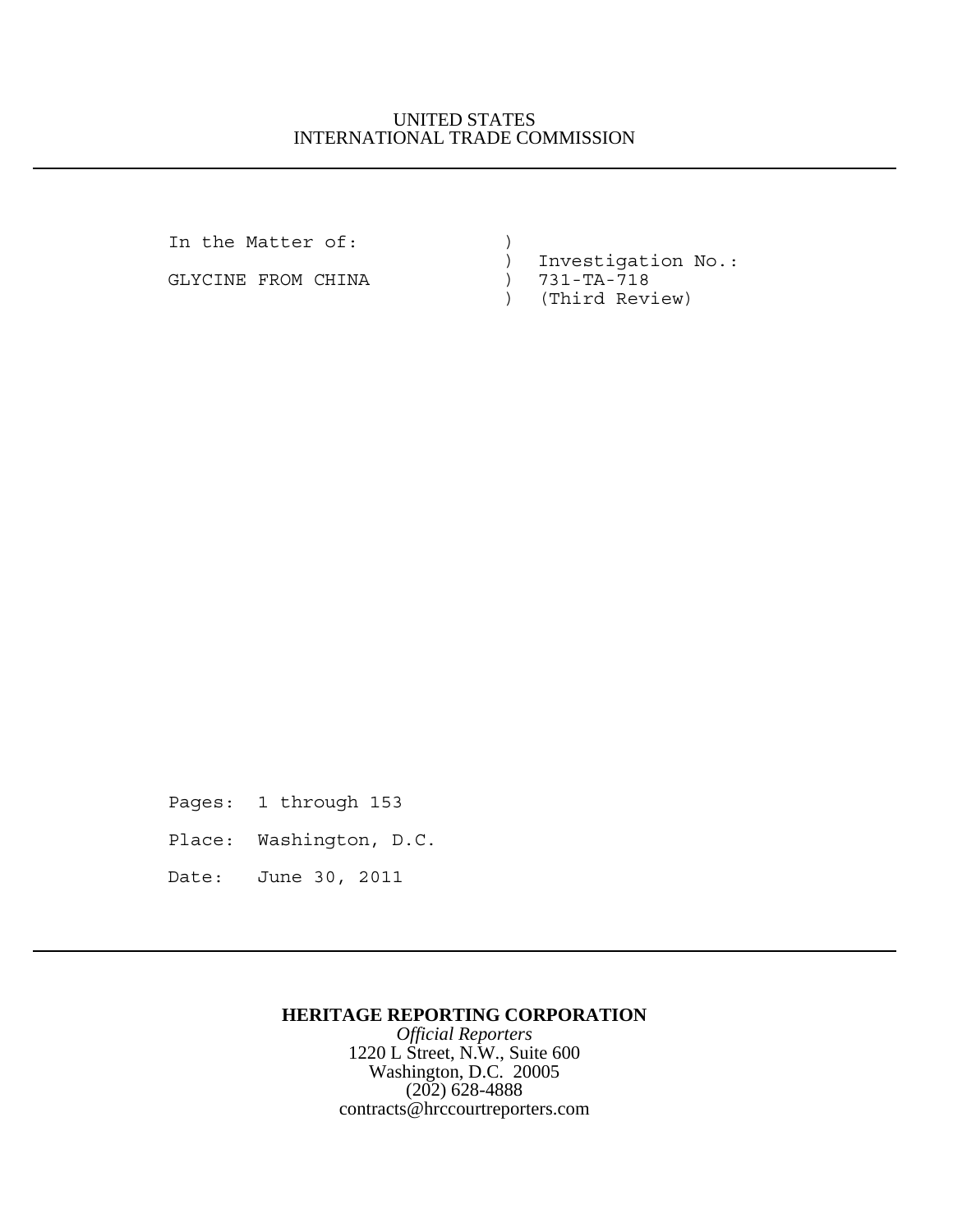## UNITED STATES INTERNATIONAL TRADE COMMISSION

In the Matter of:  $)$ 

GLYCINE FROM CHINA (300) 731-TA-718

 ) Investigation No.: ) (Third Review)

Pages: 1 through 153

Place: Washington, D.C.

Date: June 30, 2011

## **HERITAGE REPORTING CORPORATION**

*Official Reporters* 1220 L Street, N.W., Suite 600 Washington, D.C. 20005 (202) 628-4888 contracts@hrccourtreporters.com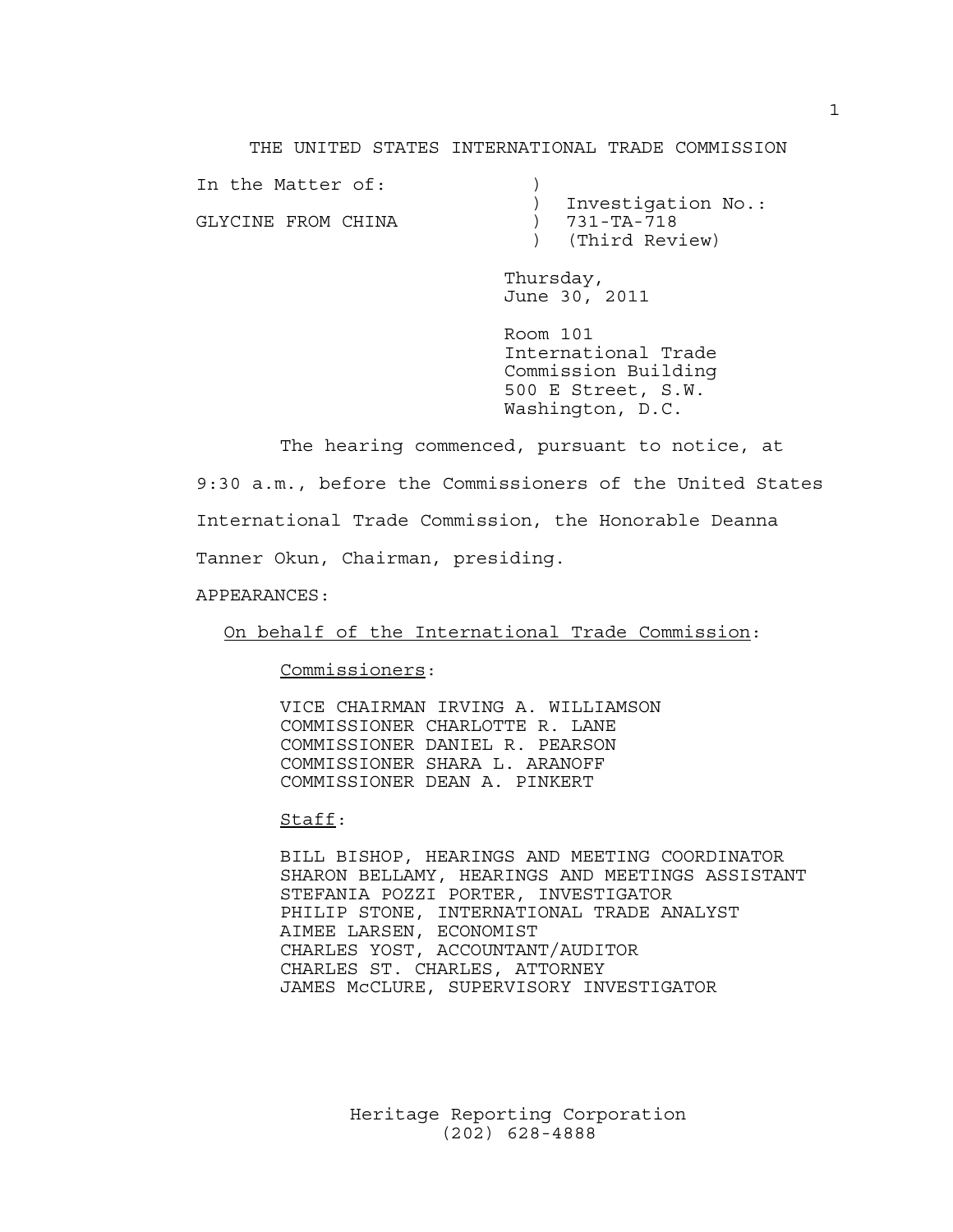#### THE UNITED STATES INTERNATIONAL TRADE COMMISSION

In the Matter of: GLYCINE FROM CHINA (31-TA-718)

 ) Investigation No.: ) (Third Review)

Thursday, June 30, 2011

Room 101 International Trade Commission Building 500 E Street, S.W. Washington, D.C.

The hearing commenced, pursuant to notice, at 9:30 a.m., before the Commissioners of the United States International Trade Commission, the Honorable Deanna Tanner Okun, Chairman, presiding.

APPEARANCES:

On behalf of the International Trade Commission:

Commissioners:

VICE CHAIRMAN IRVING A. WILLIAMSON COMMISSIONER CHARLOTTE R. LANE COMMISSIONER DANIEL R. PEARSON COMMISSIONER SHARA L. ARANOFF COMMISSIONER DEAN A. PINKERT

Staff:

BILL BISHOP, HEARINGS AND MEETING COORDINATOR SHARON BELLAMY, HEARINGS AND MEETINGS ASSISTANT STEFANIA POZZI PORTER, INVESTIGATOR PHILIP STONE, INTERNATIONAL TRADE ANALYST AIMEE LARSEN, ECONOMIST CHARLES YOST, ACCOUNTANT/AUDITOR CHARLES ST. CHARLES, ATTORNEY JAMES McCLURE, SUPERVISORY INVESTIGATOR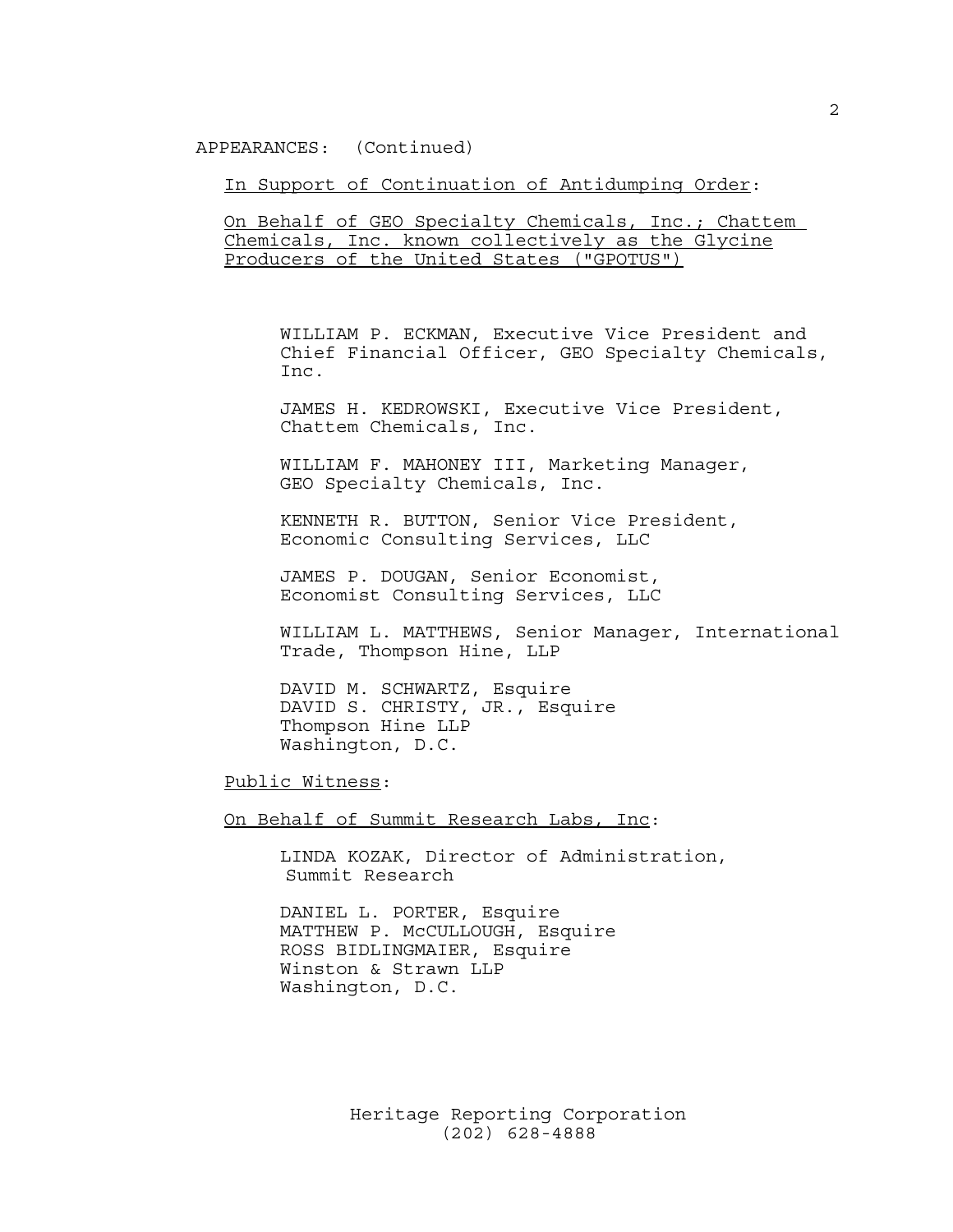APPEARANCES: (Continued)

In Support of Continuation of Antidumping Order:

On Behalf of GEO Specialty Chemicals, Inc.; Chattem Chemicals, Inc. known collectively as the Glycine Producers of the United States ("GPOTUS")

WILLIAM P. ECKMAN, Executive Vice President and Chief Financial Officer, GEO Specialty Chemicals, Inc.

JAMES H. KEDROWSKI, Executive Vice President, Chattem Chemicals, Inc.

WILLIAM F. MAHONEY III, Marketing Manager, GEO Specialty Chemicals, Inc.

KENNETH R. BUTTON, Senior Vice President, Economic Consulting Services, LLC

JAMES P. DOUGAN, Senior Economist, Economist Consulting Services, LLC

WILLIAM L. MATTHEWS, Senior Manager, International Trade, Thompson Hine, LLP

DAVID M. SCHWARTZ, Esquire DAVID S. CHRISTY, JR., Esquire Thompson Hine LLP Washington, D.C.

Public Witness:

On Behalf of Summit Research Labs, Inc:

LINDA KOZAK, Director of Administration, Summit Research

DANIEL L. PORTER, Esquire MATTHEW P. McCULLOUGH, Esquire ROSS BIDLINGMAIER, Esquire Winston & Strawn LLP Washington, D.C.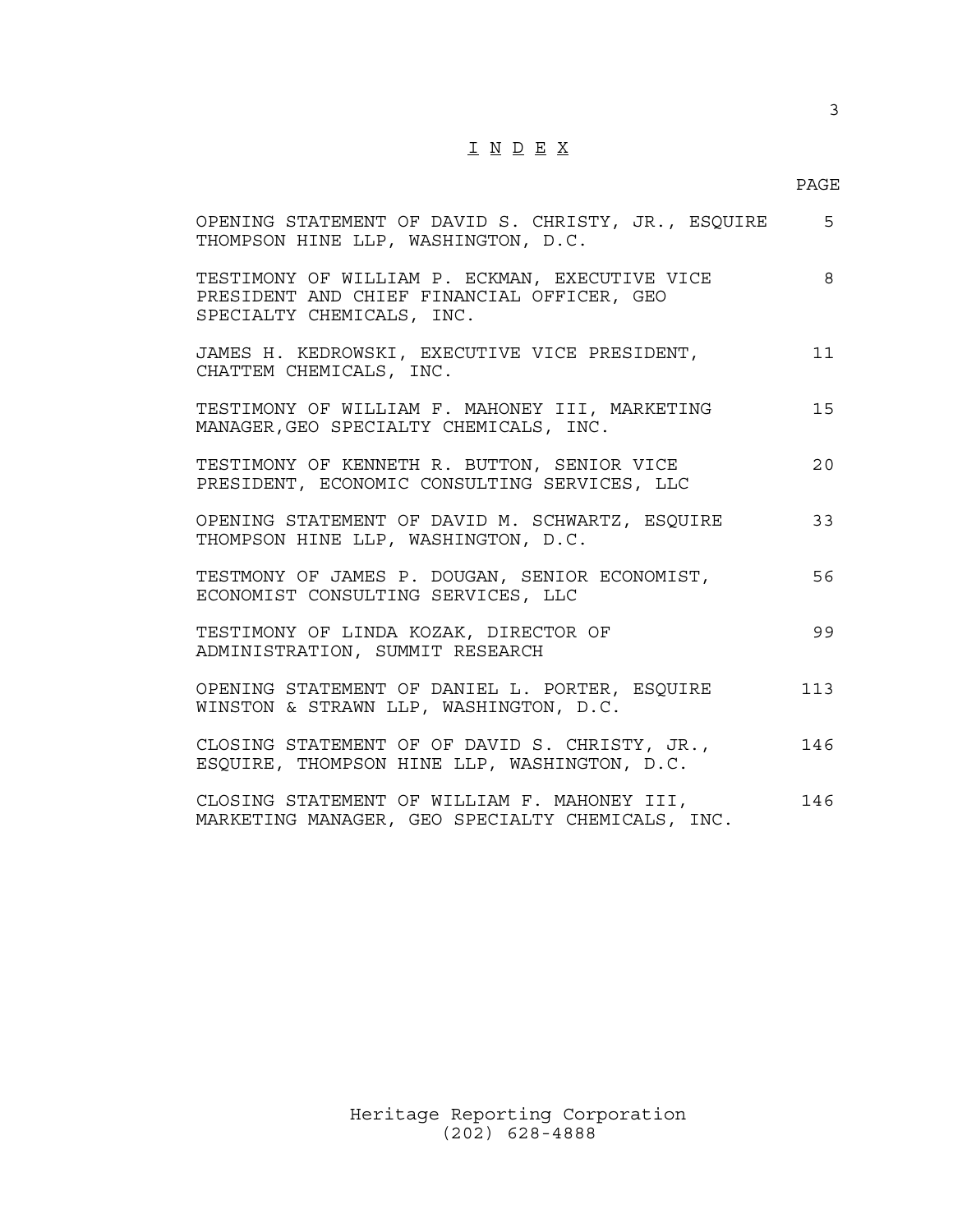# I N D E X

## PAGE

| OPENING STATEMENT OF DAVID S. CHRISTY, JR., ESQUIRE<br>THOMPSON HINE LLP, WASHINGTON, D.C.                                | 5   |
|---------------------------------------------------------------------------------------------------------------------------|-----|
| TESTIMONY OF WILLIAM P. ECKMAN, EXECUTIVE VICE<br>PRESIDENT AND CHIEF FINANCIAL OFFICER, GEO<br>SPECIALTY CHEMICALS, INC. | 8   |
| JAMES H. KEDROWSKI, EXECUTIVE VICE PRESIDENT,<br>CHATTEM CHEMICALS, INC.                                                  | 11  |
| TESTIMONY OF WILLIAM F. MAHONEY III, MARKETING<br>MANAGER, GEO SPECIALTY CHEMICALS, INC.                                  | 15  |
| TESTIMONY OF KENNETH R. BUTTON, SENIOR VICE<br>PRESIDENT, ECONOMIC CONSULTING SERVICES, LLC                               | 20  |
| OPENING STATEMENT OF DAVID M. SCHWARTZ, ESQUIRE<br>THOMPSON HINE LLP, WASHINGTON, D.C.                                    | 33  |
| TESTMONY OF JAMES P. DOUGAN, SENIOR ECONOMIST,<br>ECONOMIST CONSULTING SERVICES, LLC                                      | 56  |
| TESTIMONY OF LINDA KOZAK, DIRECTOR OF<br>ADMINISTRATION, SUMMIT RESEARCH                                                  | 99  |
| OPENING STATEMENT OF DANIEL L. PORTER, ESQUIRE<br>WINSTON & STRAWN LLP, WASHINGTON, D.C.                                  | 113 |
| CLOSING STATEMENT OF OF DAVID S. CHRISTY, JR.,<br>ESQUIRE, THOMPSON HINE LLP, WASHINGTON, D.C.                            | 146 |
| CLOSING STATEMENT OF WILLIAM F. MAHONEY III,<br>MARKETING MANAGER, GEO SPECIALTY CHEMICALS, INC.                          | 146 |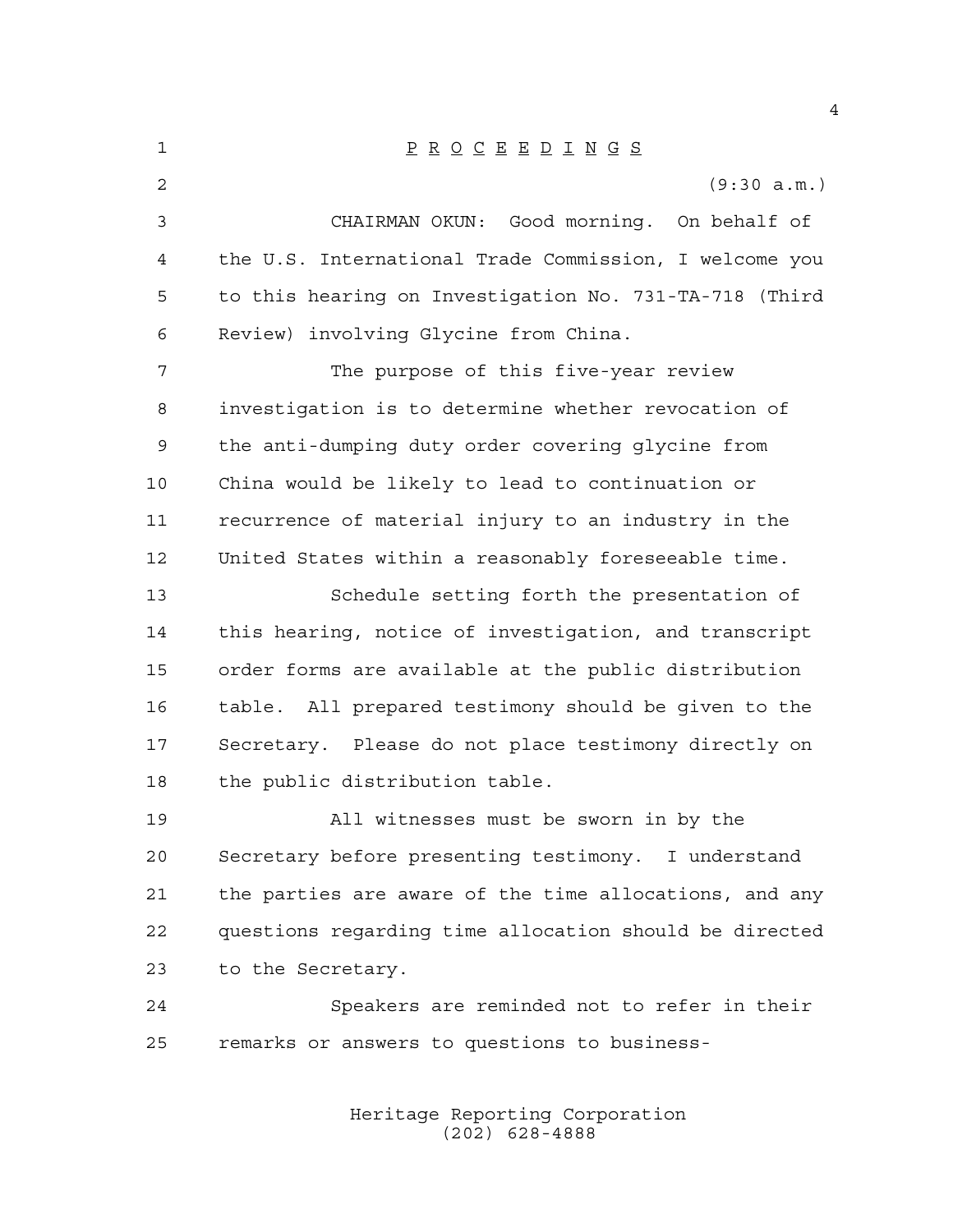| 1  | $\underline{P} \underline{R} \underline{O} \underline{C} \underline{E} \underline{E} \underline{D} \underline{I} \underline{N} \underline{G} \underline{S}$ |
|----|-------------------------------------------------------------------------------------------------------------------------------------------------------------|
| 2  | (9:30 a.m.)                                                                                                                                                 |
| 3  | CHAIRMAN OKUN: Good morning. On behalf of                                                                                                                   |
| 4  | the U.S. International Trade Commission, I welcome you                                                                                                      |
| 5  | to this hearing on Investigation No. 731-TA-718 (Third                                                                                                      |
| 6  | Review) involving Glycine from China.                                                                                                                       |
| 7  | The purpose of this five-year review                                                                                                                        |
| 8  | investigation is to determine whether revocation of                                                                                                         |
| 9  | the anti-dumping duty order covering glycine from                                                                                                           |
| 10 | China would be likely to lead to continuation or                                                                                                            |
| 11 | recurrence of material injury to an industry in the                                                                                                         |
| 12 | United States within a reasonably foreseeable time.                                                                                                         |
| 13 | Schedule setting forth the presentation of                                                                                                                  |
| 14 | this hearing, notice of investigation, and transcript                                                                                                       |
| 15 | order forms are available at the public distribution                                                                                                        |
| 16 | table. All prepared testimony should be given to the                                                                                                        |
| 17 | Secretary. Please do not place testimony directly on                                                                                                        |
| 18 | the public distribution table.                                                                                                                              |
| 19 | All witnesses must be sworn in by the                                                                                                                       |
| 20 | Secretary before presenting testimony. I understand                                                                                                         |
| 21 | the parties are aware of the time allocations, and any                                                                                                      |
| 22 | questions regarding time allocation should be directed                                                                                                      |
| 23 | to the Secretary.                                                                                                                                           |
| 24 | Speakers are reminded not to refer in their                                                                                                                 |
| 25 | remarks or answers to questions to business-                                                                                                                |
|    |                                                                                                                                                             |

Heritage Reporting Corporation (202) 628-4888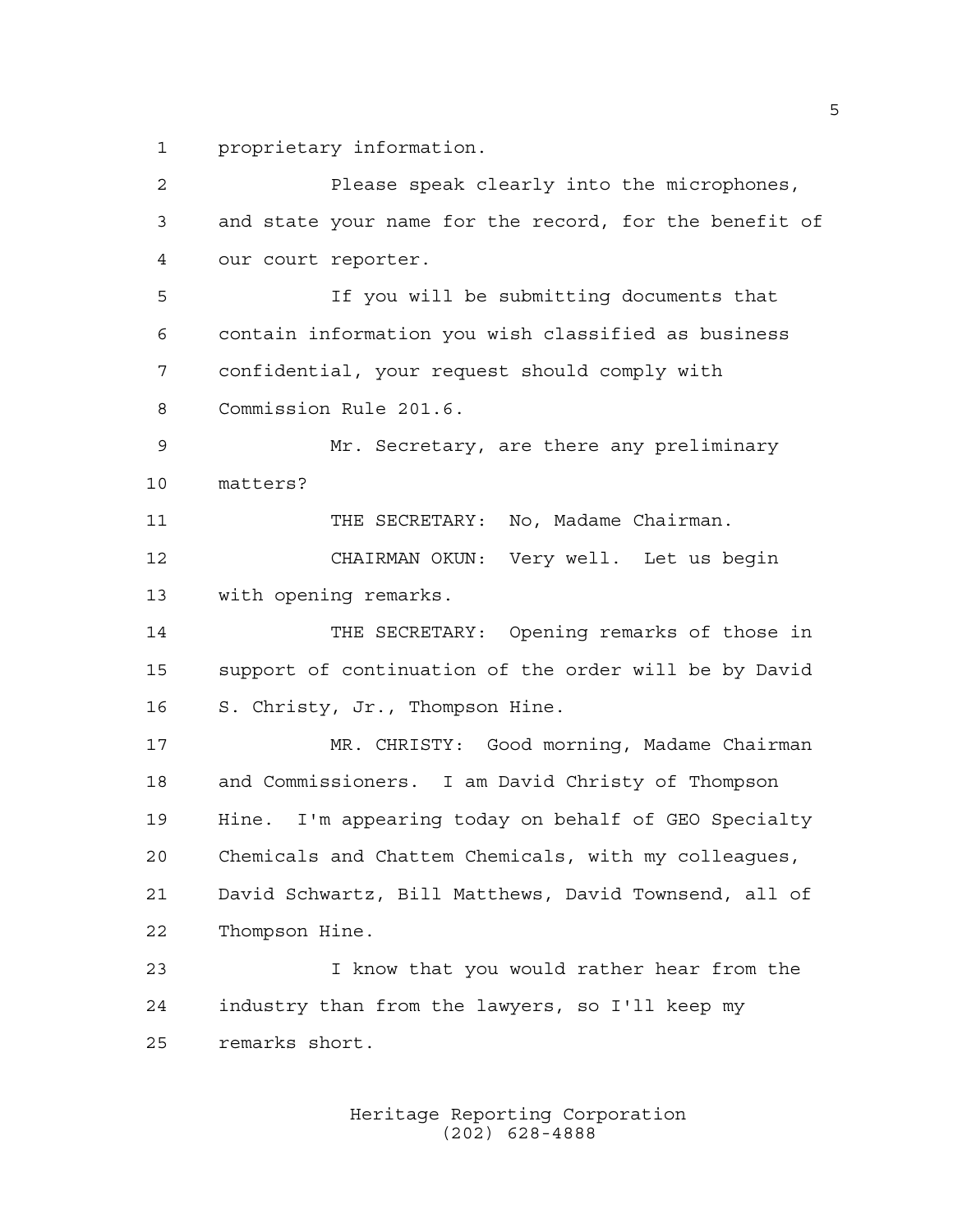proprietary information.

 Please speak clearly into the microphones, and state your name for the record, for the benefit of our court reporter. If you will be submitting documents that contain information you wish classified as business confidential, your request should comply with Commission Rule 201.6. Mr. Secretary, are there any preliminary matters? 11 THE SECRETARY: No, Madame Chairman. CHAIRMAN OKUN: Very well. Let us begin with opening remarks. THE SECRETARY: Opening remarks of those in support of continuation of the order will be by David S. Christy, Jr., Thompson Hine. MR. CHRISTY: Good morning, Madame Chairman and Commissioners. I am David Christy of Thompson Hine. I'm appearing today on behalf of GEO Specialty Chemicals and Chattem Chemicals, with my colleagues, David Schwartz, Bill Matthews, David Townsend, all of Thompson Hine. I know that you would rather hear from the industry than from the lawyers, so I'll keep my remarks short.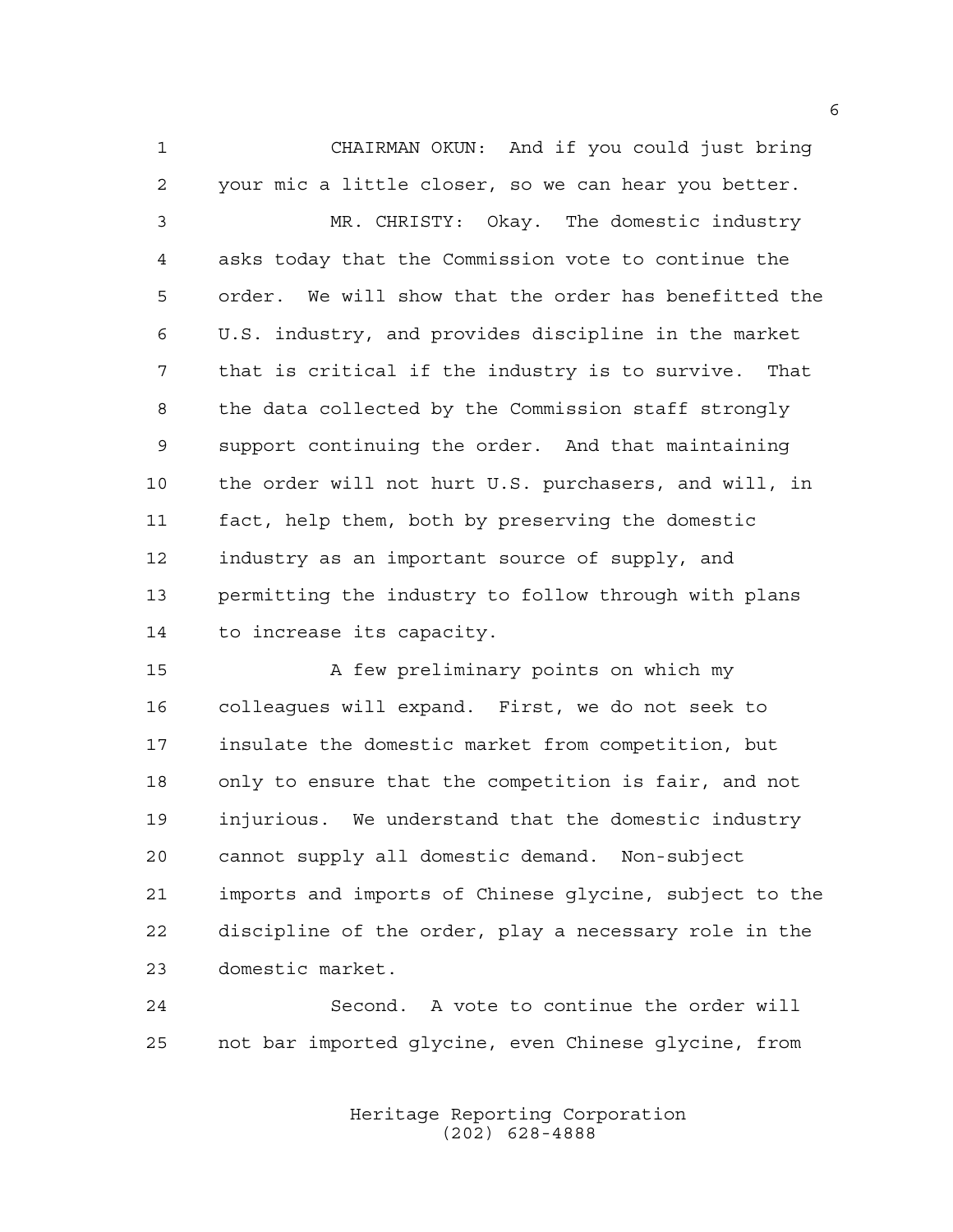CHAIRMAN OKUN: And if you could just bring your mic a little closer, so we can hear you better.

 MR. CHRISTY: Okay. The domestic industry asks today that the Commission vote to continue the order. We will show that the order has benefitted the U.S. industry, and provides discipline in the market that is critical if the industry is to survive. That the data collected by the Commission staff strongly support continuing the order. And that maintaining the order will not hurt U.S. purchasers, and will, in fact, help them, both by preserving the domestic industry as an important source of supply, and permitting the industry to follow through with plans to increase its capacity.

15 A few preliminary points on which my colleagues will expand. First, we do not seek to insulate the domestic market from competition, but only to ensure that the competition is fair, and not injurious. We understand that the domestic industry cannot supply all domestic demand. Non-subject imports and imports of Chinese glycine, subject to the discipline of the order, play a necessary role in the domestic market.

 Second. A vote to continue the order will not bar imported glycine, even Chinese glycine, from

> Heritage Reporting Corporation (202) 628-4888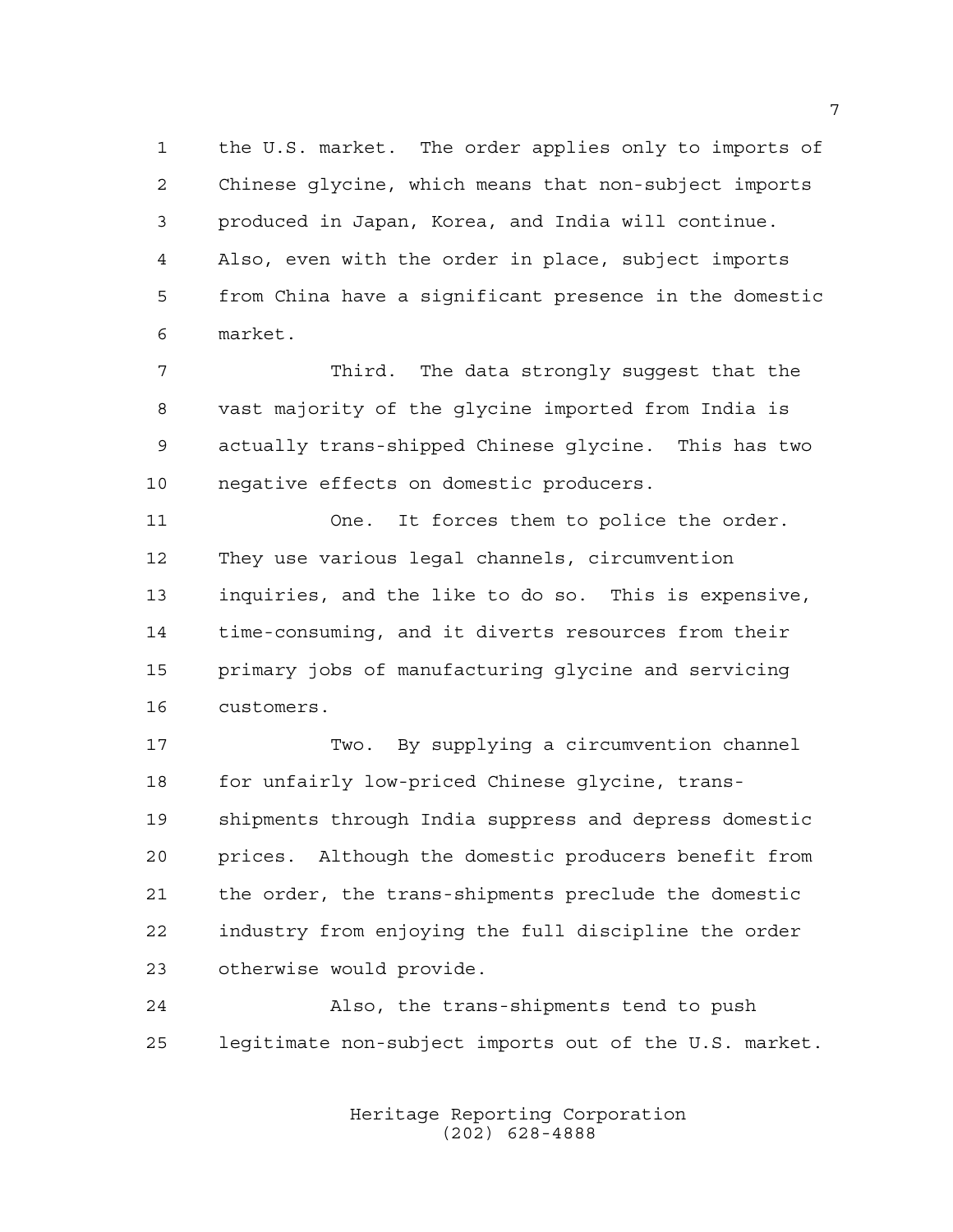the U.S. market. The order applies only to imports of Chinese glycine, which means that non-subject imports produced in Japan, Korea, and India will continue. Also, even with the order in place, subject imports from China have a significant presence in the domestic market.

 Third. The data strongly suggest that the vast majority of the glycine imported from India is actually trans-shipped Chinese glycine. This has two negative effects on domestic producers.

 One. It forces them to police the order. They use various legal channels, circumvention inquiries, and the like to do so. This is expensive, time-consuming, and it diverts resources from their primary jobs of manufacturing glycine and servicing customers.

 Two. By supplying a circumvention channel 18 for unfairly low-priced Chinese glycine, trans- shipments through India suppress and depress domestic prices. Although the domestic producers benefit from the order, the trans-shipments preclude the domestic industry from enjoying the full discipline the order otherwise would provide.

 Also, the trans-shipments tend to push legitimate non-subject imports out of the U.S. market.

> Heritage Reporting Corporation (202) 628-4888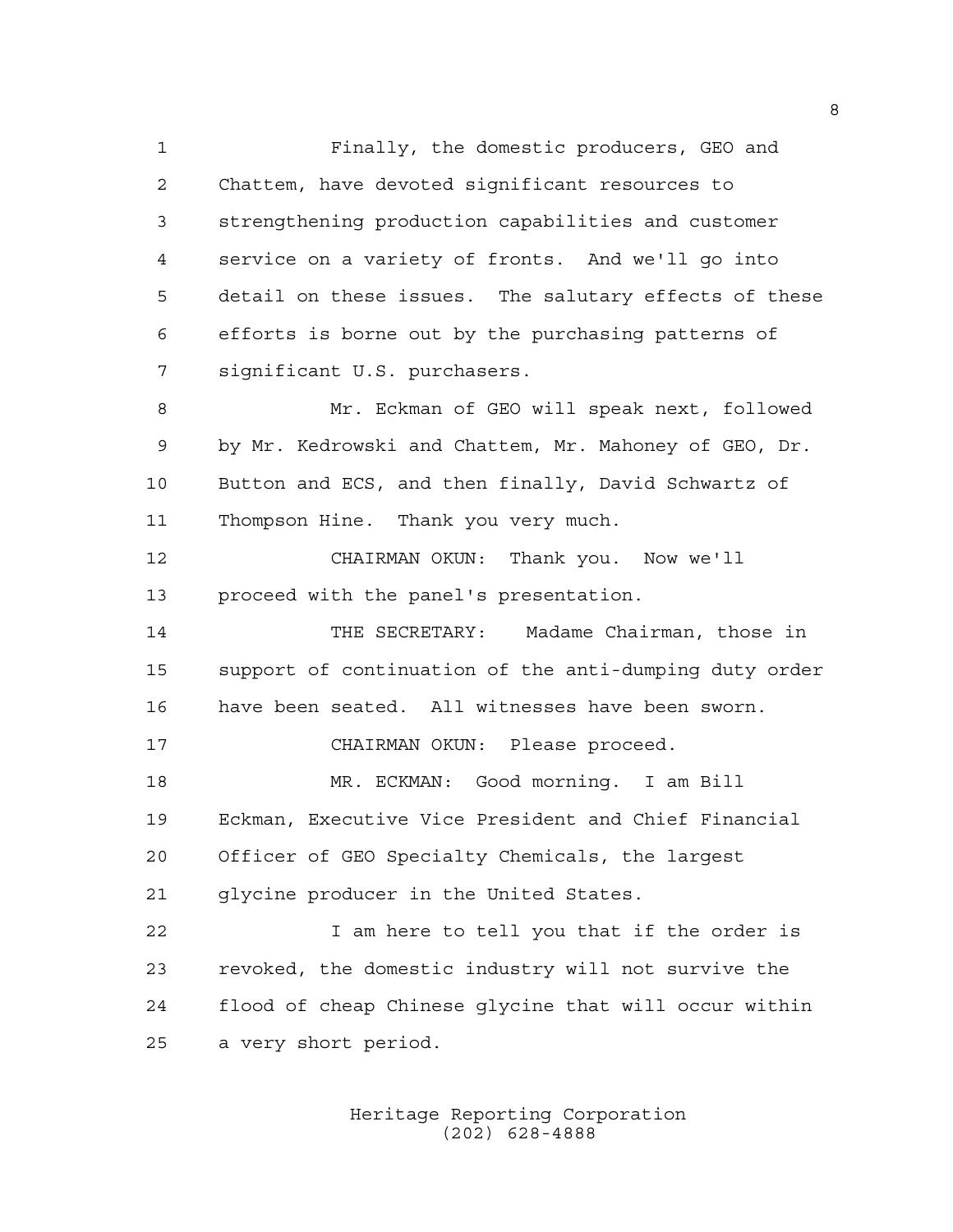Finally, the domestic producers, GEO and Chattem, have devoted significant resources to strengthening production capabilities and customer service on a variety of fronts. And we'll go into detail on these issues. The salutary effects of these efforts is borne out by the purchasing patterns of significant U.S. purchasers. Mr. Eckman of GEO will speak next, followed by Mr. Kedrowski and Chattem, Mr. Mahoney of GEO, Dr. Button and ECS, and then finally, David Schwartz of Thompson Hine. Thank you very much. CHAIRMAN OKUN: Thank you. Now we'll proceed with the panel's presentation. THE SECRETARY: Madame Chairman, those in support of continuation of the anti-dumping duty order have been seated. All witnesses have been sworn. CHAIRMAN OKUN: Please proceed. MR. ECKMAN: Good morning. I am Bill Eckman, Executive Vice President and Chief Financial Officer of GEO Specialty Chemicals, the largest glycine producer in the United States. I am here to tell you that if the order is revoked, the domestic industry will not survive the flood of cheap Chinese glycine that will occur within a very short period.

> Heritage Reporting Corporation (202) 628-4888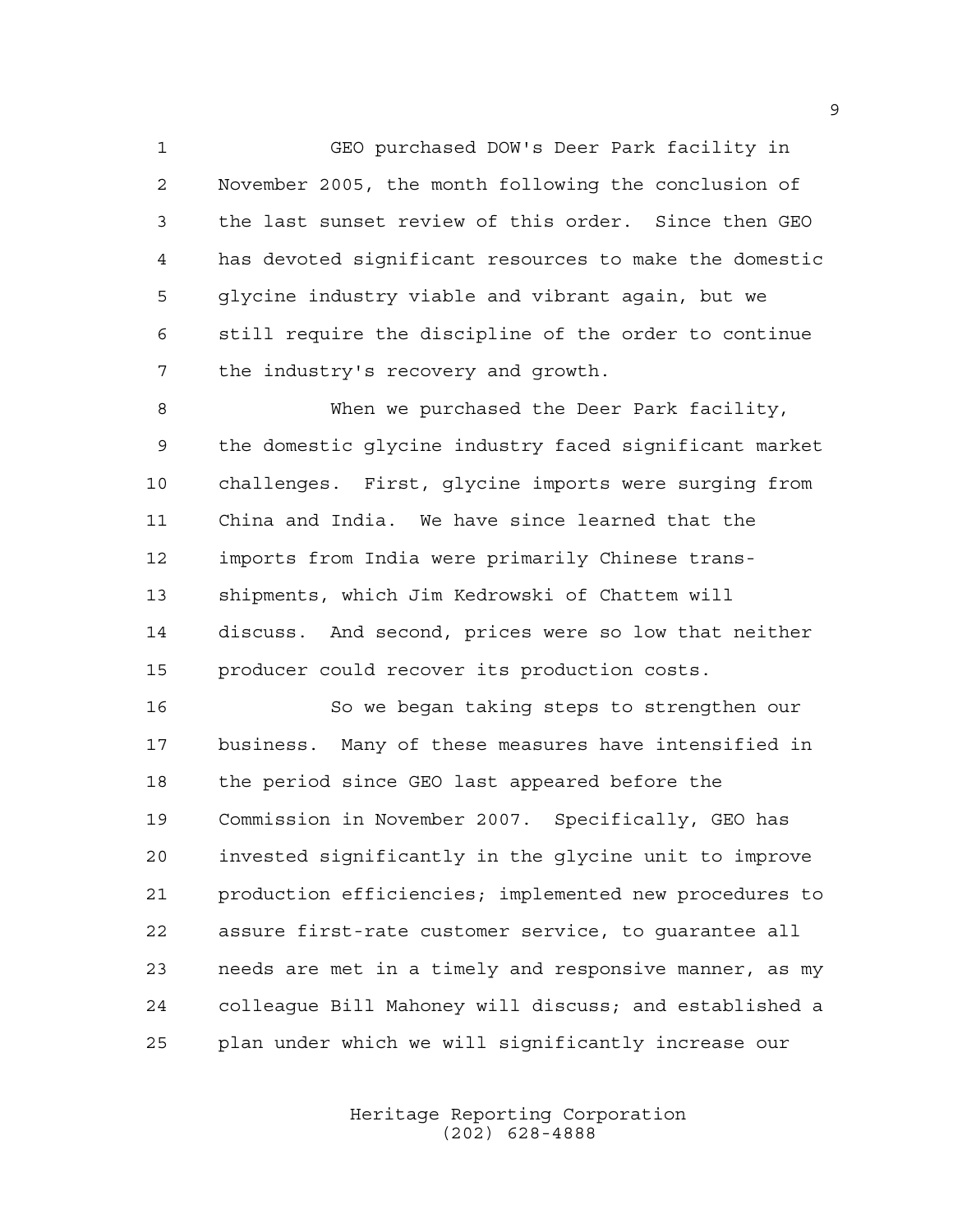GEO purchased DOW's Deer Park facility in November 2005, the month following the conclusion of the last sunset review of this order. Since then GEO has devoted significant resources to make the domestic glycine industry viable and vibrant again, but we still require the discipline of the order to continue the industry's recovery and growth.

 When we purchased the Deer Park facility, the domestic glycine industry faced significant market challenges. First, glycine imports were surging from China and India. We have since learned that the imports from India were primarily Chinese trans- shipments, which Jim Kedrowski of Chattem will discuss. And second, prices were so low that neither producer could recover its production costs.

 So we began taking steps to strengthen our business. Many of these measures have intensified in the period since GEO last appeared before the Commission in November 2007. Specifically, GEO has invested significantly in the glycine unit to improve production efficiencies; implemented new procedures to assure first-rate customer service, to guarantee all needs are met in a timely and responsive manner, as my colleague Bill Mahoney will discuss; and established a plan under which we will significantly increase our

> Heritage Reporting Corporation (202) 628-4888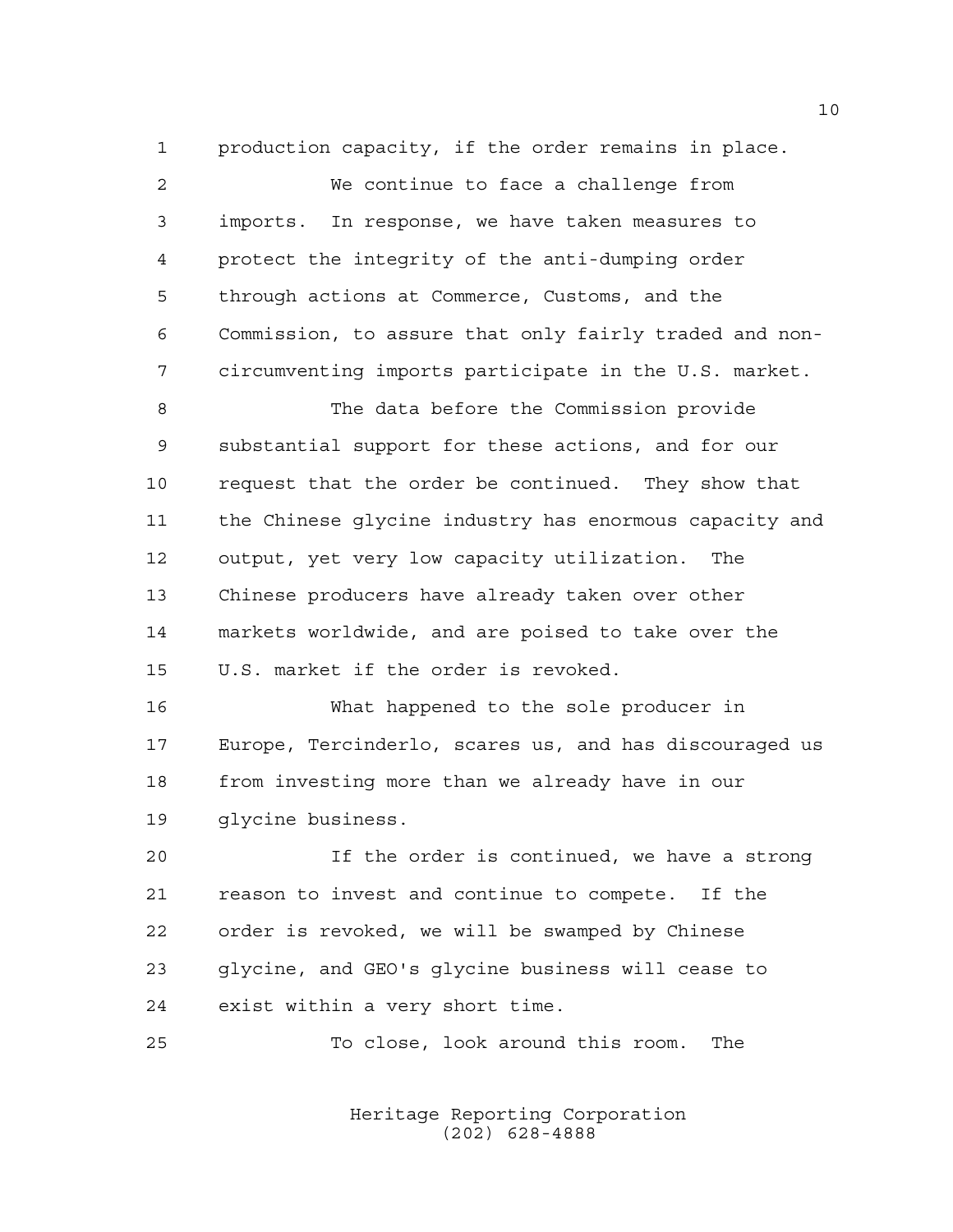production capacity, if the order remains in place. We continue to face a challenge from imports. In response, we have taken measures to protect the integrity of the anti-dumping order through actions at Commerce, Customs, and the Commission, to assure that only fairly traded and non- circumventing imports participate in the U.S. market. The data before the Commission provide substantial support for these actions, and for our request that the order be continued. They show that the Chinese glycine industry has enormous capacity and output, yet very low capacity utilization. The Chinese producers have already taken over other markets worldwide, and are poised to take over the U.S. market if the order is revoked. What happened to the sole producer in Europe, Tercinderlo, scares us, and has discouraged us

glycine business.

 If the order is continued, we have a strong reason to invest and continue to compete. If the order is revoked, we will be swamped by Chinese glycine, and GEO's glycine business will cease to exist within a very short time.

To close, look around this room. The

from investing more than we already have in our

Heritage Reporting Corporation (202) 628-4888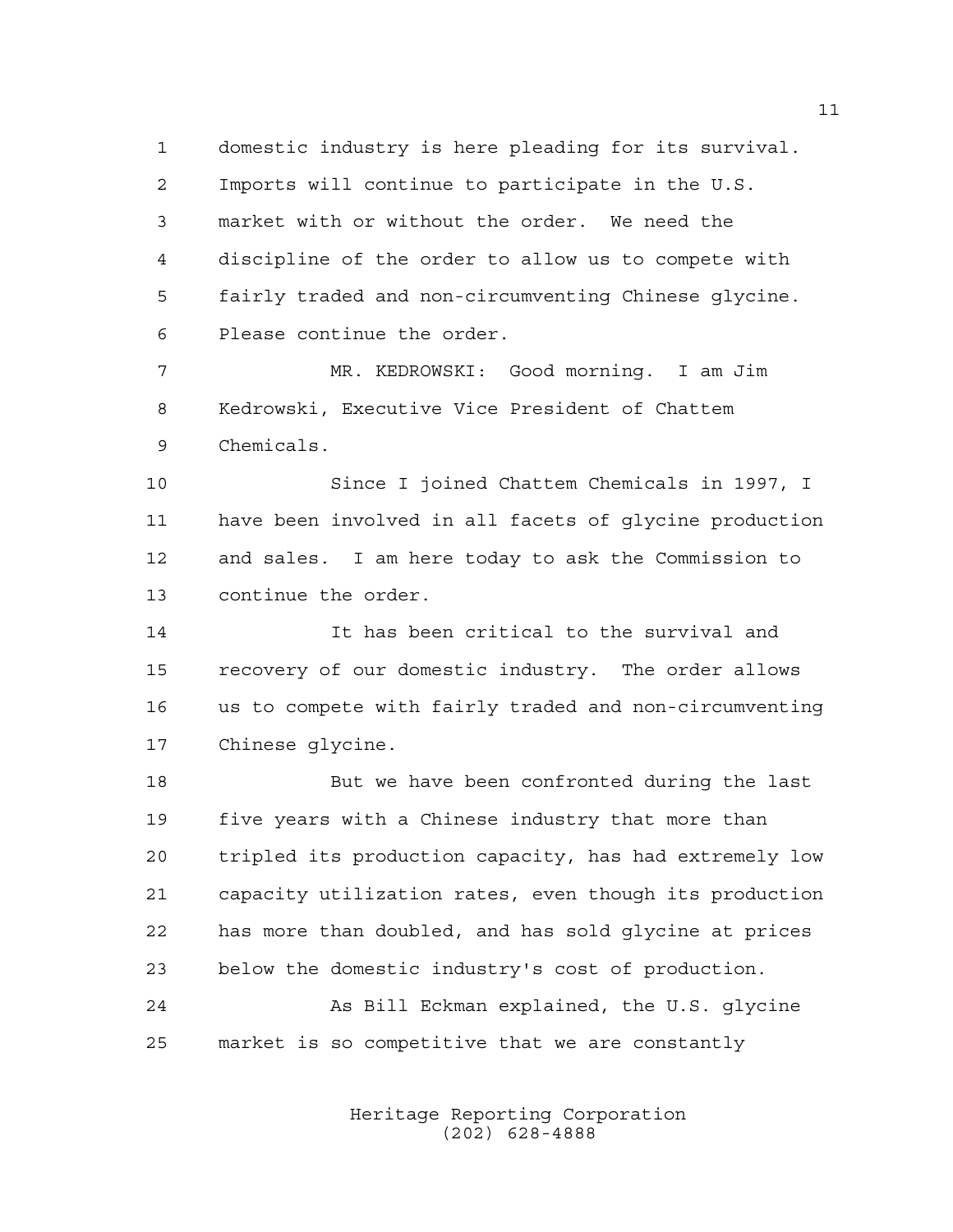domestic industry is here pleading for its survival. Imports will continue to participate in the U.S. market with or without the order. We need the discipline of the order to allow us to compete with fairly traded and non-circumventing Chinese glycine. Please continue the order.

 MR. KEDROWSKI: Good morning. I am Jim Kedrowski, Executive Vice President of Chattem Chemicals.

 Since I joined Chattem Chemicals in 1997, I have been involved in all facets of glycine production and sales. I am here today to ask the Commission to continue the order.

 It has been critical to the survival and recovery of our domestic industry. The order allows us to compete with fairly traded and non-circumventing Chinese glycine.

 But we have been confronted during the last five years with a Chinese industry that more than tripled its production capacity, has had extremely low capacity utilization rates, even though its production has more than doubled, and has sold glycine at prices below the domestic industry's cost of production.

 As Bill Eckman explained, the U.S. glycine market is so competitive that we are constantly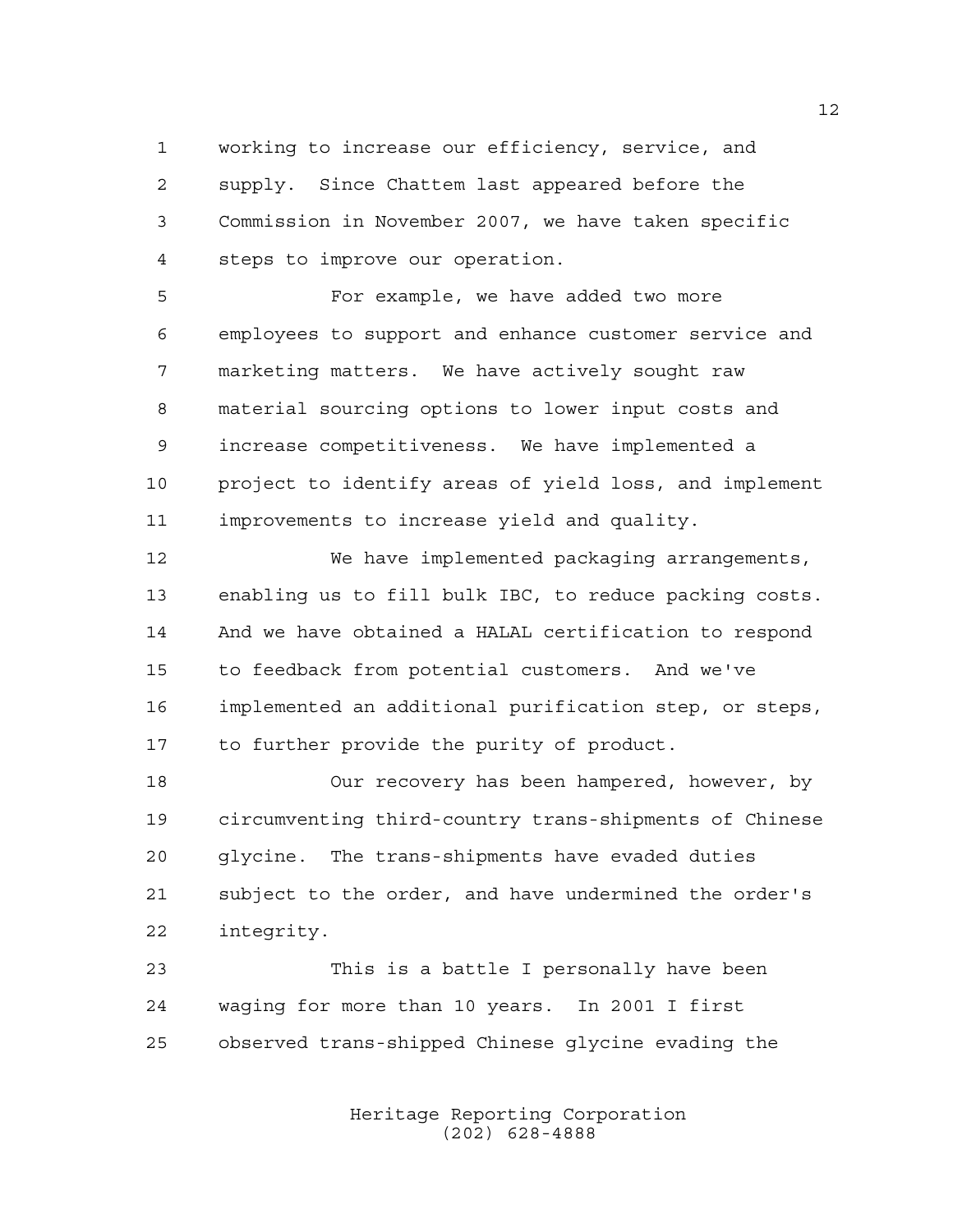working to increase our efficiency, service, and supply. Since Chattem last appeared before the Commission in November 2007, we have taken specific steps to improve our operation.

 For example, we have added two more employees to support and enhance customer service and marketing matters. We have actively sought raw material sourcing options to lower input costs and increase competitiveness. We have implemented a project to identify areas of yield loss, and implement improvements to increase yield and quality.

 We have implemented packaging arrangements, enabling us to fill bulk IBC, to reduce packing costs. And we have obtained a HALAL certification to respond to feedback from potential customers. And we've implemented an additional purification step, or steps, to further provide the purity of product.

 Our recovery has been hampered, however, by circumventing third-country trans-shipments of Chinese glycine. The trans-shipments have evaded duties subject to the order, and have undermined the order's integrity.

 This is a battle I personally have been waging for more than 10 years. In 2001 I first observed trans-shipped Chinese glycine evading the

> Heritage Reporting Corporation (202) 628-4888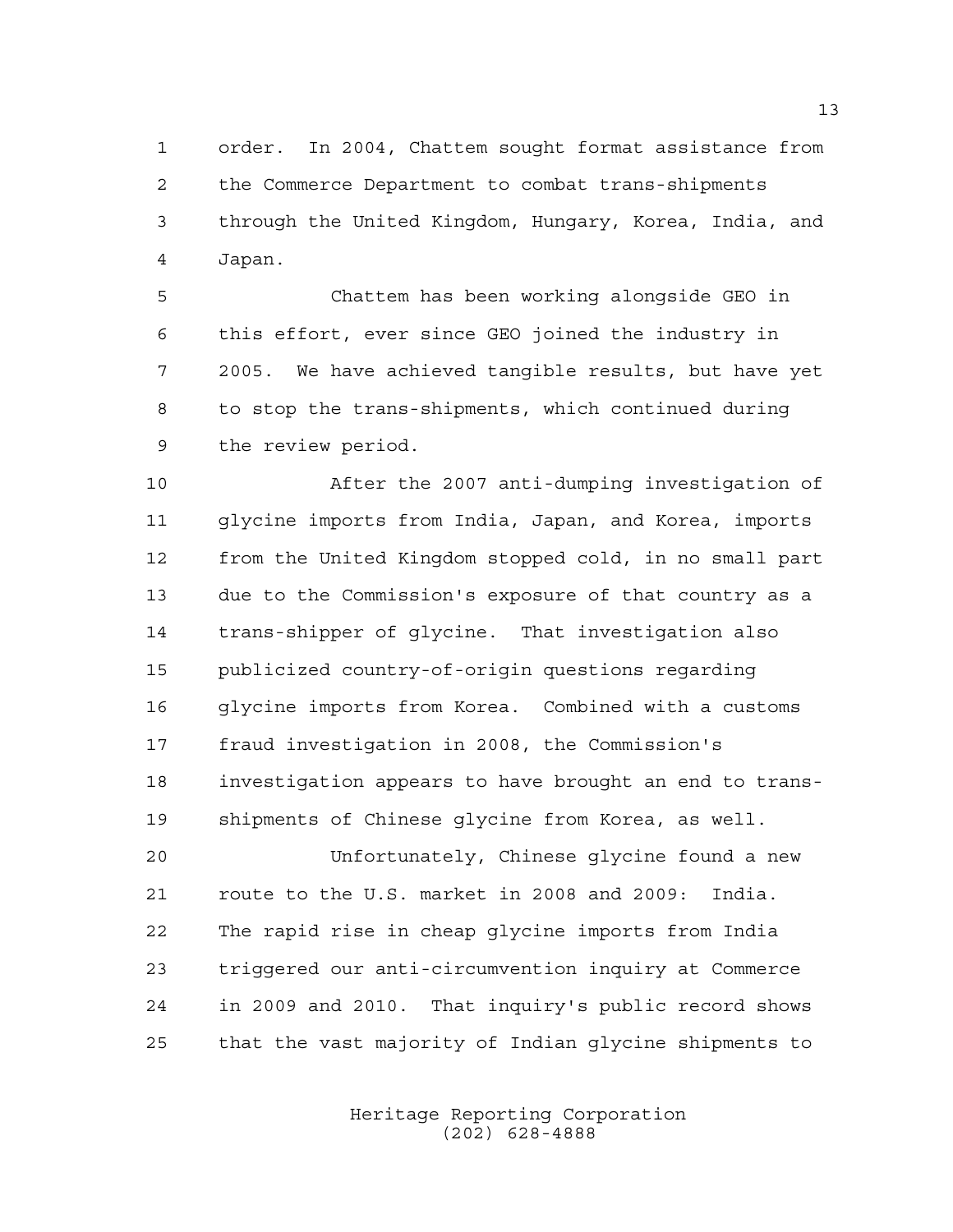order. In 2004, Chattem sought format assistance from the Commerce Department to combat trans-shipments through the United Kingdom, Hungary, Korea, India, and Japan.

 Chattem has been working alongside GEO in this effort, ever since GEO joined the industry in 2005. We have achieved tangible results, but have yet to stop the trans-shipments, which continued during the review period.

 After the 2007 anti-dumping investigation of glycine imports from India, Japan, and Korea, imports from the United Kingdom stopped cold, in no small part due to the Commission's exposure of that country as a trans-shipper of glycine. That investigation also publicized country-of-origin questions regarding glycine imports from Korea. Combined with a customs fraud investigation in 2008, the Commission's investigation appears to have brought an end to trans-shipments of Chinese glycine from Korea, as well.

 Unfortunately, Chinese glycine found a new route to the U.S. market in 2008 and 2009: India. The rapid rise in cheap glycine imports from India triggered our anti-circumvention inquiry at Commerce in 2009 and 2010. That inquiry's public record shows that the vast majority of Indian glycine shipments to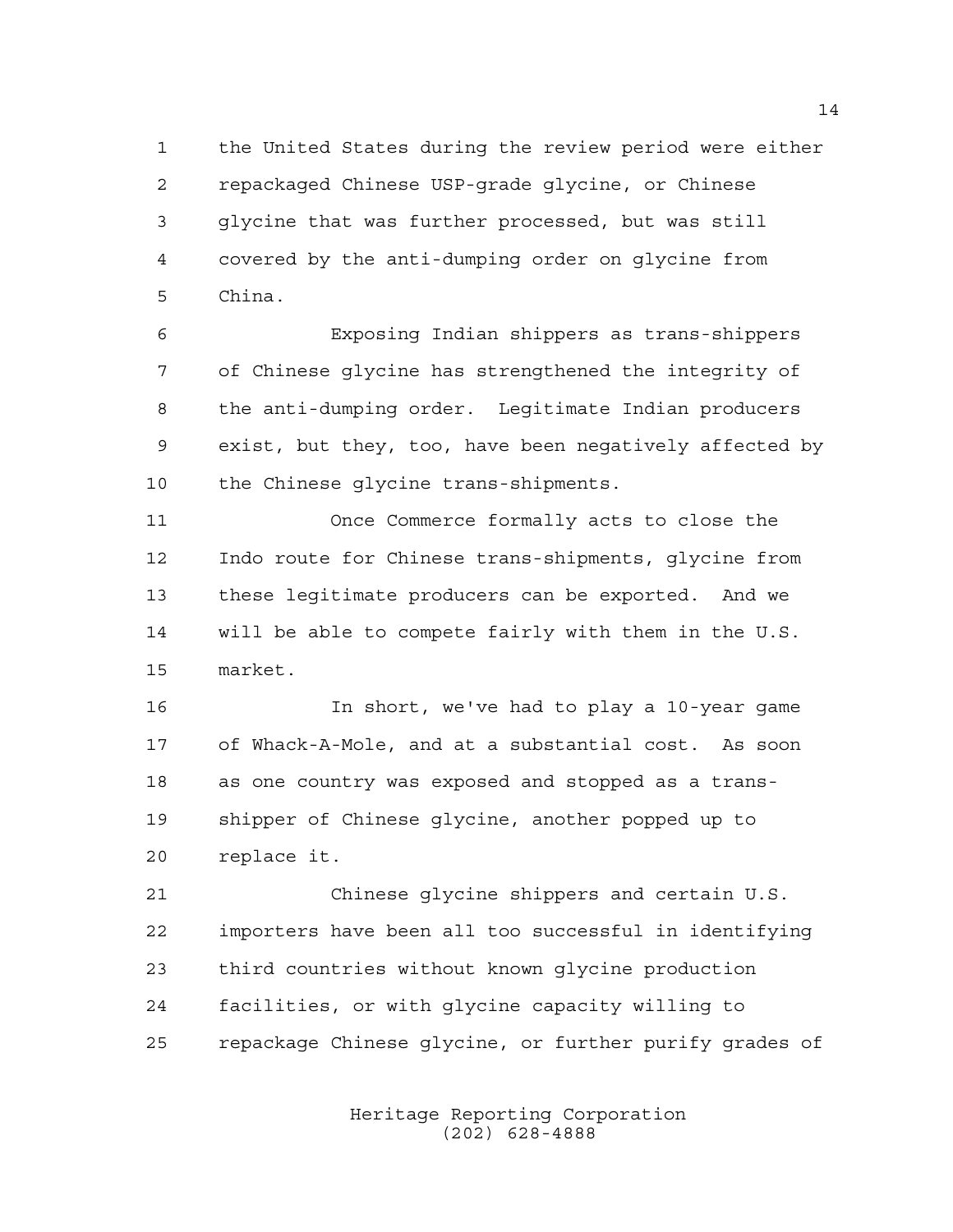the United States during the review period were either repackaged Chinese USP-grade glycine, or Chinese glycine that was further processed, but was still covered by the anti-dumping order on glycine from China.

 Exposing Indian shippers as trans-shippers of Chinese glycine has strengthened the integrity of the anti-dumping order. Legitimate Indian producers exist, but they, too, have been negatively affected by the Chinese glycine trans-shipments.

 Once Commerce formally acts to close the Indo route for Chinese trans-shipments, glycine from these legitimate producers can be exported. And we will be able to compete fairly with them in the U.S. market.

 In short, we've had to play a 10-year game of Whack-A-Mole, and at a substantial cost. As soon as one country was exposed and stopped as a trans- shipper of Chinese glycine, another popped up to replace it.

 Chinese glycine shippers and certain U.S. importers have been all too successful in identifying third countries without known glycine production facilities, or with glycine capacity willing to repackage Chinese glycine, or further purify grades of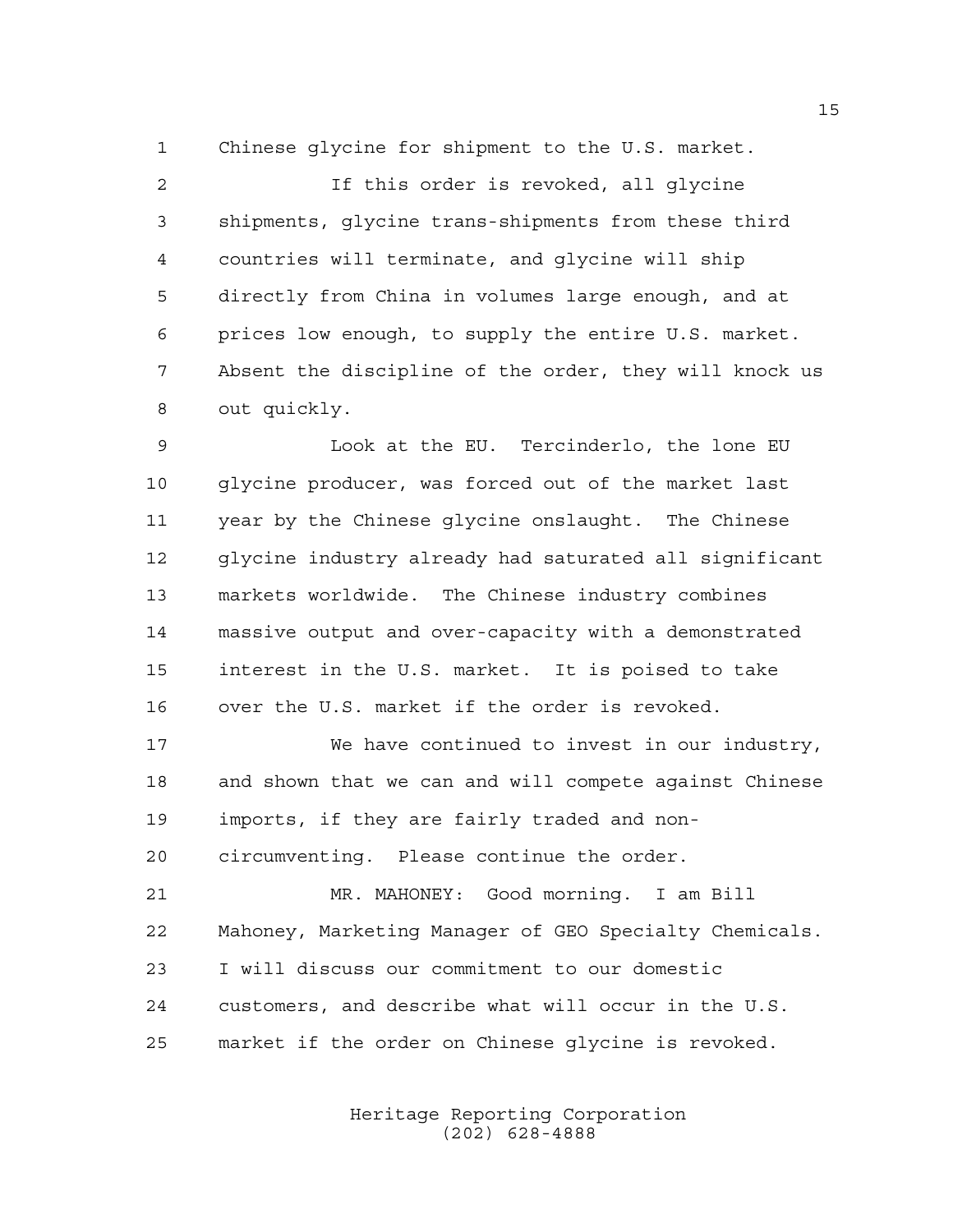Chinese glycine for shipment to the U.S. market.

 If this order is revoked, all glycine shipments, glycine trans-shipments from these third countries will terminate, and glycine will ship directly from China in volumes large enough, and at prices low enough, to supply the entire U.S. market. Absent the discipline of the order, they will knock us out quickly.

 Look at the EU. Tercinderlo, the lone EU glycine producer, was forced out of the market last year by the Chinese glycine onslaught. The Chinese glycine industry already had saturated all significant markets worldwide. The Chinese industry combines massive output and over-capacity with a demonstrated interest in the U.S. market. It is poised to take over the U.S. market if the order is revoked.

 We have continued to invest in our industry, and shown that we can and will compete against Chinese imports, if they are fairly traded and non-circumventing. Please continue the order.

 MR. MAHONEY: Good morning. I am Bill Mahoney, Marketing Manager of GEO Specialty Chemicals. I will discuss our commitment to our domestic customers, and describe what will occur in the U.S. market if the order on Chinese glycine is revoked.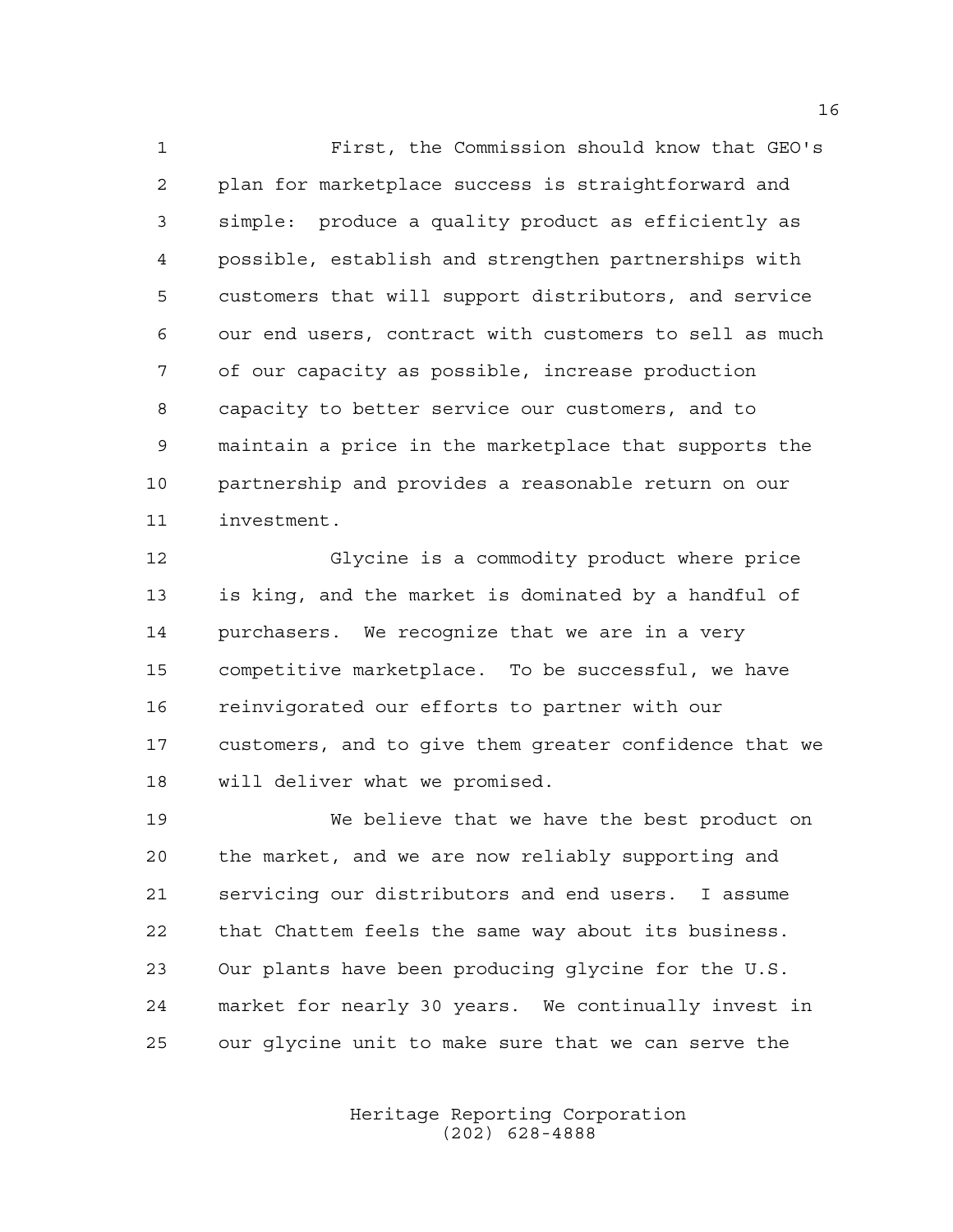First, the Commission should know that GEO's plan for marketplace success is straightforward and simple: produce a quality product as efficiently as possible, establish and strengthen partnerships with customers that will support distributors, and service our end users, contract with customers to sell as much of our capacity as possible, increase production capacity to better service our customers, and to maintain a price in the marketplace that supports the partnership and provides a reasonable return on our investment.

 Glycine is a commodity product where price is king, and the market is dominated by a handful of purchasers. We recognize that we are in a very competitive marketplace. To be successful, we have reinvigorated our efforts to partner with our customers, and to give them greater confidence that we will deliver what we promised.

 We believe that we have the best product on the market, and we are now reliably supporting and servicing our distributors and end users. I assume that Chattem feels the same way about its business. Our plants have been producing glycine for the U.S. market for nearly 30 years. We continually invest in our glycine unit to make sure that we can serve the

> Heritage Reporting Corporation (202) 628-4888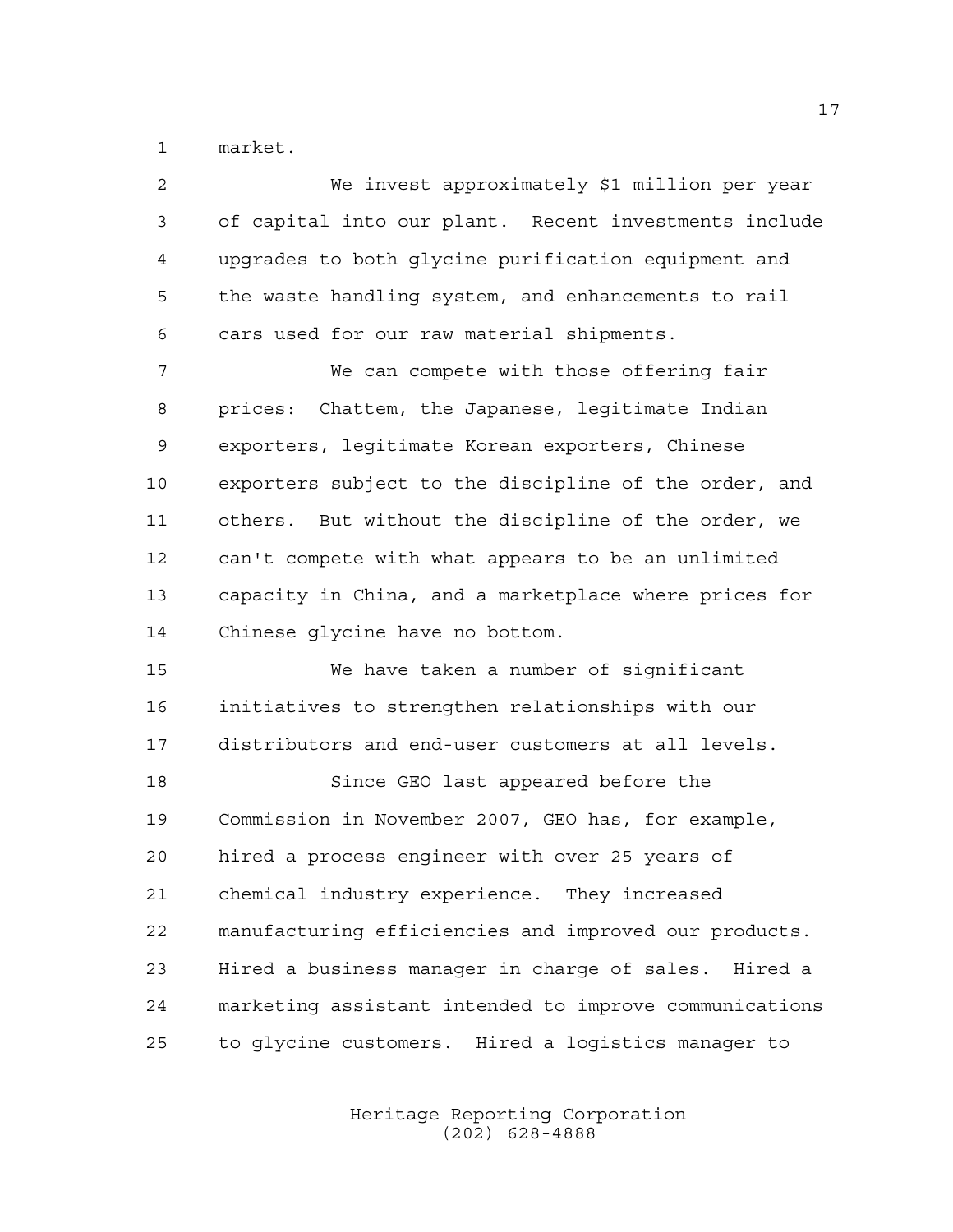market.

| 2  | We invest approximately \$1 million per year           |
|----|--------------------------------------------------------|
| 3  | of capital into our plant. Recent investments include  |
| 4  | upgrades to both glycine purification equipment and    |
| 5  | the waste handling system, and enhancements to rail    |
| 6  | cars used for our raw material shipments.              |
| 7  | We can compete with those offering fair                |
| 8  | prices: Chattem, the Japanese, legitimate Indian       |
| 9  | exporters, legitimate Korean exporters, Chinese        |
| 10 | exporters subject to the discipline of the order, and  |
| 11 | others. But without the discipline of the order, we    |
| 12 | can't compete with what appears to be an unlimited     |
| 13 | capacity in China, and a marketplace where prices for  |
| 14 | Chinese glycine have no bottom.                        |
| 15 | We have taken a number of significant                  |
| 16 | initiatives to strengthen relationships with our       |
| 17 | distributors and end-user customers at all levels.     |
| 18 | Since GEO last appeared before the                     |
| 19 | Commission in November 2007, GEO has, for example,     |
| 20 | hired a process engineer with over 25 years of         |
| 21 | chemical industry experience. They increased           |
| 22 | manufacturing efficiencies and improved our products.  |
| 23 | Hired a business manager in charge of sales. Hired a   |
| 24 | marketing assistant intended to improve communications |
| 25 | to glycine customers. Hired a logistics manager to     |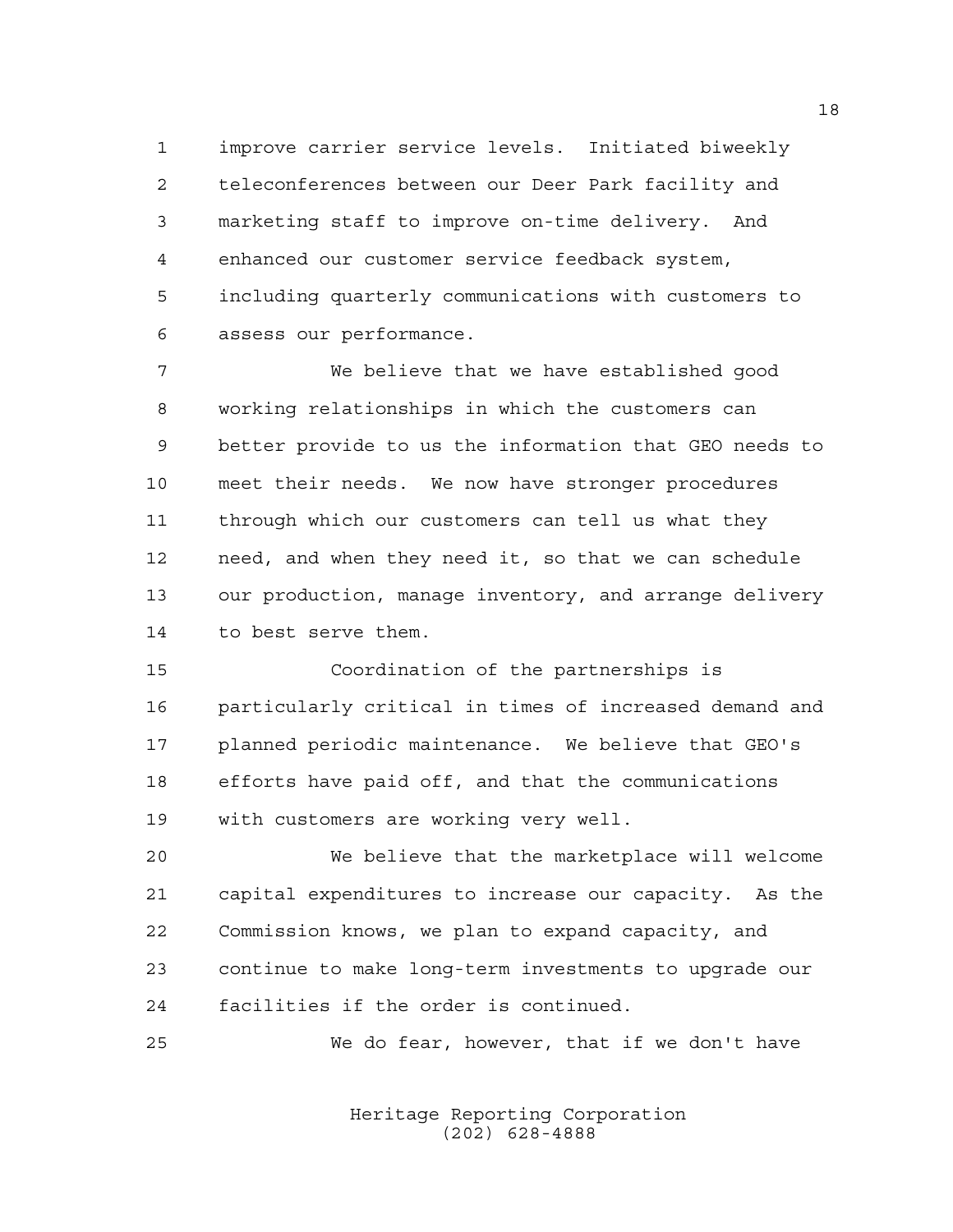improve carrier service levels. Initiated biweekly teleconferences between our Deer Park facility and marketing staff to improve on-time delivery. And enhanced our customer service feedback system, including quarterly communications with customers to assess our performance.

 We believe that we have established good working relationships in which the customers can better provide to us the information that GEO needs to meet their needs. We now have stronger procedures through which our customers can tell us what they need, and when they need it, so that we can schedule our production, manage inventory, and arrange delivery to best serve them.

 Coordination of the partnerships is particularly critical in times of increased demand and planned periodic maintenance. We believe that GEO's efforts have paid off, and that the communications with customers are working very well.

 We believe that the marketplace will welcome capital expenditures to increase our capacity. As the Commission knows, we plan to expand capacity, and continue to make long-term investments to upgrade our facilities if the order is continued.

We do fear, however, that if we don't have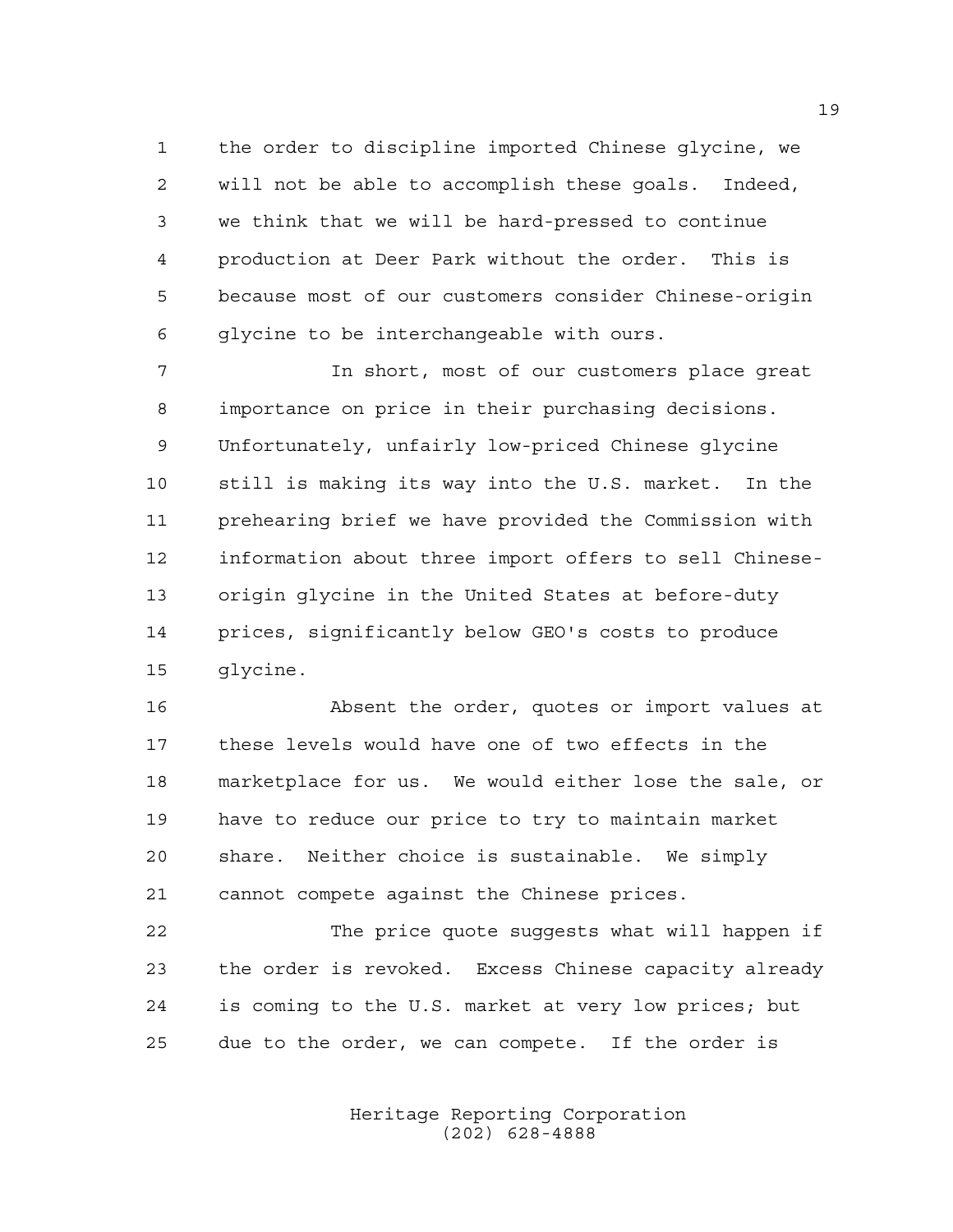the order to discipline imported Chinese glycine, we will not be able to accomplish these goals. Indeed, we think that we will be hard-pressed to continue production at Deer Park without the order. This is because most of our customers consider Chinese-origin glycine to be interchangeable with ours.

 In short, most of our customers place great importance on price in their purchasing decisions. Unfortunately, unfairly low-priced Chinese glycine still is making its way into the U.S. market. In the prehearing brief we have provided the Commission with information about three import offers to sell Chinese- origin glycine in the United States at before-duty prices, significantly below GEO's costs to produce glycine.

 Absent the order, quotes or import values at these levels would have one of two effects in the marketplace for us. We would either lose the sale, or have to reduce our price to try to maintain market share. Neither choice is sustainable. We simply cannot compete against the Chinese prices.

 The price quote suggests what will happen if the order is revoked. Excess Chinese capacity already is coming to the U.S. market at very low prices; but due to the order, we can compete. If the order is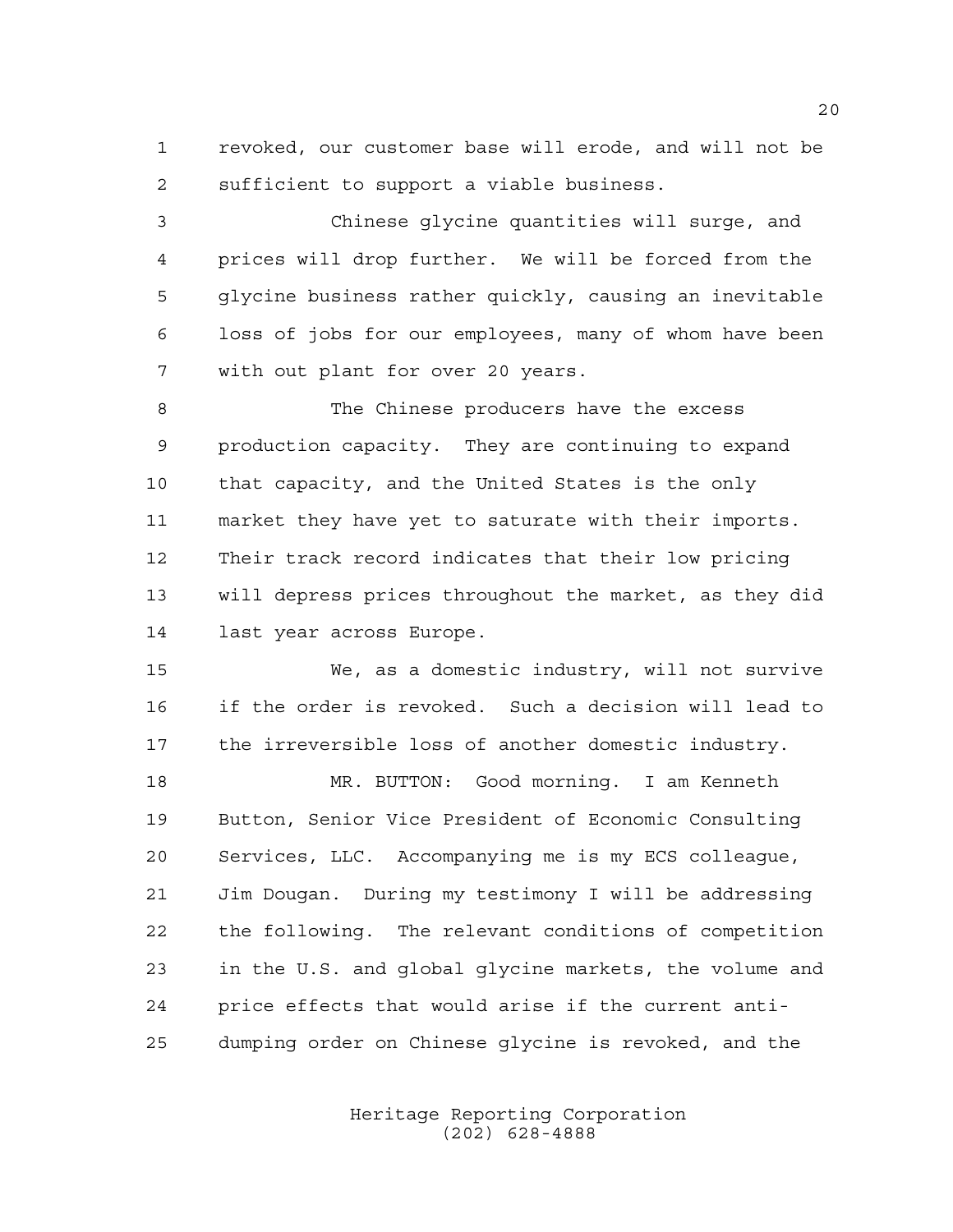revoked, our customer base will erode, and will not be sufficient to support a viable business.

 Chinese glycine quantities will surge, and prices will drop further. We will be forced from the glycine business rather quickly, causing an inevitable loss of jobs for our employees, many of whom have been with out plant for over 20 years.

 The Chinese producers have the excess production capacity. They are continuing to expand that capacity, and the United States is the only market they have yet to saturate with their imports. Their track record indicates that their low pricing will depress prices throughout the market, as they did last year across Europe.

 We, as a domestic industry, will not survive if the order is revoked. Such a decision will lead to the irreversible loss of another domestic industry.

 MR. BUTTON: Good morning. I am Kenneth Button, Senior Vice President of Economic Consulting Services, LLC. Accompanying me is my ECS colleague, Jim Dougan. During my testimony I will be addressing the following. The relevant conditions of competition in the U.S. and global glycine markets, the volume and price effects that would arise if the current anti-dumping order on Chinese glycine is revoked, and the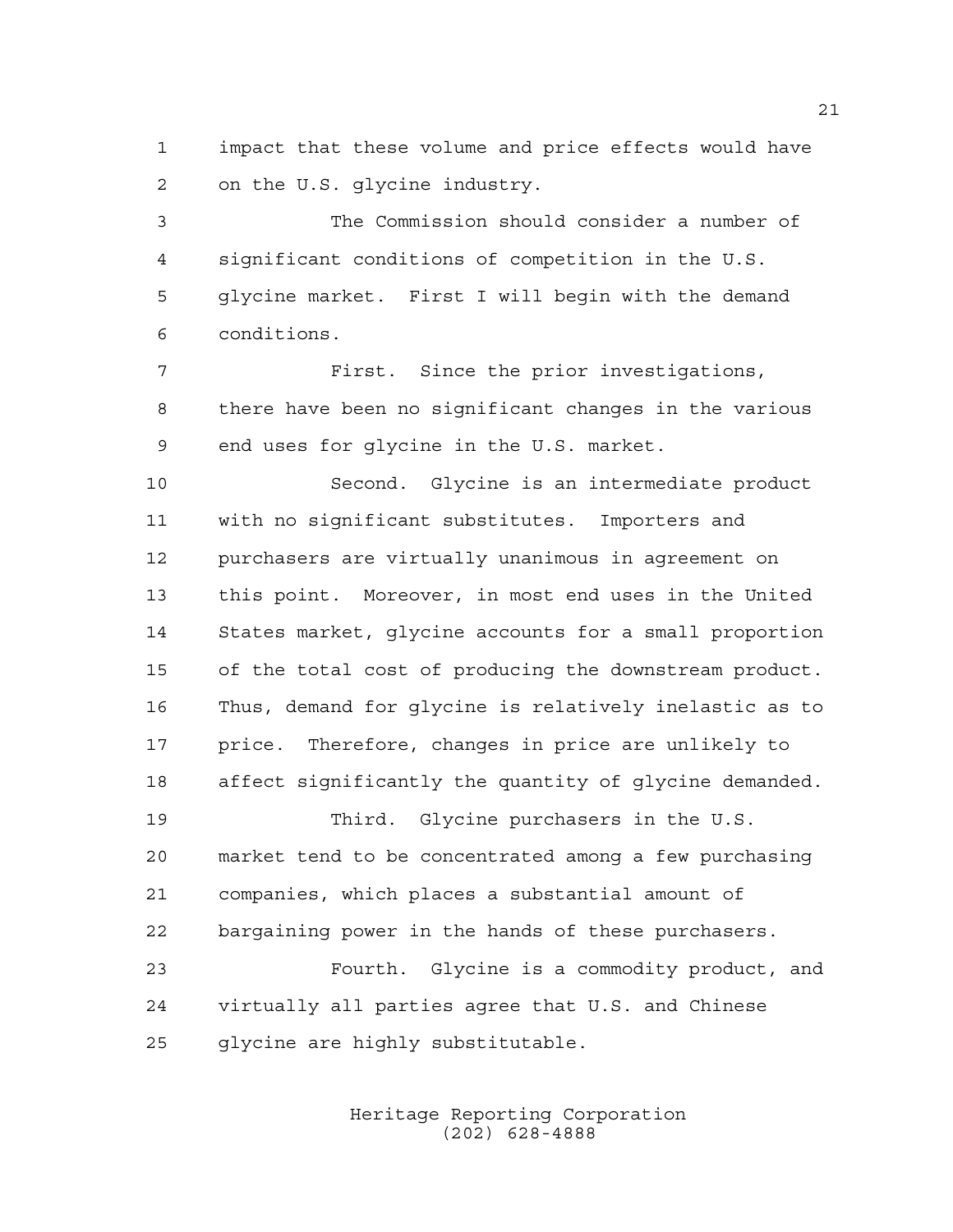impact that these volume and price effects would have on the U.S. glycine industry.

 The Commission should consider a number of significant conditions of competition in the U.S. glycine market. First I will begin with the demand conditions.

 First. Since the prior investigations, there have been no significant changes in the various end uses for glycine in the U.S. market.

 Second. Glycine is an intermediate product with no significant substitutes. Importers and purchasers are virtually unanimous in agreement on this point. Moreover, in most end uses in the United States market, glycine accounts for a small proportion of the total cost of producing the downstream product. Thus, demand for glycine is relatively inelastic as to price. Therefore, changes in price are unlikely to affect significantly the quantity of glycine demanded.

 Third. Glycine purchasers in the U.S. market tend to be concentrated among a few purchasing companies, which places a substantial amount of bargaining power in the hands of these purchasers.

 Fourth. Glycine is a commodity product, and virtually all parties agree that U.S. and Chinese glycine are highly substitutable.

> Heritage Reporting Corporation (202) 628-4888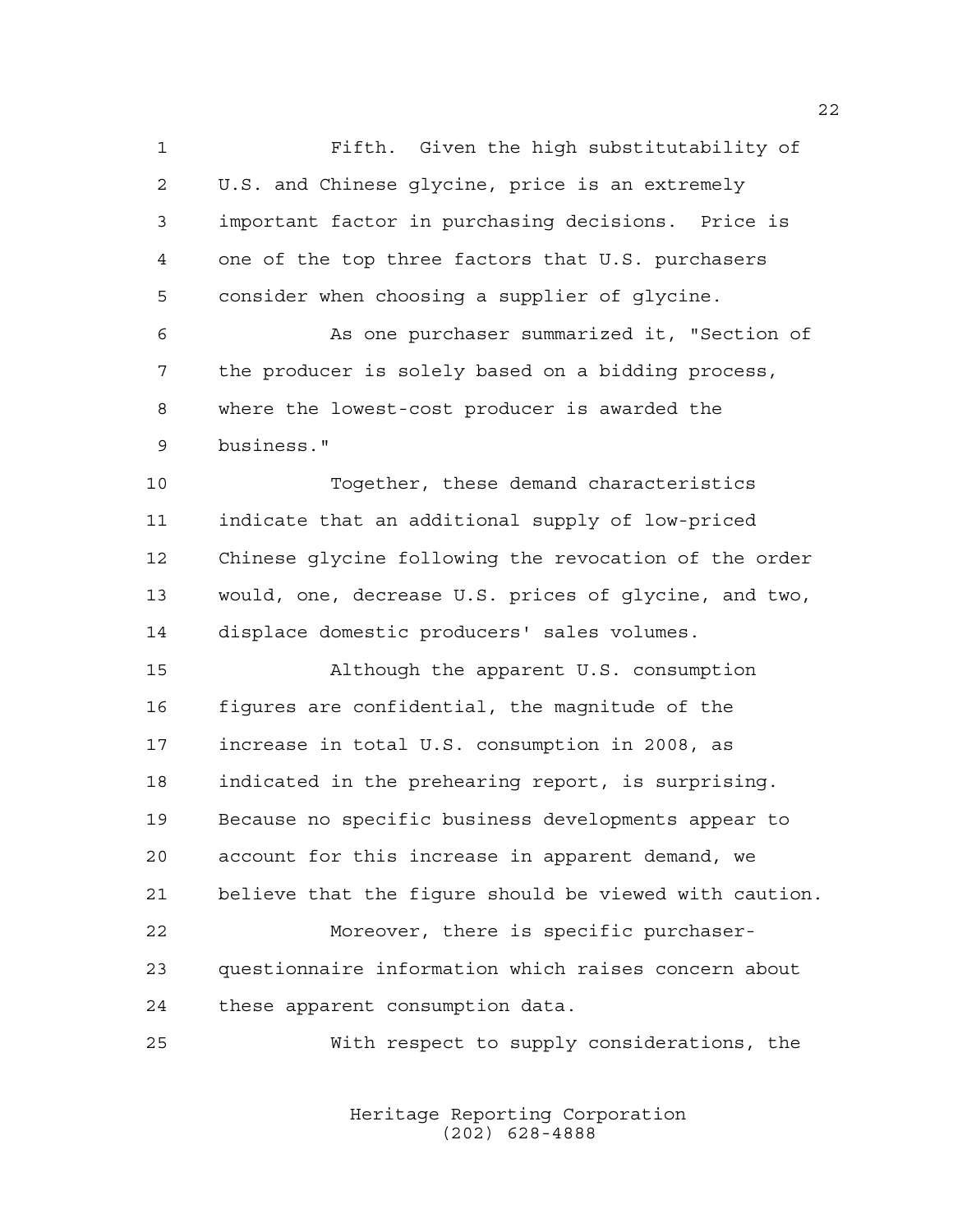Fifth. Given the high substitutability of U.S. and Chinese glycine, price is an extremely important factor in purchasing decisions. Price is one of the top three factors that U.S. purchasers consider when choosing a supplier of glycine. As one purchaser summarized it, "Section of the producer is solely based on a bidding process, where the lowest-cost producer is awarded the

business."

 Together, these demand characteristics indicate that an additional supply of low-priced Chinese glycine following the revocation of the order would, one, decrease U.S. prices of glycine, and two, displace domestic producers' sales volumes.

 Although the apparent U.S. consumption figures are confidential, the magnitude of the increase in total U.S. consumption in 2008, as indicated in the prehearing report, is surprising. Because no specific business developments appear to account for this increase in apparent demand, we believe that the figure should be viewed with caution. Moreover, there is specific purchaser- questionnaire information which raises concern about these apparent consumption data.

With respect to supply considerations, the

Heritage Reporting Corporation (202) 628-4888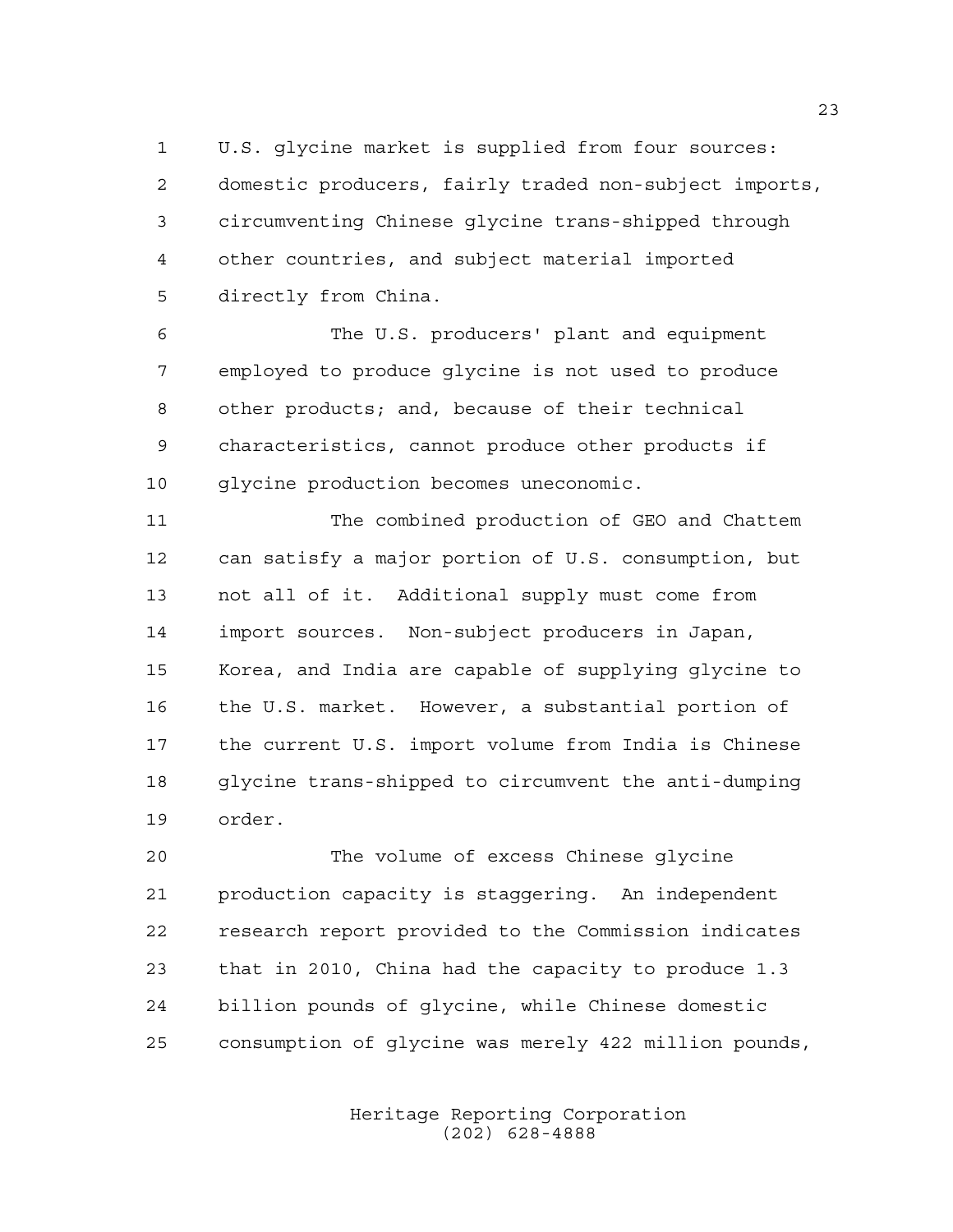U.S. glycine market is supplied from four sources: domestic producers, fairly traded non-subject imports, circumventing Chinese glycine trans-shipped through other countries, and subject material imported directly from China.

 The U.S. producers' plant and equipment employed to produce glycine is not used to produce other products; and, because of their technical characteristics, cannot produce other products if glycine production becomes uneconomic.

11 The combined production of GEO and Chattem can satisfy a major portion of U.S. consumption, but not all of it. Additional supply must come from import sources. Non-subject producers in Japan, Korea, and India are capable of supplying glycine to the U.S. market. However, a substantial portion of the current U.S. import volume from India is Chinese glycine trans-shipped to circumvent the anti-dumping order.

 The volume of excess Chinese glycine production capacity is staggering. An independent research report provided to the Commission indicates that in 2010, China had the capacity to produce 1.3 billion pounds of glycine, while Chinese domestic consumption of glycine was merely 422 million pounds,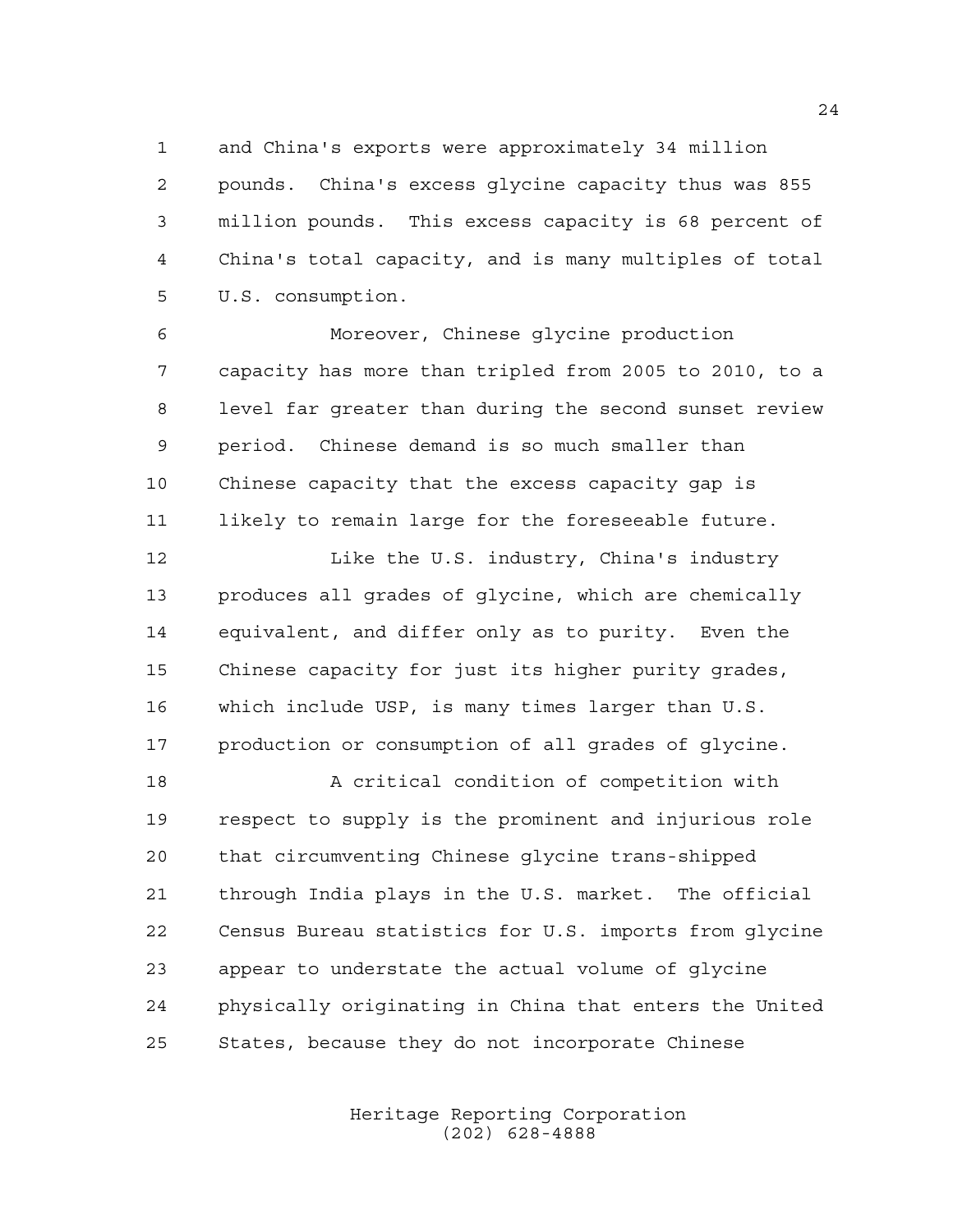and China's exports were approximately 34 million pounds. China's excess glycine capacity thus was 855 million pounds. This excess capacity is 68 percent of China's total capacity, and is many multiples of total U.S. consumption.

 Moreover, Chinese glycine production capacity has more than tripled from 2005 to 2010, to a level far greater than during the second sunset review period. Chinese demand is so much smaller than Chinese capacity that the excess capacity gap is likely to remain large for the foreseeable future.

12 Like the U.S. industry, China's industry produces all grades of glycine, which are chemically equivalent, and differ only as to purity. Even the Chinese capacity for just its higher purity grades, which include USP, is many times larger than U.S. production or consumption of all grades of glycine.

 A critical condition of competition with respect to supply is the prominent and injurious role that circumventing Chinese glycine trans-shipped through India plays in the U.S. market. The official Census Bureau statistics for U.S. imports from glycine appear to understate the actual volume of glycine physically originating in China that enters the United States, because they do not incorporate Chinese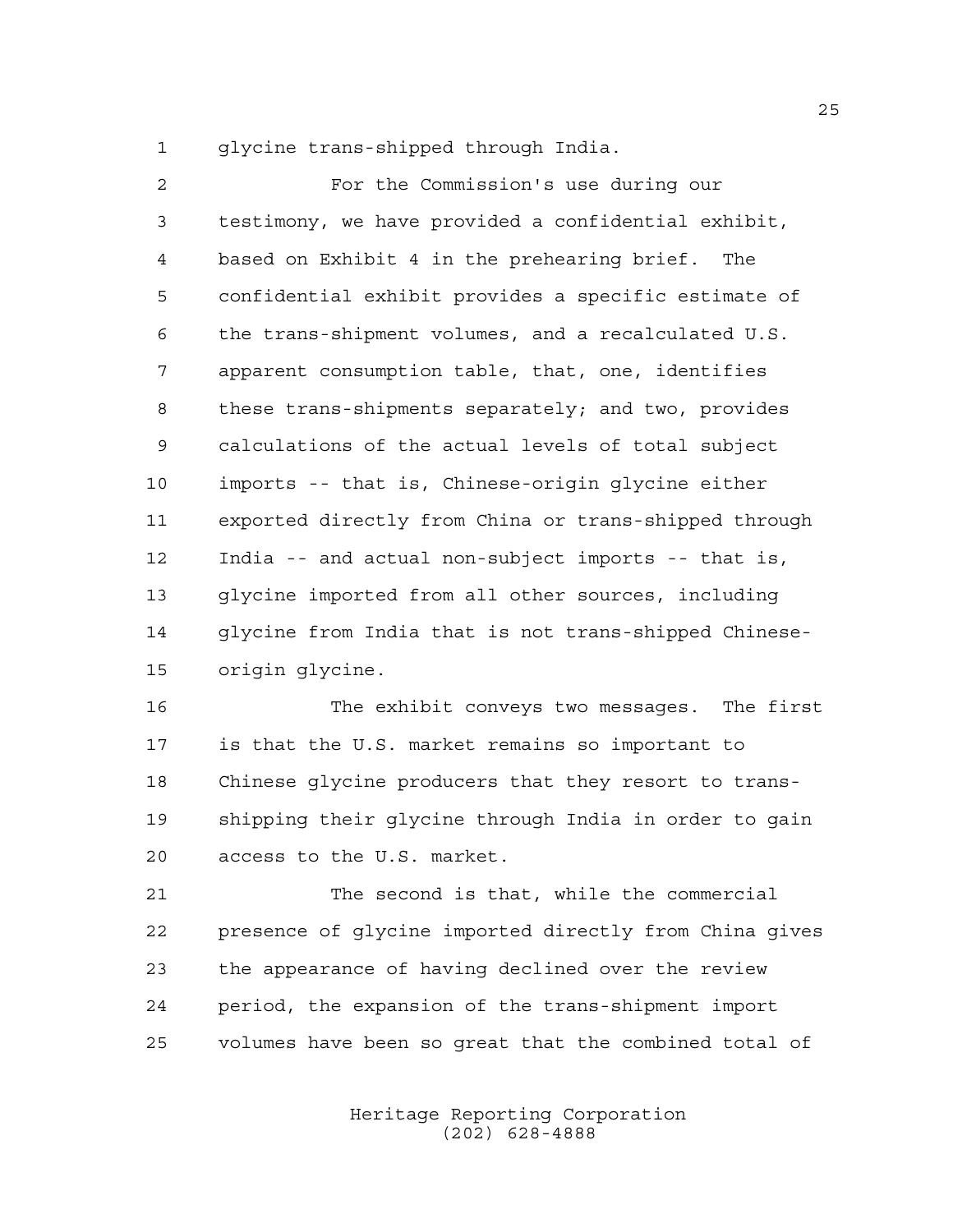glycine trans-shipped through India.

| $\overline{2}$ | For the Commission's use during our                   |
|----------------|-------------------------------------------------------|
| 3              | testimony, we have provided a confidential exhibit,   |
| 4              | based on Exhibit 4 in the prehearing brief. The       |
| 5              | confidential exhibit provides a specific estimate of  |
| 6              | the trans-shipment volumes, and a recalculated U.S.   |
| 7              | apparent consumption table, that, one, identifies     |
| 8              | these trans-shipments separately; and two, provides   |
| 9              | calculations of the actual levels of total subject    |
| 10             | imports -- that is, Chinese-origin glycine either     |
| 11             | exported directly from China or trans-shipped through |
| 12             | India -- and actual non-subject imports -- that is,   |
| 13             | glycine imported from all other sources, including    |
| 14             | glycine from India that is not trans-shipped Chinese- |
| 15             | origin glycine.                                       |

 The exhibit conveys two messages. The first is that the U.S. market remains so important to Chinese glycine producers that they resort to trans- shipping their glycine through India in order to gain access to the U.S. market.

 The second is that, while the commercial presence of glycine imported directly from China gives the appearance of having declined over the review period, the expansion of the trans-shipment import volumes have been so great that the combined total of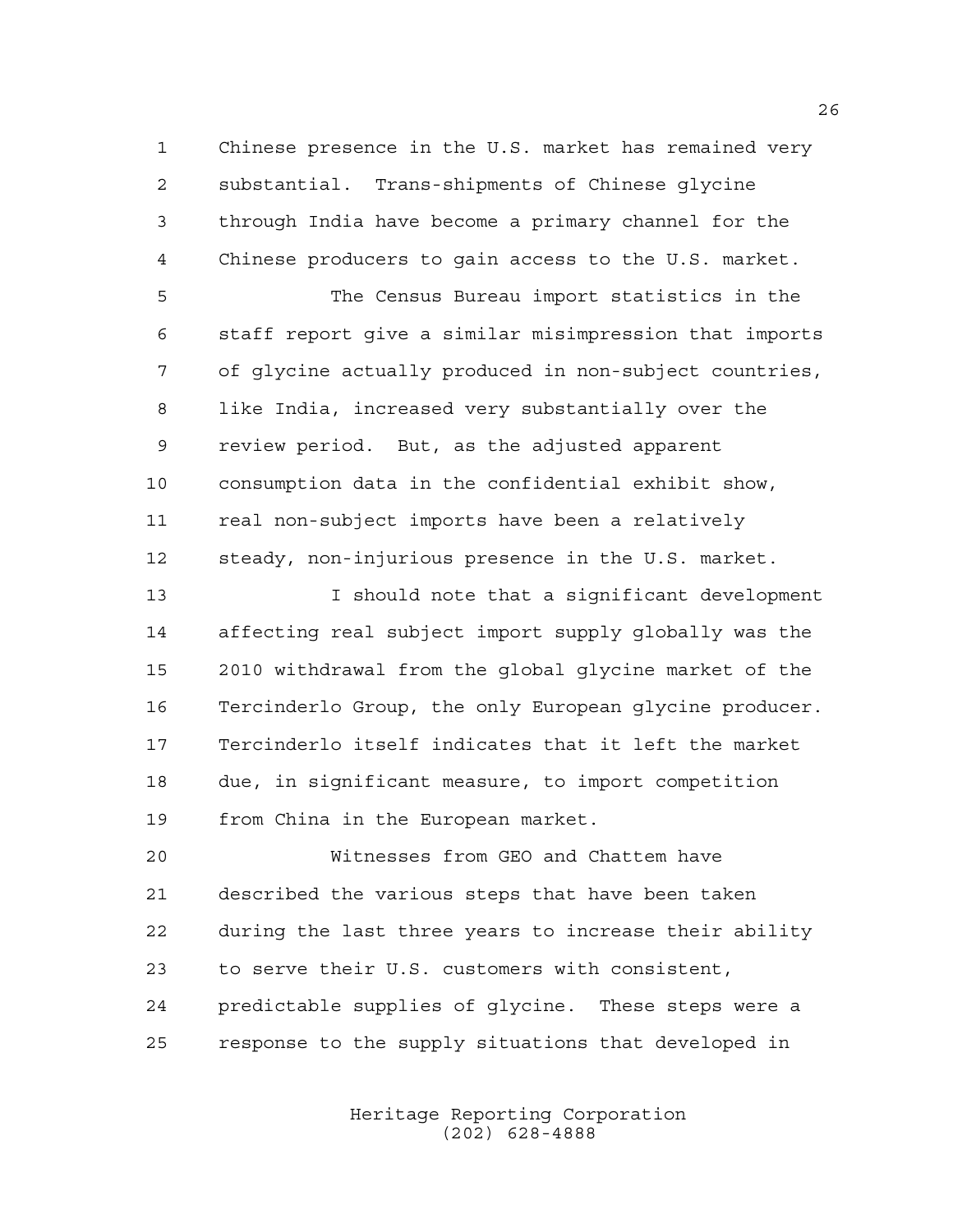Chinese presence in the U.S. market has remained very substantial. Trans-shipments of Chinese glycine through India have become a primary channel for the Chinese producers to gain access to the U.S. market.

 The Census Bureau import statistics in the staff report give a similar misimpression that imports of glycine actually produced in non-subject countries, like India, increased very substantially over the review period. But, as the adjusted apparent consumption data in the confidential exhibit show, real non-subject imports have been a relatively steady, non-injurious presence in the U.S. market.

 I should note that a significant development affecting real subject import supply globally was the 2010 withdrawal from the global glycine market of the Tercinderlo Group, the only European glycine producer. Tercinderlo itself indicates that it left the market due, in significant measure, to import competition from China in the European market.

 Witnesses from GEO and Chattem have described the various steps that have been taken during the last three years to increase their ability to serve their U.S. customers with consistent, predictable supplies of glycine. These steps were a response to the supply situations that developed in

> Heritage Reporting Corporation (202) 628-4888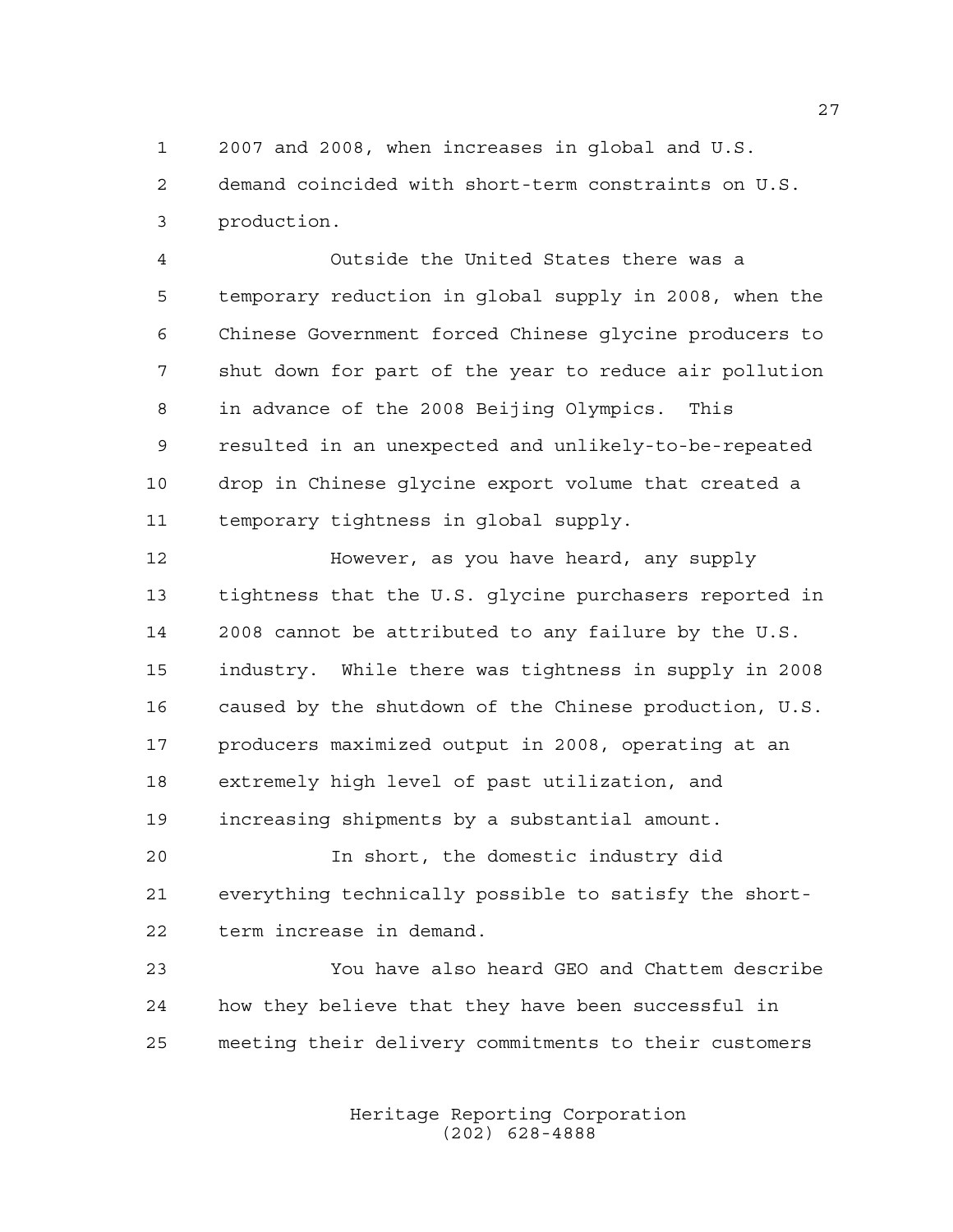2007 and 2008, when increases in global and U.S.

 demand coincided with short-term constraints on U.S. production.

 Outside the United States there was a temporary reduction in global supply in 2008, when the Chinese Government forced Chinese glycine producers to shut down for part of the year to reduce air pollution in advance of the 2008 Beijing Olympics. This resulted in an unexpected and unlikely-to-be-repeated drop in Chinese glycine export volume that created a temporary tightness in global supply.

 However, as you have heard, any supply tightness that the U.S. glycine purchasers reported in 2008 cannot be attributed to any failure by the U.S. industry. While there was tightness in supply in 2008 caused by the shutdown of the Chinese production, U.S. producers maximized output in 2008, operating at an extremely high level of past utilization, and increasing shipments by a substantial amount.

 In short, the domestic industry did everything technically possible to satisfy the short-term increase in demand.

 You have also heard GEO and Chattem describe how they believe that they have been successful in meeting their delivery commitments to their customers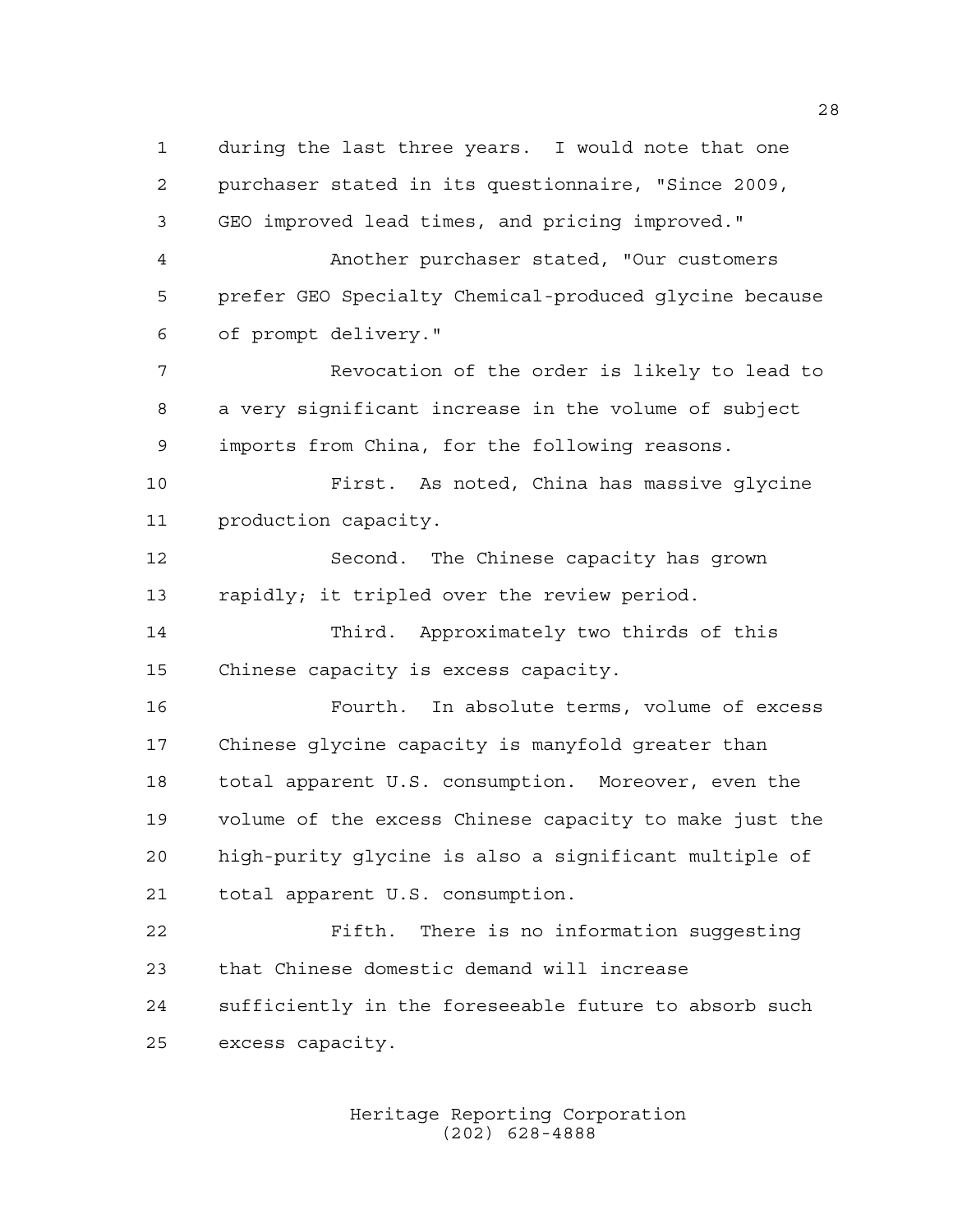during the last three years. I would note that one purchaser stated in its questionnaire, "Since 2009, GEO improved lead times, and pricing improved." Another purchaser stated, "Our customers prefer GEO Specialty Chemical-produced glycine because of prompt delivery." Revocation of the order is likely to lead to a very significant increase in the volume of subject imports from China, for the following reasons. First. As noted, China has massive glycine production capacity. Second. The Chinese capacity has grown rapidly; it tripled over the review period. Third. Approximately two thirds of this Chinese capacity is excess capacity. Fourth. In absolute terms, volume of excess Chinese glycine capacity is manyfold greater than total apparent U.S. consumption. Moreover, even the volume of the excess Chinese capacity to make just the high-purity glycine is also a significant multiple of total apparent U.S. consumption. Fifth. There is no information suggesting that Chinese domestic demand will increase sufficiently in the foreseeable future to absorb such excess capacity.

> Heritage Reporting Corporation (202) 628-4888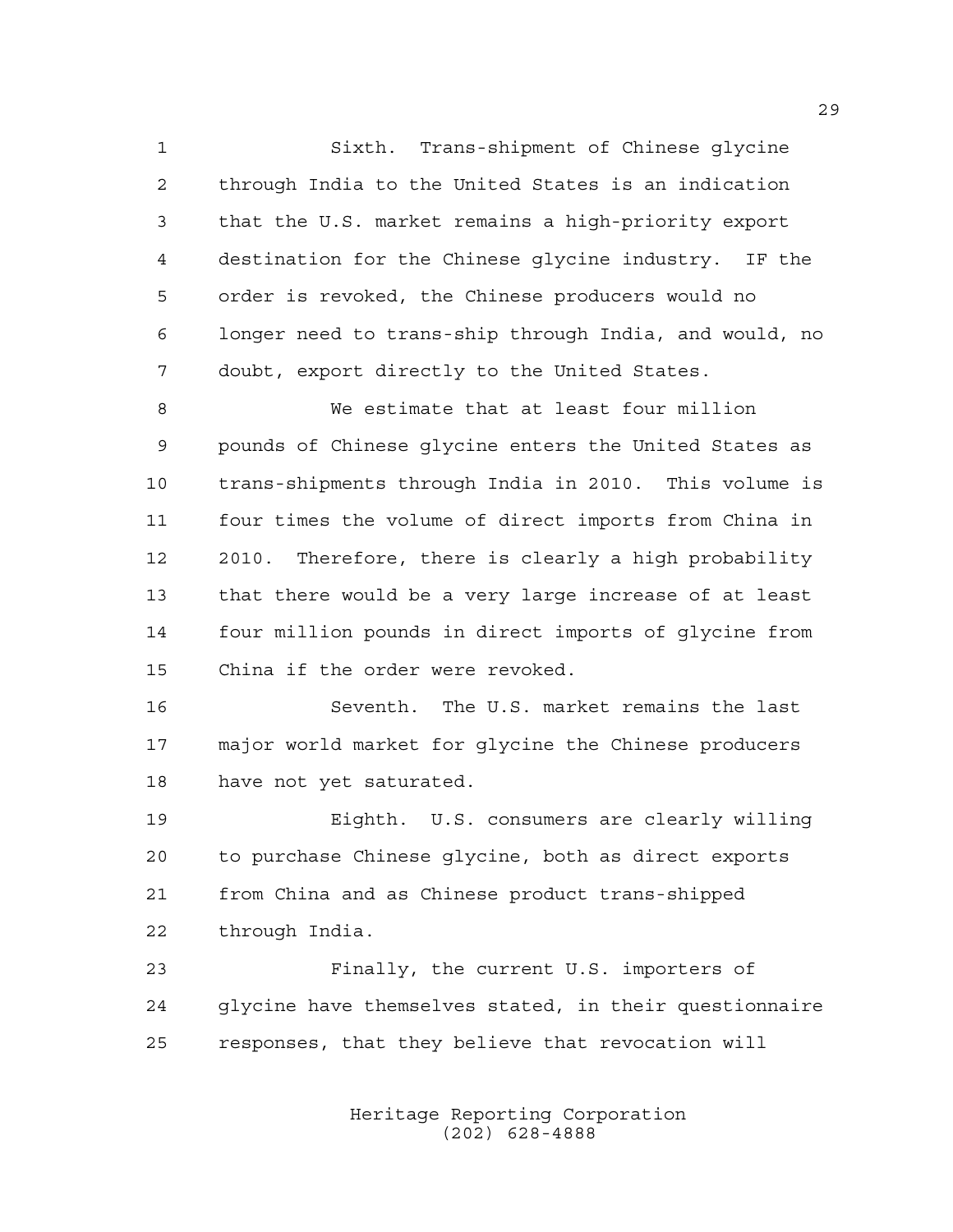Sixth. Trans-shipment of Chinese glycine through India to the United States is an indication that the U.S. market remains a high-priority export destination for the Chinese glycine industry. IF the order is revoked, the Chinese producers would no longer need to trans-ship through India, and would, no doubt, export directly to the United States.

 We estimate that at least four million pounds of Chinese glycine enters the United States as trans-shipments through India in 2010. This volume is four times the volume of direct imports from China in 2010. Therefore, there is clearly a high probability that there would be a very large increase of at least four million pounds in direct imports of glycine from China if the order were revoked.

 Seventh. The U.S. market remains the last major world market for glycine the Chinese producers have not yet saturated.

 Eighth. U.S. consumers are clearly willing to purchase Chinese glycine, both as direct exports from China and as Chinese product trans-shipped through India.

 Finally, the current U.S. importers of glycine have themselves stated, in their questionnaire responses, that they believe that revocation will

> Heritage Reporting Corporation (202) 628-4888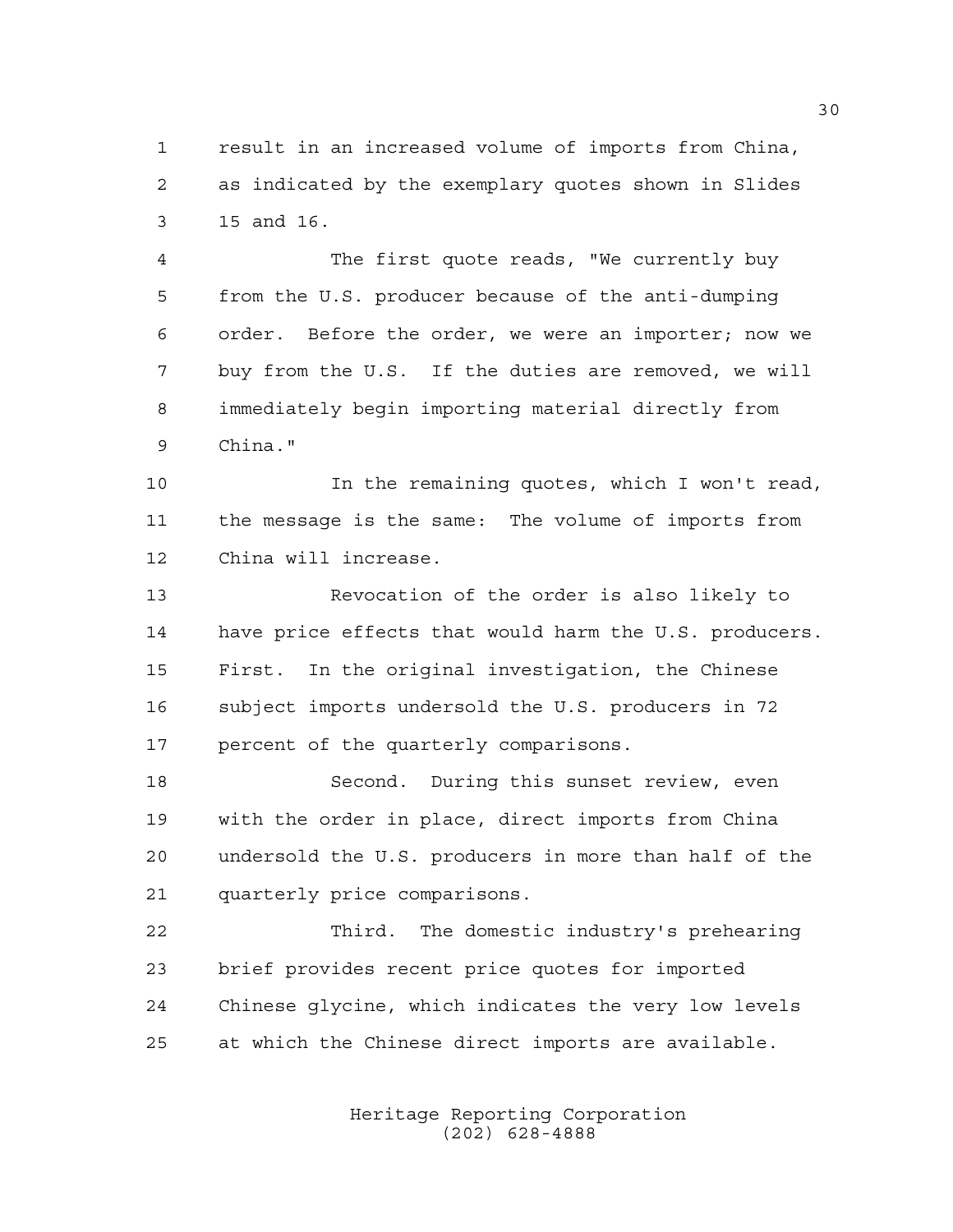result in an increased volume of imports from China, as indicated by the exemplary quotes shown in Slides 15 and 16.

 The first quote reads, "We currently buy from the U.S. producer because of the anti-dumping order. Before the order, we were an importer; now we buy from the U.S. If the duties are removed, we will immediately begin importing material directly from China."

 In the remaining quotes, which I won't read, the message is the same: The volume of imports from China will increase.

 Revocation of the order is also likely to have price effects that would harm the U.S. producers. First. In the original investigation, the Chinese subject imports undersold the U.S. producers in 72 percent of the quarterly comparisons.

 Second. During this sunset review, even with the order in place, direct imports from China undersold the U.S. producers in more than half of the quarterly price comparisons.

 Third. The domestic industry's prehearing brief provides recent price quotes for imported Chinese glycine, which indicates the very low levels at which the Chinese direct imports are available.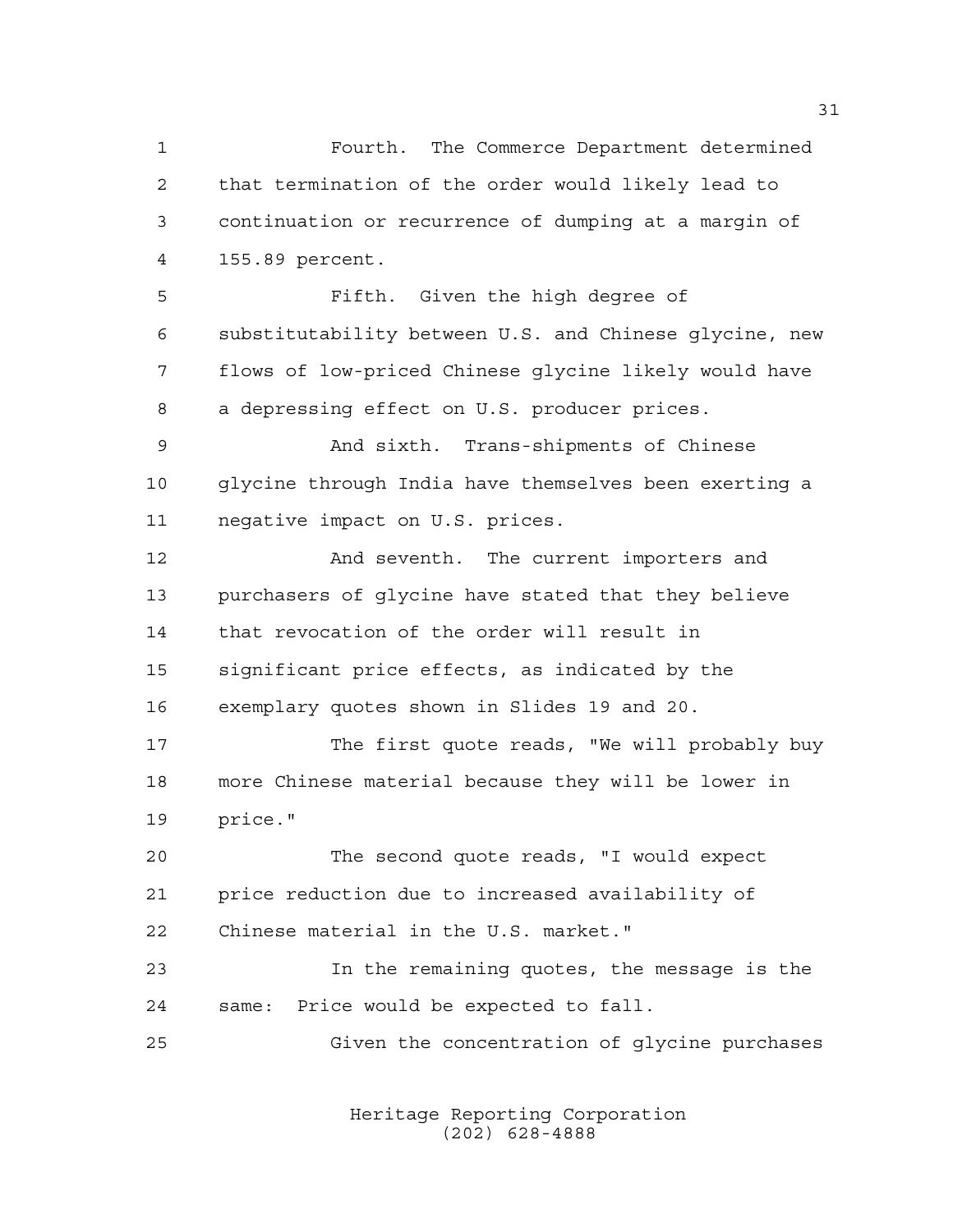Fourth. The Commerce Department determined that termination of the order would likely lead to continuation or recurrence of dumping at a margin of 155.89 percent. Fifth. Given the high degree of substitutability between U.S. and Chinese glycine, new flows of low-priced Chinese glycine likely would have a depressing effect on U.S. producer prices. And sixth. Trans-shipments of Chinese glycine through India have themselves been exerting a negative impact on U.S. prices. And seventh. The current importers and purchasers of glycine have stated that they believe that revocation of the order will result in significant price effects, as indicated by the exemplary quotes shown in Slides 19 and 20. The first quote reads, "We will probably buy more Chinese material because they will be lower in price." The second quote reads, "I would expect price reduction due to increased availability of Chinese material in the U.S. market." In the remaining quotes, the message is the same: Price would be expected to fall. Given the concentration of glycine purchases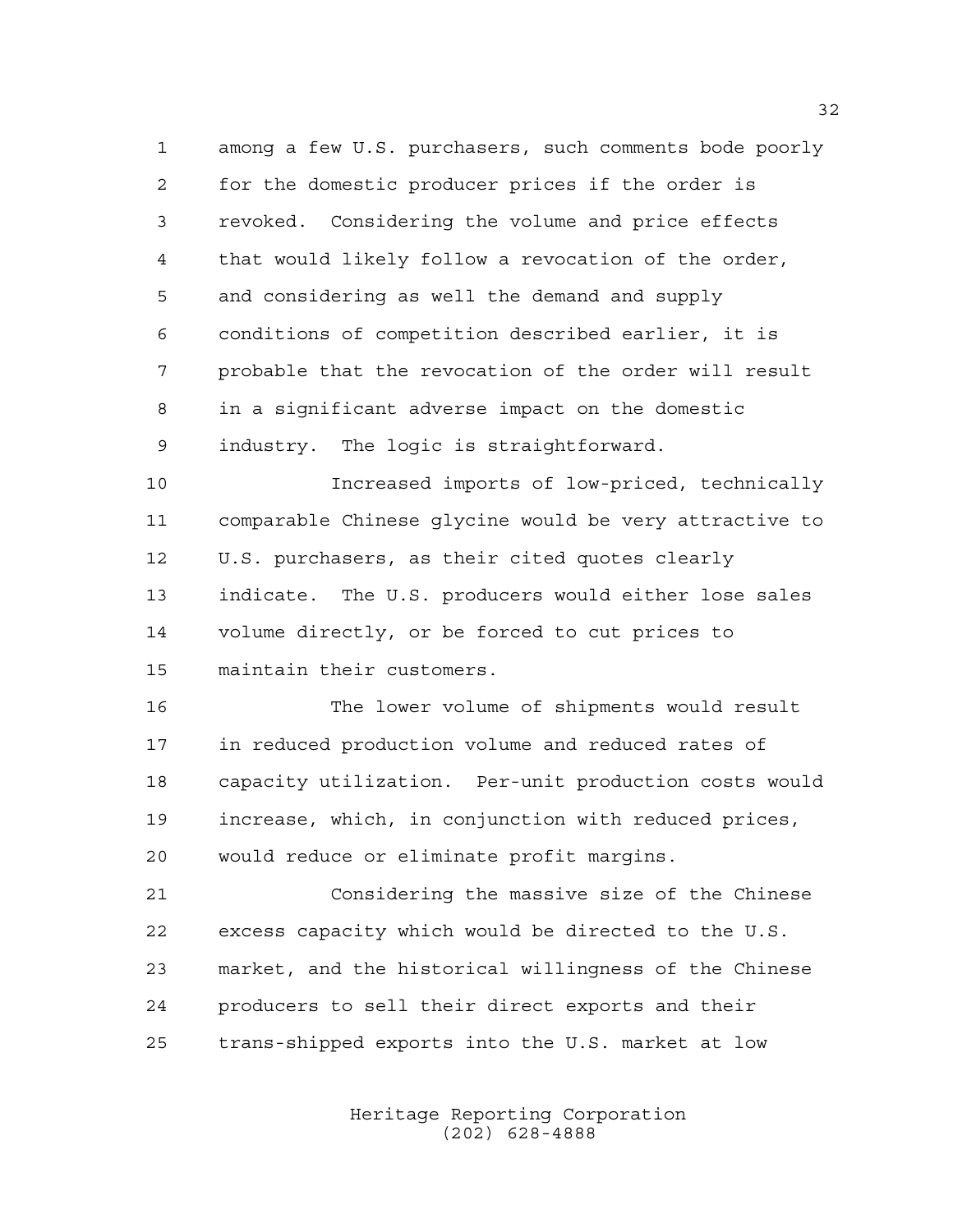among a few U.S. purchasers, such comments bode poorly for the domestic producer prices if the order is revoked. Considering the volume and price effects that would likely follow a revocation of the order, and considering as well the demand and supply conditions of competition described earlier, it is probable that the revocation of the order will result in a significant adverse impact on the domestic industry. The logic is straightforward.

 Increased imports of low-priced, technically comparable Chinese glycine would be very attractive to U.S. purchasers, as their cited quotes clearly indicate. The U.S. producers would either lose sales volume directly, or be forced to cut prices to maintain their customers.

 The lower volume of shipments would result in reduced production volume and reduced rates of capacity utilization. Per-unit production costs would increase, which, in conjunction with reduced prices, would reduce or eliminate profit margins.

 Considering the massive size of the Chinese excess capacity which would be directed to the U.S. market, and the historical willingness of the Chinese producers to sell their direct exports and their trans-shipped exports into the U.S. market at low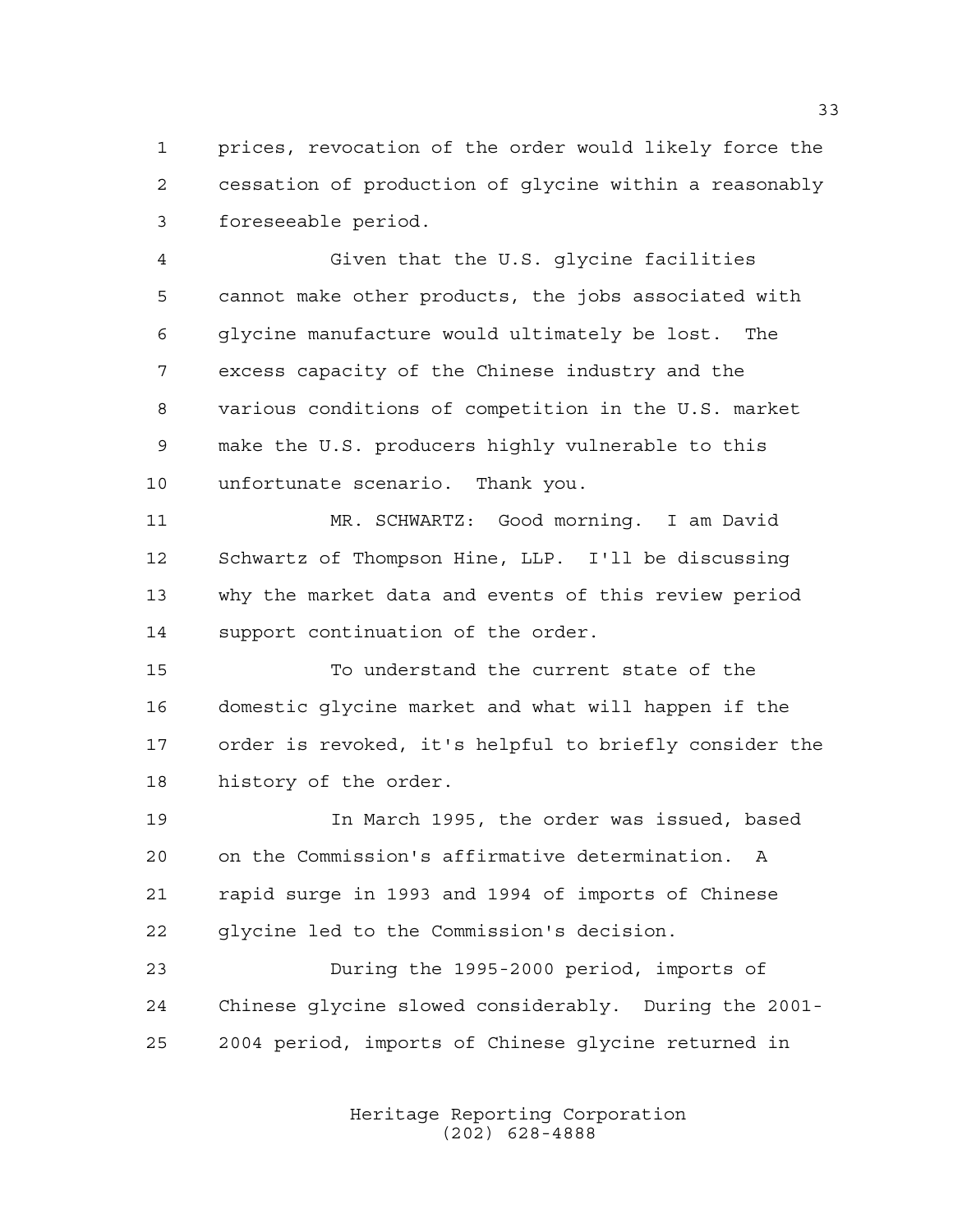prices, revocation of the order would likely force the cessation of production of glycine within a reasonably foreseeable period.

 Given that the U.S. glycine facilities cannot make other products, the jobs associated with glycine manufacture would ultimately be lost. The excess capacity of the Chinese industry and the various conditions of competition in the U.S. market make the U.S. producers highly vulnerable to this unfortunate scenario. Thank you.

 MR. SCHWARTZ: Good morning. I am David Schwartz of Thompson Hine, LLP. I'll be discussing why the market data and events of this review period support continuation of the order.

 To understand the current state of the domestic glycine market and what will happen if the order is revoked, it's helpful to briefly consider the history of the order.

 In March 1995, the order was issued, based on the Commission's affirmative determination. A rapid surge in 1993 and 1994 of imports of Chinese glycine led to the Commission's decision.

 During the 1995-2000 period, imports of Chinese glycine slowed considerably. During the 2001- 2004 period, imports of Chinese glycine returned in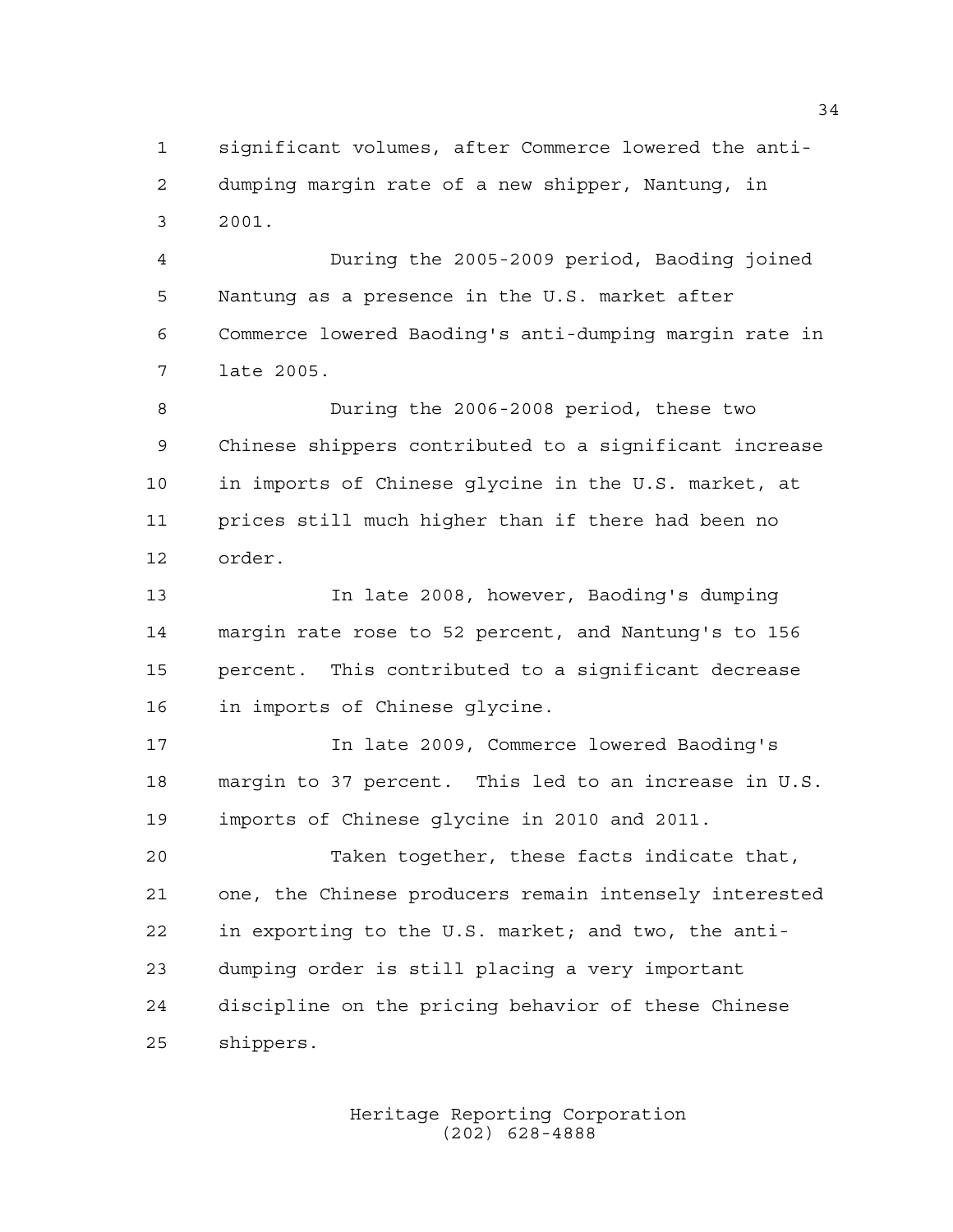significant volumes, after Commerce lowered the anti- dumping margin rate of a new shipper, Nantung, in 2001.

 During the 2005-2009 period, Baoding joined Nantung as a presence in the U.S. market after Commerce lowered Baoding's anti-dumping margin rate in late 2005.

 During the 2006-2008 period, these two Chinese shippers contributed to a significant increase in imports of Chinese glycine in the U.S. market, at prices still much higher than if there had been no order.

 In late 2008, however, Baoding's dumping margin rate rose to 52 percent, and Nantung's to 156 percent. This contributed to a significant decrease in imports of Chinese glycine.

 In late 2009, Commerce lowered Baoding's margin to 37 percent. This led to an increase in U.S. imports of Chinese glycine in 2010 and 2011.

 Taken together, these facts indicate that, one, the Chinese producers remain intensely interested in exporting to the U.S. market; and two, the anti- dumping order is still placing a very important discipline on the pricing behavior of these Chinese shippers.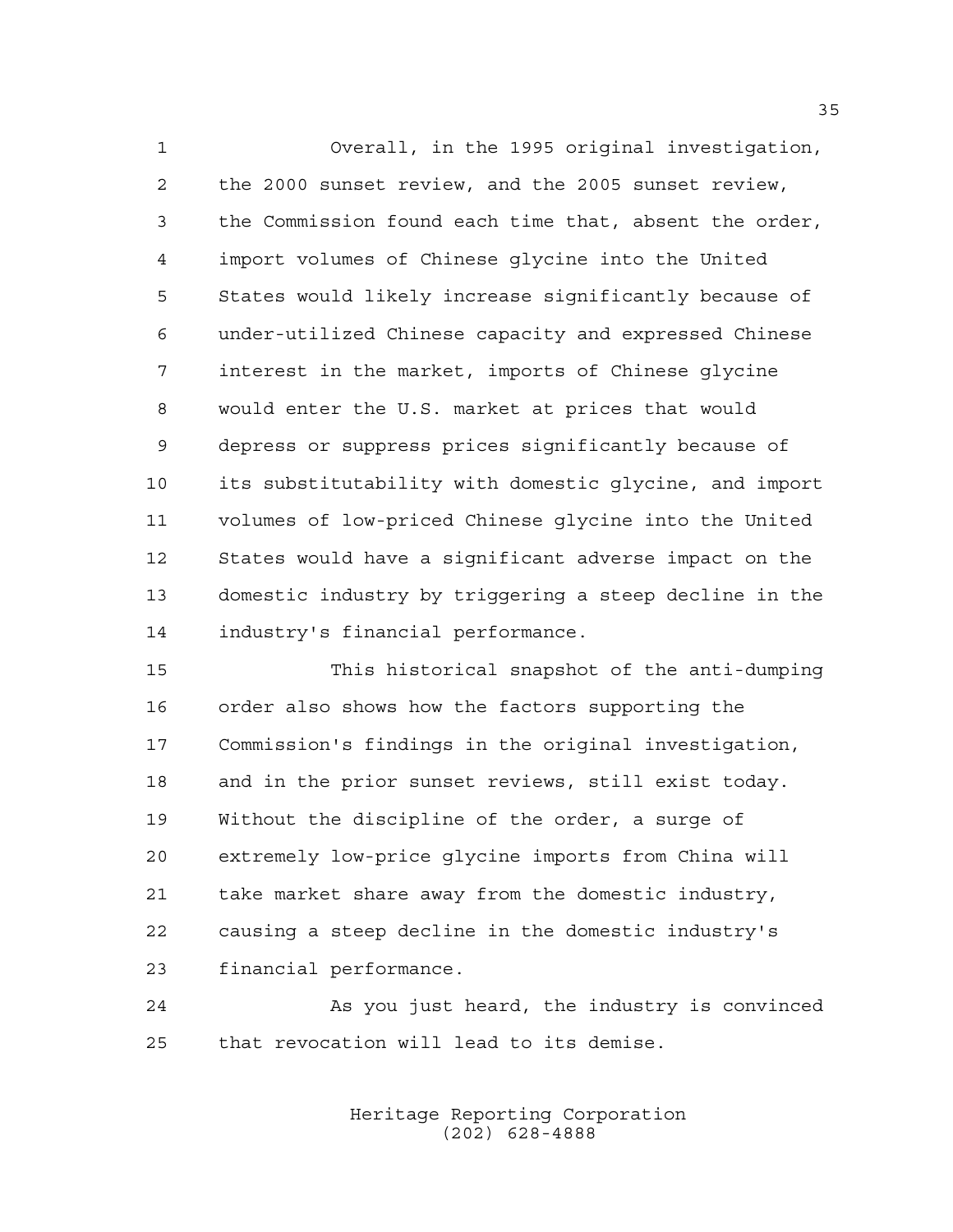Overall, in the 1995 original investigation, the 2000 sunset review, and the 2005 sunset review, the Commission found each time that, absent the order, import volumes of Chinese glycine into the United States would likely increase significantly because of under-utilized Chinese capacity and expressed Chinese interest in the market, imports of Chinese glycine would enter the U.S. market at prices that would depress or suppress prices significantly because of its substitutability with domestic glycine, and import volumes of low-priced Chinese glycine into the United States would have a significant adverse impact on the domestic industry by triggering a steep decline in the industry's financial performance.

 This historical snapshot of the anti-dumping order also shows how the factors supporting the Commission's findings in the original investigation, and in the prior sunset reviews, still exist today. Without the discipline of the order, a surge of extremely low-price glycine imports from China will take market share away from the domestic industry, causing a steep decline in the domestic industry's financial performance.

 As you just heard, the industry is convinced that revocation will lead to its demise.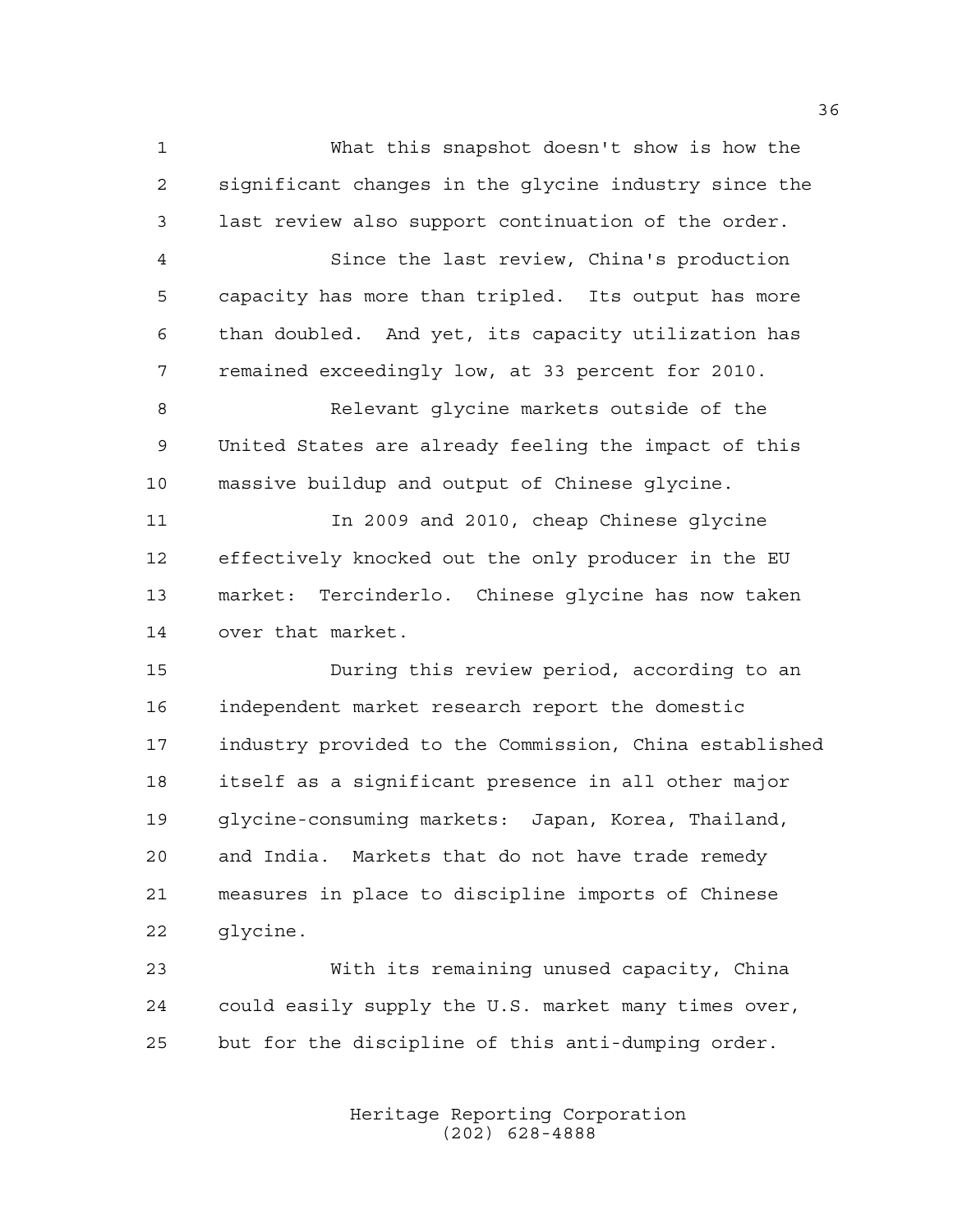What this snapshot doesn't show is how the significant changes in the glycine industry since the last review also support continuation of the order.

 Since the last review, China's production capacity has more than tripled. Its output has more than doubled. And yet, its capacity utilization has remained exceedingly low, at 33 percent for 2010.

 Relevant glycine markets outside of the United States are already feeling the impact of this massive buildup and output of Chinese glycine.

 In 2009 and 2010, cheap Chinese glycine effectively knocked out the only producer in the EU market: Tercinderlo. Chinese glycine has now taken over that market.

 During this review period, according to an independent market research report the domestic industry provided to the Commission, China established itself as a significant presence in all other major glycine-consuming markets: Japan, Korea, Thailand, and India. Markets that do not have trade remedy measures in place to discipline imports of Chinese glycine.

 With its remaining unused capacity, China could easily supply the U.S. market many times over, but for the discipline of this anti-dumping order.

> Heritage Reporting Corporation (202) 628-4888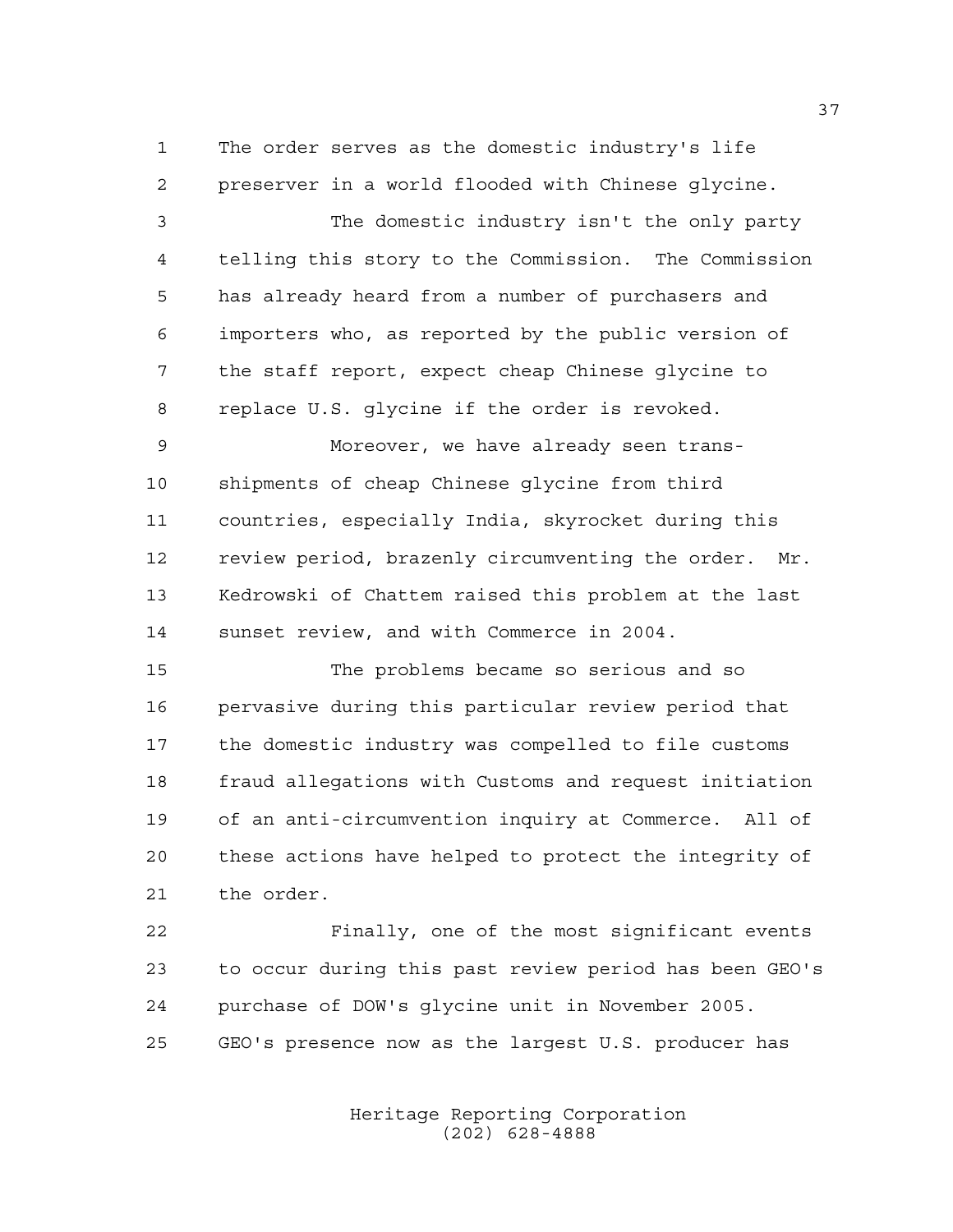The order serves as the domestic industry's life preserver in a world flooded with Chinese glycine.

 The domestic industry isn't the only party telling this story to the Commission. The Commission has already heard from a number of purchasers and importers who, as reported by the public version of the staff report, expect cheap Chinese glycine to replace U.S. glycine if the order is revoked.

 Moreover, we have already seen trans- shipments of cheap Chinese glycine from third countries, especially India, skyrocket during this review period, brazenly circumventing the order. Mr. Kedrowski of Chattem raised this problem at the last sunset review, and with Commerce in 2004.

 The problems became so serious and so pervasive during this particular review period that the domestic industry was compelled to file customs fraud allegations with Customs and request initiation of an anti-circumvention inquiry at Commerce. All of these actions have helped to protect the integrity of the order.

 Finally, one of the most significant events to occur during this past review period has been GEO's purchase of DOW's glycine unit in November 2005. GEO's presence now as the largest U.S. producer has

> Heritage Reporting Corporation (202) 628-4888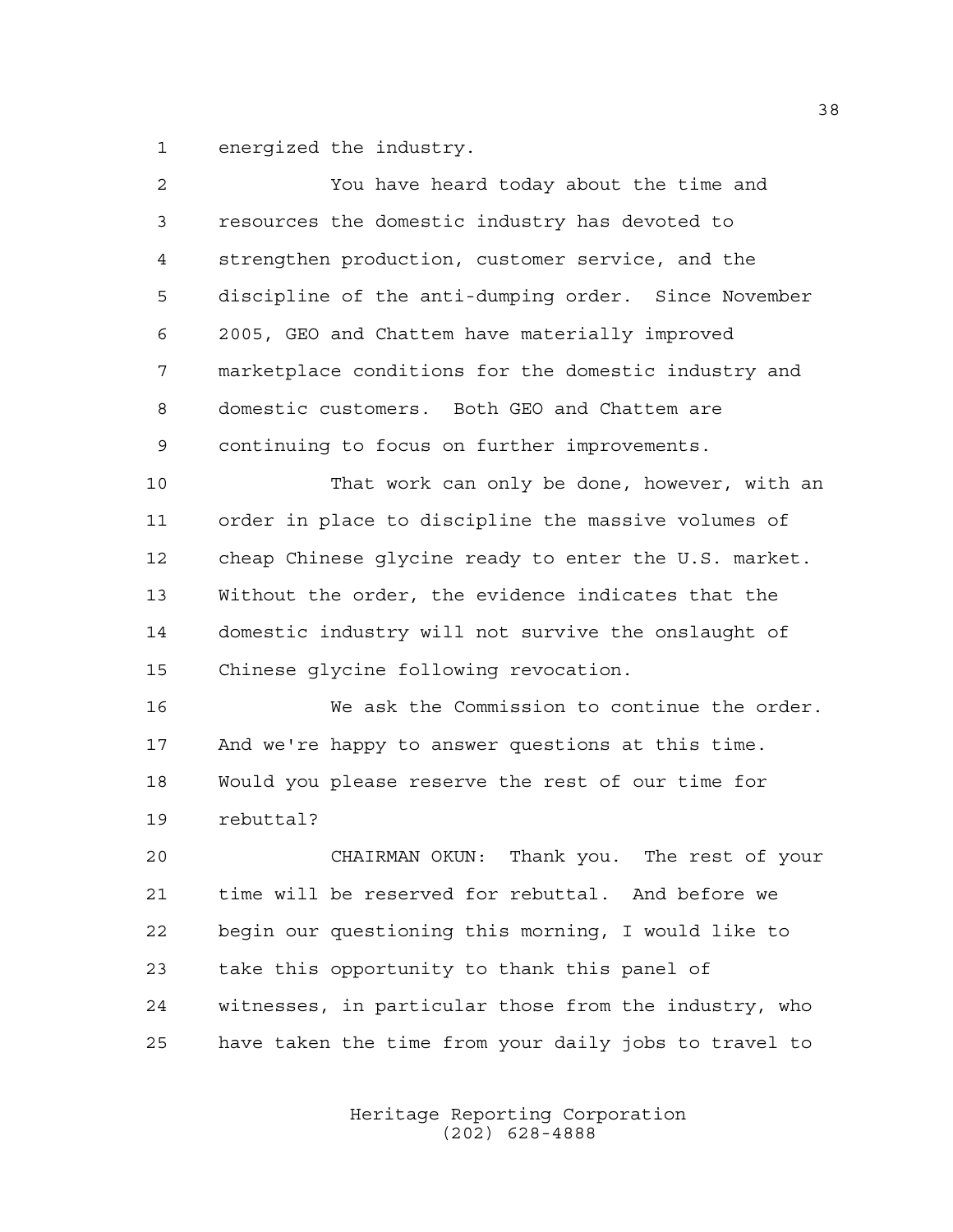energized the industry.

| $\overline{2}$ | You have heard today about the time and               |
|----------------|-------------------------------------------------------|
| 3              | resources the domestic industry has devoted to        |
| 4              | strengthen production, customer service, and the      |
| 5              | discipline of the anti-dumping order. Since November  |
| 6              | 2005, GEO and Chattem have materially improved        |
| 7              | marketplace conditions for the domestic industry and  |
| 8              | domestic customers. Both GEO and Chattem are          |
| 9              | continuing to focus on further improvements.          |
| 10             | That work can only be done, however, with an          |
| 11             | order in place to discipline the massive volumes of   |
| 12             | cheap Chinese glycine ready to enter the U.S. market. |
| 13             | Without the order, the evidence indicates that the    |
| 14             | domestic industry will not survive the onslaught of   |
| 15             | Chinese glycine following revocation.                 |
| 16             | We ask the Commission to continue the order.          |
| 17             | And we're happy to answer questions at this time.     |
| 18             | Would you please reserve the rest of our time for     |
| 19             | rebuttal?                                             |
| 20             | Thank you. The rest of your<br>CHAIRMAN OKUN:         |
| 21             | time will be reserved for rebuttal. And before we     |
| 22             | begin our questioning this morning, I would like to   |
| 23             | take this opportunity to thank this panel of          |
| 24             | witnesses, in particular those from the industry, who |
| 25             | have taken the time from your daily jobs to travel to |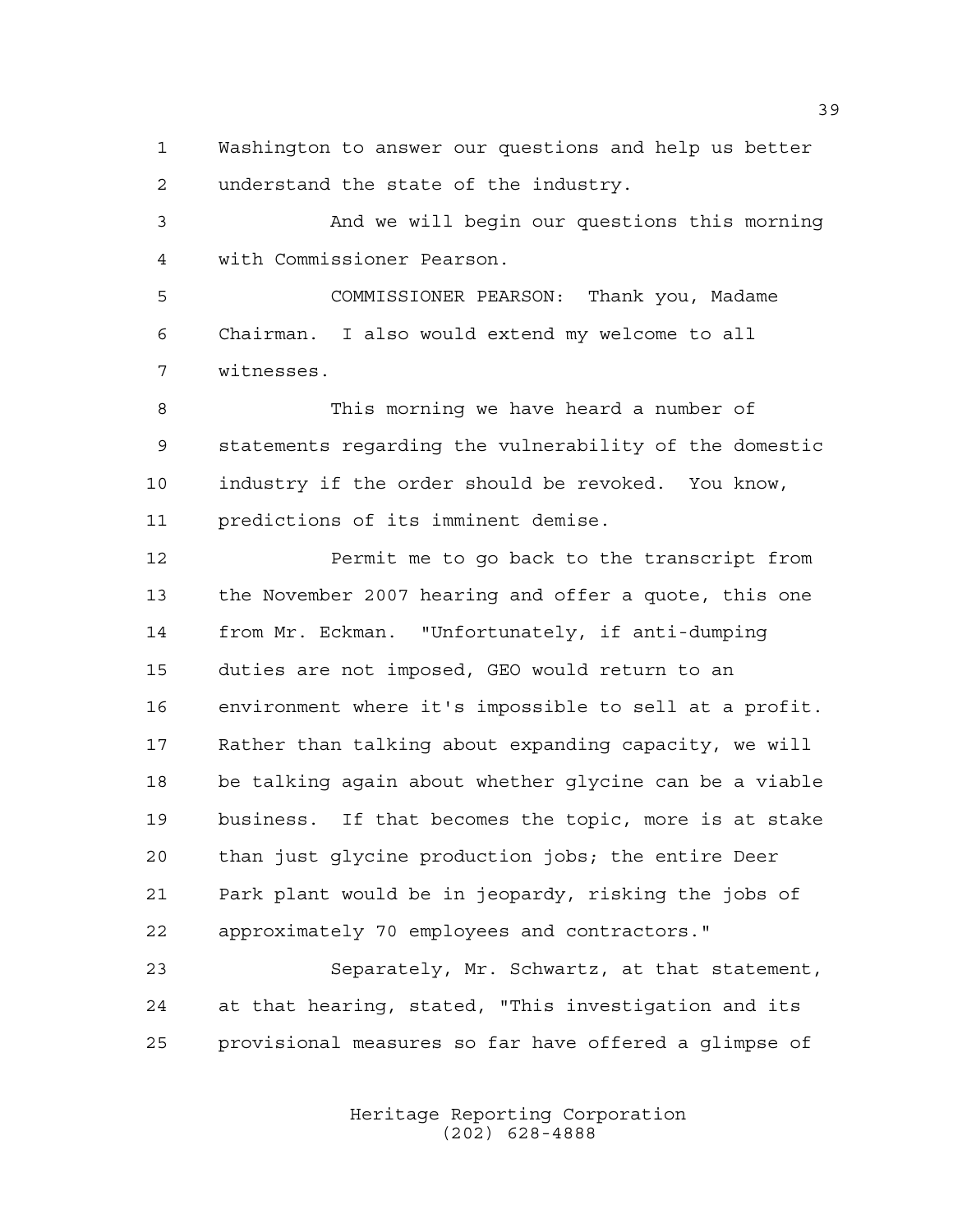Washington to answer our questions and help us better understand the state of the industry.

 And we will begin our questions this morning with Commissioner Pearson.

 COMMISSIONER PEARSON: Thank you, Madame Chairman. I also would extend my welcome to all witnesses.

 This morning we have heard a number of statements regarding the vulnerability of the domestic industry if the order should be revoked. You know, predictions of its imminent demise.

 Permit me to go back to the transcript from the November 2007 hearing and offer a quote, this one from Mr. Eckman. "Unfortunately, if anti-dumping duties are not imposed, GEO would return to an environment where it's impossible to sell at a profit. Rather than talking about expanding capacity, we will be talking again about whether glycine can be a viable business. If that becomes the topic, more is at stake than just glycine production jobs; the entire Deer Park plant would be in jeopardy, risking the jobs of approximately 70 employees and contractors."

 Separately, Mr. Schwartz, at that statement, at that hearing, stated, "This investigation and its provisional measures so far have offered a glimpse of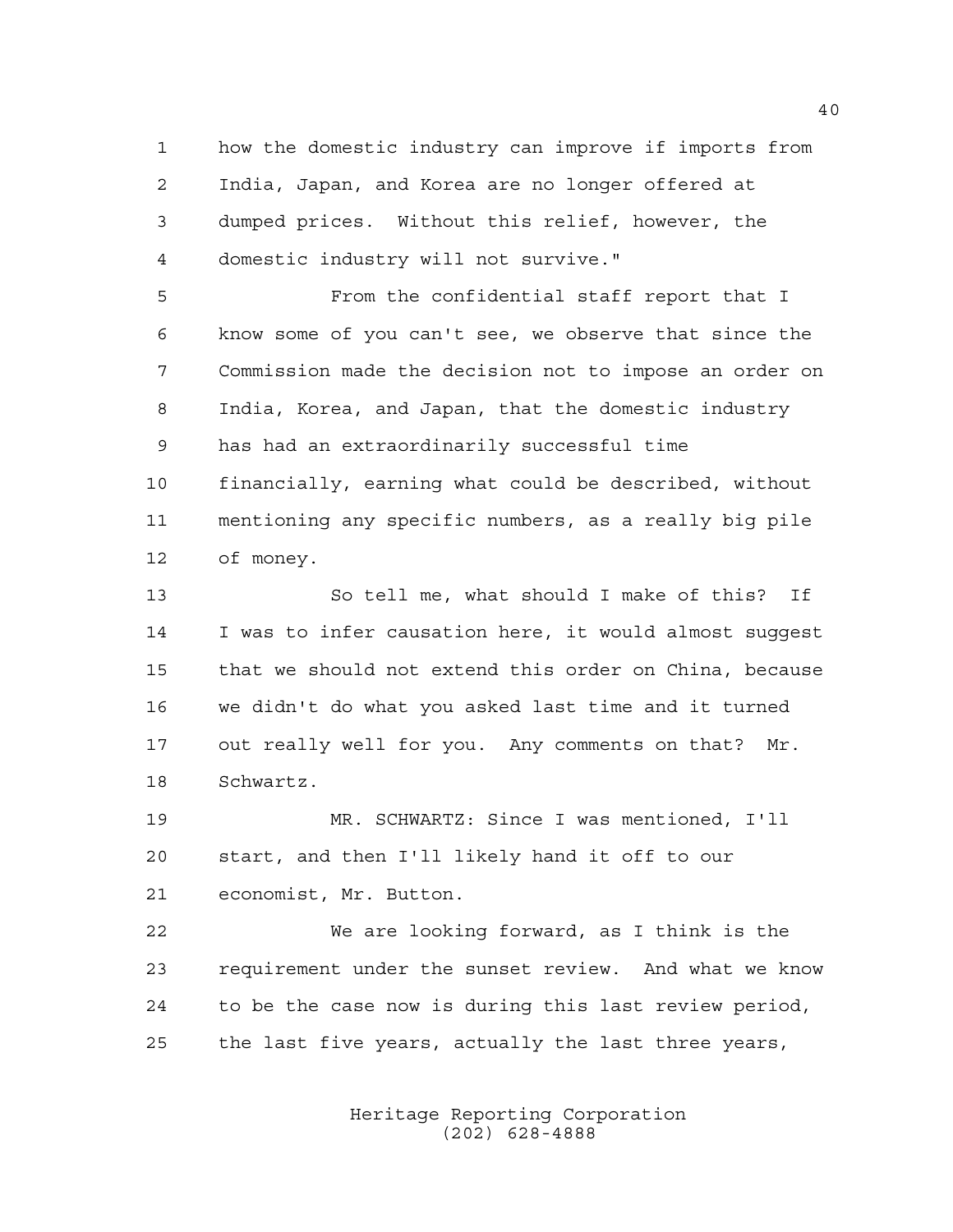how the domestic industry can improve if imports from India, Japan, and Korea are no longer offered at dumped prices. Without this relief, however, the domestic industry will not survive."

 From the confidential staff report that I know some of you can't see, we observe that since the Commission made the decision not to impose an order on India, Korea, and Japan, that the domestic industry has had an extraordinarily successful time financially, earning what could be described, without mentioning any specific numbers, as a really big pile of money.

 So tell me, what should I make of this? If I was to infer causation here, it would almost suggest that we should not extend this order on China, because we didn't do what you asked last time and it turned out really well for you. Any comments on that? Mr. Schwartz.

 MR. SCHWARTZ: Since I was mentioned, I'll start, and then I'll likely hand it off to our economist, Mr. Button.

 We are looking forward, as I think is the requirement under the sunset review. And what we know to be the case now is during this last review period, the last five years, actually the last three years,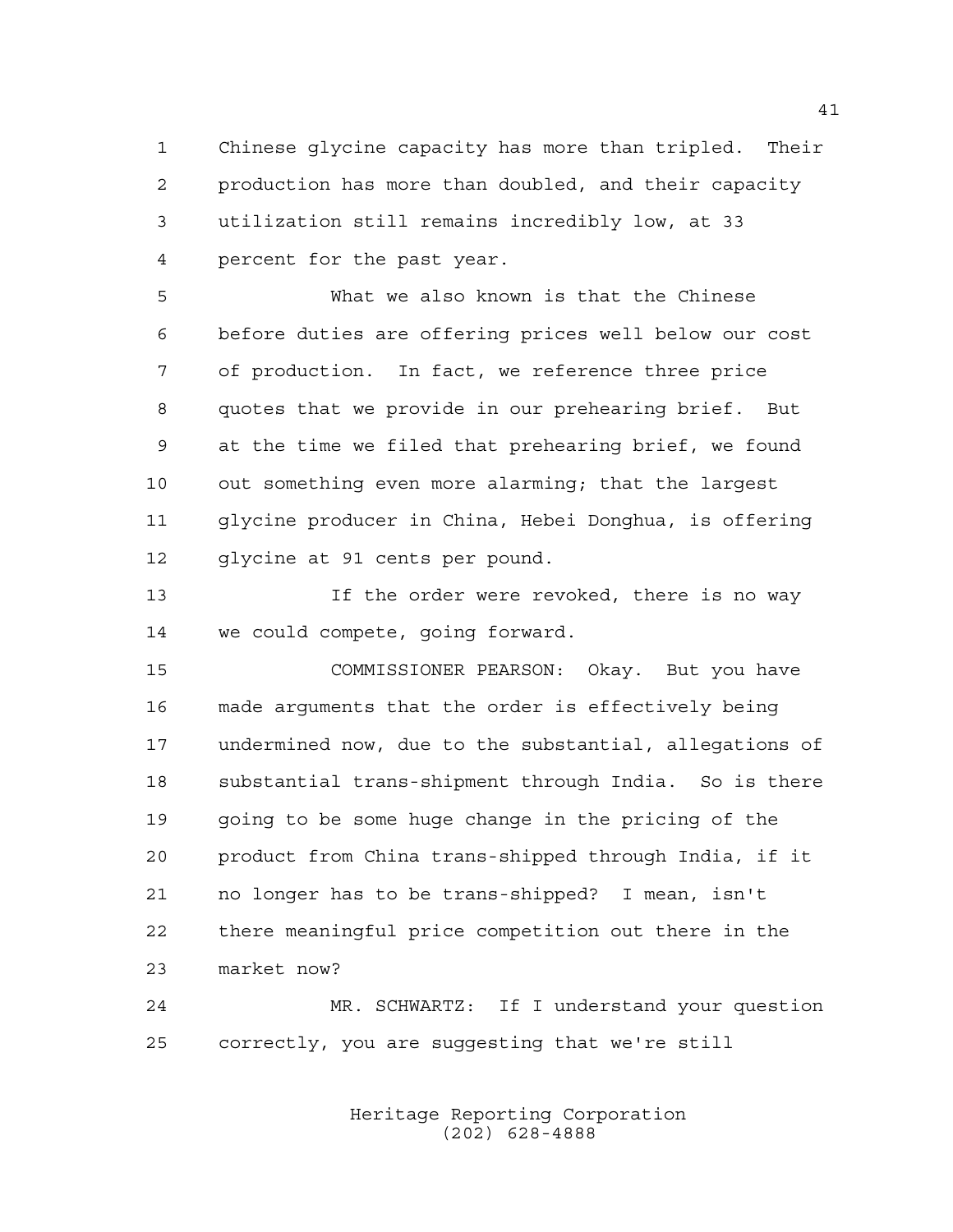Chinese glycine capacity has more than tripled. Their production has more than doubled, and their capacity utilization still remains incredibly low, at 33 percent for the past year.

 What we also known is that the Chinese before duties are offering prices well below our cost of production. In fact, we reference three price quotes that we provide in our prehearing brief. But at the time we filed that prehearing brief, we found out something even more alarming; that the largest glycine producer in China, Hebei Donghua, is offering glycine at 91 cents per pound.

 If the order were revoked, there is no way we could compete, going forward.

 COMMISSIONER PEARSON: Okay. But you have made arguments that the order is effectively being undermined now, due to the substantial, allegations of substantial trans-shipment through India. So is there going to be some huge change in the pricing of the product from China trans-shipped through India, if it no longer has to be trans-shipped? I mean, isn't there meaningful price competition out there in the market now?

 MR. SCHWARTZ: If I understand your question correctly, you are suggesting that we're still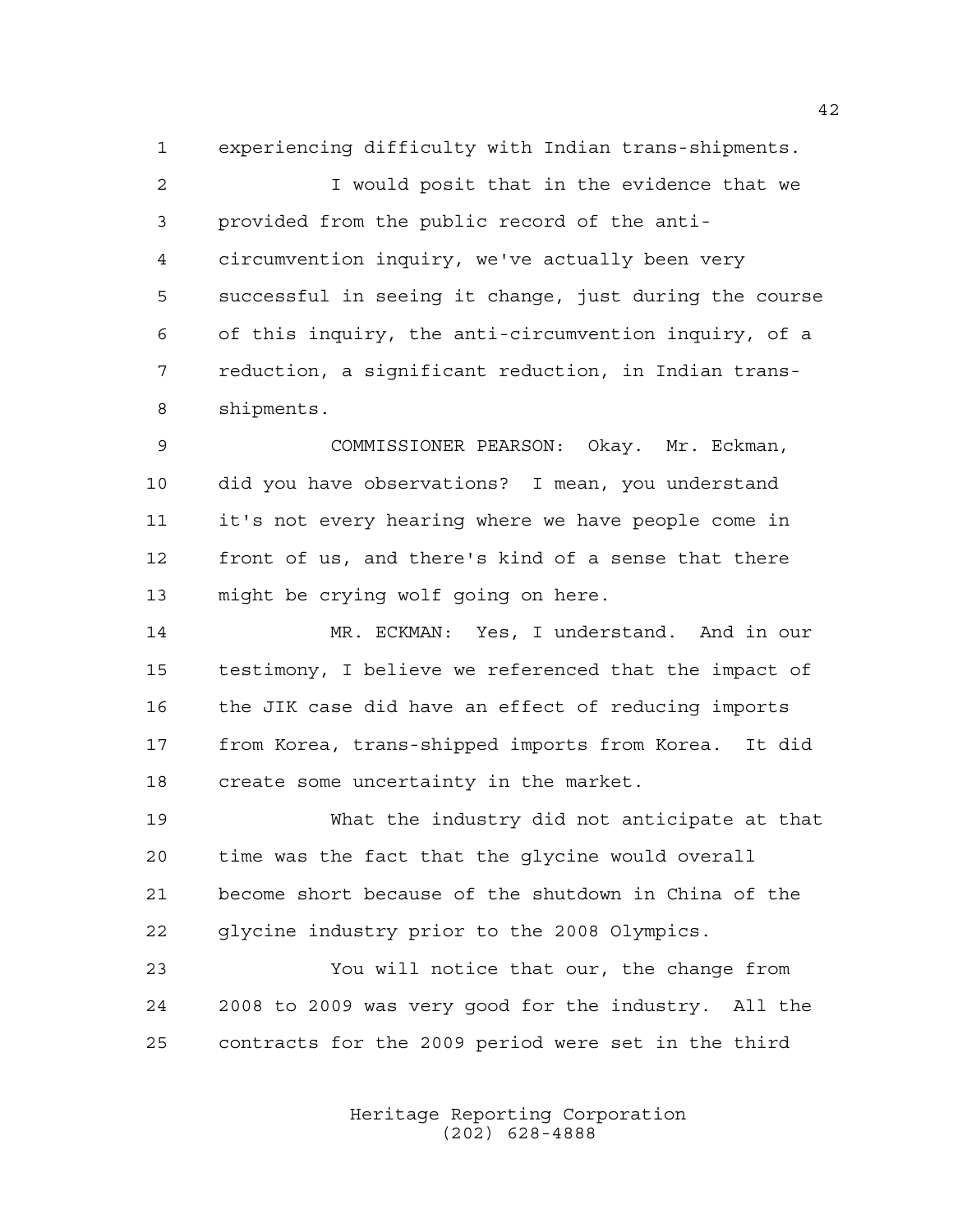experiencing difficulty with Indian trans-shipments. I would posit that in the evidence that we provided from the public record of the anti- circumvention inquiry, we've actually been very successful in seeing it change, just during the course of this inquiry, the anti-circumvention inquiry, of a reduction, a significant reduction, in Indian trans-shipments.

 COMMISSIONER PEARSON: Okay. Mr. Eckman, did you have observations? I mean, you understand it's not every hearing where we have people come in front of us, and there's kind of a sense that there might be crying wolf going on here.

 MR. ECKMAN: Yes, I understand. And in our testimony, I believe we referenced that the impact of the JIK case did have an effect of reducing imports from Korea, trans-shipped imports from Korea. It did create some uncertainty in the market.

 What the industry did not anticipate at that time was the fact that the glycine would overall become short because of the shutdown in China of the glycine industry prior to the 2008 Olympics.

 You will notice that our, the change from 2008 to 2009 was very good for the industry. All the contracts for the 2009 period were set in the third

> Heritage Reporting Corporation (202) 628-4888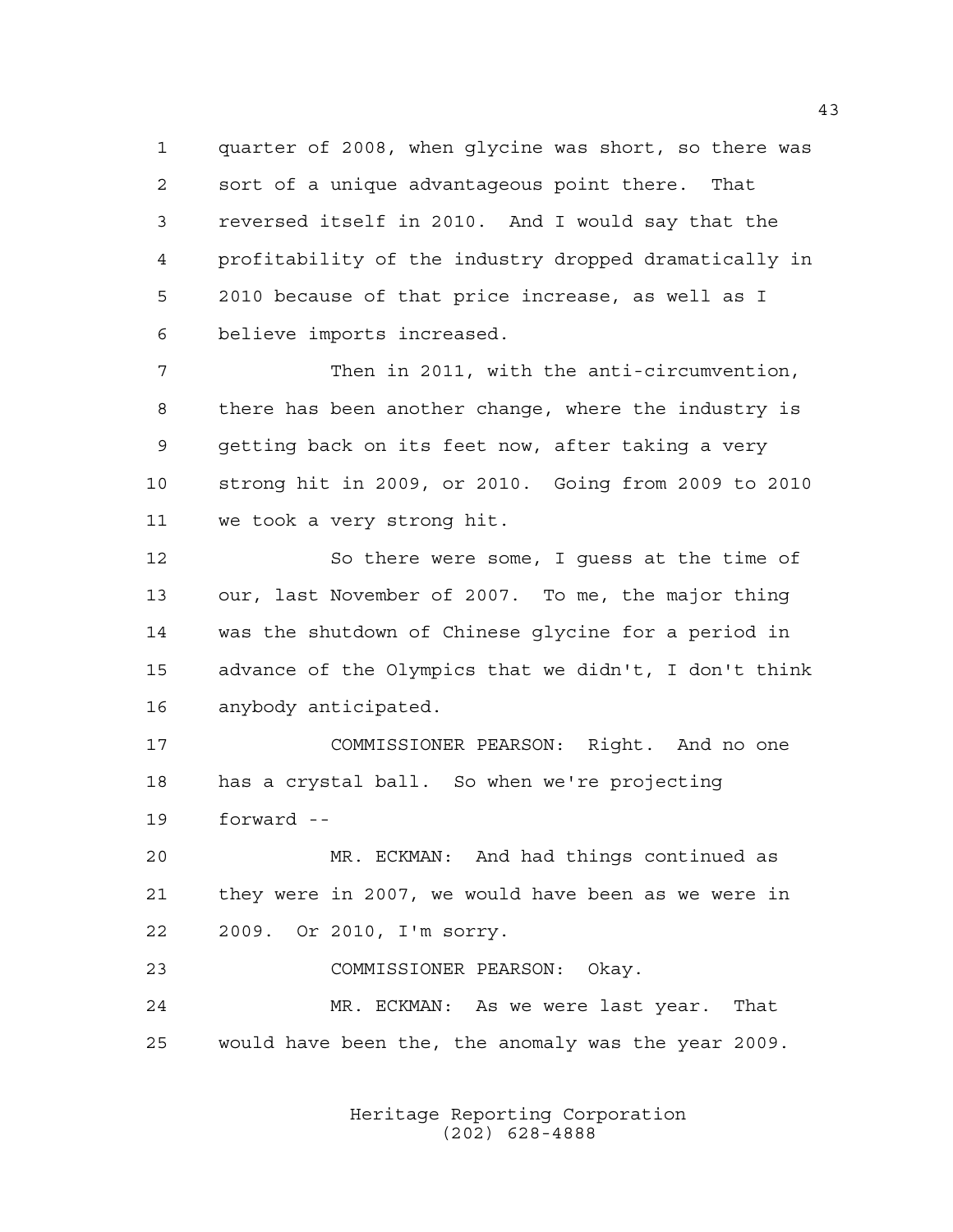quarter of 2008, when glycine was short, so there was sort of a unique advantageous point there. That reversed itself in 2010. And I would say that the profitability of the industry dropped dramatically in 2010 because of that price increase, as well as I believe imports increased.

 Then in 2011, with the anti-circumvention, there has been another change, where the industry is getting back on its feet now, after taking a very strong hit in 2009, or 2010. Going from 2009 to 2010 we took a very strong hit.

 So there were some, I guess at the time of our, last November of 2007. To me, the major thing was the shutdown of Chinese glycine for a period in advance of the Olympics that we didn't, I don't think anybody anticipated.

 COMMISSIONER PEARSON: Right. And no one has a crystal ball. So when we're projecting forward --

 MR. ECKMAN: And had things continued as they were in 2007, we would have been as we were in 2009. Or 2010, I'm sorry.

COMMISSIONER PEARSON: Okay.

 MR. ECKMAN: As we were last year. That would have been the, the anomaly was the year 2009.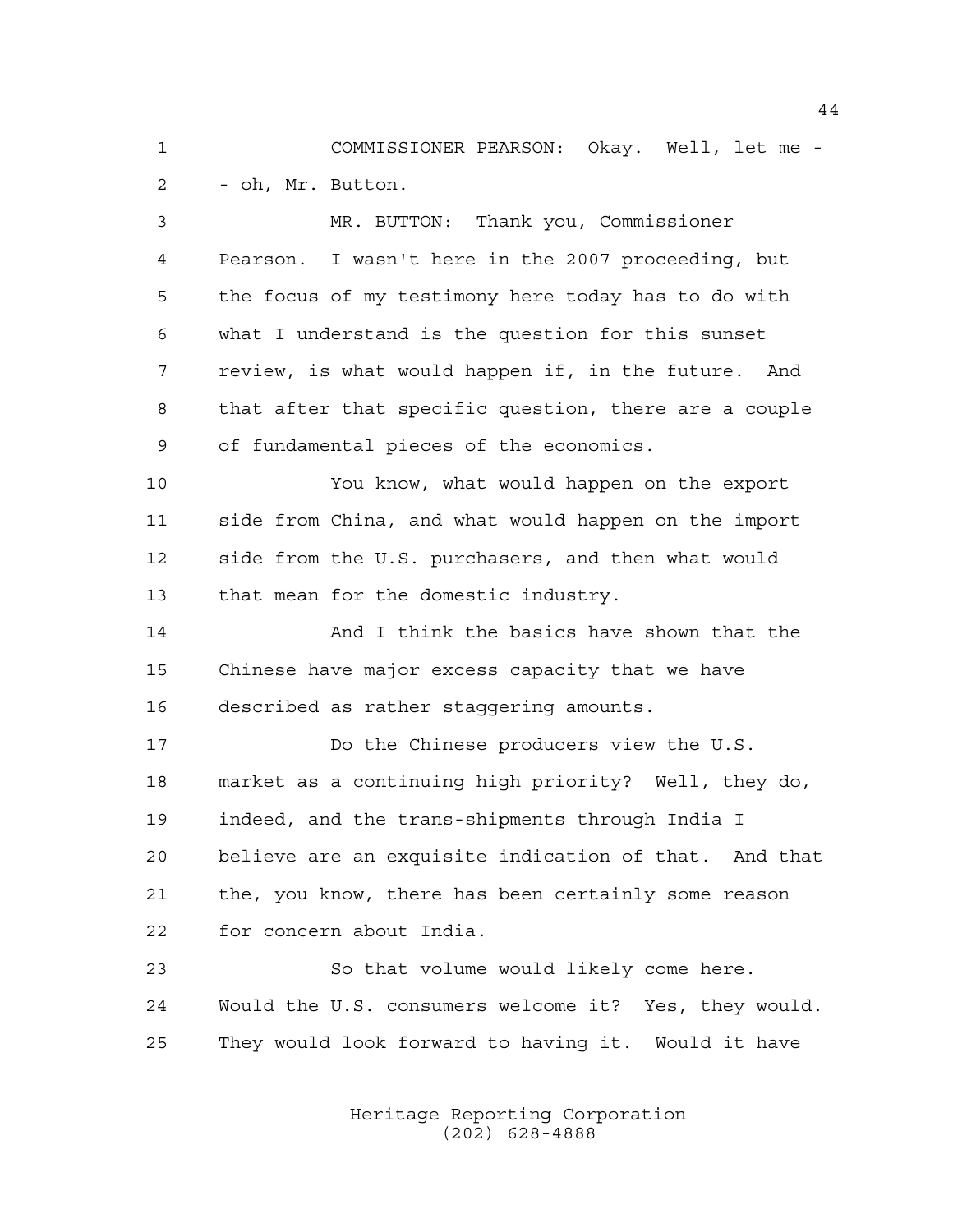COMMISSIONER PEARSON: Okay. Well, let me - - oh, Mr. Button.

 MR. BUTTON: Thank you, Commissioner Pearson. I wasn't here in the 2007 proceeding, but the focus of my testimony here today has to do with what I understand is the question for this sunset review, is what would happen if, in the future. And that after that specific question, there are a couple of fundamental pieces of the economics.

 You know, what would happen on the export side from China, and what would happen on the import side from the U.S. purchasers, and then what would that mean for the domestic industry.

**And I think the basics have shown that the**  Chinese have major excess capacity that we have described as rather staggering amounts.

 Do the Chinese producers view the U.S. market as a continuing high priority? Well, they do, indeed, and the trans-shipments through India I believe are an exquisite indication of that. And that the, you know, there has been certainly some reason for concern about India.

 So that volume would likely come here. Would the U.S. consumers welcome it? Yes, they would. They would look forward to having it. Would it have

> Heritage Reporting Corporation (202) 628-4888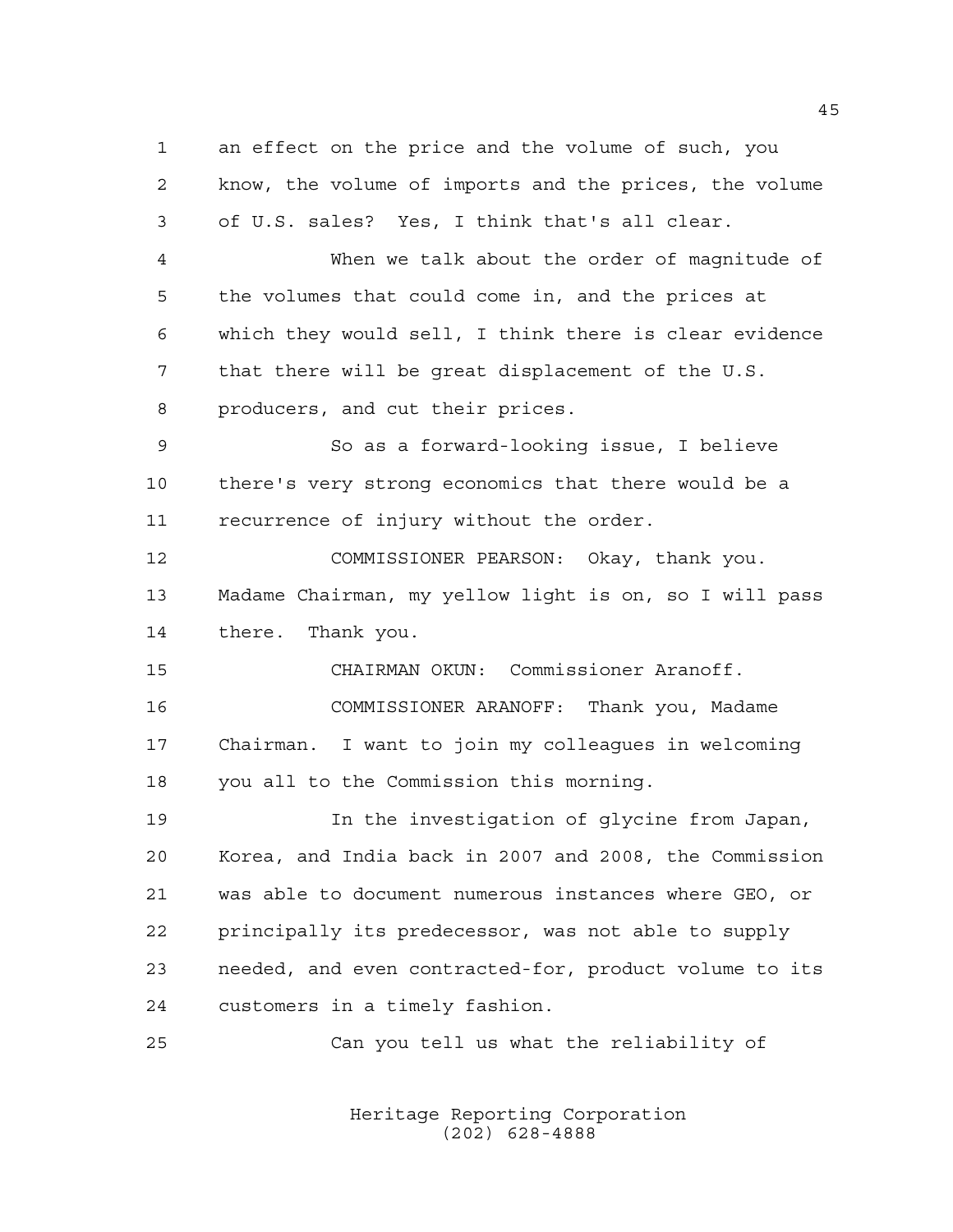an effect on the price and the volume of such, you know, the volume of imports and the prices, the volume of U.S. sales? Yes, I think that's all clear. When we talk about the order of magnitude of the volumes that could come in, and the prices at which they would sell, I think there is clear evidence that there will be great displacement of the U.S. producers, and cut their prices. So as a forward-looking issue, I believe there's very strong economics that there would be a recurrence of injury without the order. COMMISSIONER PEARSON: Okay, thank you. Madame Chairman, my yellow light is on, so I will pass there. Thank you. CHAIRMAN OKUN: Commissioner Aranoff. COMMISSIONER ARANOFF: Thank you, Madame Chairman. I want to join my colleagues in welcoming you all to the Commission this morning. In the investigation of glycine from Japan, Korea, and India back in 2007 and 2008, the Commission was able to document numerous instances where GEO, or principally its predecessor, was not able to supply needed, and even contracted-for, product volume to its customers in a timely fashion. Can you tell us what the reliability of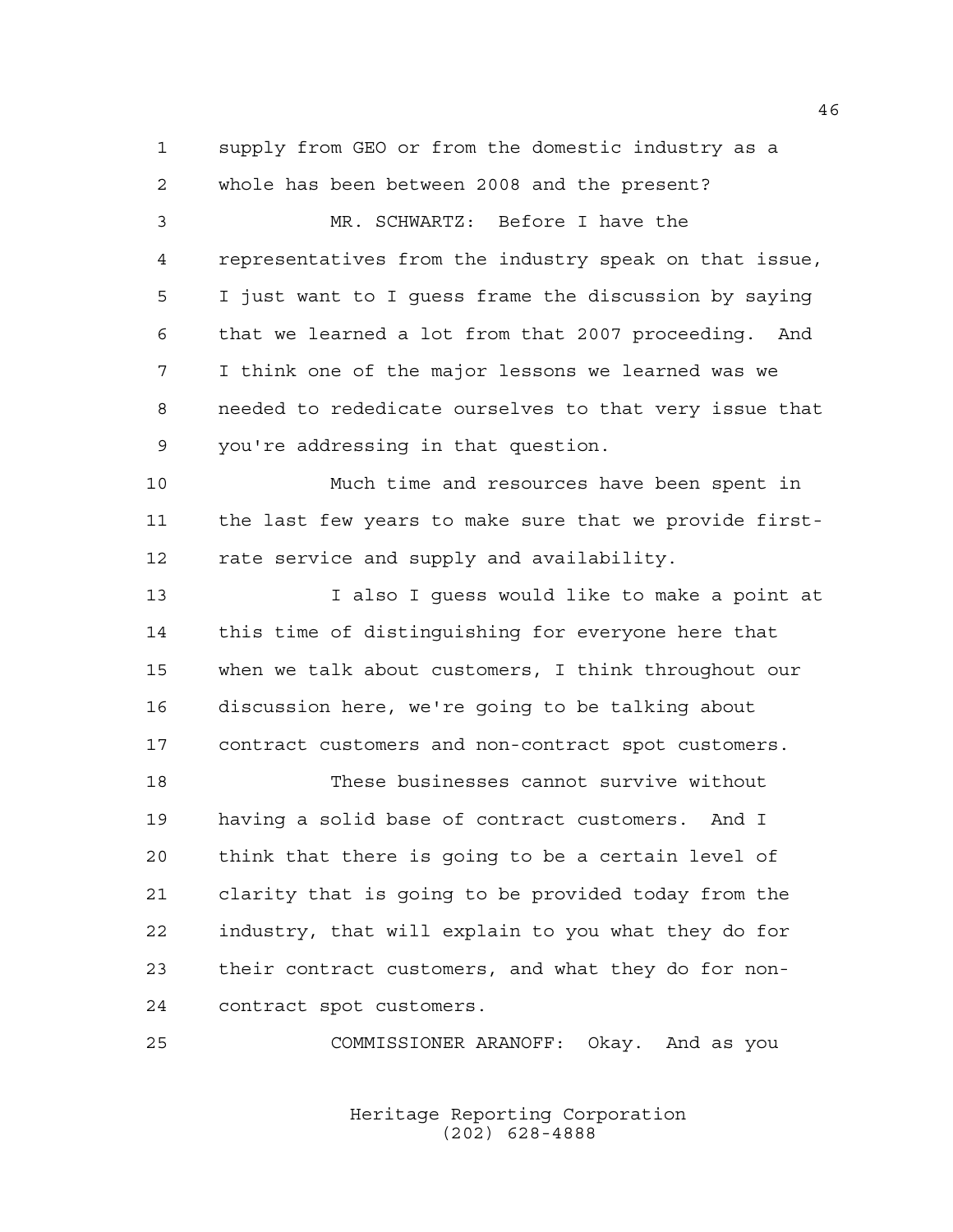supply from GEO or from the domestic industry as a whole has been between 2008 and the present?

 MR. SCHWARTZ: Before I have the representatives from the industry speak on that issue, I just want to I guess frame the discussion by saying that we learned a lot from that 2007 proceeding. And I think one of the major lessons we learned was we needed to rededicate ourselves to that very issue that you're addressing in that question.

 Much time and resources have been spent in the last few years to make sure that we provide first-12 rate service and supply and availability.

 I also I guess would like to make a point at this time of distinguishing for everyone here that when we talk about customers, I think throughout our discussion here, we're going to be talking about contract customers and non-contract spot customers.

 These businesses cannot survive without having a solid base of contract customers. And I think that there is going to be a certain level of clarity that is going to be provided today from the industry, that will explain to you what they do for their contract customers, and what they do for non-contract spot customers.

COMMISSIONER ARANOFF: Okay. And as you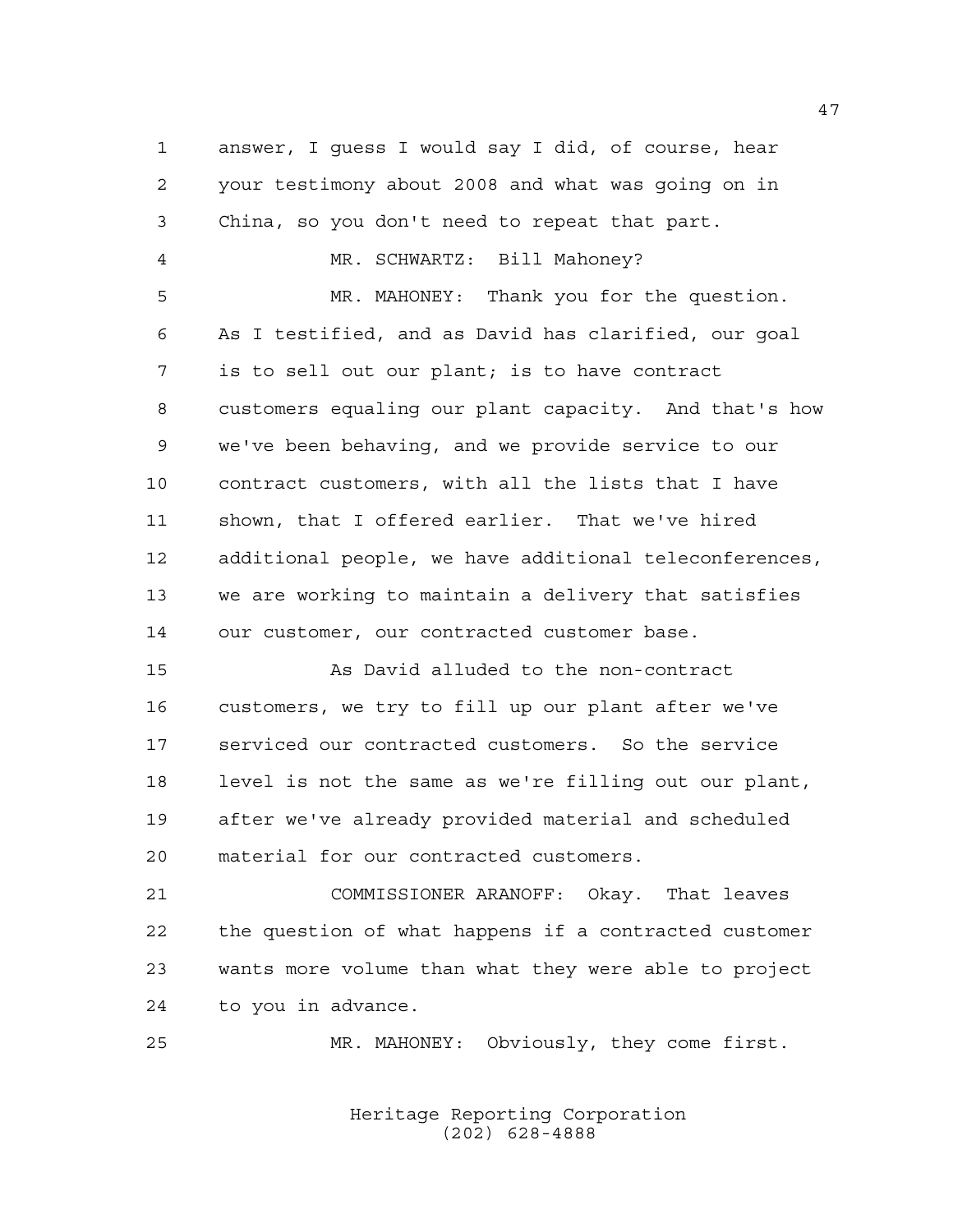answer, I guess I would say I did, of course, hear your testimony about 2008 and what was going on in China, so you don't need to repeat that part. MR. SCHWARTZ: Bill Mahoney? MR. MAHONEY: Thank you for the question. As I testified, and as David has clarified, our goal is to sell out our plant; is to have contract customers equaling our plant capacity. And that's how we've been behaving, and we provide service to our contract customers, with all the lists that I have shown, that I offered earlier. That we've hired additional people, we have additional teleconferences, we are working to maintain a delivery that satisfies our customer, our contracted customer base. As David alluded to the non-contract customers, we try to fill up our plant after we've serviced our contracted customers. So the service level is not the same as we're filling out our plant, after we've already provided material and scheduled material for our contracted customers. COMMISSIONER ARANOFF: Okay. That leaves the question of what happens if a contracted customer wants more volume than what they were able to project to you in advance. MR. MAHONEY: Obviously, they come first.

> Heritage Reporting Corporation (202) 628-4888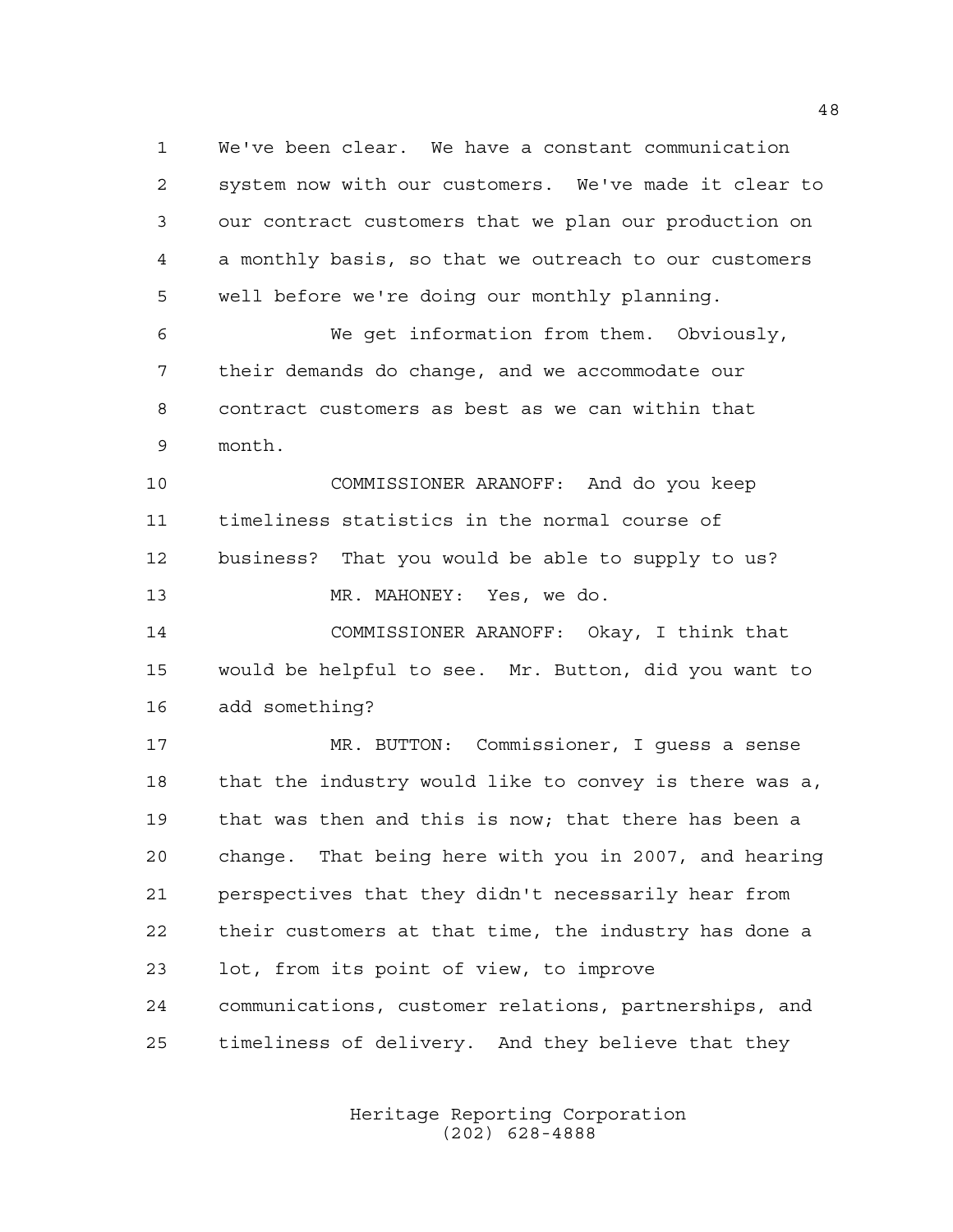We've been clear. We have a constant communication system now with our customers. We've made it clear to our contract customers that we plan our production on a monthly basis, so that we outreach to our customers well before we're doing our monthly planning. We get information from them. Obviously,

 their demands do change, and we accommodate our contract customers as best as we can within that month.

 COMMISSIONER ARANOFF: And do you keep timeliness statistics in the normal course of business? That you would be able to supply to us? MR. MAHONEY: Yes, we do.

 COMMISSIONER ARANOFF: Okay, I think that would be helpful to see. Mr. Button, did you want to add something?

 MR. BUTTON: Commissioner, I guess a sense that the industry would like to convey is there was a, that was then and this is now; that there has been a change. That being here with you in 2007, and hearing perspectives that they didn't necessarily hear from their customers at that time, the industry has done a lot, from its point of view, to improve communications, customer relations, partnerships, and timeliness of delivery. And they believe that they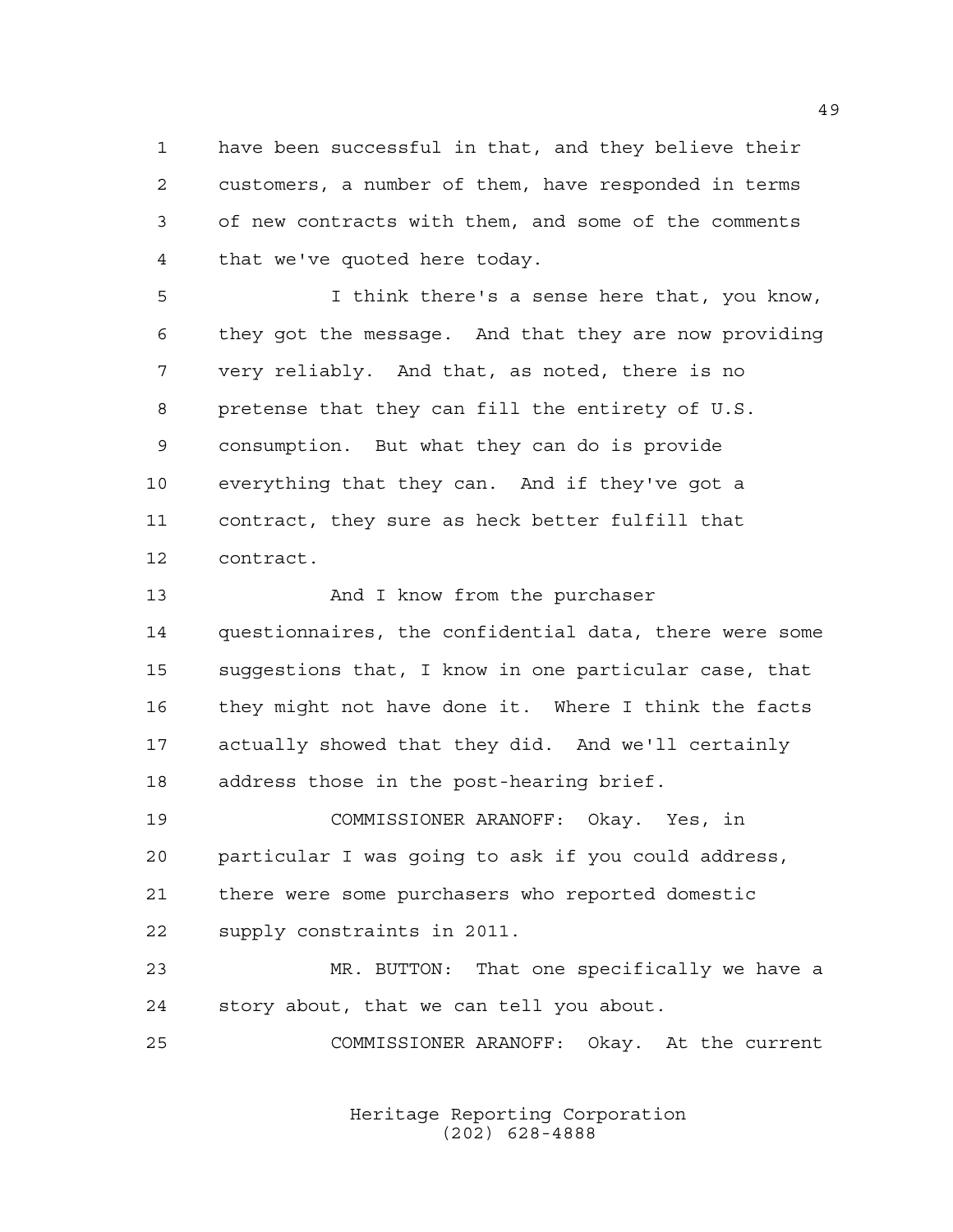have been successful in that, and they believe their customers, a number of them, have responded in terms of new contracts with them, and some of the comments that we've quoted here today.

 I think there's a sense here that, you know, they got the message. And that they are now providing very reliably. And that, as noted, there is no pretense that they can fill the entirety of U.S. consumption. But what they can do is provide everything that they can. And if they've got a contract, they sure as heck better fulfill that contract.

13 And I know from the purchaser questionnaires, the confidential data, there were some suggestions that, I know in one particular case, that they might not have done it. Where I think the facts actually showed that they did. And we'll certainly address those in the post-hearing brief.

 COMMISSIONER ARANOFF: Okay. Yes, in particular I was going to ask if you could address, there were some purchasers who reported domestic supply constraints in 2011.

 MR. BUTTON: That one specifically we have a story about, that we can tell you about.

COMMISSIONER ARANOFF: Okay. At the current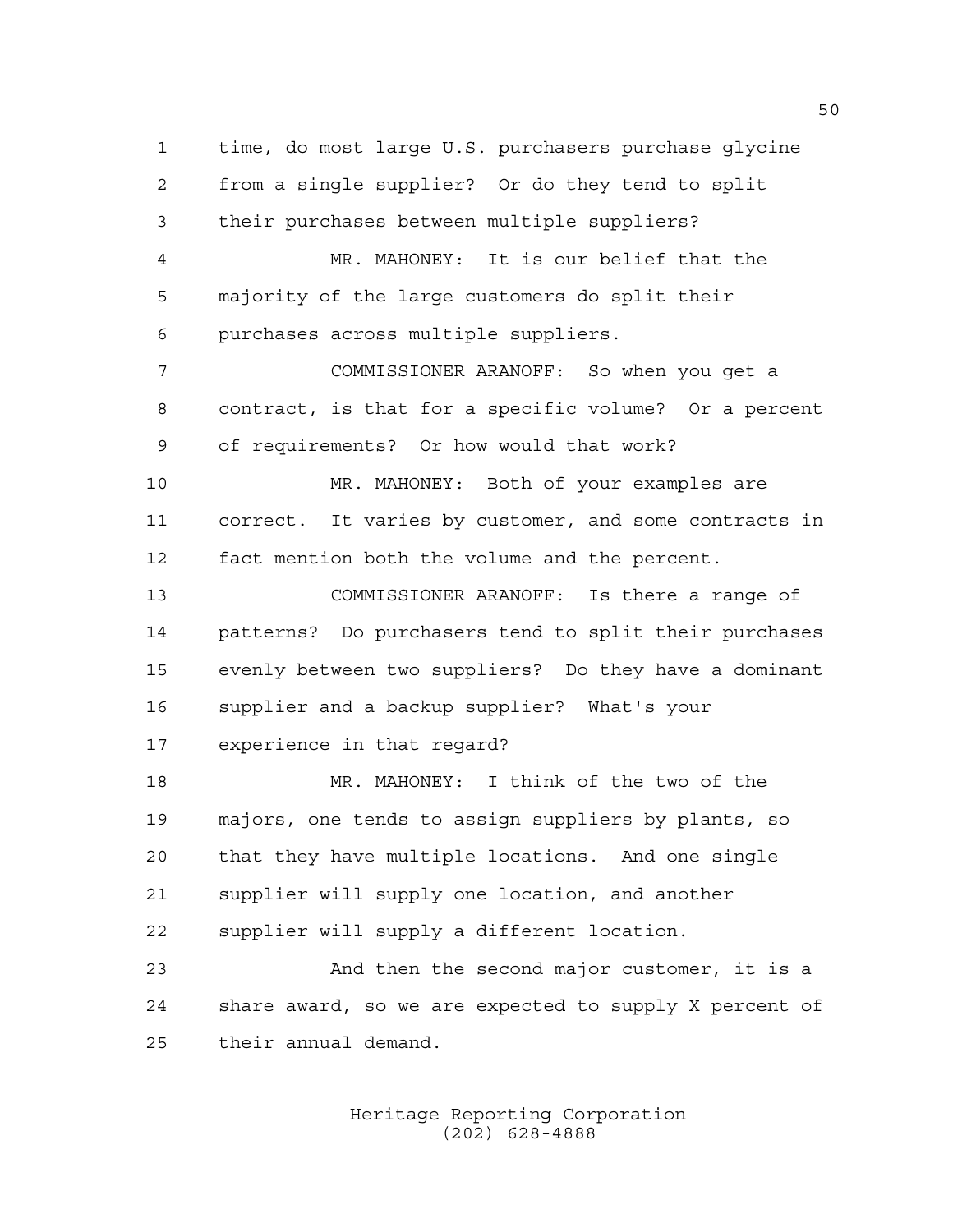time, do most large U.S. purchasers purchase glycine from a single supplier? Or do they tend to split their purchases between multiple suppliers? MR. MAHONEY: It is our belief that the majority of the large customers do split their purchases across multiple suppliers. COMMISSIONER ARANOFF: So when you get a contract, is that for a specific volume? Or a percent of requirements? Or how would that work? MR. MAHONEY: Both of your examples are correct. It varies by customer, and some contracts in fact mention both the volume and the percent. COMMISSIONER ARANOFF: Is there a range of patterns? Do purchasers tend to split their purchases evenly between two suppliers? Do they have a dominant supplier and a backup supplier? What's your experience in that regard? MR. MAHONEY: I think of the two of the majors, one tends to assign suppliers by plants, so

 that they have multiple locations. And one single supplier will supply one location, and another supplier will supply a different location. And then the second major customer, it is a

 share award, so we are expected to supply X percent of their annual demand.

> Heritage Reporting Corporation (202) 628-4888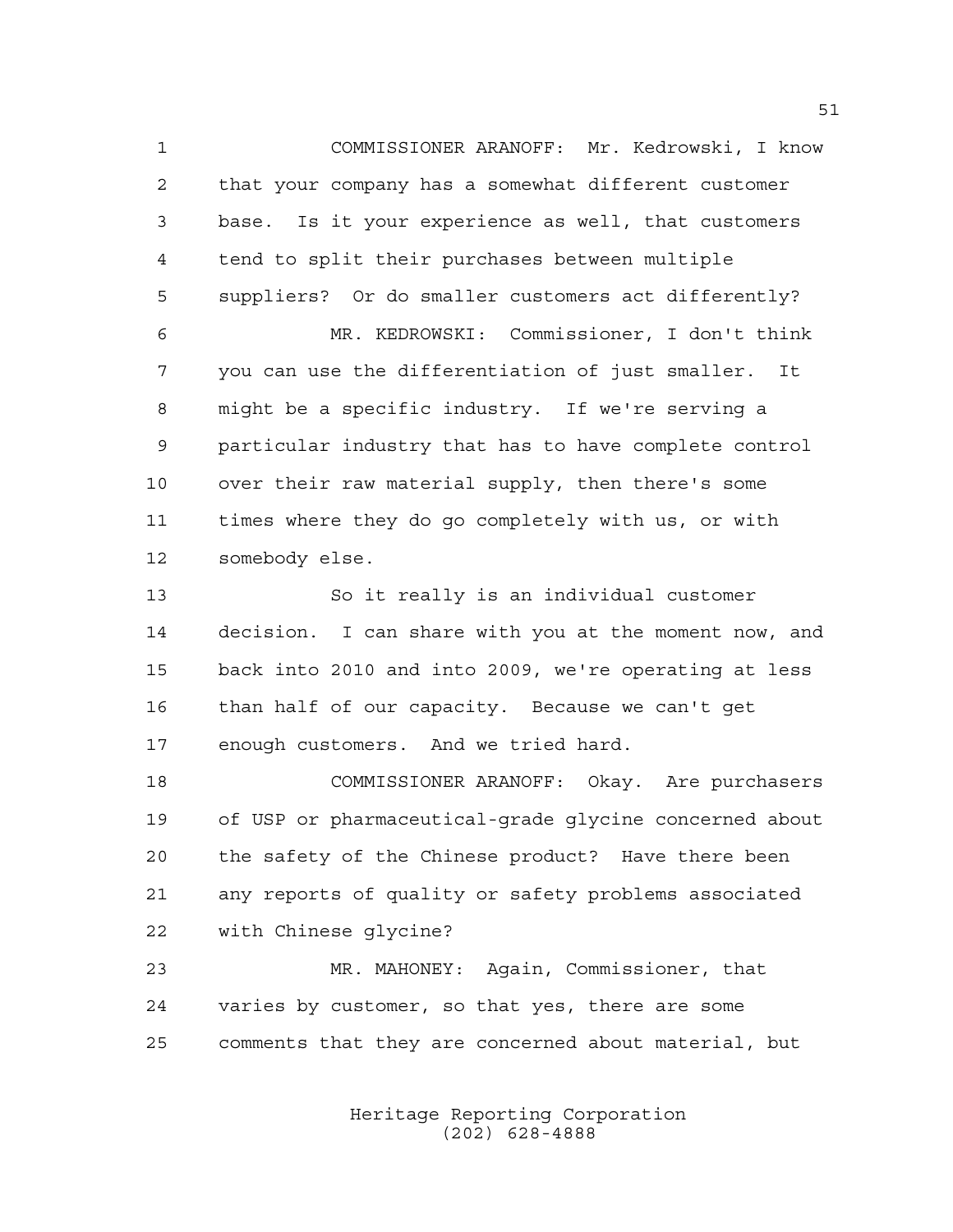COMMISSIONER ARANOFF: Mr. Kedrowski, I know that your company has a somewhat different customer base. Is it your experience as well, that customers tend to split their purchases between multiple suppliers? Or do smaller customers act differently? MR. KEDROWSKI: Commissioner, I don't think you can use the differentiation of just smaller. It might be a specific industry. If we're serving a

 particular industry that has to have complete control over their raw material supply, then there's some times where they do go completely with us, or with somebody else.

 So it really is an individual customer decision. I can share with you at the moment now, and back into 2010 and into 2009, we're operating at less than half of our capacity. Because we can't get enough customers. And we tried hard.

 COMMISSIONER ARANOFF: Okay. Are purchasers of USP or pharmaceutical-grade glycine concerned about the safety of the Chinese product? Have there been any reports of quality or safety problems associated with Chinese glycine?

 MR. MAHONEY: Again, Commissioner, that varies by customer, so that yes, there are some comments that they are concerned about material, but

> Heritage Reporting Corporation (202) 628-4888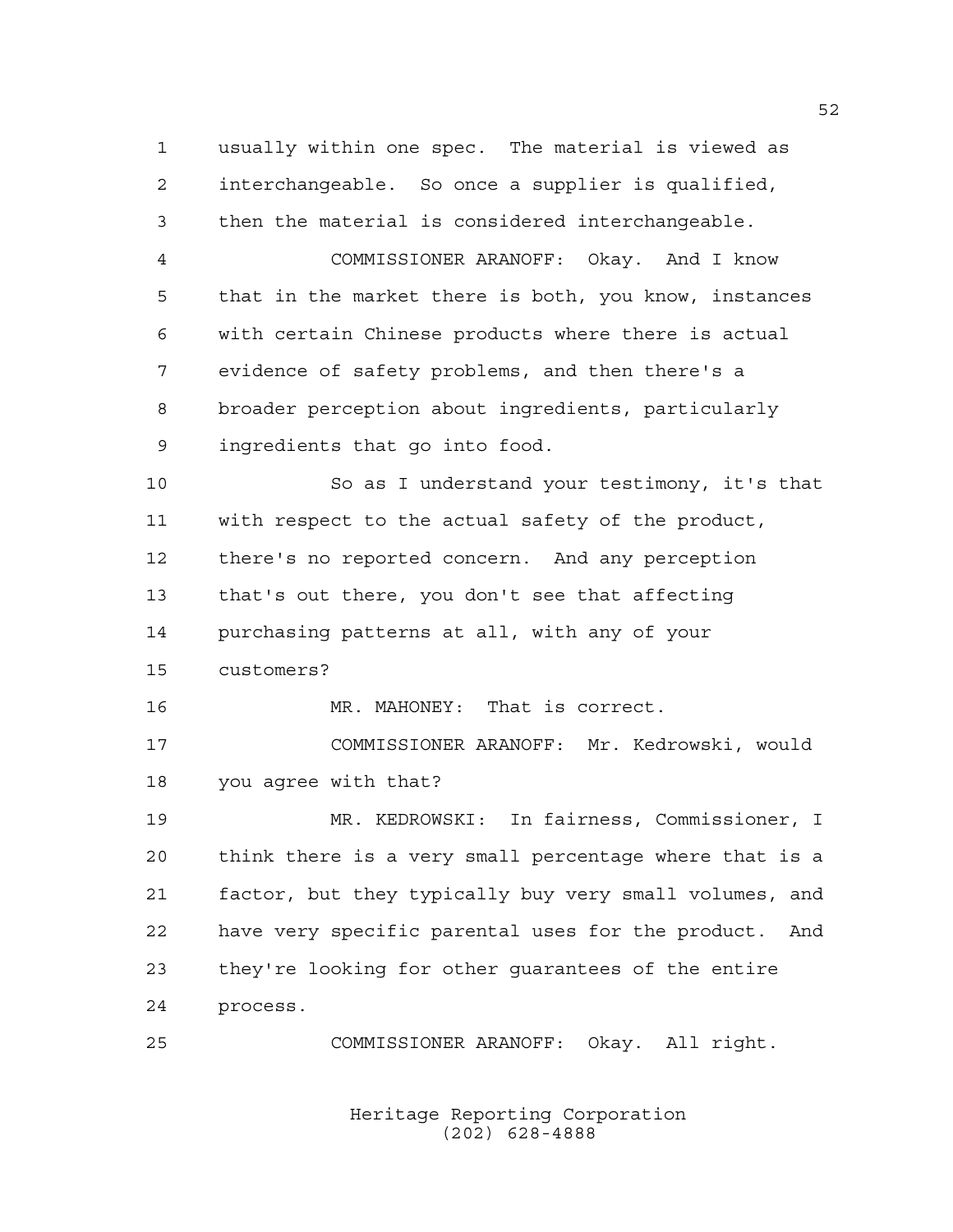usually within one spec. The material is viewed as interchangeable. So once a supplier is qualified, then the material is considered interchangeable. COMMISSIONER ARANOFF: Okay. And I know that in the market there is both, you know, instances

 evidence of safety problems, and then there's a broader perception about ingredients, particularly ingredients that go into food.

with certain Chinese products where there is actual

 So as I understand your testimony, it's that with respect to the actual safety of the product, there's no reported concern. And any perception that's out there, you don't see that affecting purchasing patterns at all, with any of your customers? MR. MAHONEY: That is correct.

 COMMISSIONER ARANOFF: Mr. Kedrowski, would you agree with that?

 MR. KEDROWSKI: In fairness, Commissioner, I think there is a very small percentage where that is a factor, but they typically buy very small volumes, and have very specific parental uses for the product. And they're looking for other guarantees of the entire process.

COMMISSIONER ARANOFF: Okay. All right.

Heritage Reporting Corporation (202) 628-4888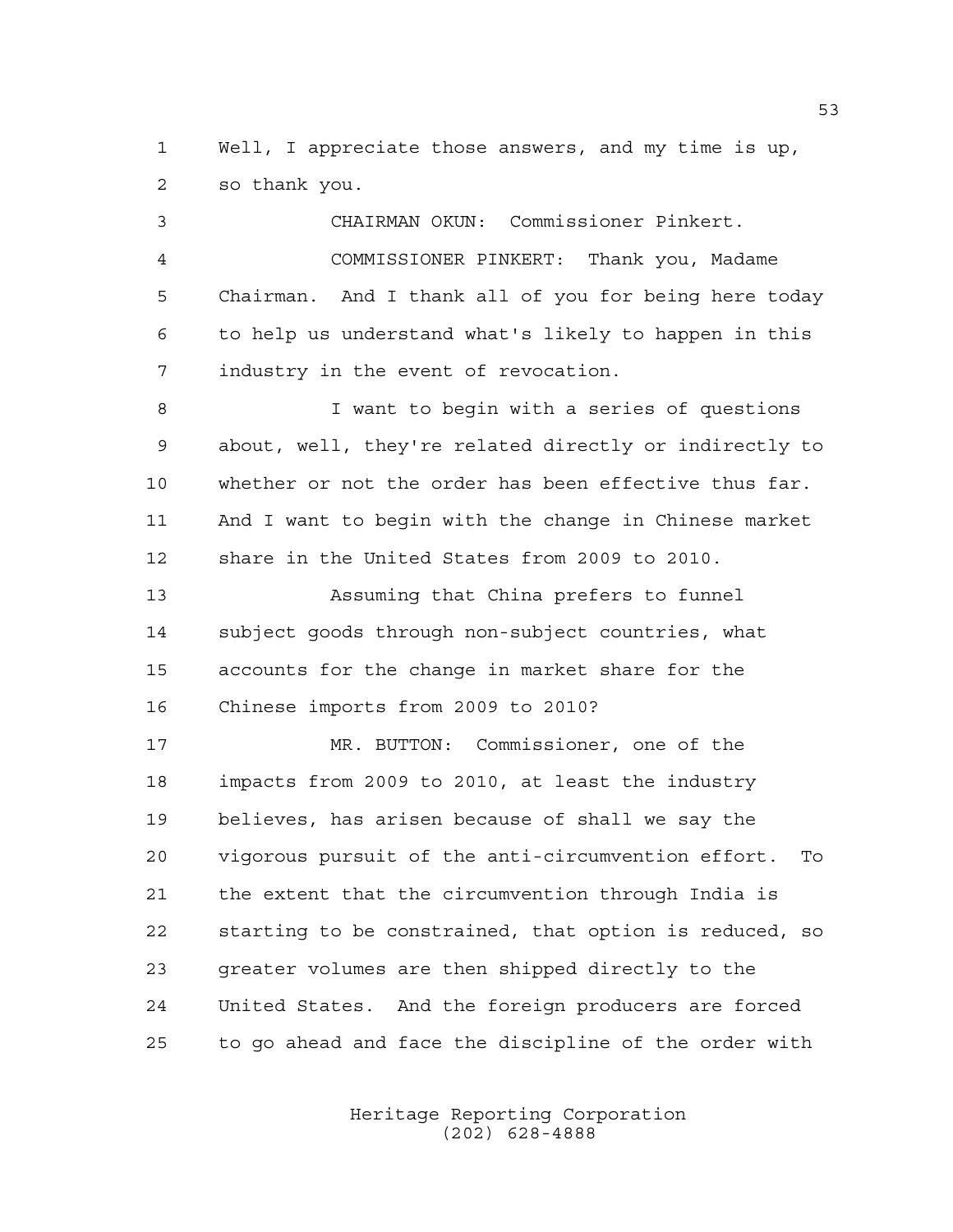Well, I appreciate those answers, and my time is up, so thank you.

 CHAIRMAN OKUN: Commissioner Pinkert. COMMISSIONER PINKERT: Thank you, Madame Chairman. And I thank all of you for being here today to help us understand what's likely to happen in this industry in the event of revocation. I want to begin with a series of questions about, well, they're related directly or indirectly to whether or not the order has been effective thus far. And I want to begin with the change in Chinese market share in the United States from 2009 to 2010. Assuming that China prefers to funnel subject goods through non-subject countries, what accounts for the change in market share for the Chinese imports from 2009 to 2010? MR. BUTTON: Commissioner, one of the impacts from 2009 to 2010, at least the industry believes, has arisen because of shall we say the vigorous pursuit of the anti-circumvention effort. To the extent that the circumvention through India is

 starting to be constrained, that option is reduced, so greater volumes are then shipped directly to the United States. And the foreign producers are forced to go ahead and face the discipline of the order with

> Heritage Reporting Corporation (202) 628-4888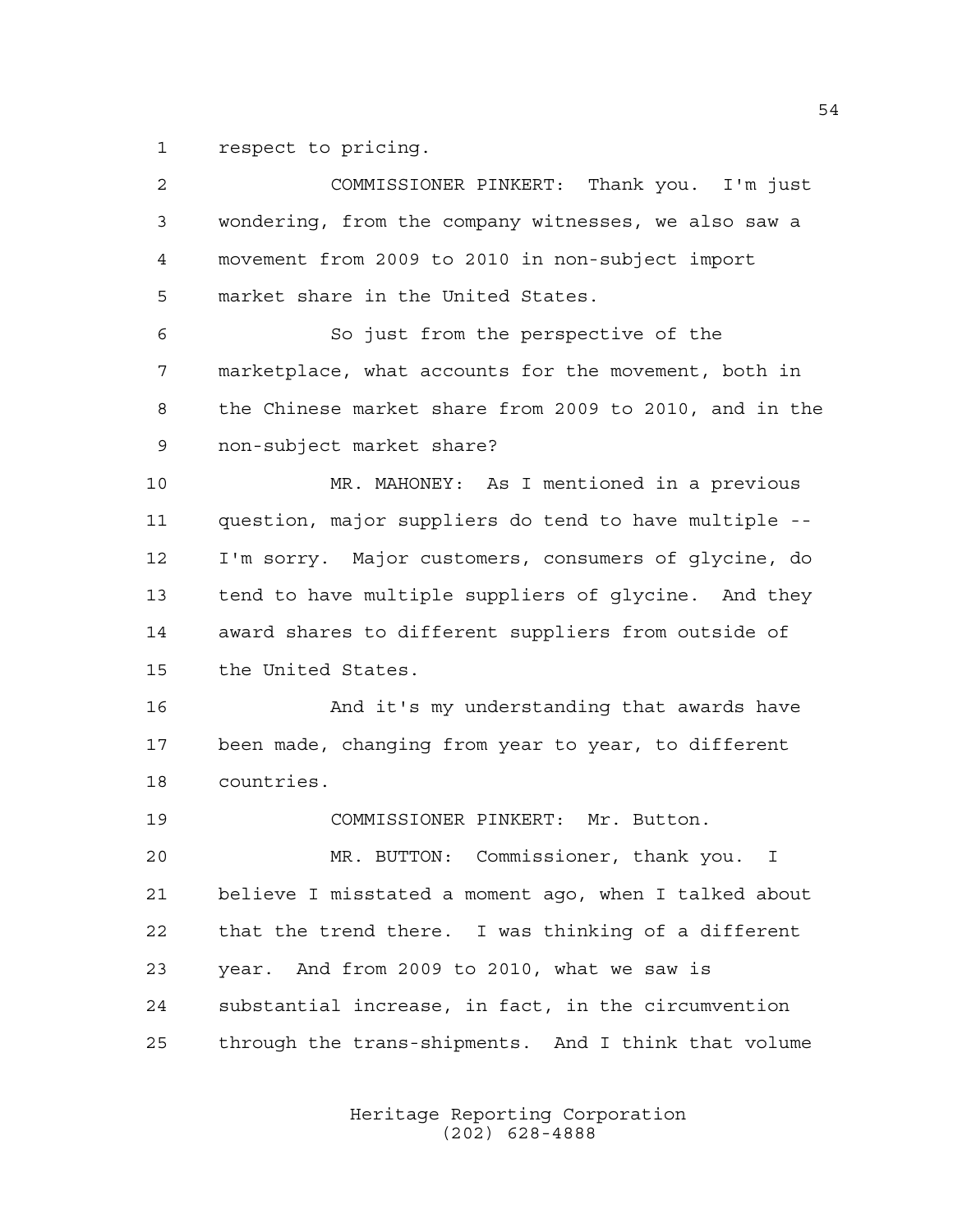respect to pricing.

 COMMISSIONER PINKERT: Thank you. I'm just wondering, from the company witnesses, we also saw a movement from 2009 to 2010 in non-subject import market share in the United States. So just from the perspective of the marketplace, what accounts for the movement, both in the Chinese market share from 2009 to 2010, and in the non-subject market share? MR. MAHONEY: As I mentioned in a previous question, major suppliers do tend to have multiple -- I'm sorry. Major customers, consumers of glycine, do tend to have multiple suppliers of glycine. And they award shares to different suppliers from outside of the United States. 16 And it's my understanding that awards have been made, changing from year to year, to different countries. COMMISSIONER PINKERT: Mr. Button. MR. BUTTON: Commissioner, thank you. I believe I misstated a moment ago, when I talked about that the trend there. I was thinking of a different year. And from 2009 to 2010, what we saw is substantial increase, in fact, in the circumvention through the trans-shipments. And I think that volume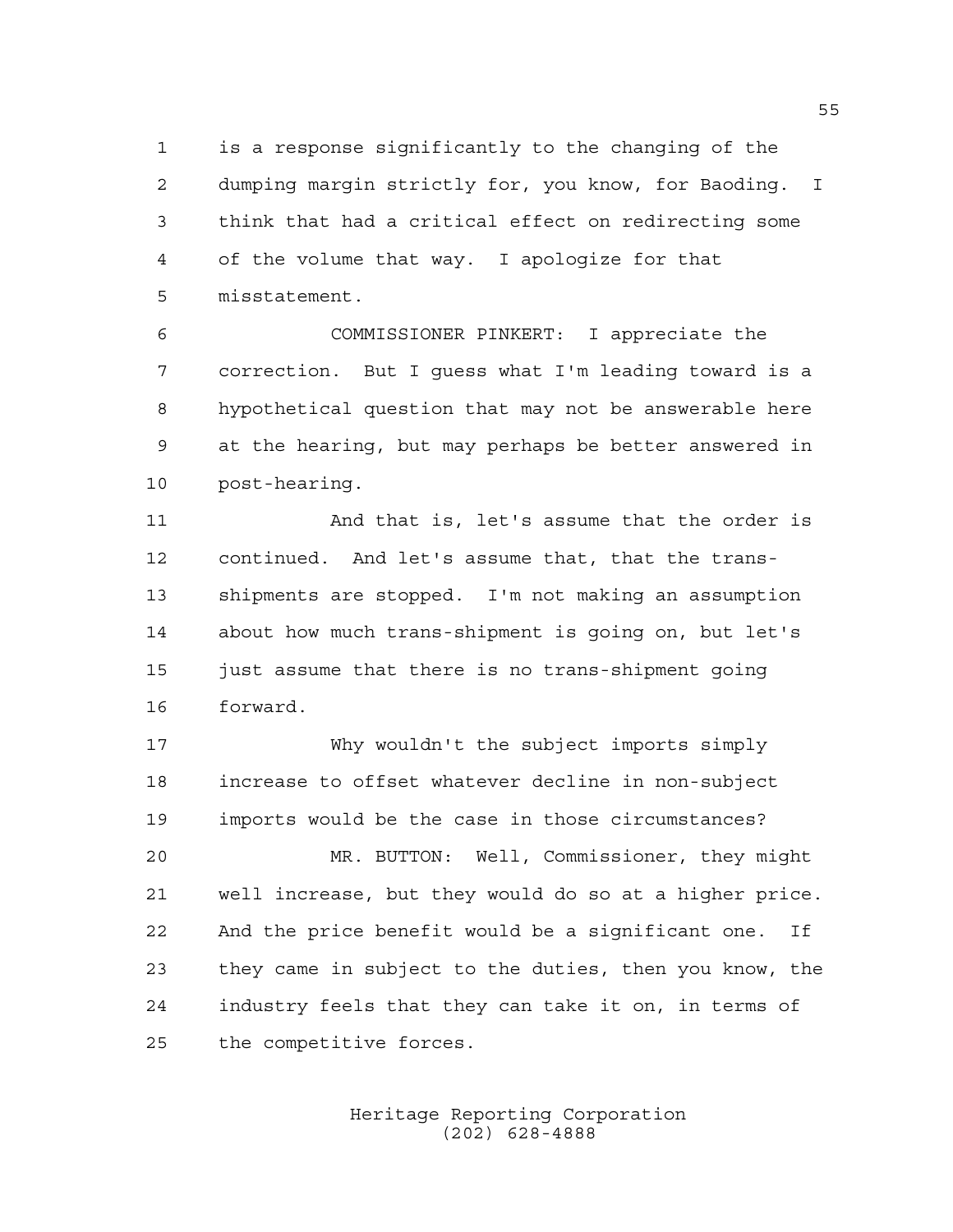is a response significantly to the changing of the dumping margin strictly for, you know, for Baoding. I think that had a critical effect on redirecting some of the volume that way. I apologize for that misstatement.

 COMMISSIONER PINKERT: I appreciate the correction. But I guess what I'm leading toward is a hypothetical question that may not be answerable here at the hearing, but may perhaps be better answered in post-hearing.

 And that is, let's assume that the order is continued. And let's assume that, that the trans- shipments are stopped. I'm not making an assumption about how much trans-shipment is going on, but let's 15 just assume that there is no trans-shipment going forward.

 Why wouldn't the subject imports simply increase to offset whatever decline in non-subject imports would be the case in those circumstances?

 MR. BUTTON: Well, Commissioner, they might well increase, but they would do so at a higher price. And the price benefit would be a significant one. If they came in subject to the duties, then you know, the industry feels that they can take it on, in terms of the competitive forces.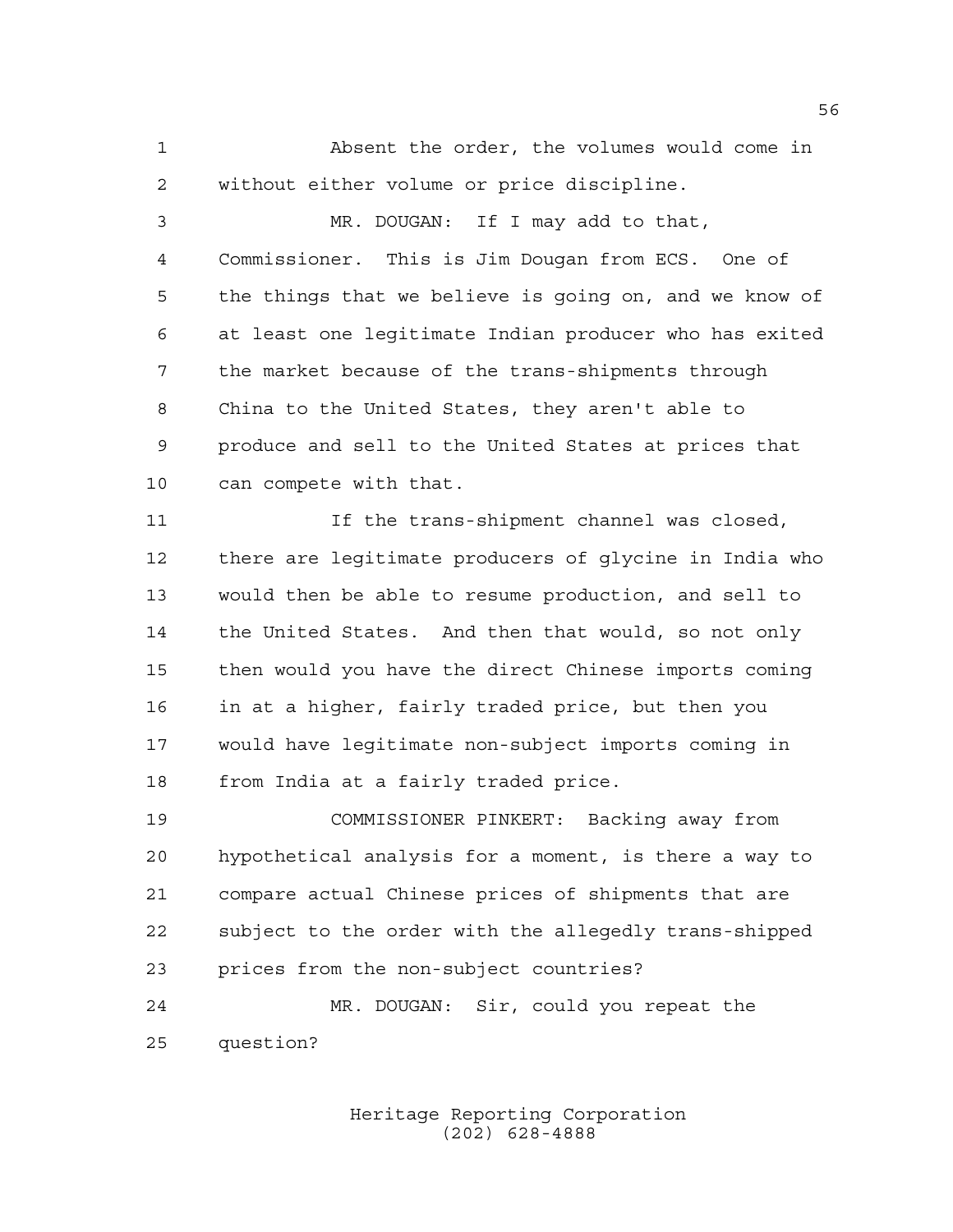Absent the order, the volumes would come in without either volume or price discipline.

 MR. DOUGAN: If I may add to that, Commissioner. This is Jim Dougan from ECS. One of the things that we believe is going on, and we know of at least one legitimate Indian producer who has exited the market because of the trans-shipments through China to the United States, they aren't able to produce and sell to the United States at prices that can compete with that.

 If the trans-shipment channel was closed, there are legitimate producers of glycine in India who would then be able to resume production, and sell to the United States. And then that would, so not only then would you have the direct Chinese imports coming in at a higher, fairly traded price, but then you would have legitimate non-subject imports coming in from India at a fairly traded price.

 COMMISSIONER PINKERT: Backing away from hypothetical analysis for a moment, is there a way to compare actual Chinese prices of shipments that are subject to the order with the allegedly trans-shipped prices from the non-subject countries? MR. DOUGAN: Sir, could you repeat the

question?

Heritage Reporting Corporation (202) 628-4888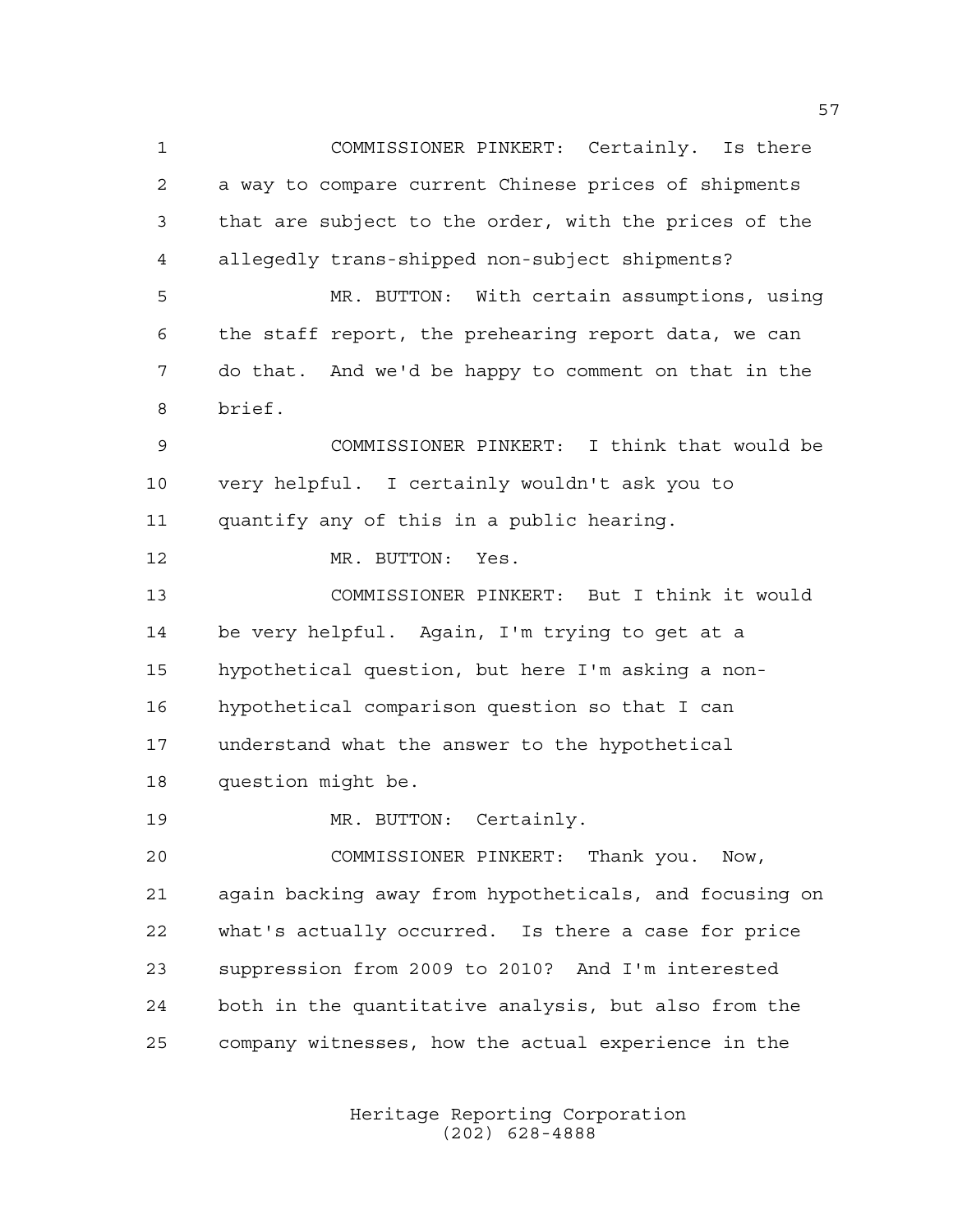COMMISSIONER PINKERT: Certainly. Is there a way to compare current Chinese prices of shipments that are subject to the order, with the prices of the allegedly trans-shipped non-subject shipments? MR. BUTTON: With certain assumptions, using the staff report, the prehearing report data, we can do that. And we'd be happy to comment on that in the brief. COMMISSIONER PINKERT: I think that would be very helpful. I certainly wouldn't ask you to quantify any of this in a public hearing. 12 MR. BUTTON: Yes. COMMISSIONER PINKERT: But I think it would be very helpful. Again, I'm trying to get at a hypothetical question, but here I'm asking a non- hypothetical comparison question so that I can understand what the answer to the hypothetical question might be. 19 MR. BUTTON: Certainly. COMMISSIONER PINKERT: Thank you. Now, again backing away from hypotheticals, and focusing on what's actually occurred. Is there a case for price suppression from 2009 to 2010? And I'm interested both in the quantitative analysis, but also from the company witnesses, how the actual experience in the

> Heritage Reporting Corporation (202) 628-4888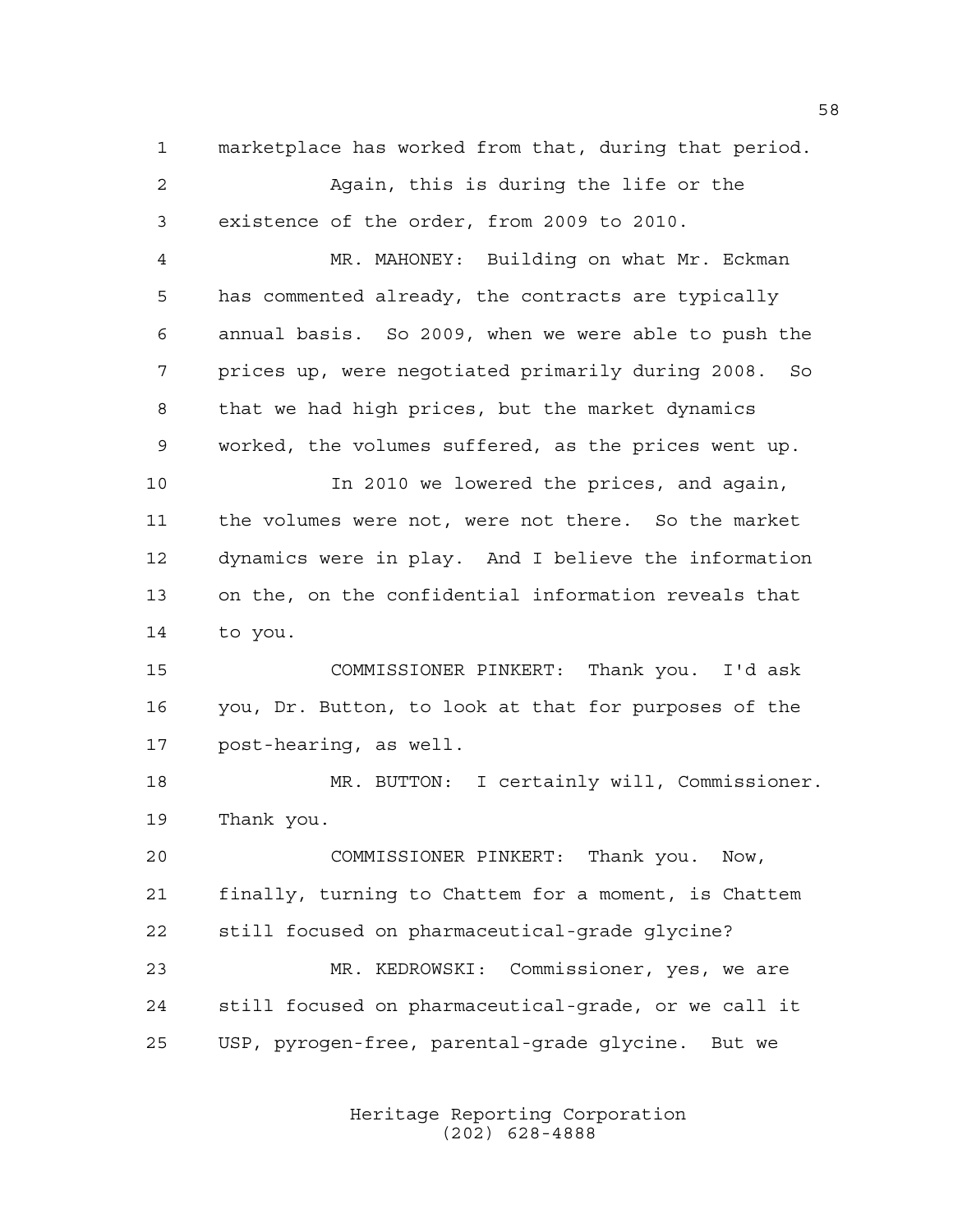marketplace has worked from that, during that period. Again, this is during the life or the existence of the order, from 2009 to 2010. MR. MAHONEY: Building on what Mr. Eckman has commented already, the contracts are typically annual basis. So 2009, when we were able to push the prices up, were negotiated primarily during 2008. So that we had high prices, but the market dynamics worked, the volumes suffered, as the prices went up. In 2010 we lowered the prices, and again, the volumes were not, were not there. So the market dynamics were in play. And I believe the information on the, on the confidential information reveals that to you. COMMISSIONER PINKERT: Thank you. I'd ask you, Dr. Button, to look at that for purposes of the post-hearing, as well. MR. BUTTON: I certainly will, Commissioner. Thank you. COMMISSIONER PINKERT: Thank you. Now, finally, turning to Chattem for a moment, is Chattem still focused on pharmaceutical-grade glycine? MR. KEDROWSKI: Commissioner, yes, we are

 still focused on pharmaceutical-grade, or we call it USP, pyrogen-free, parental-grade glycine. But we

> Heritage Reporting Corporation (202) 628-4888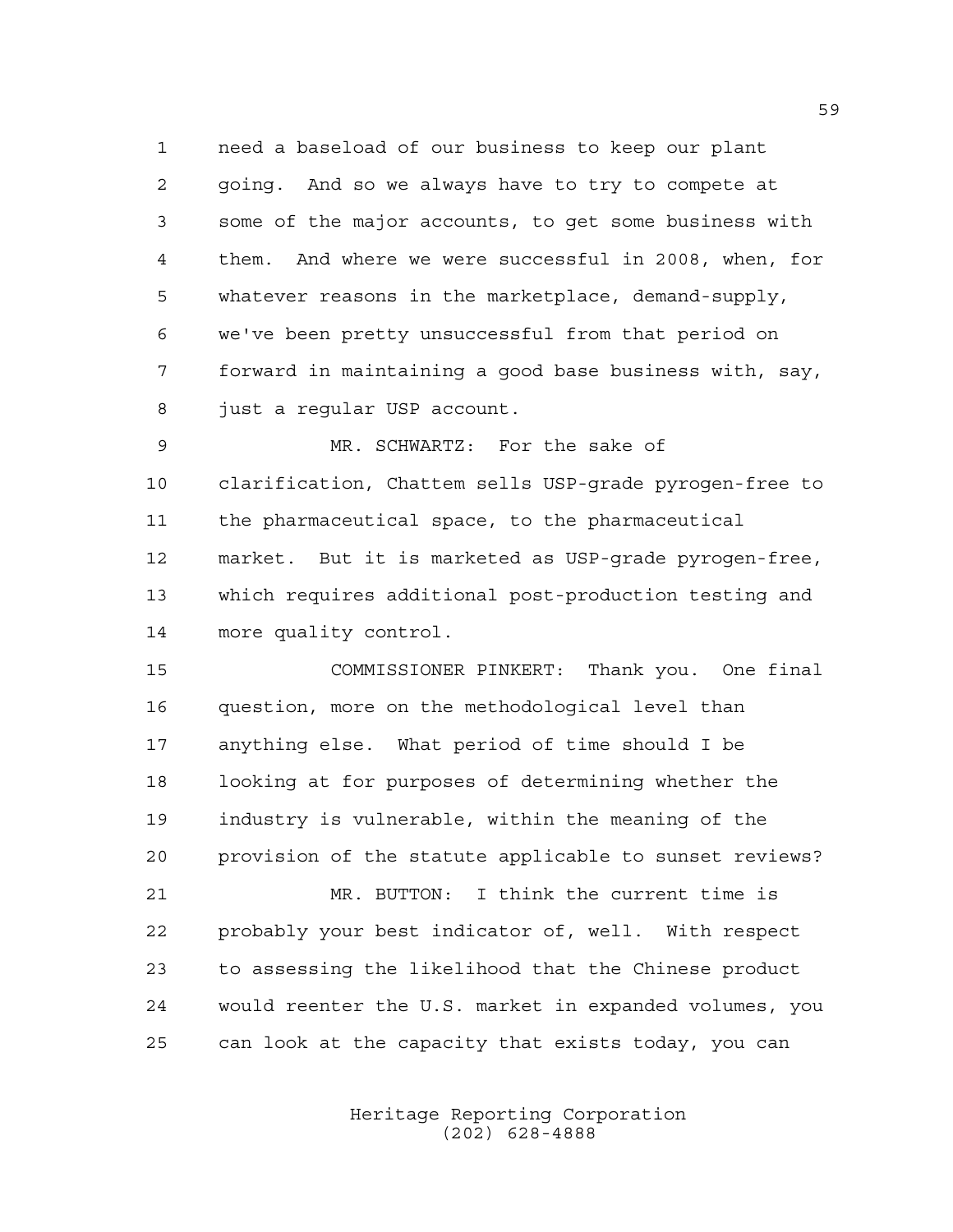need a baseload of our business to keep our plant going. And so we always have to try to compete at some of the major accounts, to get some business with them. And where we were successful in 2008, when, for whatever reasons in the marketplace, demand-supply, we've been pretty unsuccessful from that period on forward in maintaining a good base business with, say, just a regular USP account.

 MR. SCHWARTZ: For the sake of clarification, Chattem sells USP-grade pyrogen-free to the pharmaceutical space, to the pharmaceutical market. But it is marketed as USP-grade pyrogen-free, which requires additional post-production testing and more quality control.

 COMMISSIONER PINKERT: Thank you. One final question, more on the methodological level than anything else. What period of time should I be looking at for purposes of determining whether the industry is vulnerable, within the meaning of the provision of the statute applicable to sunset reviews?

 MR. BUTTON: I think the current time is probably your best indicator of, well. With respect to assessing the likelihood that the Chinese product would reenter the U.S. market in expanded volumes, you can look at the capacity that exists today, you can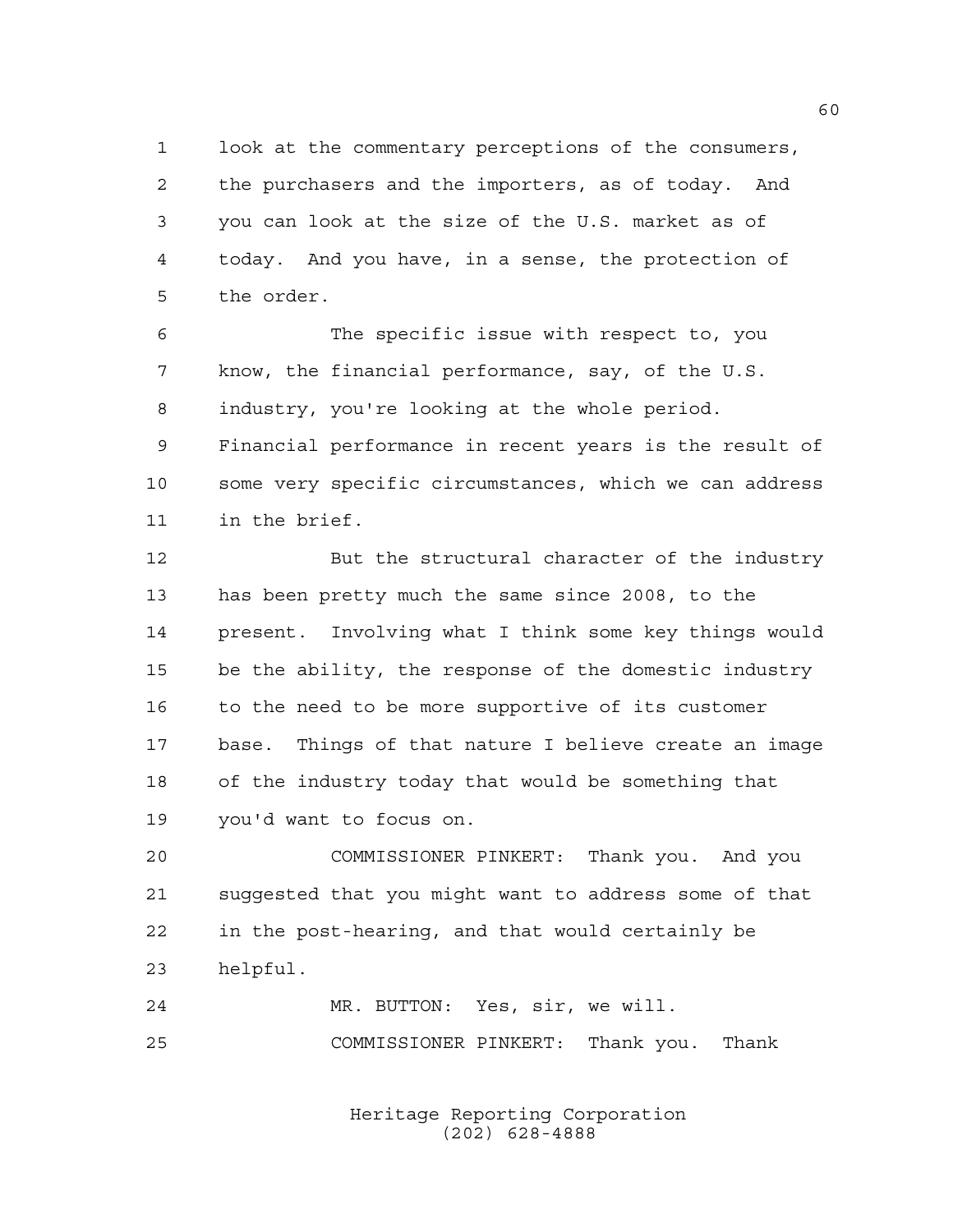look at the commentary perceptions of the consumers, the purchasers and the importers, as of today. And you can look at the size of the U.S. market as of today. And you have, in a sense, the protection of the order.

 The specific issue with respect to, you know, the financial performance, say, of the U.S. industry, you're looking at the whole period. Financial performance in recent years is the result of some very specific circumstances, which we can address in the brief.

 But the structural character of the industry has been pretty much the same since 2008, to the present. Involving what I think some key things would be the ability, the response of the domestic industry to the need to be more supportive of its customer base. Things of that nature I believe create an image of the industry today that would be something that you'd want to focus on.

 COMMISSIONER PINKERT: Thank you. And you suggested that you might want to address some of that in the post-hearing, and that would certainly be helpful.

 MR. BUTTON: Yes, sir, we will. COMMISSIONER PINKERT: Thank you. Thank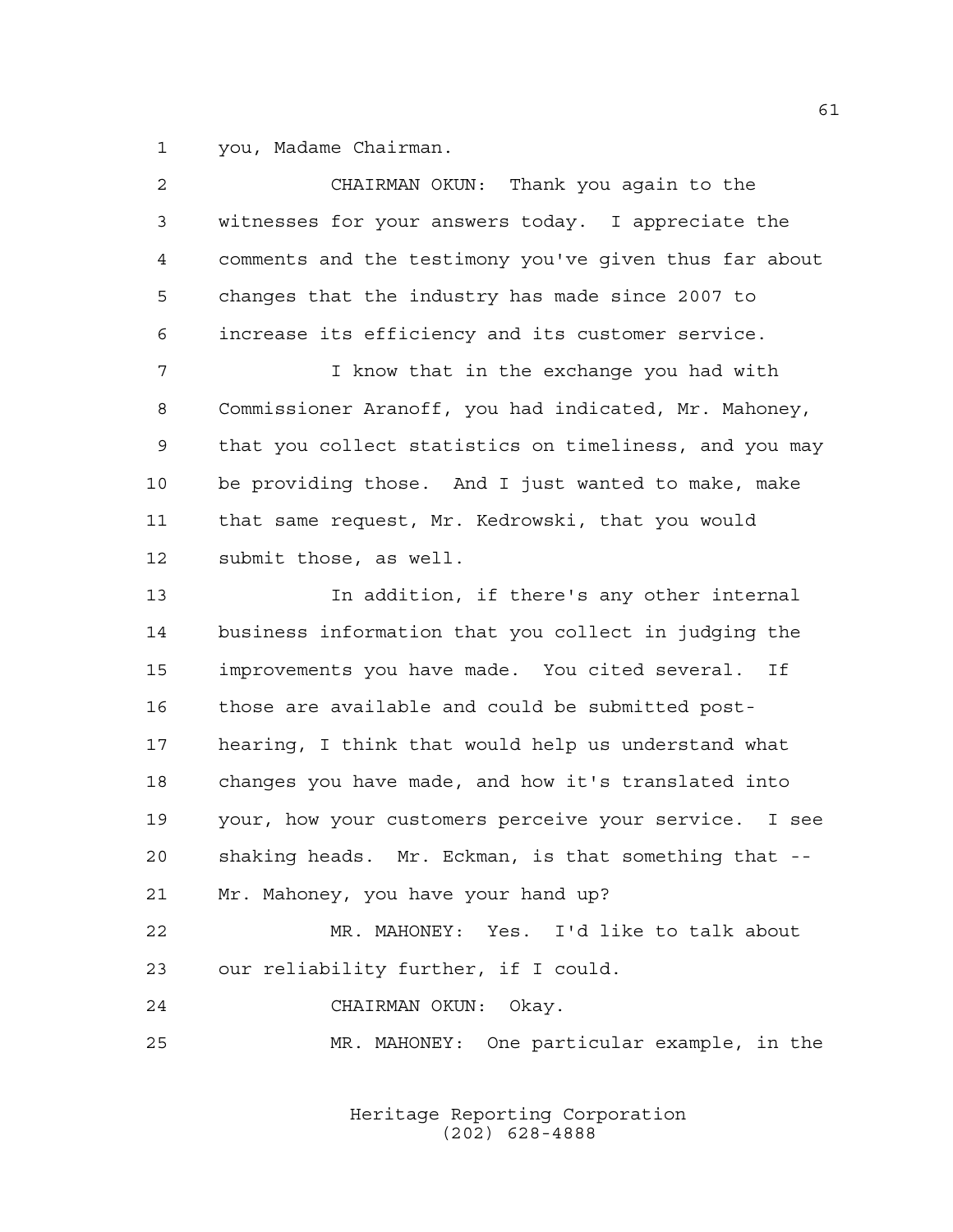you, Madame Chairman.

| $\overline{2}$ | CHAIRMAN OKUN: Thank you again to the                  |
|----------------|--------------------------------------------------------|
| 3              | witnesses for your answers today. I appreciate the     |
| $\overline{4}$ | comments and the testimony you've given thus far about |
| 5              | changes that the industry has made since 2007 to       |
| 6              | increase its efficiency and its customer service.      |
| 7              | I know that in the exchange you had with               |
| 8              | Commissioner Aranoff, you had indicated, Mr. Mahoney,  |
| 9              | that you collect statistics on timeliness, and you may |
| 10             | be providing those. And I just wanted to make, make    |
| 11             | that same request, Mr. Kedrowski, that you would       |
| 12             | submit those, as well.                                 |
| 13             | In addition, if there's any other internal             |
| 14             | business information that you collect in judging the   |
| 15             | improvements you have made. You cited several. If      |
| 16             | those are available and could be submitted post-       |
| 17             | hearing, I think that would help us understand what    |
| 18             | changes you have made, and how it's translated into    |
| 19             | your, how your customers perceive your service. I see  |
| 20             | shaking heads. Mr. Eckman, is that something that --   |
| 21             | Mr. Mahoney, you have your hand up?                    |
| 22             | MR. MAHONEY: Yes. I'd like to talk about               |
| 23             | our reliability further, if I could.                   |
| 24             | CHAIRMAN OKUN: Okay.                                   |
| 25             | MR. MAHONEY: One particular example, in the            |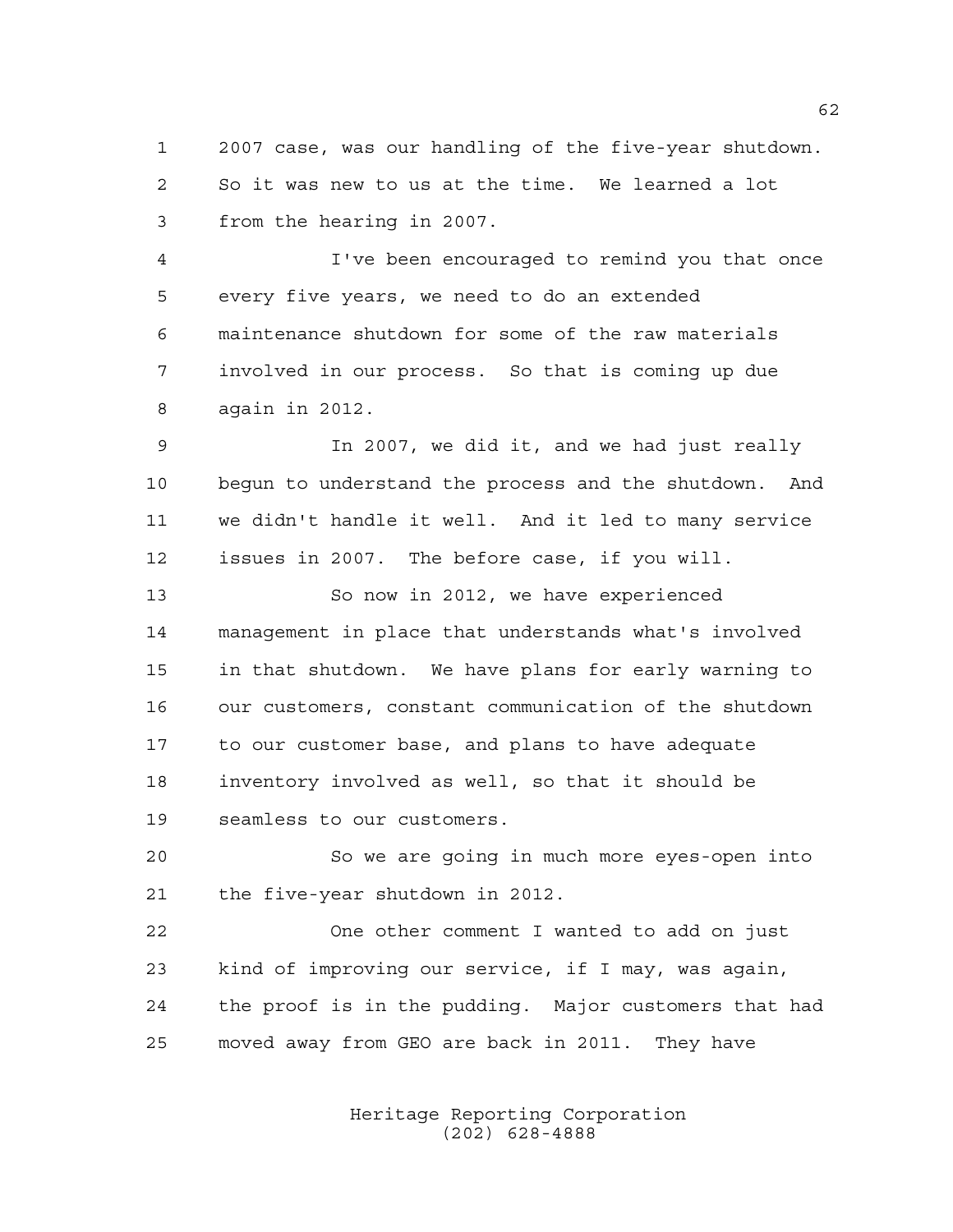2007 case, was our handling of the five-year shutdown. So it was new to us at the time. We learned a lot from the hearing in 2007.

 I've been encouraged to remind you that once every five years, we need to do an extended maintenance shutdown for some of the raw materials involved in our process. So that is coming up due again in 2012.

 In 2007, we did it, and we had just really begun to understand the process and the shutdown. And we didn't handle it well. And it led to many service issues in 2007. The before case, if you will.

 So now in 2012, we have experienced management in place that understands what's involved in that shutdown. We have plans for early warning to our customers, constant communication of the shutdown to our customer base, and plans to have adequate inventory involved as well, so that it should be seamless to our customers.

 So we are going in much more eyes-open into the five-year shutdown in 2012.

 One other comment I wanted to add on just kind of improving our service, if I may, was again, the proof is in the pudding. Major customers that had moved away from GEO are back in 2011. They have

> Heritage Reporting Corporation (202) 628-4888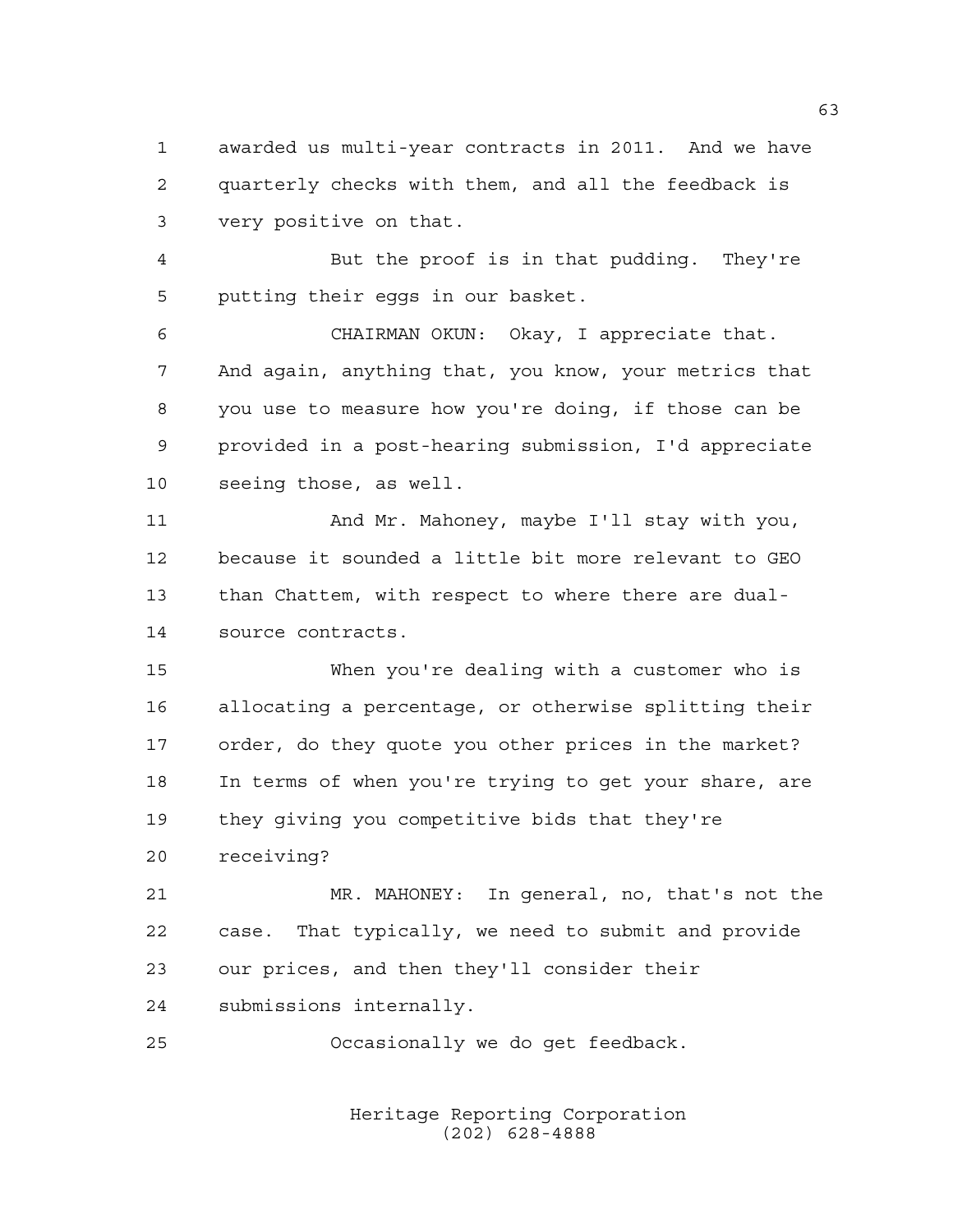awarded us multi-year contracts in 2011. And we have quarterly checks with them, and all the feedback is very positive on that.

 But the proof is in that pudding. They're putting their eggs in our basket.

 CHAIRMAN OKUN: Okay, I appreciate that. And again, anything that, you know, your metrics that you use to measure how you're doing, if those can be provided in a post-hearing submission, I'd appreciate seeing those, as well.

 And Mr. Mahoney, maybe I'll stay with you, because it sounded a little bit more relevant to GEO than Chattem, with respect to where there are dual-source contracts.

 When you're dealing with a customer who is allocating a percentage, or otherwise splitting their order, do they quote you other prices in the market? In terms of when you're trying to get your share, are they giving you competitive bids that they're receiving?

 MR. MAHONEY: In general, no, that's not the case. That typically, we need to submit and provide our prices, and then they'll consider their submissions internally.

Occasionally we do get feedback.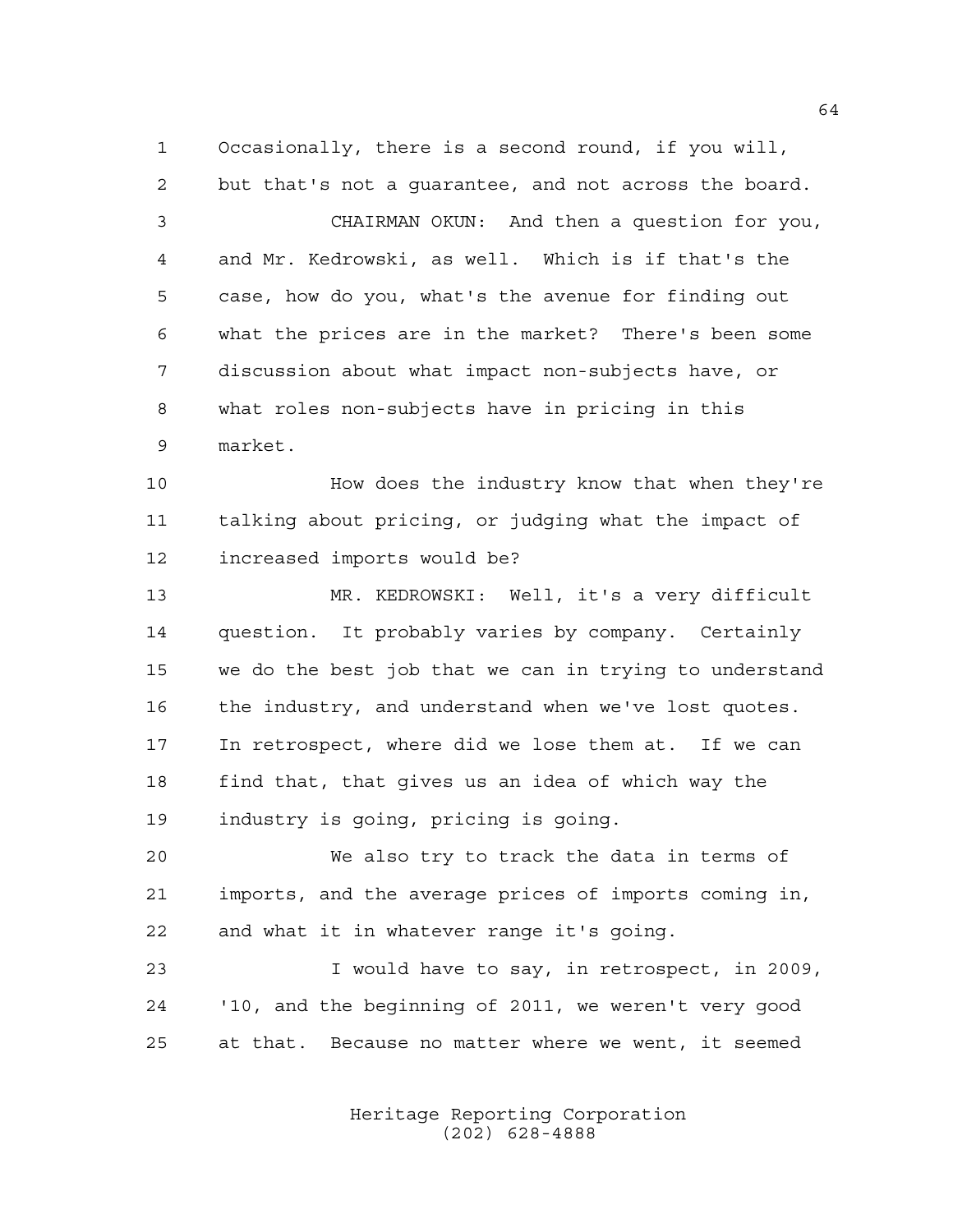Occasionally, there is a second round, if you will, but that's not a guarantee, and not across the board.

 CHAIRMAN OKUN: And then a question for you, and Mr. Kedrowski, as well. Which is if that's the case, how do you, what's the avenue for finding out what the prices are in the market? There's been some discussion about what impact non-subjects have, or what roles non-subjects have in pricing in this market.

**How does the industry know that when they're**  talking about pricing, or judging what the impact of increased imports would be?

 MR. KEDROWSKI: Well, it's a very difficult question. It probably varies by company. Certainly we do the best job that we can in trying to understand 16 the industry, and understand when we've lost quotes. In retrospect, where did we lose them at. If we can find that, that gives us an idea of which way the industry is going, pricing is going.

 We also try to track the data in terms of imports, and the average prices of imports coming in, and what it in whatever range it's going.

 I would have to say, in retrospect, in 2009, '10, and the beginning of 2011, we weren't very good at that. Because no matter where we went, it seemed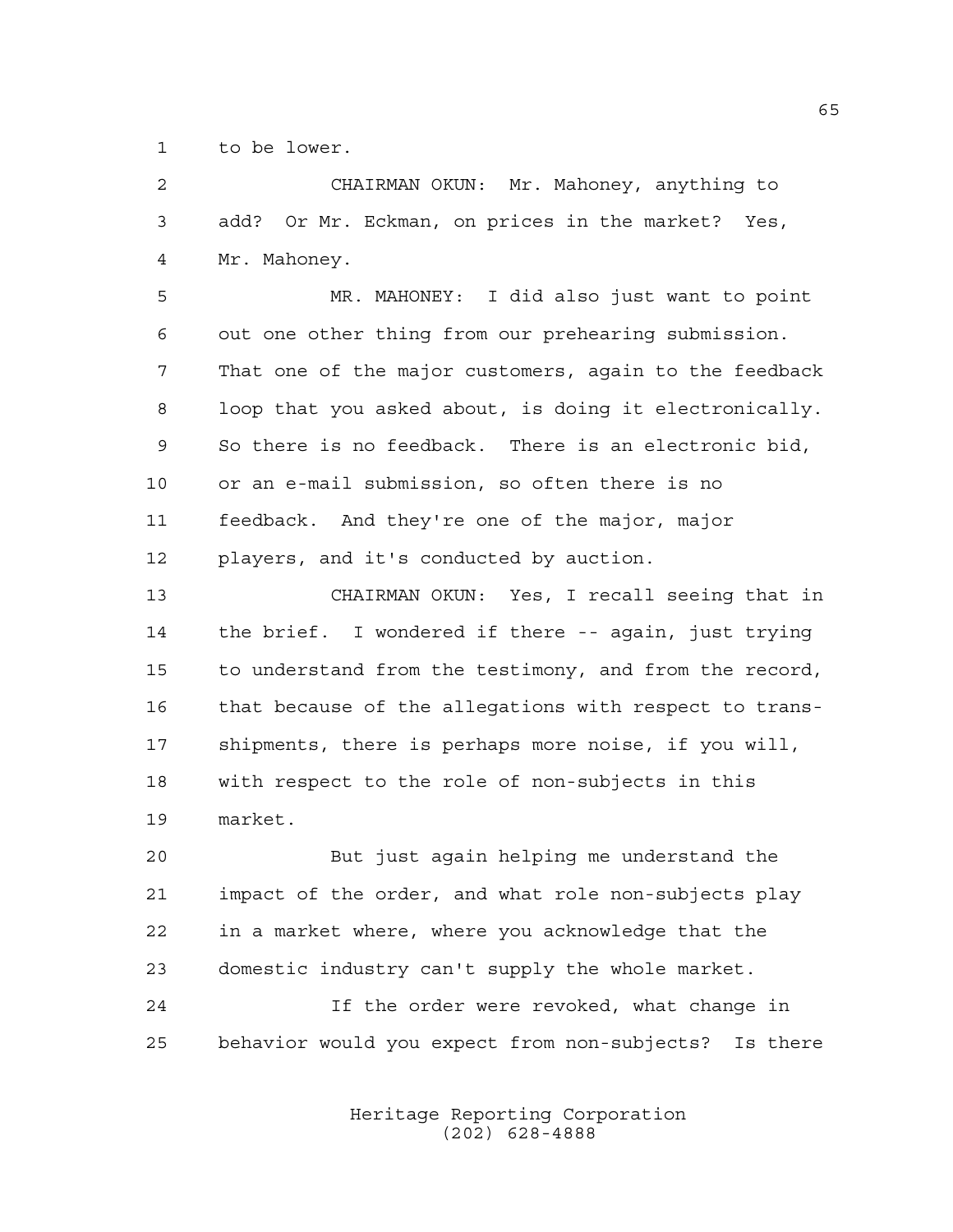to be lower.

| $\mathbf{2}$ | CHAIRMAN OKUN: Mr. Mahoney, anything to                  |
|--------------|----------------------------------------------------------|
| 3            | add? Or Mr. Eckman, on prices in the market? Yes,        |
| 4            | Mr. Mahoney.                                             |
| 5            | MR. MAHONEY: I did also just want to point               |
| 6            | out one other thing from our prehearing submission.      |
| 7            | That one of the major customers, again to the feedback   |
| 8            | loop that you asked about, is doing it electronically.   |
| 9            | So there is no feedback. There is an electronic bid,     |
| 10           | or an e-mail submission, so often there is no            |
| 11           | feedback. And they're one of the major, major            |
| 12           | players, and it's conducted by auction.                  |
| 13           | CHAIRMAN OKUN: Yes, I recall seeing that in              |
| 14           | the brief. I wondered if there -- again, just trying     |
| 15           | to understand from the testimony, and from the record,   |
| 16           | that because of the allegations with respect to trans-   |
| 17           | shipments, there is perhaps more noise, if you will,     |
| 18           | with respect to the role of non-subjects in this         |
| 19           | market.                                                  |
| 20           | But just again helping me understand the                 |
| 21           | impact of the order, and what role non-subjects play     |
| 22           | in a market where, where you acknowledge that the        |
| 23           | domestic industry can't supply the whole market.         |
| 24           | If the order were revoked, what change in                |
| 25           | behavior would you expect from non-subjects?<br>Is there |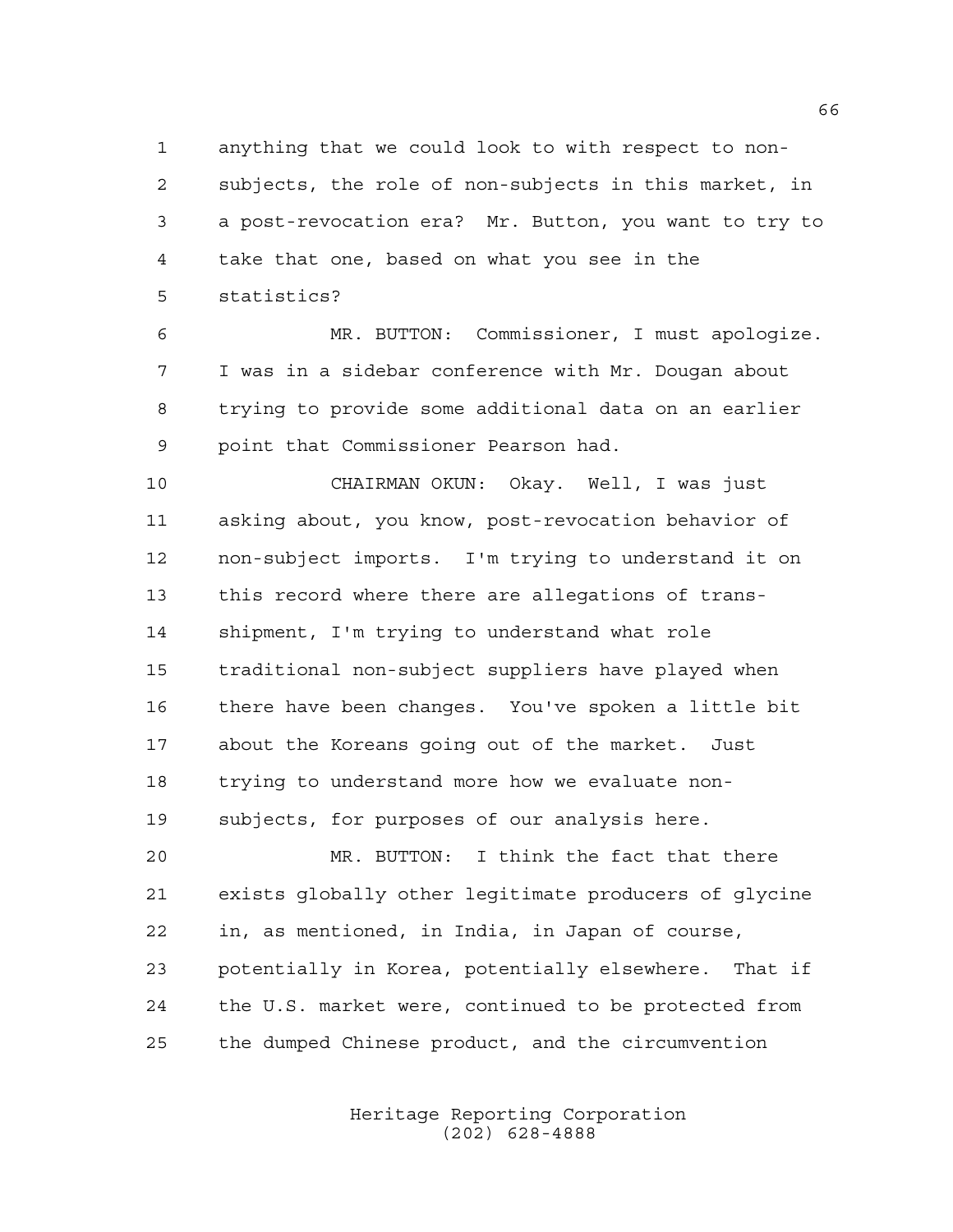anything that we could look to with respect to non- subjects, the role of non-subjects in this market, in a post-revocation era? Mr. Button, you want to try to take that one, based on what you see in the statistics?

 MR. BUTTON: Commissioner, I must apologize. I was in a sidebar conference with Mr. Dougan about trying to provide some additional data on an earlier point that Commissioner Pearson had.

 CHAIRMAN OKUN: Okay. Well, I was just asking about, you know, post-revocation behavior of non-subject imports. I'm trying to understand it on this record where there are allegations of trans- shipment, I'm trying to understand what role traditional non-subject suppliers have played when there have been changes. You've spoken a little bit about the Koreans going out of the market. Just trying to understand more how we evaluate non-subjects, for purposes of our analysis here.

 MR. BUTTON: I think the fact that there exists globally other legitimate producers of glycine in, as mentioned, in India, in Japan of course, potentially in Korea, potentially elsewhere. That if the U.S. market were, continued to be protected from the dumped Chinese product, and the circumvention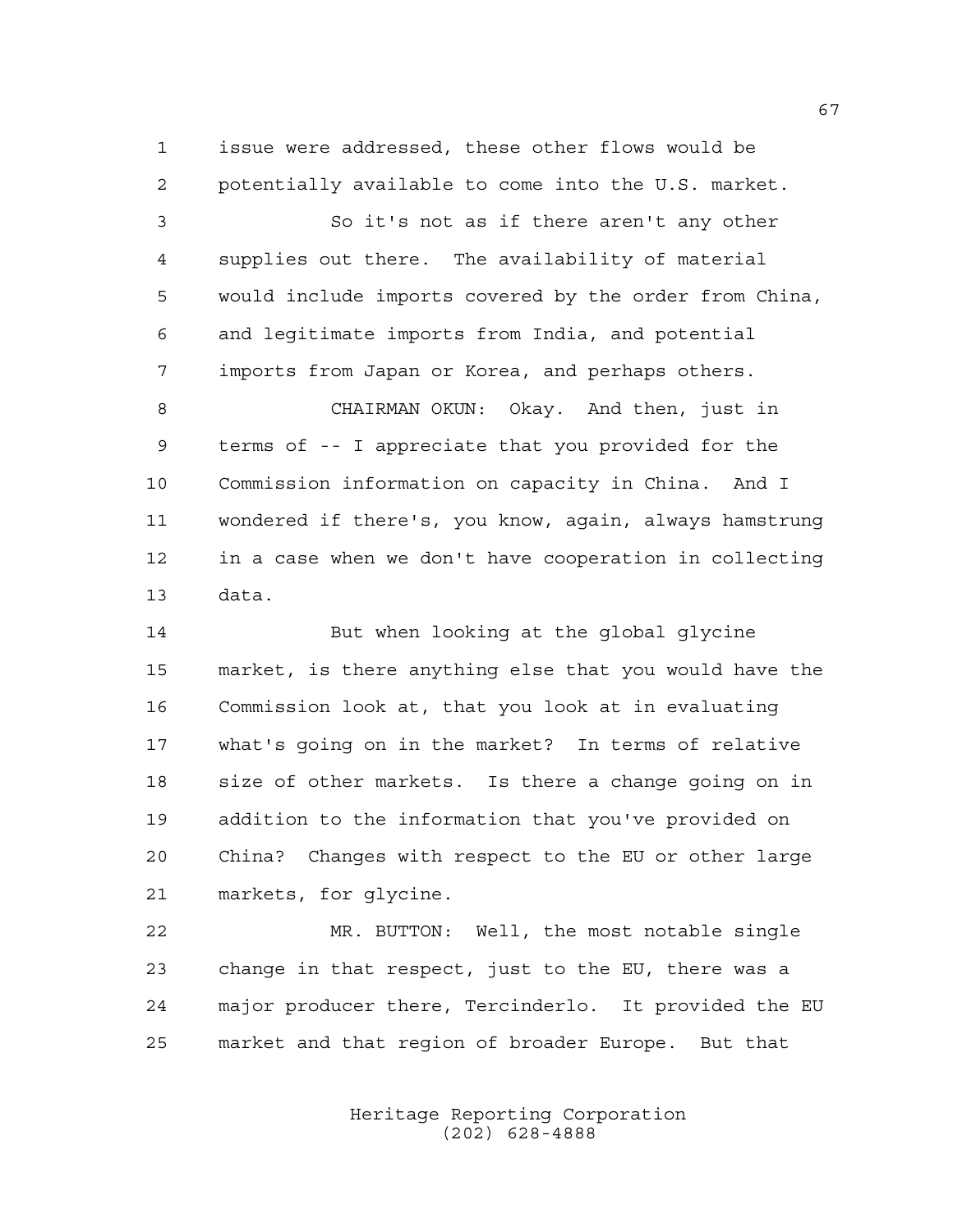issue were addressed, these other flows would be potentially available to come into the U.S. market.

 So it's not as if there aren't any other supplies out there. The availability of material would include imports covered by the order from China, and legitimate imports from India, and potential imports from Japan or Korea, and perhaps others.

 CHAIRMAN OKUN: Okay. And then, just in terms of -- I appreciate that you provided for the Commission information on capacity in China. And I wondered if there's, you know, again, always hamstrung in a case when we don't have cooperation in collecting data.

 But when looking at the global glycine market, is there anything else that you would have the Commission look at, that you look at in evaluating what's going on in the market? In terms of relative size of other markets. Is there a change going on in addition to the information that you've provided on China? Changes with respect to the EU or other large markets, for glycine.

 MR. BUTTON: Well, the most notable single change in that respect, just to the EU, there was a major producer there, Tercinderlo. It provided the EU market and that region of broader Europe. But that

> Heritage Reporting Corporation (202) 628-4888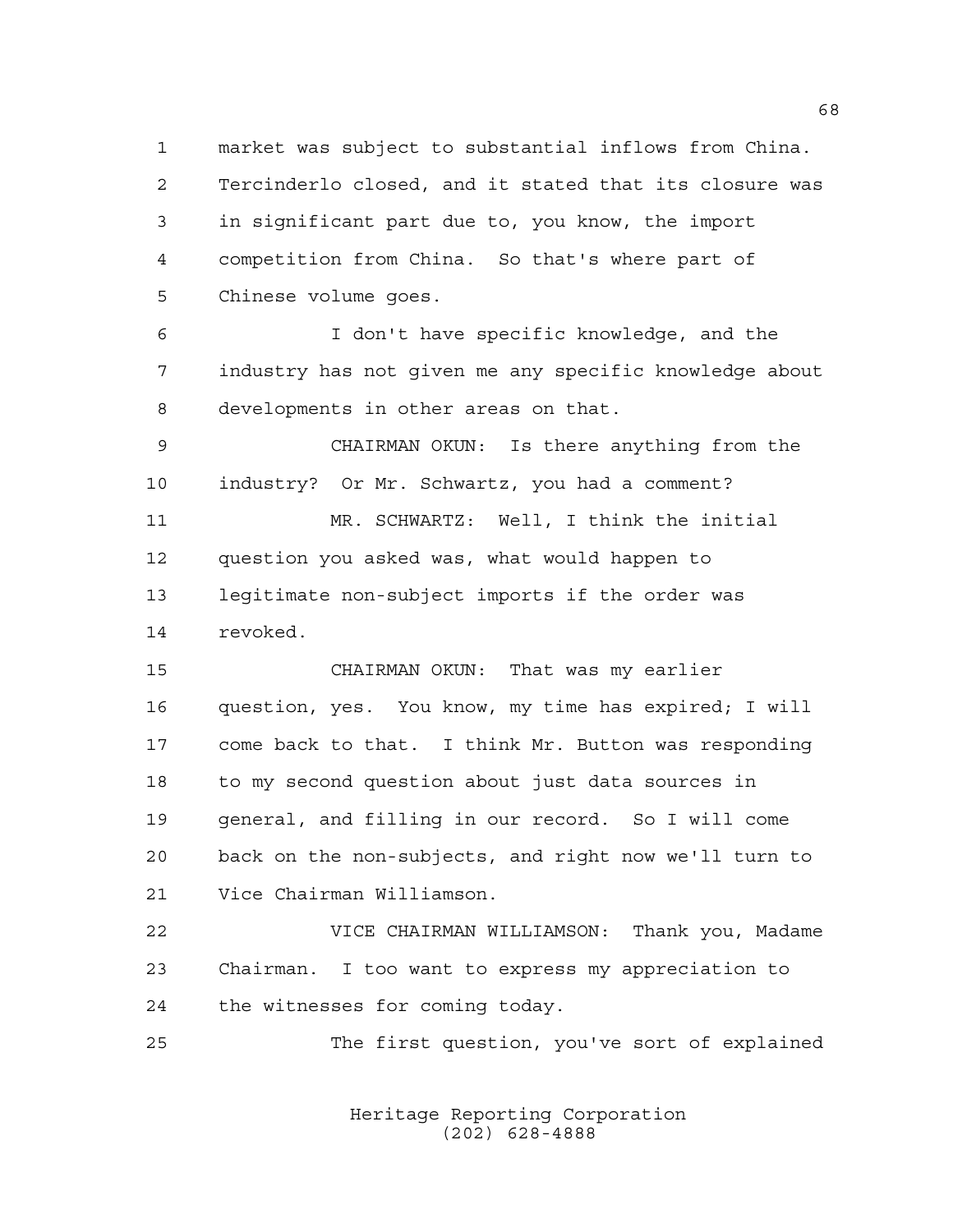market was subject to substantial inflows from China. Tercinderlo closed, and it stated that its closure was in significant part due to, you know, the import competition from China. So that's where part of Chinese volume goes.

 I don't have specific knowledge, and the industry has not given me any specific knowledge about developments in other areas on that.

 CHAIRMAN OKUN: Is there anything from the industry? Or Mr. Schwartz, you had a comment?

 MR. SCHWARTZ: Well, I think the initial question you asked was, what would happen to legitimate non-subject imports if the order was revoked.

 CHAIRMAN OKUN: That was my earlier question, yes. You know, my time has expired; I will come back to that. I think Mr. Button was responding to my second question about just data sources in general, and filling in our record. So I will come back on the non-subjects, and right now we'll turn to Vice Chairman Williamson.

 VICE CHAIRMAN WILLIAMSON: Thank you, Madame Chairman. I too want to express my appreciation to the witnesses for coming today.

The first question, you've sort of explained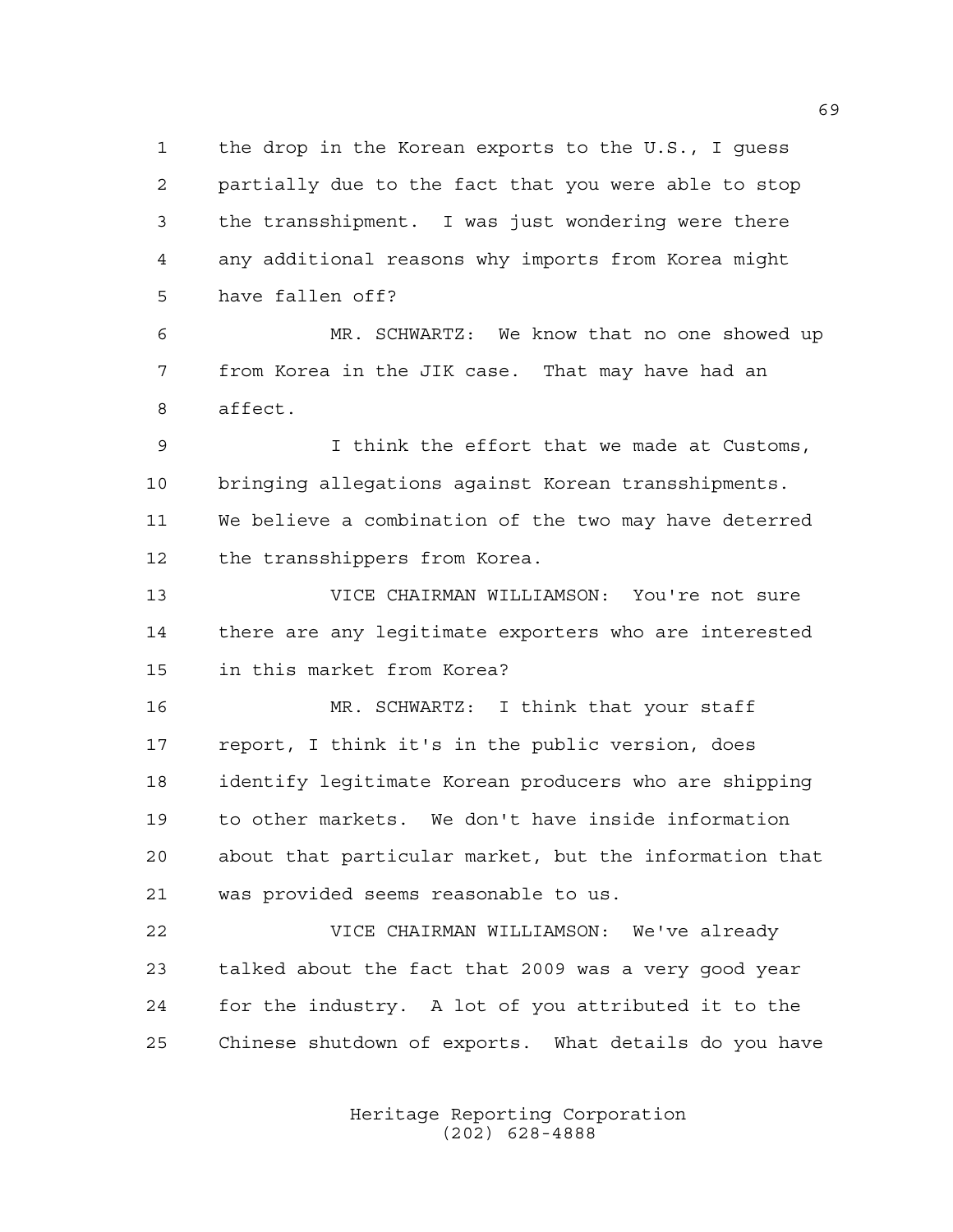the drop in the Korean exports to the U.S., I guess partially due to the fact that you were able to stop the transshipment. I was just wondering were there any additional reasons why imports from Korea might have fallen off?

 MR. SCHWARTZ: We know that no one showed up from Korea in the JIK case. That may have had an affect.

 I think the effort that we made at Customs, bringing allegations against Korean transshipments. We believe a combination of the two may have deterred the transshippers from Korea.

 VICE CHAIRMAN WILLIAMSON: You're not sure there are any legitimate exporters who are interested in this market from Korea?

 MR. SCHWARTZ: I think that your staff report, I think it's in the public version, does identify legitimate Korean producers who are shipping to other markets. We don't have inside information about that particular market, but the information that was provided seems reasonable to us.

 VICE CHAIRMAN WILLIAMSON: We've already talked about the fact that 2009 was a very good year for the industry. A lot of you attributed it to the Chinese shutdown of exports. What details do you have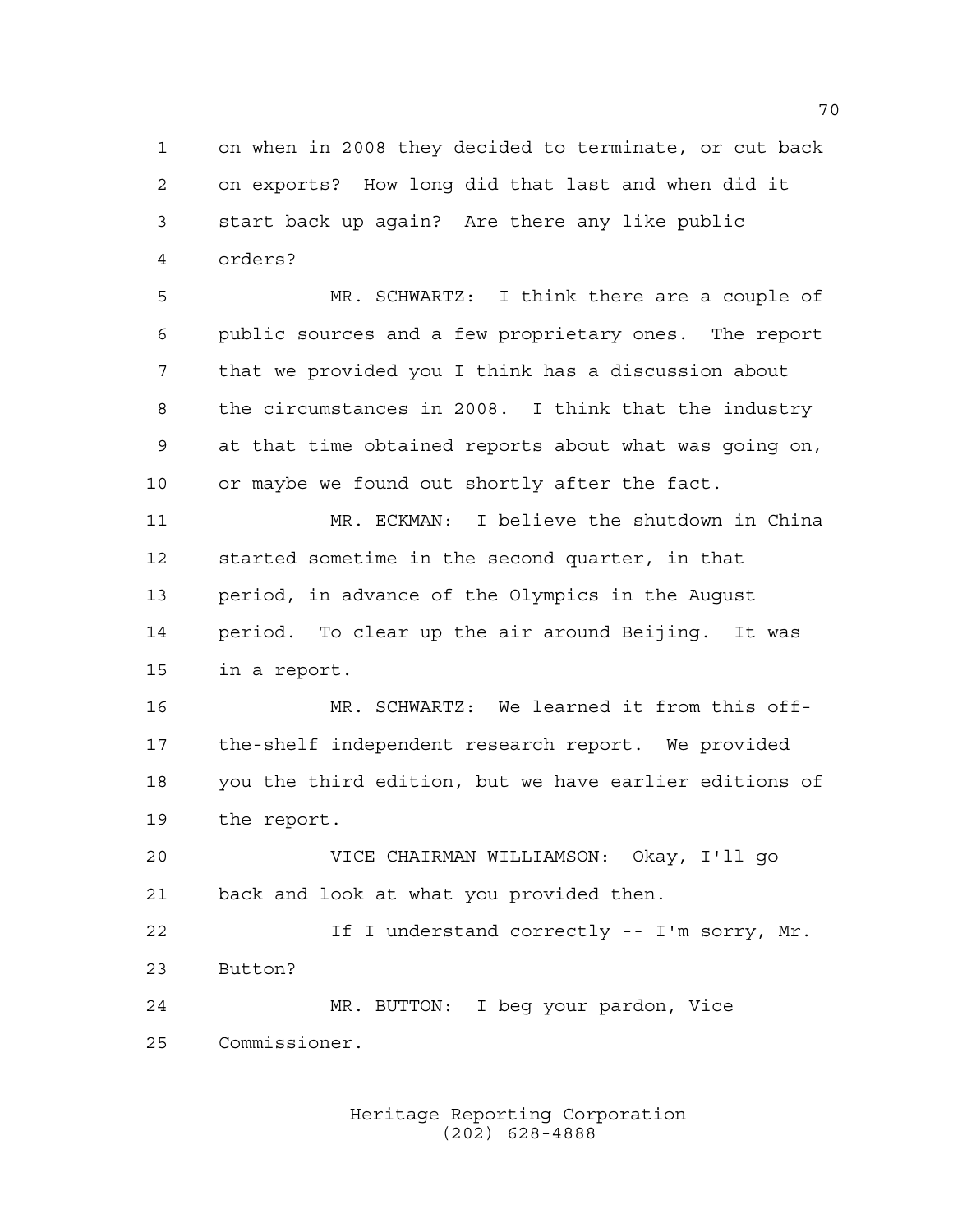on when in 2008 they decided to terminate, or cut back on exports? How long did that last and when did it start back up again? Are there any like public orders?

 MR. SCHWARTZ: I think there are a couple of public sources and a few proprietary ones. The report that we provided you I think has a discussion about the circumstances in 2008. I think that the industry at that time obtained reports about what was going on, or maybe we found out shortly after the fact.

 MR. ECKMAN: I believe the shutdown in China started sometime in the second quarter, in that period, in advance of the Olympics in the August period. To clear up the air around Beijing. It was in a report.

 MR. SCHWARTZ: We learned it from this off- the-shelf independent research report. We provided you the third edition, but we have earlier editions of the report.

 VICE CHAIRMAN WILLIAMSON: Okay, I'll go back and look at what you provided then.

 If I understand correctly -- I'm sorry, Mr. Button? MR. BUTTON: I beg your pardon, Vice

Commissioner.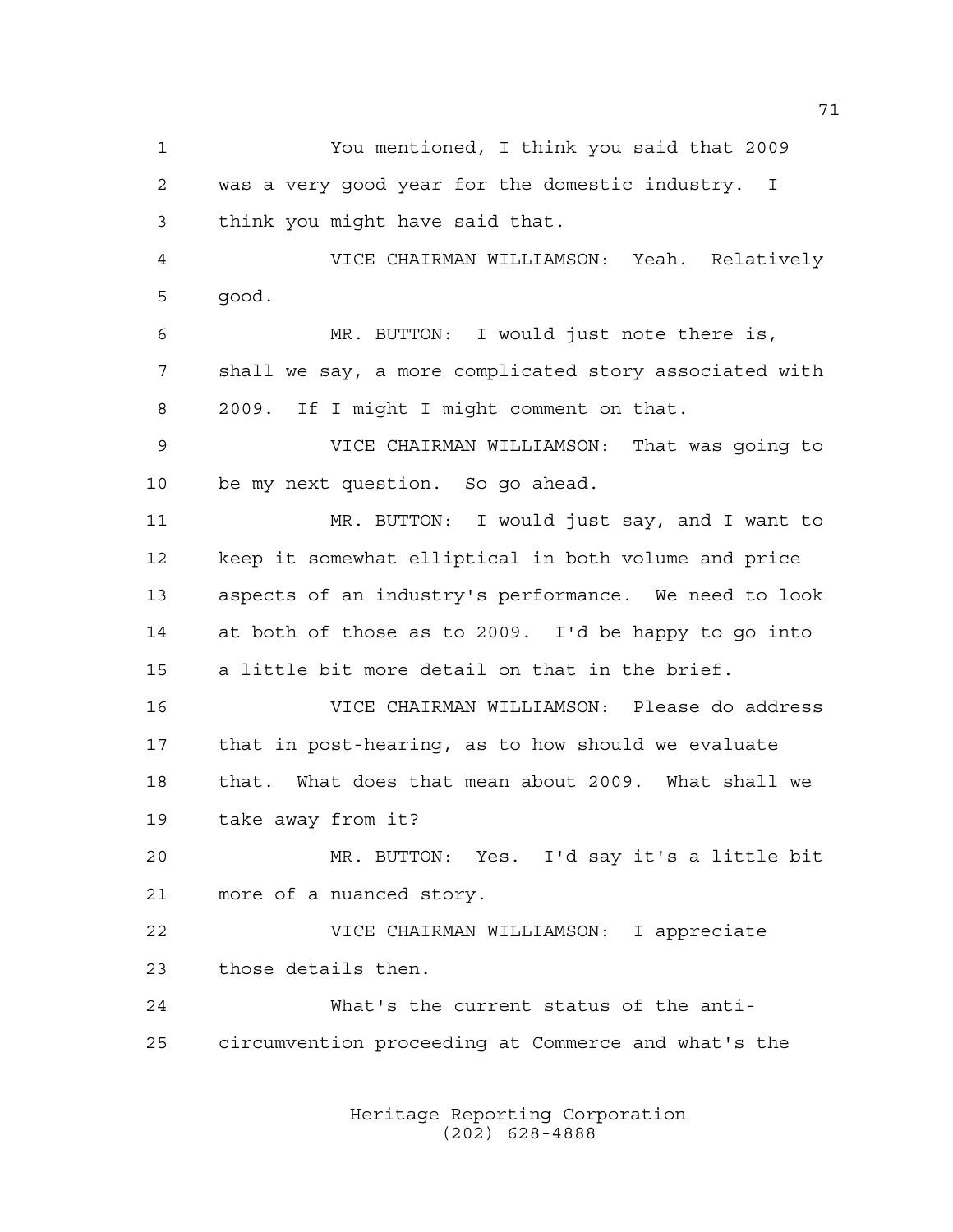You mentioned, I think you said that 2009 was a very good year for the domestic industry. I think you might have said that. VICE CHAIRMAN WILLIAMSON: Yeah. Relatively good. MR. BUTTON: I would just note there is, shall we say, a more complicated story associated with 2009. If I might I might comment on that. VICE CHAIRMAN WILLIAMSON: That was going to be my next question. So go ahead. MR. BUTTON: I would just say, and I want to keep it somewhat elliptical in both volume and price aspects of an industry's performance. We need to look at both of those as to 2009. I'd be happy to go into a little bit more detail on that in the brief. VICE CHAIRMAN WILLIAMSON: Please do address that in post-hearing, as to how should we evaluate that. What does that mean about 2009. What shall we take away from it? MR. BUTTON: Yes. I'd say it's a little bit more of a nuanced story. VICE CHAIRMAN WILLIAMSON: I appreciate those details then. What's the current status of the anti-circumvention proceeding at Commerce and what's the

> Heritage Reporting Corporation (202) 628-4888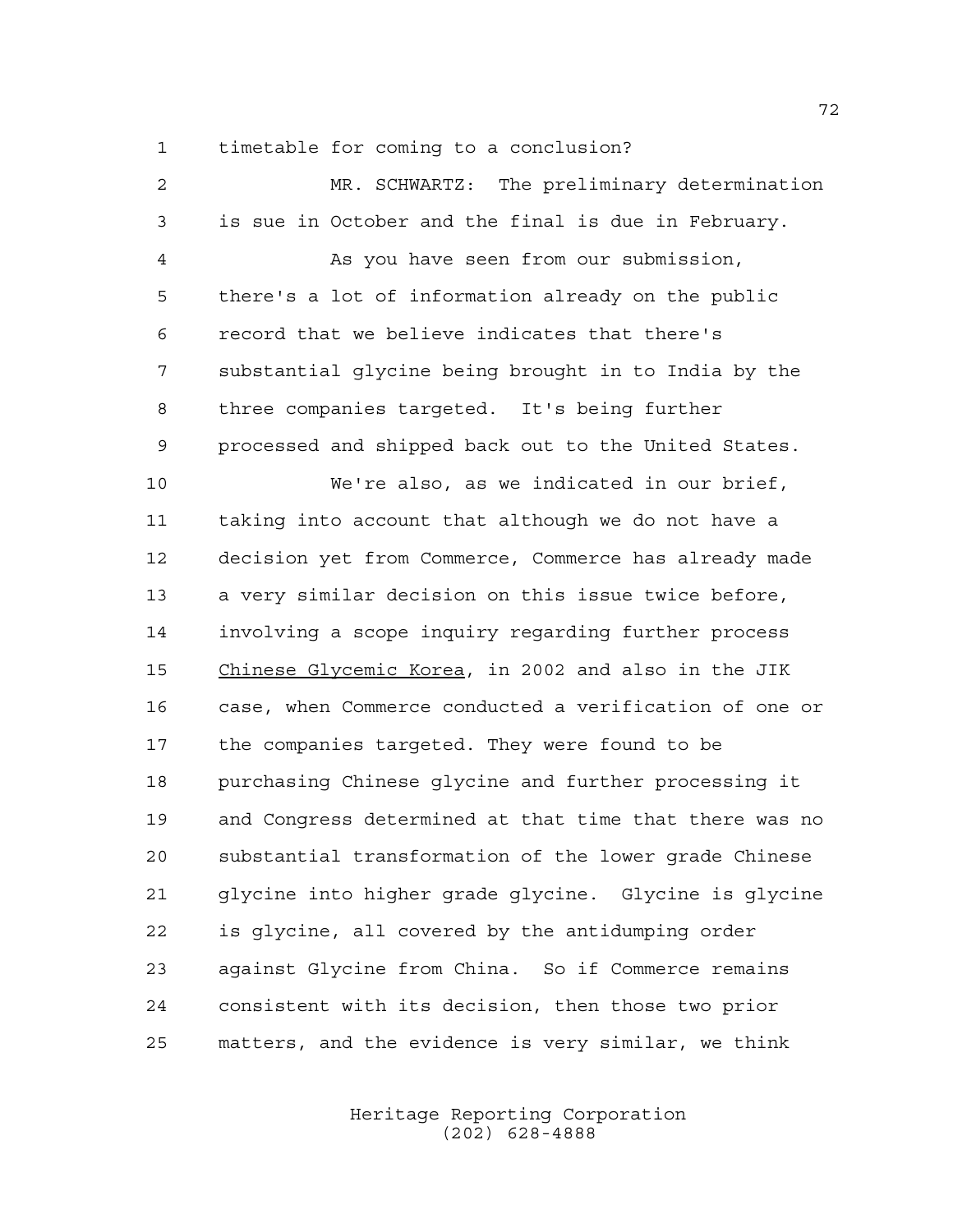timetable for coming to a conclusion?

| $\overline{a}$ | MR. SCHWARTZ: The preliminary determination            |
|----------------|--------------------------------------------------------|
| 3              | is sue in October and the final is due in February.    |
| 4              | As you have seen from our submission,                  |
| 5              | there's a lot of information already on the public     |
| 6              | record that we believe indicates that there's          |
| 7              | substantial glycine being brought in to India by the   |
| 8              | three companies targeted. It's being further           |
| 9              | processed and shipped back out to the United States.   |
| 10             | We're also, as we indicated in our brief,              |
| 11             | taking into account that although we do not have a     |
| 12             | decision yet from Commerce, Commerce has already made  |
| 13             | a very similar decision on this issue twice before,    |
| 14             | involving a scope inquiry regarding further process    |
| 15             | Chinese Glycemic Korea, in 2002 and also in the JIK    |
| 16             | case, when Commerce conducted a verification of one or |
| 17             | the companies targeted. They were found to be          |
| 18             | purchasing Chinese glycine and further processing it   |
| 19             | and Congress determined at that time that there was no |
| 20             | substantial transformation of the lower grade Chinese  |
| 21             | glycine into higher grade glycine. Glycine is glycine  |
| 22             | is glycine, all covered by the antidumping order       |
| 23             | against Glycine from China. So if Commerce remains     |
| 24             | consistent with its decision, then those two prior     |
| 25             | matters, and the evidence is very similar, we think    |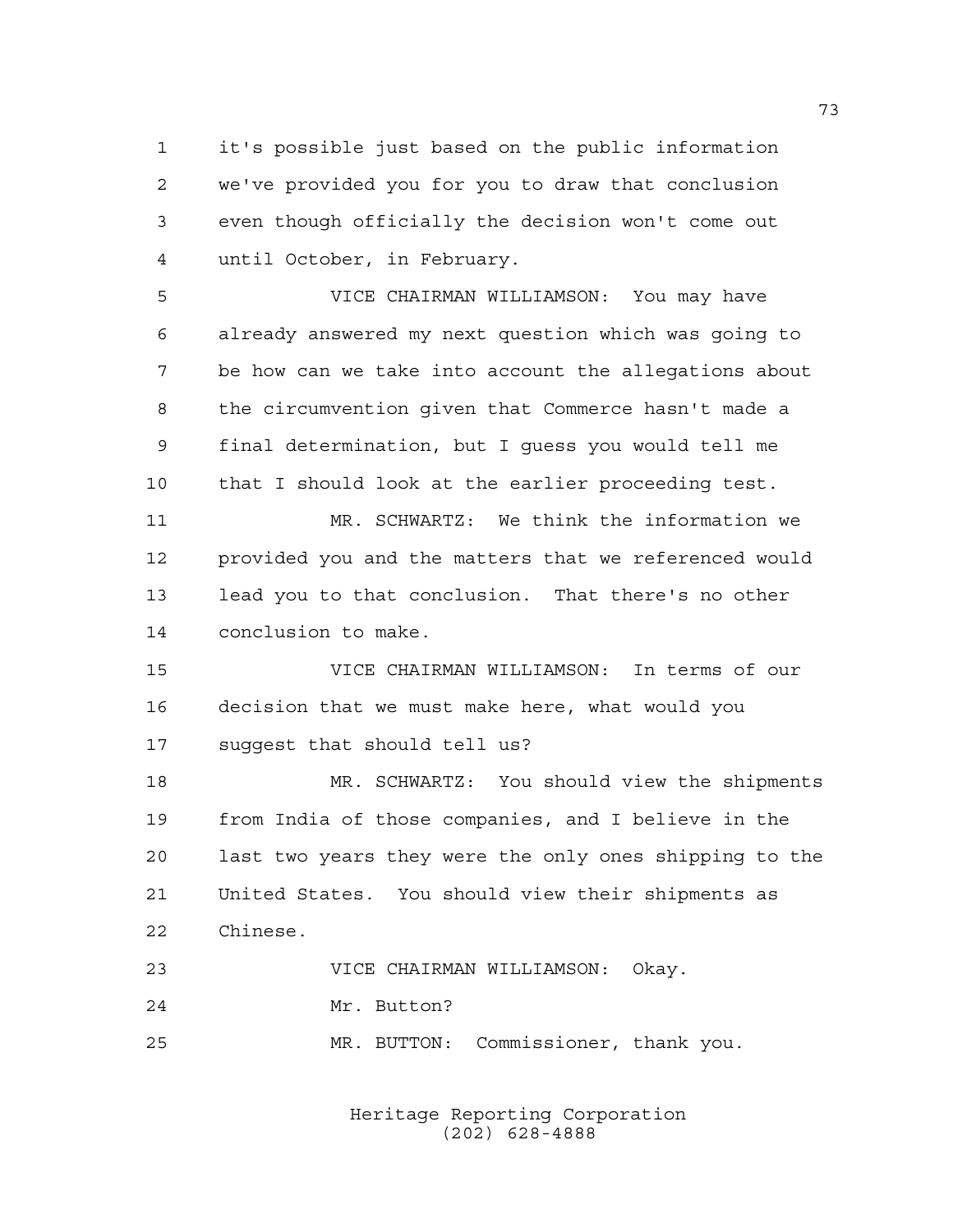it's possible just based on the public information we've provided you for you to draw that conclusion even though officially the decision won't come out until October, in February.

 VICE CHAIRMAN WILLIAMSON: You may have already answered my next question which was going to be how can we take into account the allegations about the circumvention given that Commerce hasn't made a final determination, but I guess you would tell me that I should look at the earlier proceeding test.

 MR. SCHWARTZ: We think the information we provided you and the matters that we referenced would lead you to that conclusion. That there's no other conclusion to make.

 VICE CHAIRMAN WILLIAMSON: In terms of our decision that we must make here, what would you suggest that should tell us?

 MR. SCHWARTZ: You should view the shipments from India of those companies, and I believe in the last two years they were the only ones shipping to the United States. You should view their shipments as Chinese.

 VICE CHAIRMAN WILLIAMSON: Okay. Mr. Button? MR. BUTTON: Commissioner, thank you.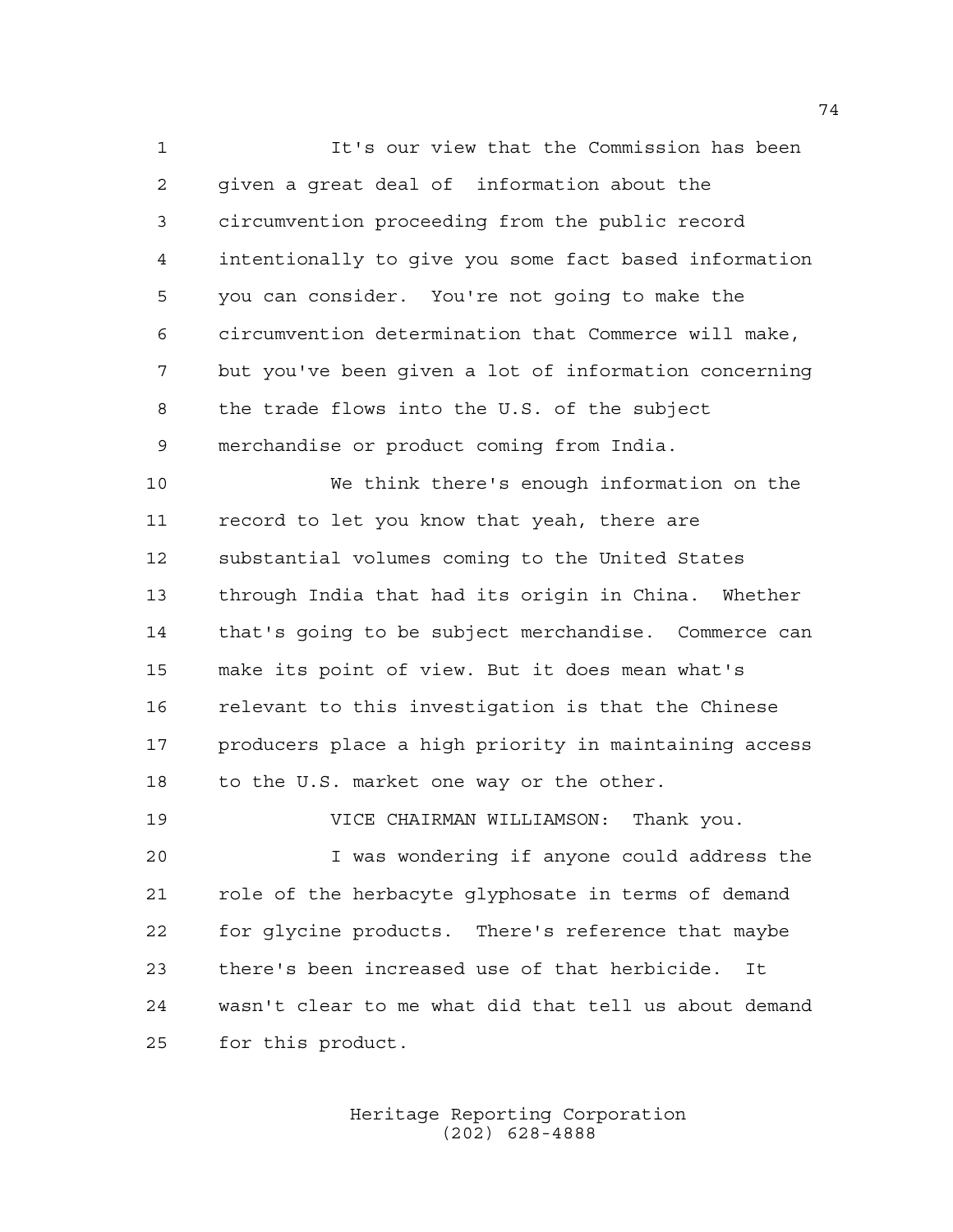It's our view that the Commission has been given a great deal of information about the circumvention proceeding from the public record intentionally to give you some fact based information you can consider. You're not going to make the circumvention determination that Commerce will make, but you've been given a lot of information concerning the trade flows into the U.S. of the subject merchandise or product coming from India.

 We think there's enough information on the record to let you know that yeah, there are substantial volumes coming to the United States through India that had its origin in China. Whether that's going to be subject merchandise. Commerce can make its point of view. But it does mean what's relevant to this investigation is that the Chinese producers place a high priority in maintaining access 18 to the U.S. market one way or the other.

 VICE CHAIRMAN WILLIAMSON: Thank you. I was wondering if anyone could address the role of the herbacyte glyphosate in terms of demand for glycine products. There's reference that maybe there's been increased use of that herbicide. It wasn't clear to me what did that tell us about demand for this product.

> Heritage Reporting Corporation (202) 628-4888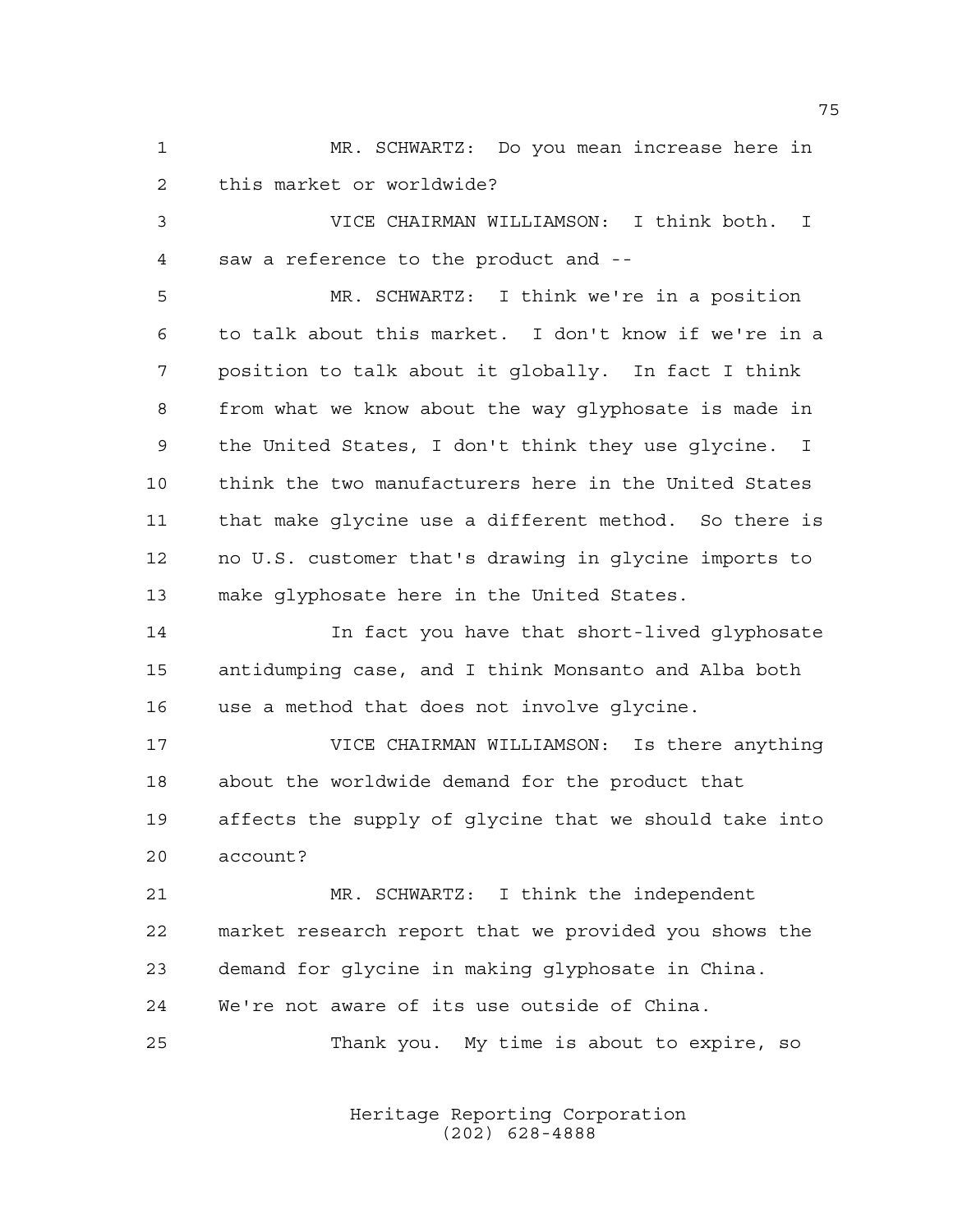MR. SCHWARTZ: Do you mean increase here in this market or worldwide?

 VICE CHAIRMAN WILLIAMSON: I think both. I saw a reference to the product and --

 MR. SCHWARTZ: I think we're in a position to talk about this market. I don't know if we're in a position to talk about it globally. In fact I think from what we know about the way glyphosate is made in the United States, I don't think they use glycine. I think the two manufacturers here in the United States that make glycine use a different method. So there is no U.S. customer that's drawing in glycine imports to make glyphosate here in the United States.

 In fact you have that short-lived glyphosate antidumping case, and I think Monsanto and Alba both use a method that does not involve glycine.

 VICE CHAIRMAN WILLIAMSON: Is there anything about the worldwide demand for the product that affects the supply of glycine that we should take into account?

 MR. SCHWARTZ: I think the independent market research report that we provided you shows the demand for glycine in making glyphosate in China. We're not aware of its use outside of China.

Thank you. My time is about to expire, so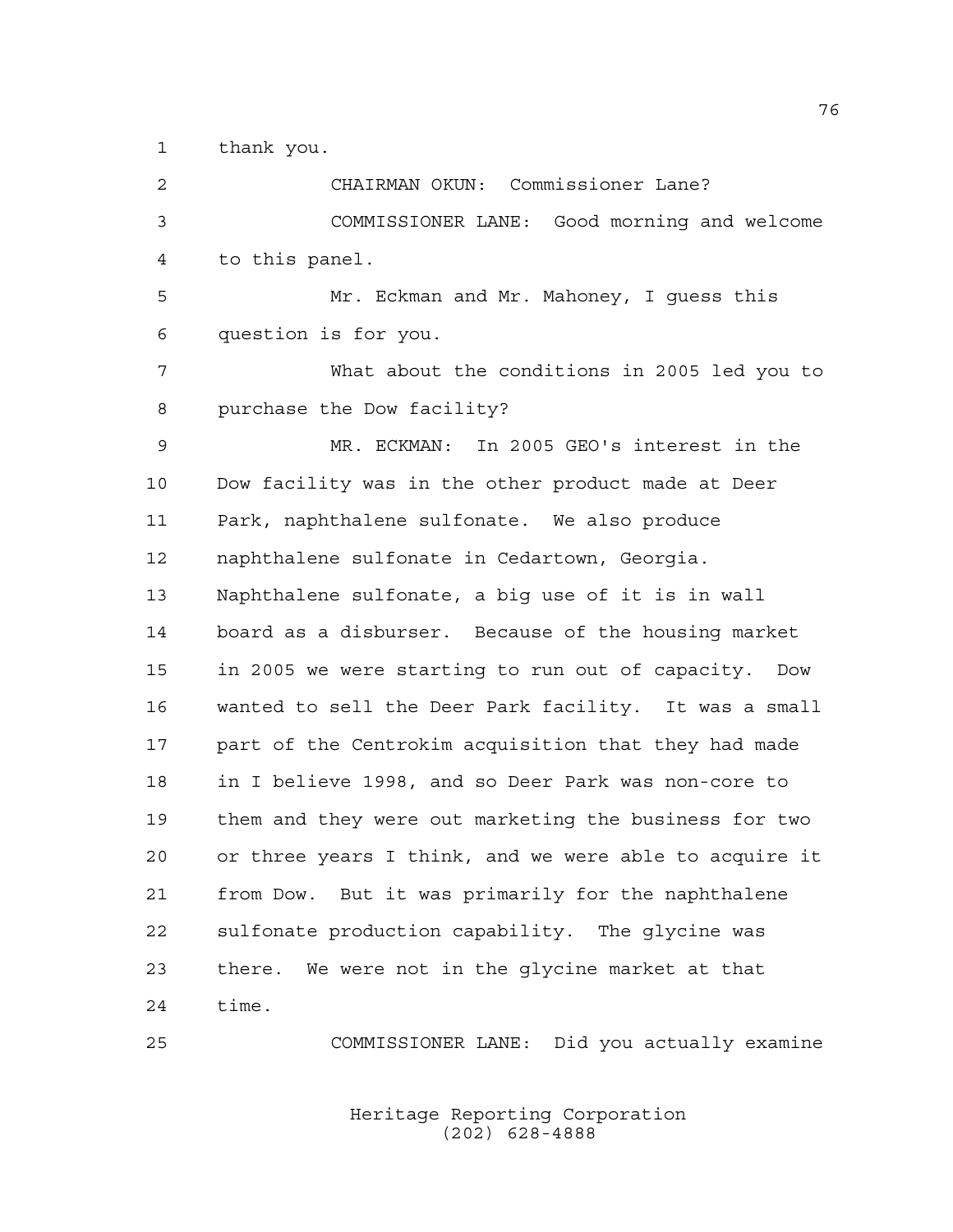thank you.

 CHAIRMAN OKUN: Commissioner Lane? COMMISSIONER LANE: Good morning and welcome to this panel. Mr. Eckman and Mr. Mahoney, I guess this question is for you. What about the conditions in 2005 led you to purchase the Dow facility? MR. ECKMAN: In 2005 GEO's interest in the Dow facility was in the other product made at Deer Park, naphthalene sulfonate. We also produce naphthalene sulfonate in Cedartown, Georgia. Naphthalene sulfonate, a big use of it is in wall board as a disburser. Because of the housing market in 2005 we were starting to run out of capacity. Dow wanted to sell the Deer Park facility. It was a small part of the Centrokim acquisition that they had made in I believe 1998, and so Deer Park was non-core to them and they were out marketing the business for two or three years I think, and we were able to acquire it from Dow. But it was primarily for the naphthalene sulfonate production capability. The glycine was there. We were not in the glycine market at that time.

COMMISSIONER LANE: Did you actually examine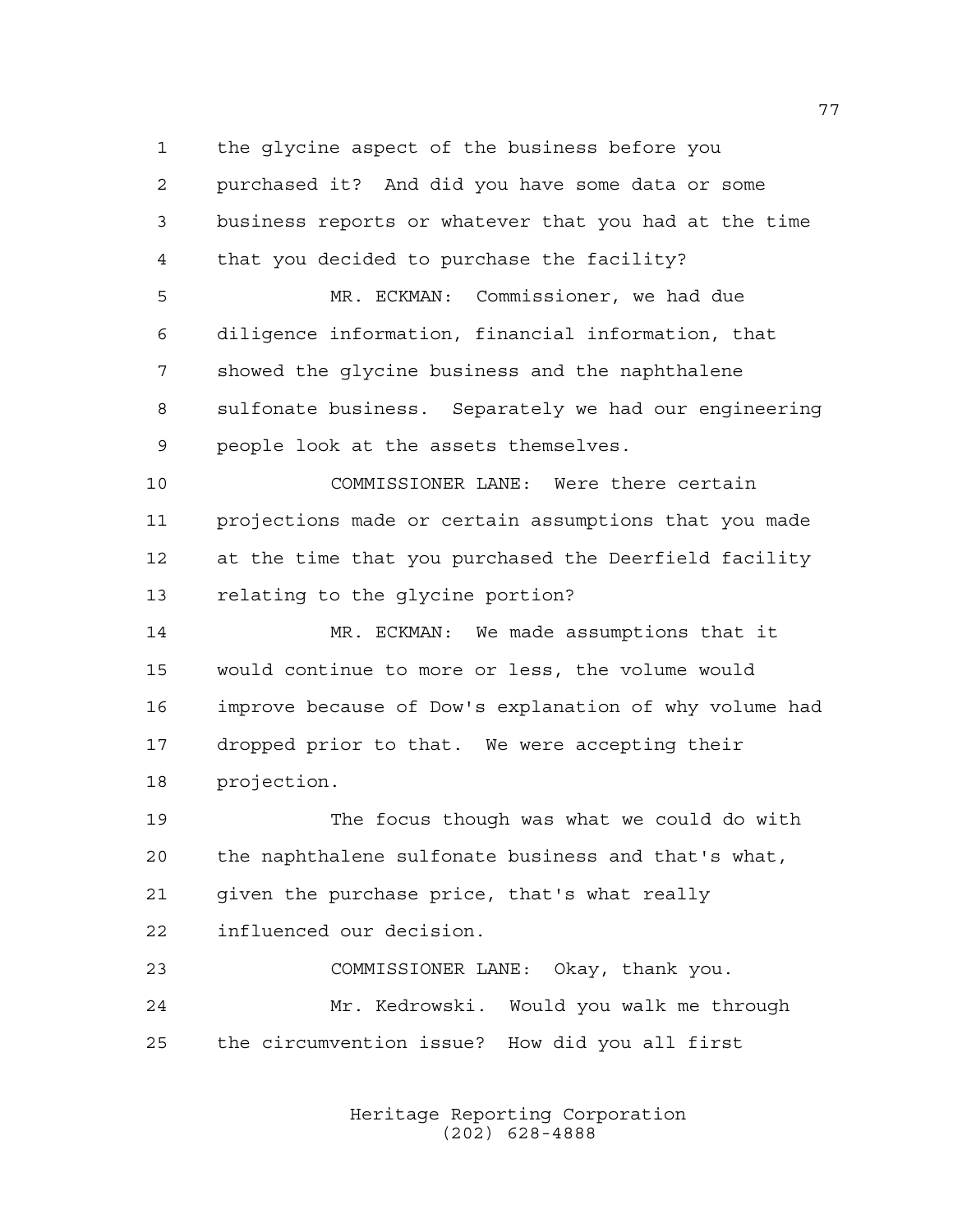the glycine aspect of the business before you

 purchased it? And did you have some data or some business reports or whatever that you had at the time that you decided to purchase the facility?

 MR. ECKMAN: Commissioner, we had due diligence information, financial information, that showed the glycine business and the naphthalene sulfonate business. Separately we had our engineering people look at the assets themselves.

 COMMISSIONER LANE: Were there certain projections made or certain assumptions that you made at the time that you purchased the Deerfield facility relating to the glycine portion?

 MR. ECKMAN: We made assumptions that it would continue to more or less, the volume would improve because of Dow's explanation of why volume had dropped prior to that. We were accepting their projection.

 The focus though was what we could do with the naphthalene sulfonate business and that's what, given the purchase price, that's what really influenced our decision.

 COMMISSIONER LANE: Okay, thank you. Mr. Kedrowski. Would you walk me through the circumvention issue? How did you all first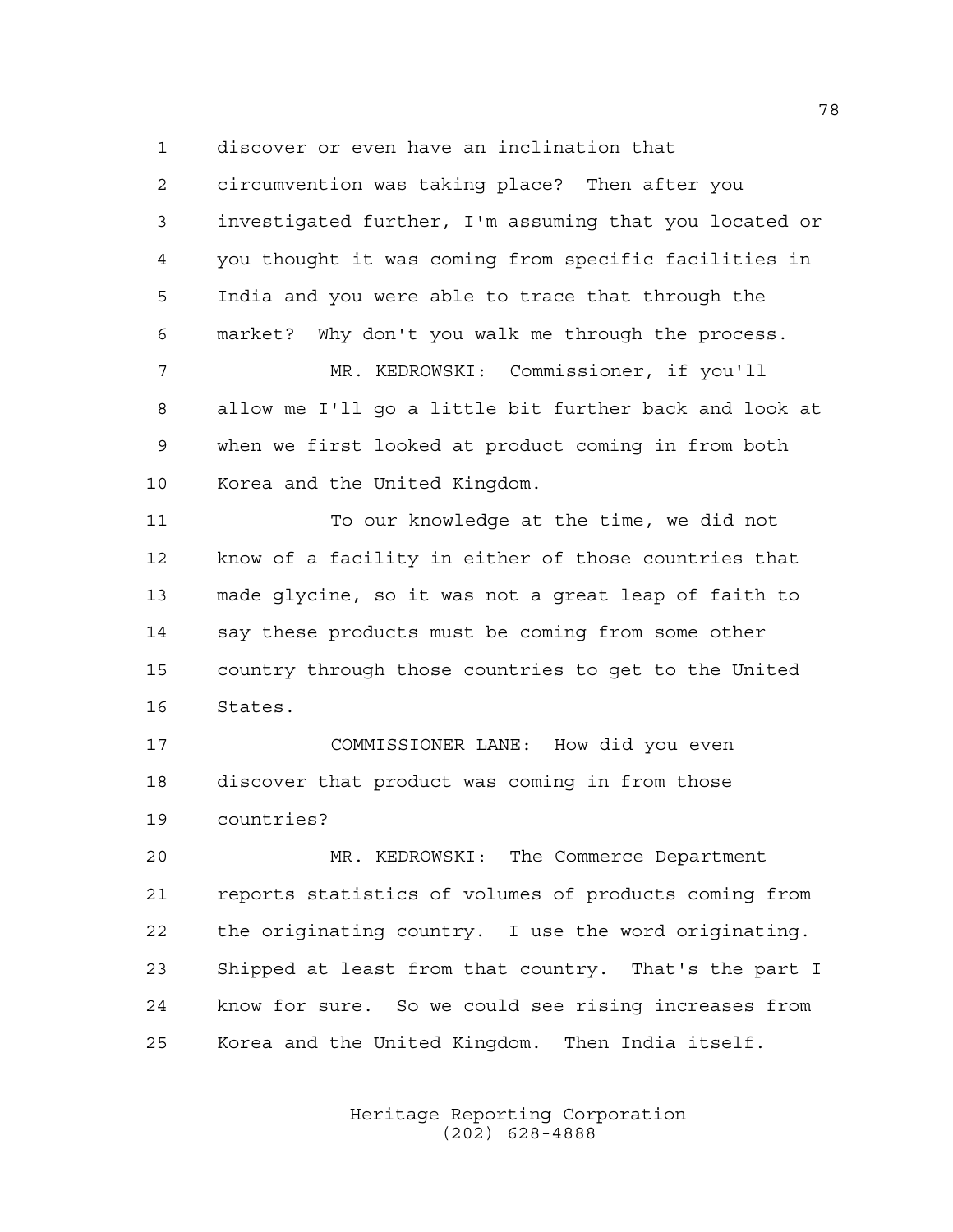discover or even have an inclination that

 circumvention was taking place? Then after you investigated further, I'm assuming that you located or you thought it was coming from specific facilities in India and you were able to trace that through the market? Why don't you walk me through the process.

 MR. KEDROWSKI: Commissioner, if you'll allow me I'll go a little bit further back and look at when we first looked at product coming in from both Korea and the United Kingdom.

 To our knowledge at the time, we did not know of a facility in either of those countries that made glycine, so it was not a great leap of faith to say these products must be coming from some other country through those countries to get to the United States.

 COMMISSIONER LANE: How did you even discover that product was coming in from those countries?

 MR. KEDROWSKI: The Commerce Department reports statistics of volumes of products coming from the originating country. I use the word originating. Shipped at least from that country. That's the part I know for sure. So we could see rising increases from Korea and the United Kingdom. Then India itself.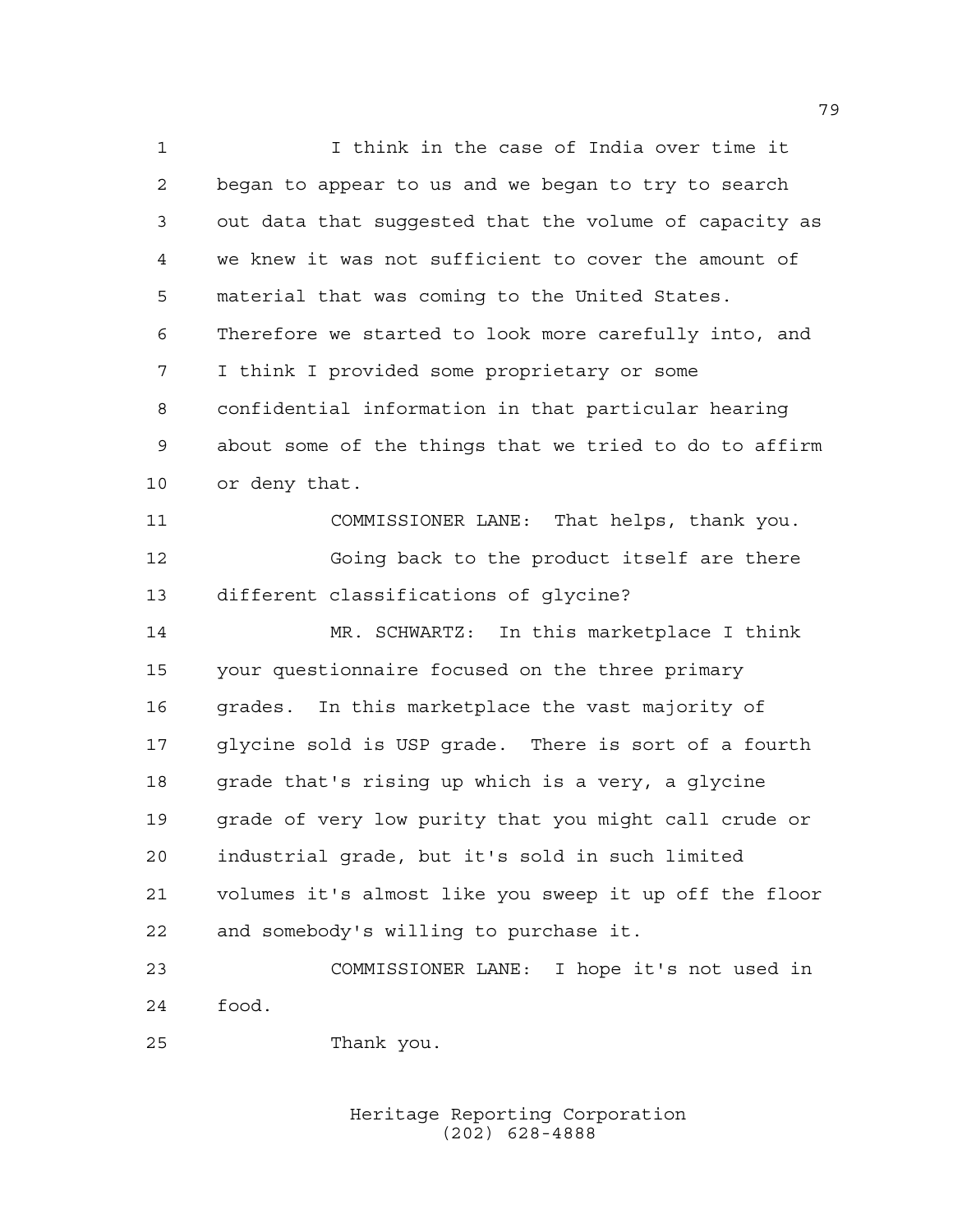I think in the case of India over time it began to appear to us and we began to try to search out data that suggested that the volume of capacity as we knew it was not sufficient to cover the amount of material that was coming to the United States. Therefore we started to look more carefully into, and I think I provided some proprietary or some confidential information in that particular hearing about some of the things that we tried to do to affirm or deny that. COMMISSIONER LANE: That helps, thank you. Going back to the product itself are there different classifications of glycine? MR. SCHWARTZ: In this marketplace I think your questionnaire focused on the three primary grades. In this marketplace the vast majority of glycine sold is USP grade. There is sort of a fourth grade that's rising up which is a very, a glycine grade of very low purity that you might call crude or industrial grade, but it's sold in such limited volumes it's almost like you sweep it up off the floor and somebody's willing to purchase it. COMMISSIONER LANE: I hope it's not used in

food.

Thank you.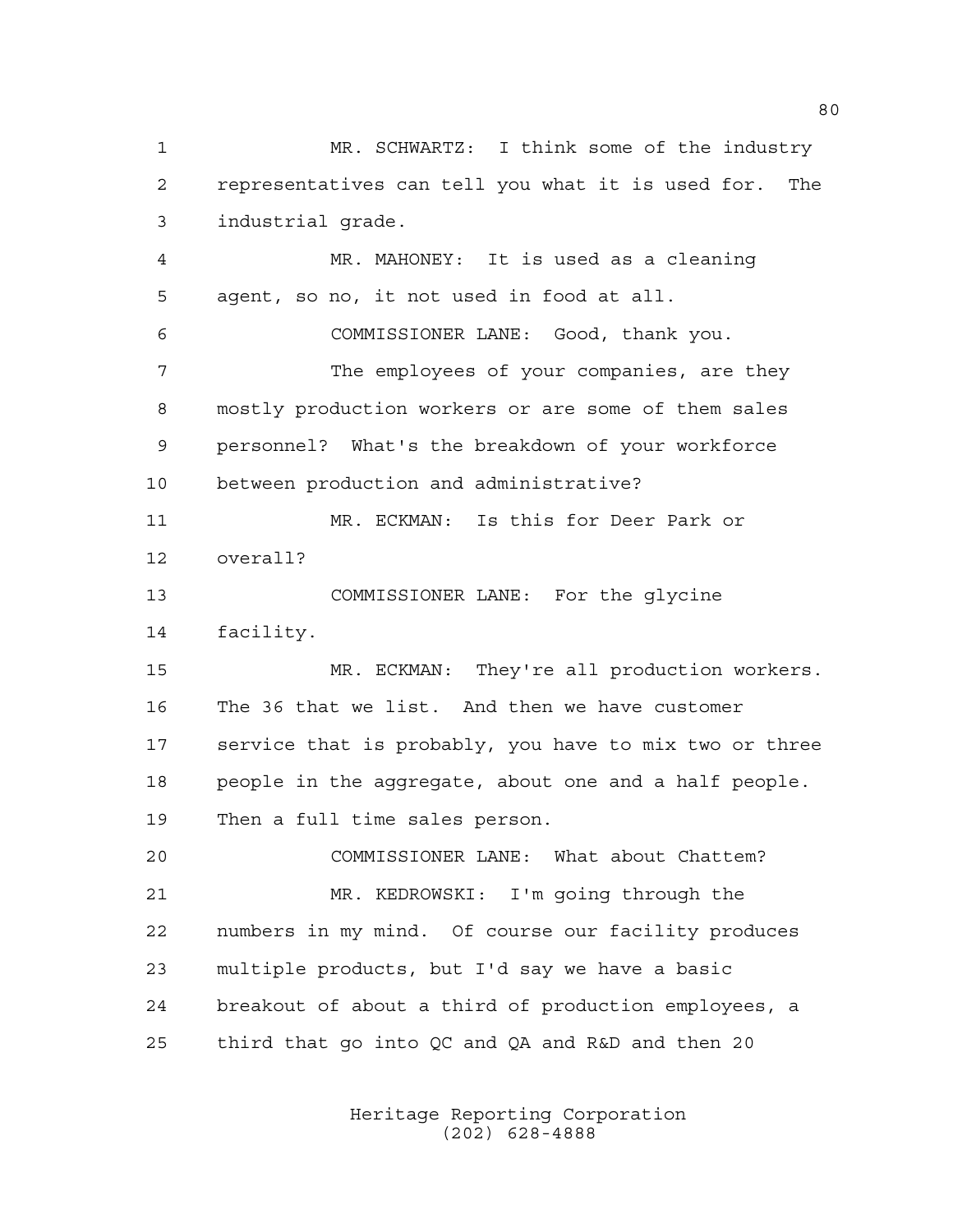MR. SCHWARTZ: I think some of the industry representatives can tell you what it is used for. The industrial grade. MR. MAHONEY: It is used as a cleaning agent, so no, it not used in food at all. COMMISSIONER LANE: Good, thank you. 7 The employees of your companies, are they mostly production workers or are some of them sales personnel? What's the breakdown of your workforce between production and administrative? MR. ECKMAN: Is this for Deer Park or overall? COMMISSIONER LANE: For the glycine facility. MR. ECKMAN: They're all production workers. The 36 that we list. And then we have customer service that is probably, you have to mix two or three people in the aggregate, about one and a half people. Then a full time sales person. COMMISSIONER LANE: What about Chattem? MR. KEDROWSKI: I'm going through the numbers in my mind. Of course our facility produces multiple products, but I'd say we have a basic breakout of about a third of production employees, a third that go into QC and QA and R&D and then 20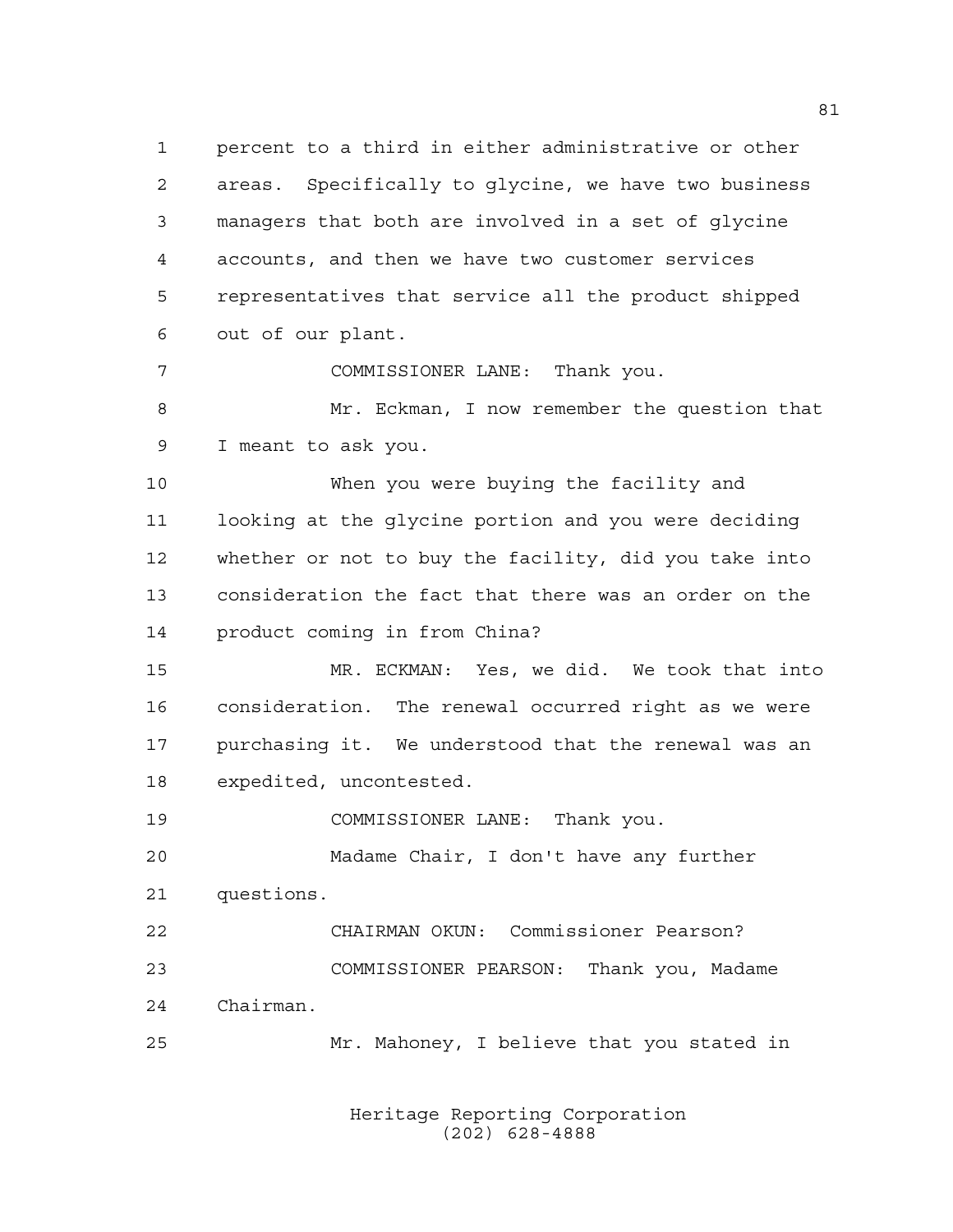percent to a third in either administrative or other areas. Specifically to glycine, we have two business managers that both are involved in a set of glycine accounts, and then we have two customer services representatives that service all the product shipped out of our plant.

 COMMISSIONER LANE: Thank you. Mr. Eckman, I now remember the question that I meant to ask you.

 When you were buying the facility and looking at the glycine portion and you were deciding whether or not to buy the facility, did you take into consideration the fact that there was an order on the product coming in from China?

 MR. ECKMAN: Yes, we did. We took that into consideration. The renewal occurred right as we were purchasing it. We understood that the renewal was an expedited, uncontested.

COMMISSIONER LANE: Thank you.

 Madame Chair, I don't have any further questions.

 CHAIRMAN OKUN: Commissioner Pearson? COMMISSIONER PEARSON: Thank you, Madame Chairman.

Mr. Mahoney, I believe that you stated in

Heritage Reporting Corporation (202) 628-4888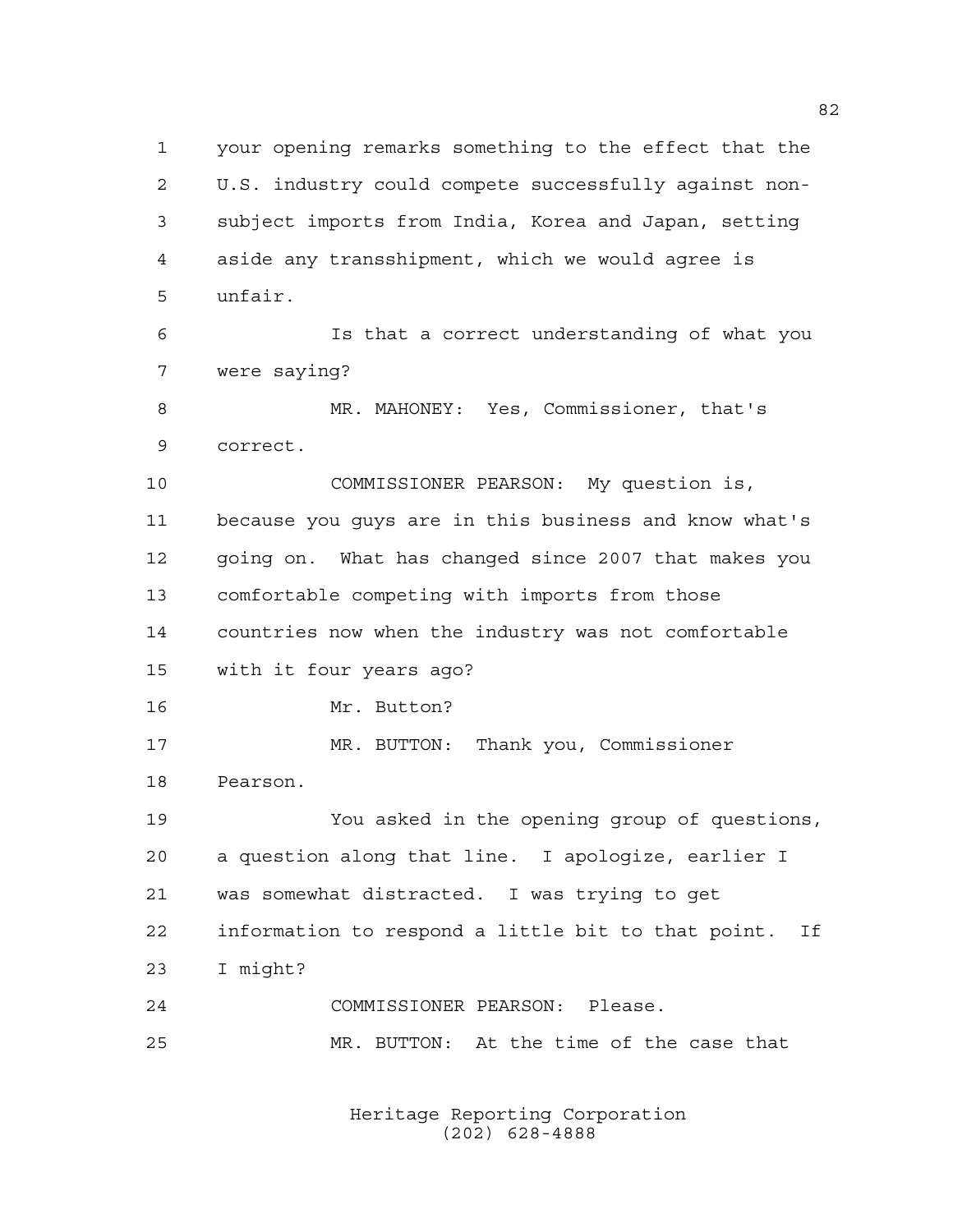your opening remarks something to the effect that the U.S. industry could compete successfully against non- subject imports from India, Korea and Japan, setting aside any transshipment, which we would agree is unfair. Is that a correct understanding of what you were saying? MR. MAHONEY: Yes, Commissioner, that's correct. COMMISSIONER PEARSON: My question is, because you guys are in this business and know what's going on. What has changed since 2007 that makes you comfortable competing with imports from those countries now when the industry was not comfortable with it four years ago? Mr. Button? MR. BUTTON: Thank you, Commissioner Pearson. You asked in the opening group of questions, a question along that line. I apologize, earlier I was somewhat distracted. I was trying to get information to respond a little bit to that point. If I might? COMMISSIONER PEARSON: Please. MR. BUTTON: At the time of the case that

> Heritage Reporting Corporation (202) 628-4888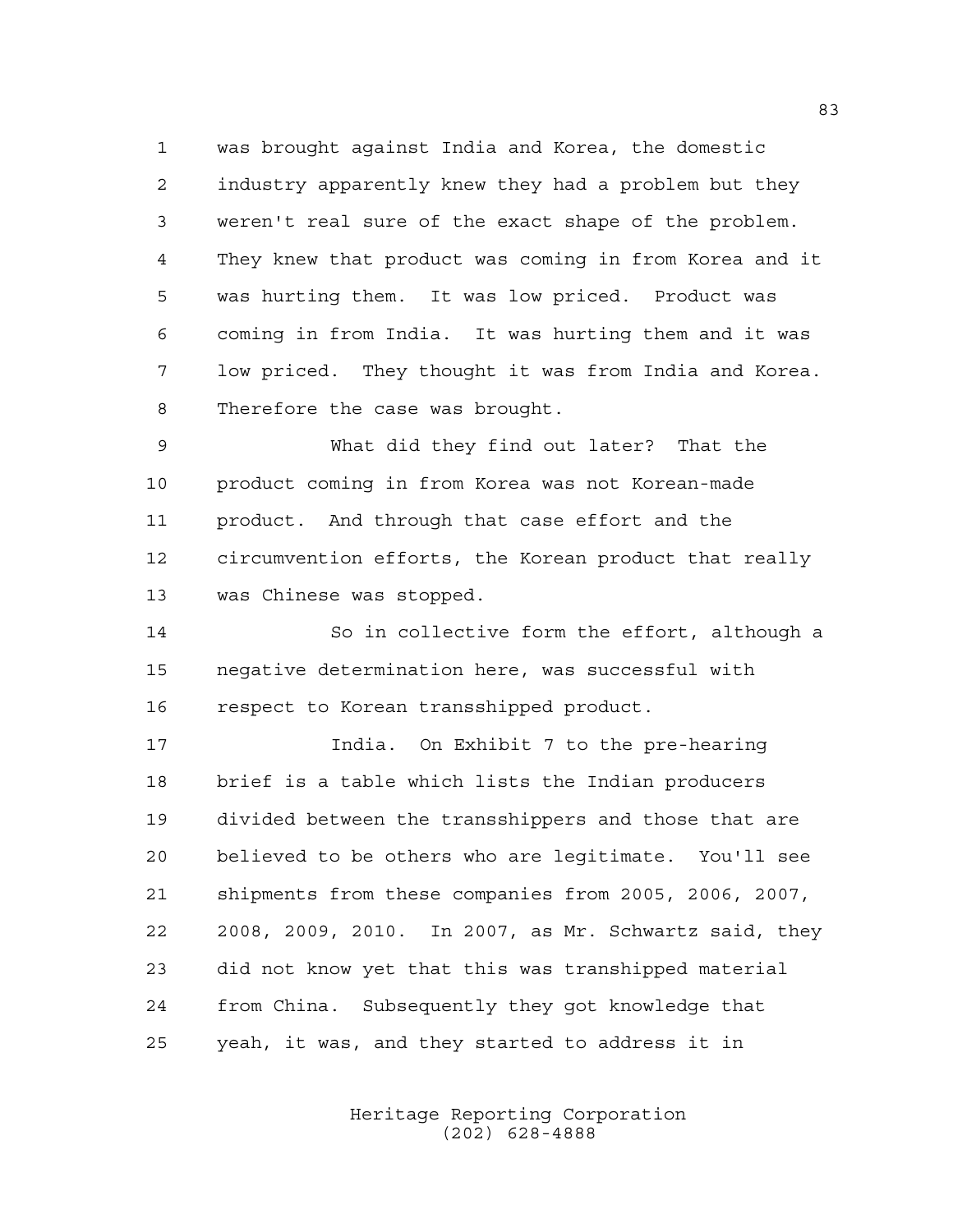was brought against India and Korea, the domestic industry apparently knew they had a problem but they weren't real sure of the exact shape of the problem. They knew that product was coming in from Korea and it was hurting them. It was low priced. Product was coming in from India. It was hurting them and it was low priced. They thought it was from India and Korea. Therefore the case was brought.

 What did they find out later? That the product coming in from Korea was not Korean-made product. And through that case effort and the circumvention efforts, the Korean product that really was Chinese was stopped.

 So in collective form the effort, although a negative determination here, was successful with respect to Korean transshipped product.

 India. On Exhibit 7 to the pre-hearing brief is a table which lists the Indian producers divided between the transshippers and those that are believed to be others who are legitimate. You'll see shipments from these companies from 2005, 2006, 2007, 2008, 2009, 2010. In 2007, as Mr. Schwartz said, they did not know yet that this was transhipped material from China. Subsequently they got knowledge that yeah, it was, and they started to address it in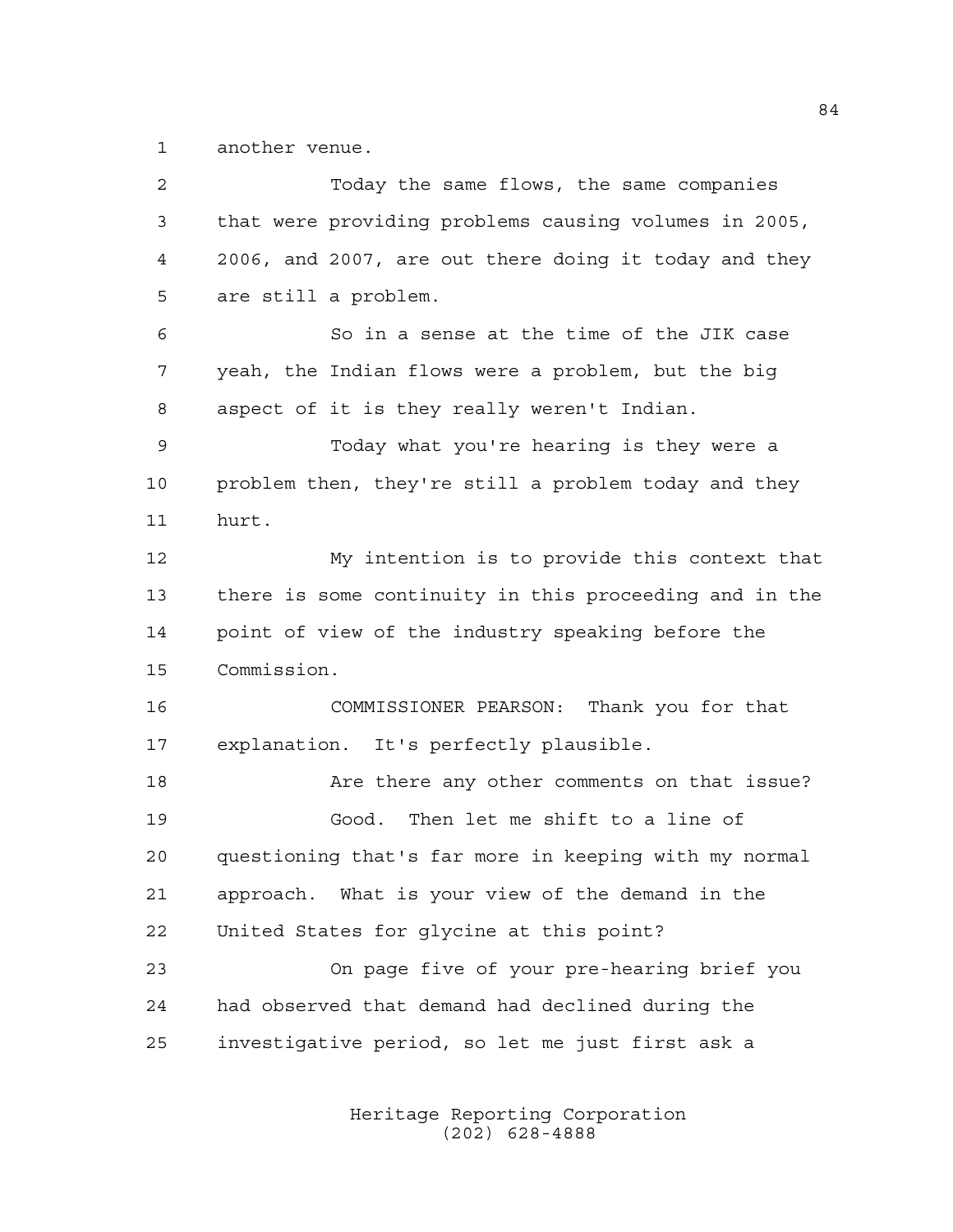another venue.

 Today the same flows, the same companies that were providing problems causing volumes in 2005, 2006, and 2007, are out there doing it today and they are still a problem. So in a sense at the time of the JIK case yeah, the Indian flows were a problem, but the big aspect of it is they really weren't Indian. Today what you're hearing is they were a problem then, they're still a problem today and they hurt. My intention is to provide this context that there is some continuity in this proceeding and in the point of view of the industry speaking before the Commission. COMMISSIONER PEARSON: Thank you for that explanation. It's perfectly plausible. Are there any other comments on that issue? Good. Then let me shift to a line of questioning that's far more in keeping with my normal approach. What is your view of the demand in the United States for glycine at this point? On page five of your pre-hearing brief you had observed that demand had declined during the investigative period, so let me just first ask a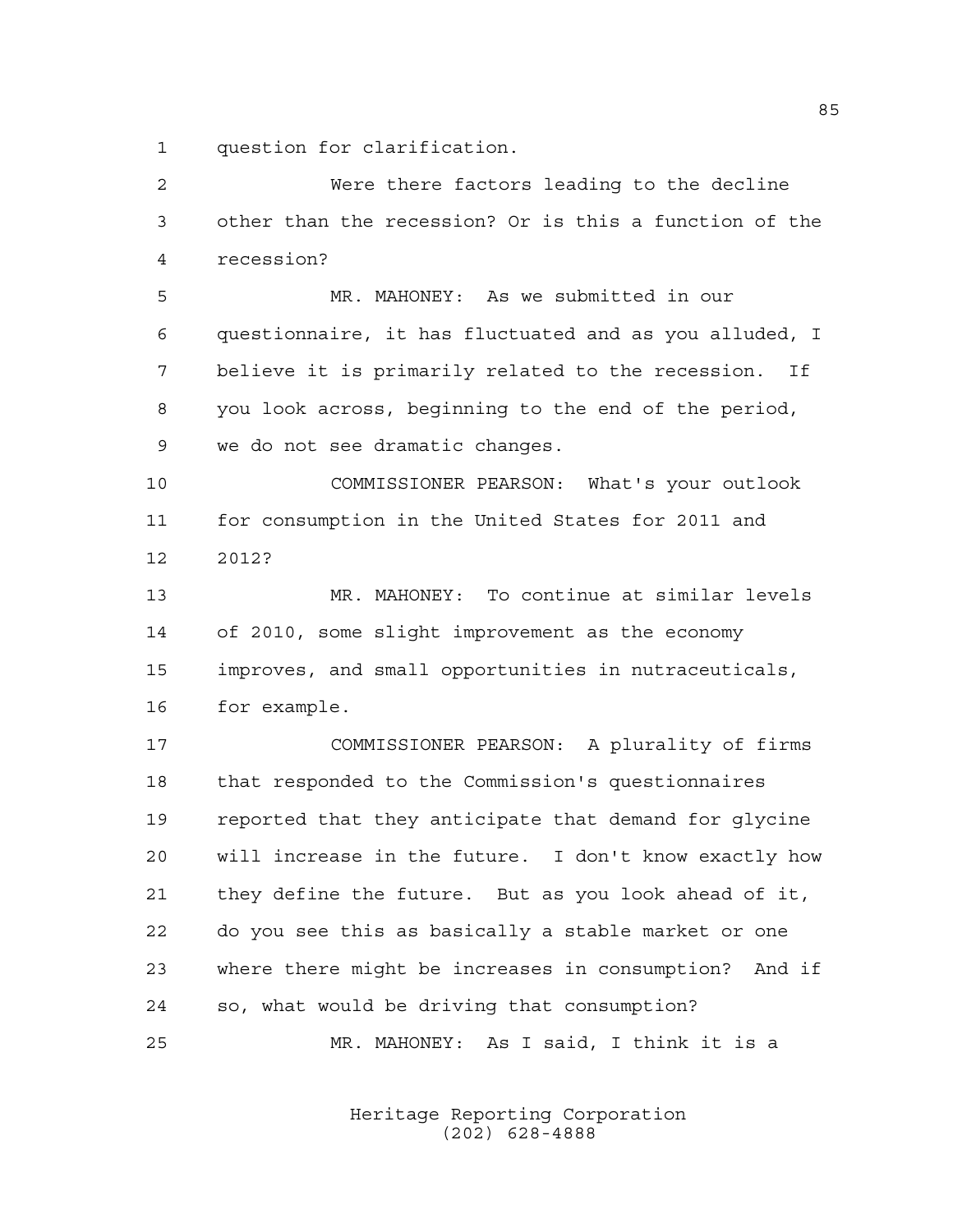question for clarification.

| 2  | Were there factors leading to the decline               |
|----|---------------------------------------------------------|
| 3  | other than the recession? Or is this a function of the  |
| 4  | recession?                                              |
| 5  | MR. MAHONEY: As we submitted in our                     |
| 6  | questionnaire, it has fluctuated and as you alluded, I  |
| 7  | believe it is primarily related to the recession.<br>If |
| 8  | you look across, beginning to the end of the period,    |
| 9  | we do not see dramatic changes.                         |
| 10 | COMMISSIONER PEARSON: What's your outlook               |
| 11 | for consumption in the United States for 2011 and       |
| 12 | 2012?                                                   |
| 13 | MR. MAHONEY: To continue at similar levels              |
| 14 | of 2010, some slight improvement as the economy         |
| 15 | improves, and small opportunities in nutraceuticals,    |
| 16 | for example.                                            |
| 17 | COMMISSIONER PEARSON: A plurality of firms              |
| 18 | that responded to the Commission's questionnaires       |
| 19 | reported that they anticipate that demand for glycine   |
| 20 | will increase in the future. I don't know exactly how   |
| 21 | they define the future. But as you look ahead of it,    |
| 22 | do you see this as basically a stable market or one     |
| 23 | where there might be increases in consumption? And if   |
| 24 | so, what would be driving that consumption?             |
| 25 | MR. MAHONEY: As I said, I think it is a                 |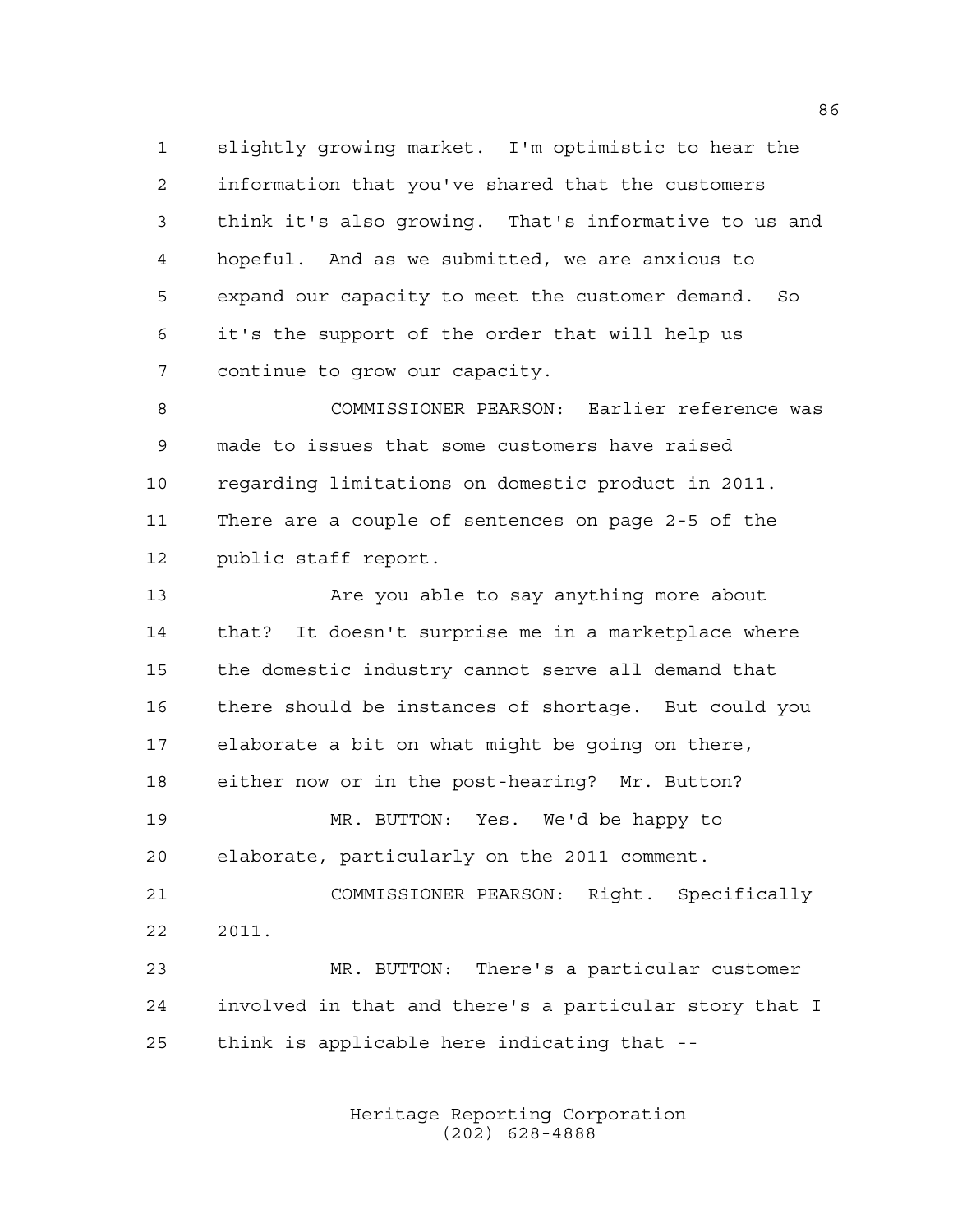slightly growing market. I'm optimistic to hear the information that you've shared that the customers think it's also growing. That's informative to us and hopeful. And as we submitted, we are anxious to expand our capacity to meet the customer demand. So it's the support of the order that will help us continue to grow our capacity.

 COMMISSIONER PEARSON: Earlier reference was made to issues that some customers have raised regarding limitations on domestic product in 2011. There are a couple of sentences on page 2-5 of the public staff report.

13 Are you able to say anything more about that? It doesn't surprise me in a marketplace where the domestic industry cannot serve all demand that there should be instances of shortage. But could you elaborate a bit on what might be going on there, either now or in the post-hearing? Mr. Button? MR. BUTTON: Yes. We'd be happy to elaborate, particularly on the 2011 comment. COMMISSIONER PEARSON: Right. Specifically 2011. MR. BUTTON: There's a particular customer involved in that and there's a particular story that I

think is applicable here indicating that --

Heritage Reporting Corporation (202) 628-4888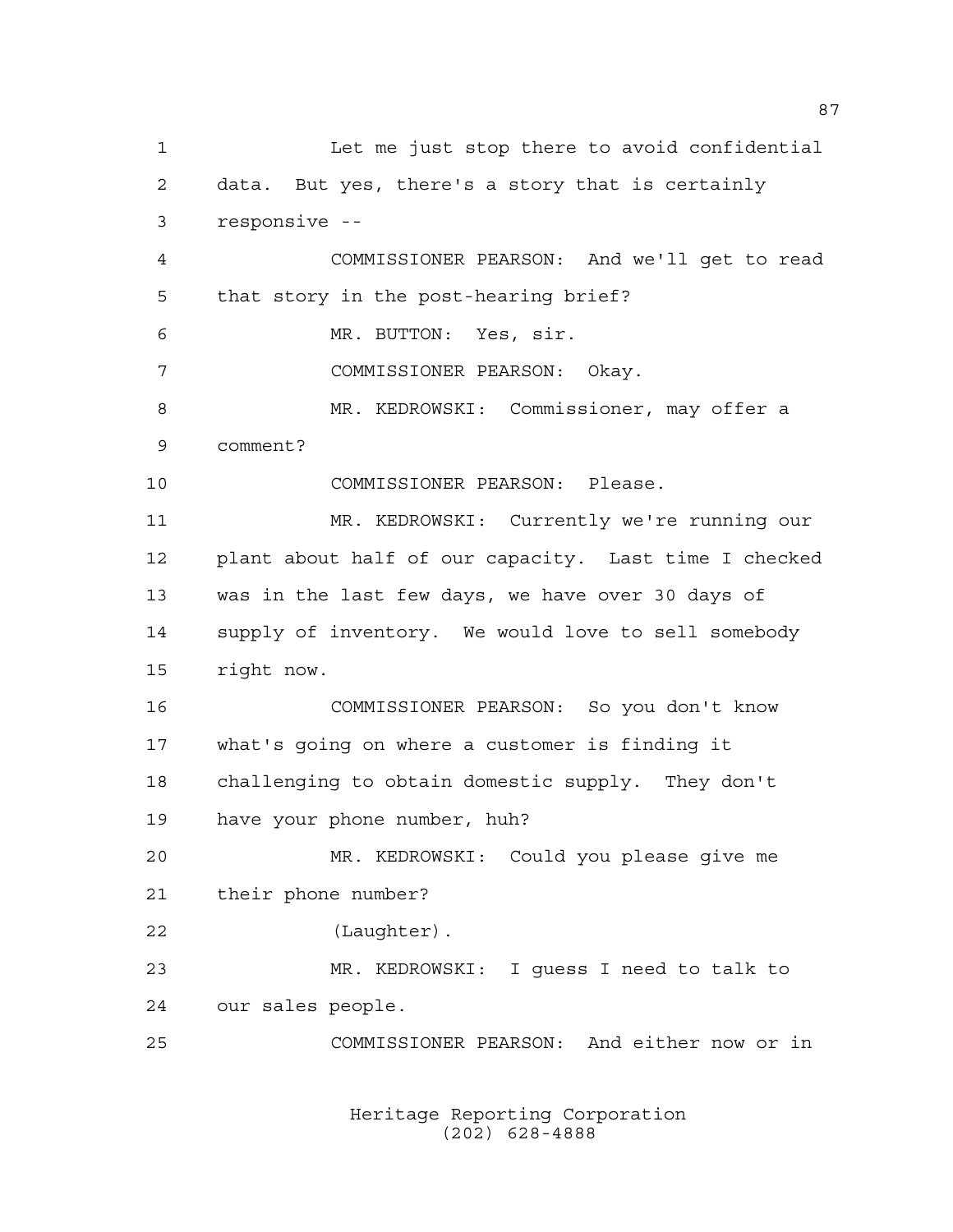Let me just stop there to avoid confidential data. But yes, there's a story that is certainly responsive -- COMMISSIONER PEARSON: And we'll get to read that story in the post-hearing brief? MR. BUTTON: Yes, sir. COMMISSIONER PEARSON: Okay. MR. KEDROWSKI: Commissioner, may offer a comment? COMMISSIONER PEARSON: Please. MR. KEDROWSKI: Currently we're running our plant about half of our capacity. Last time I checked was in the last few days, we have over 30 days of supply of inventory. We would love to sell somebody right now. COMMISSIONER PEARSON: So you don't know what's going on where a customer is finding it challenging to obtain domestic supply. They don't have your phone number, huh? MR. KEDROWSKI: Could you please give me their phone number? (Laughter). MR. KEDROWSKI: I guess I need to talk to our sales people. COMMISSIONER PEARSON: And either now or in

> Heritage Reporting Corporation (202) 628-4888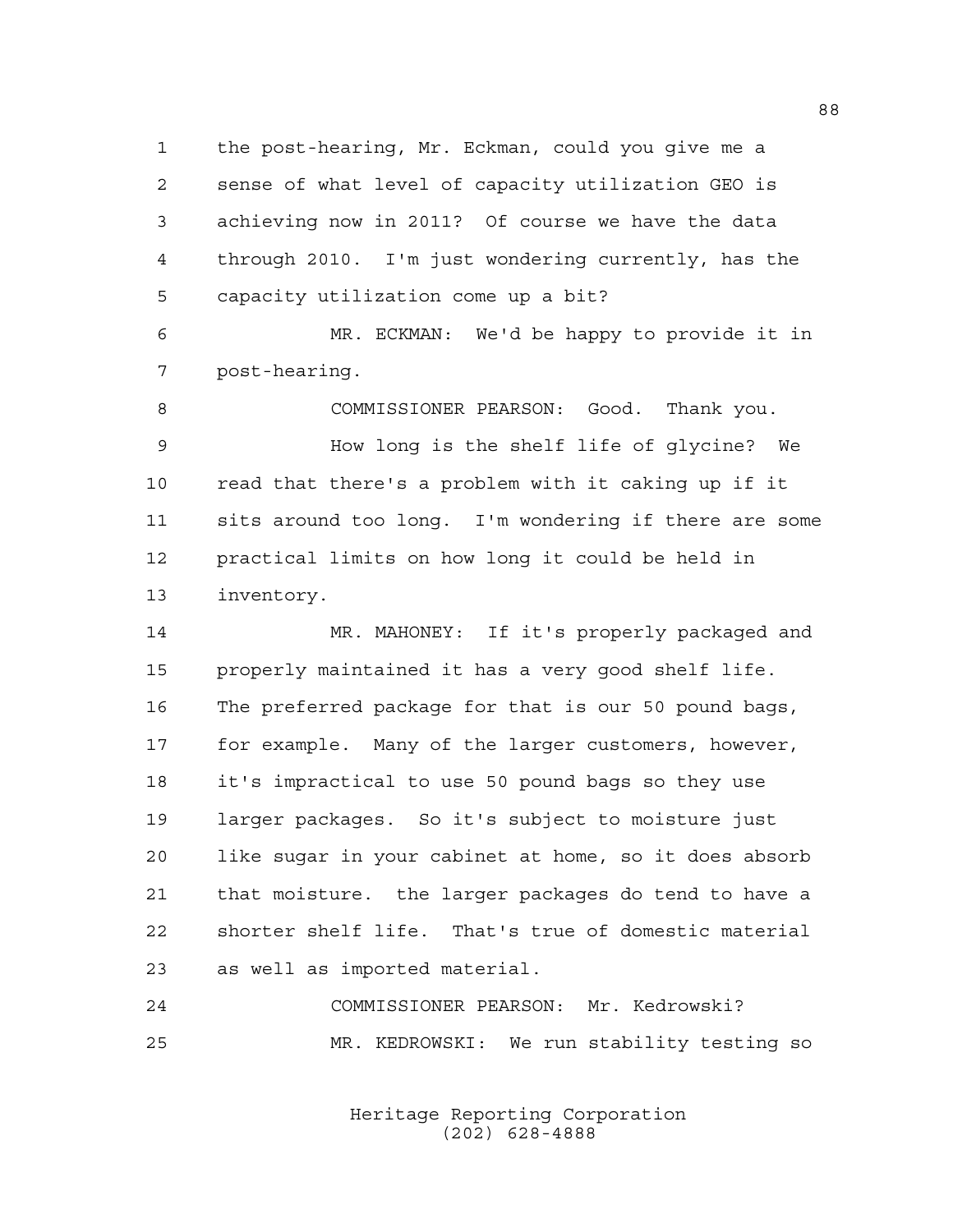the post-hearing, Mr. Eckman, could you give me a sense of what level of capacity utilization GEO is achieving now in 2011? Of course we have the data through 2010. I'm just wondering currently, has the capacity utilization come up a bit?

 MR. ECKMAN: We'd be happy to provide it in post-hearing.

 COMMISSIONER PEARSON: Good. Thank you. How long is the shelf life of glycine? We read that there's a problem with it caking up if it sits around too long. I'm wondering if there are some practical limits on how long it could be held in inventory.

14 MR. MAHONEY: If it's properly packaged and properly maintained it has a very good shelf life. The preferred package for that is our 50 pound bags, for example. Many of the larger customers, however, it's impractical to use 50 pound bags so they use larger packages. So it's subject to moisture just like sugar in your cabinet at home, so it does absorb that moisture. the larger packages do tend to have a shorter shelf life. That's true of domestic material as well as imported material.

 COMMISSIONER PEARSON: Mr. Kedrowski? MR. KEDROWSKI: We run stability testing so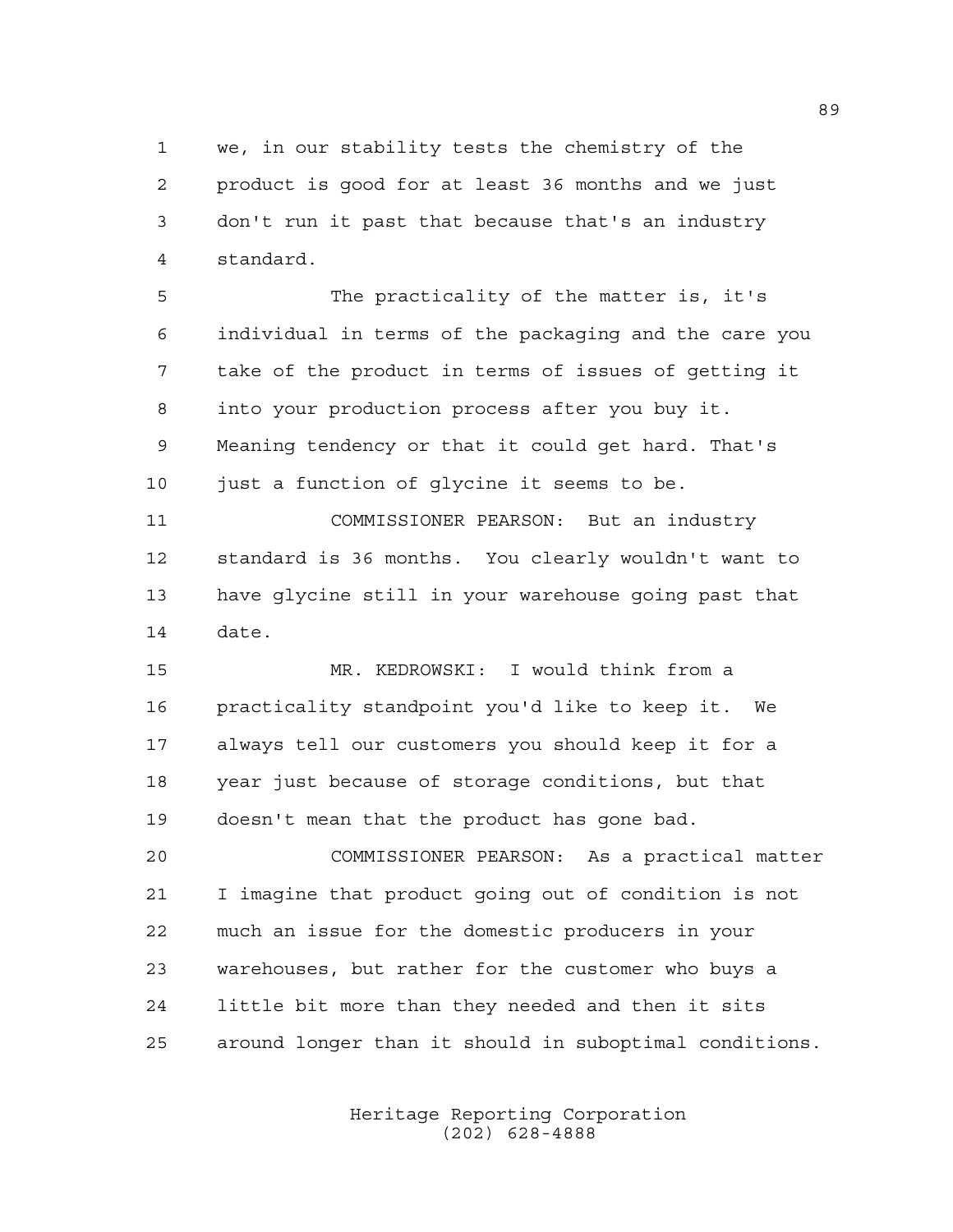we, in our stability tests the chemistry of the product is good for at least 36 months and we just don't run it past that because that's an industry standard.

 The practicality of the matter is, it's individual in terms of the packaging and the care you take of the product in terms of issues of getting it into your production process after you buy it. Meaning tendency or that it could get hard. That's 10 just a function of glycine it seems to be.

 COMMISSIONER PEARSON: But an industry standard is 36 months. You clearly wouldn't want to have glycine still in your warehouse going past that date.

 MR. KEDROWSKI: I would think from a practicality standpoint you'd like to keep it. We always tell our customers you should keep it for a year just because of storage conditions, but that doesn't mean that the product has gone bad.

 COMMISSIONER PEARSON: As a practical matter I imagine that product going out of condition is not much an issue for the domestic producers in your warehouses, but rather for the customer who buys a little bit more than they needed and then it sits around longer than it should in suboptimal conditions.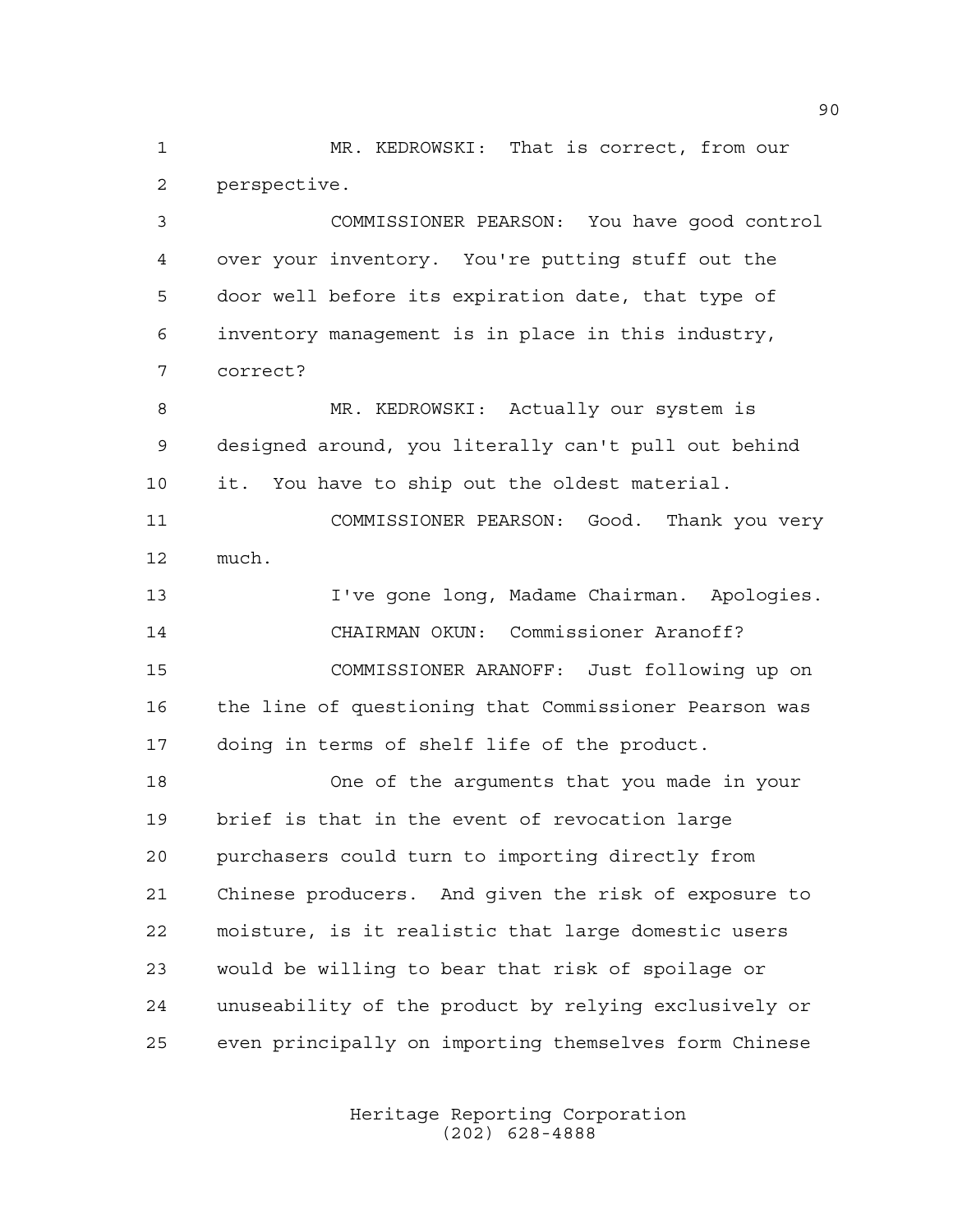MR. KEDROWSKI: That is correct, from our perspective.

 COMMISSIONER PEARSON: You have good control over your inventory. You're putting stuff out the door well before its expiration date, that type of inventory management is in place in this industry, correct?

8 MR. KEDROWSKI: Actually our system is designed around, you literally can't pull out behind it. You have to ship out the oldest material.

 COMMISSIONER PEARSON: Good. Thank you very much.

 I've gone long, Madame Chairman. Apologies. CHAIRMAN OKUN: Commissioner Aranoff? COMMISSIONER ARANOFF: Just following up on the line of questioning that Commissioner Pearson was doing in terms of shelf life of the product.

 One of the arguments that you made in your brief is that in the event of revocation large purchasers could turn to importing directly from Chinese producers. And given the risk of exposure to moisture, is it realistic that large domestic users would be willing to bear that risk of spoilage or unuseability of the product by relying exclusively or even principally on importing themselves form Chinese

> Heritage Reporting Corporation (202) 628-4888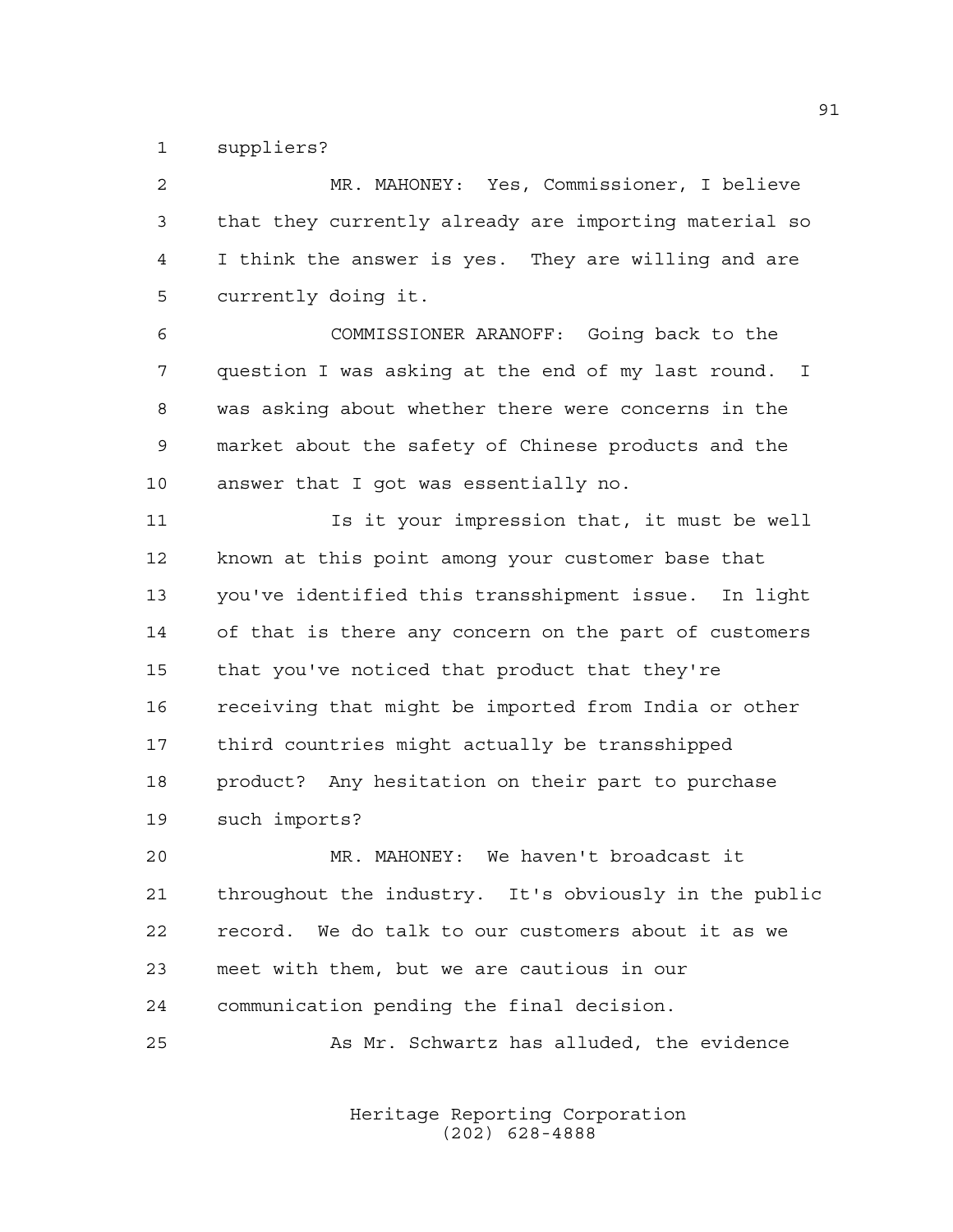suppliers?

 MR. MAHONEY: Yes, Commissioner, I believe that they currently already are importing material so I think the answer is yes. They are willing and are currently doing it.

 COMMISSIONER ARANOFF: Going back to the question I was asking at the end of my last round. I was asking about whether there were concerns in the market about the safety of Chinese products and the answer that I got was essentially no.

 Is it your impression that, it must be well known at this point among your customer base that you've identified this transshipment issue. In light of that is there any concern on the part of customers that you've noticed that product that they're receiving that might be imported from India or other third countries might actually be transshipped product? Any hesitation on their part to purchase such imports?

 MR. MAHONEY: We haven't broadcast it throughout the industry. It's obviously in the public record. We do talk to our customers about it as we meet with them, but we are cautious in our communication pending the final decision.

As Mr. Schwartz has alluded, the evidence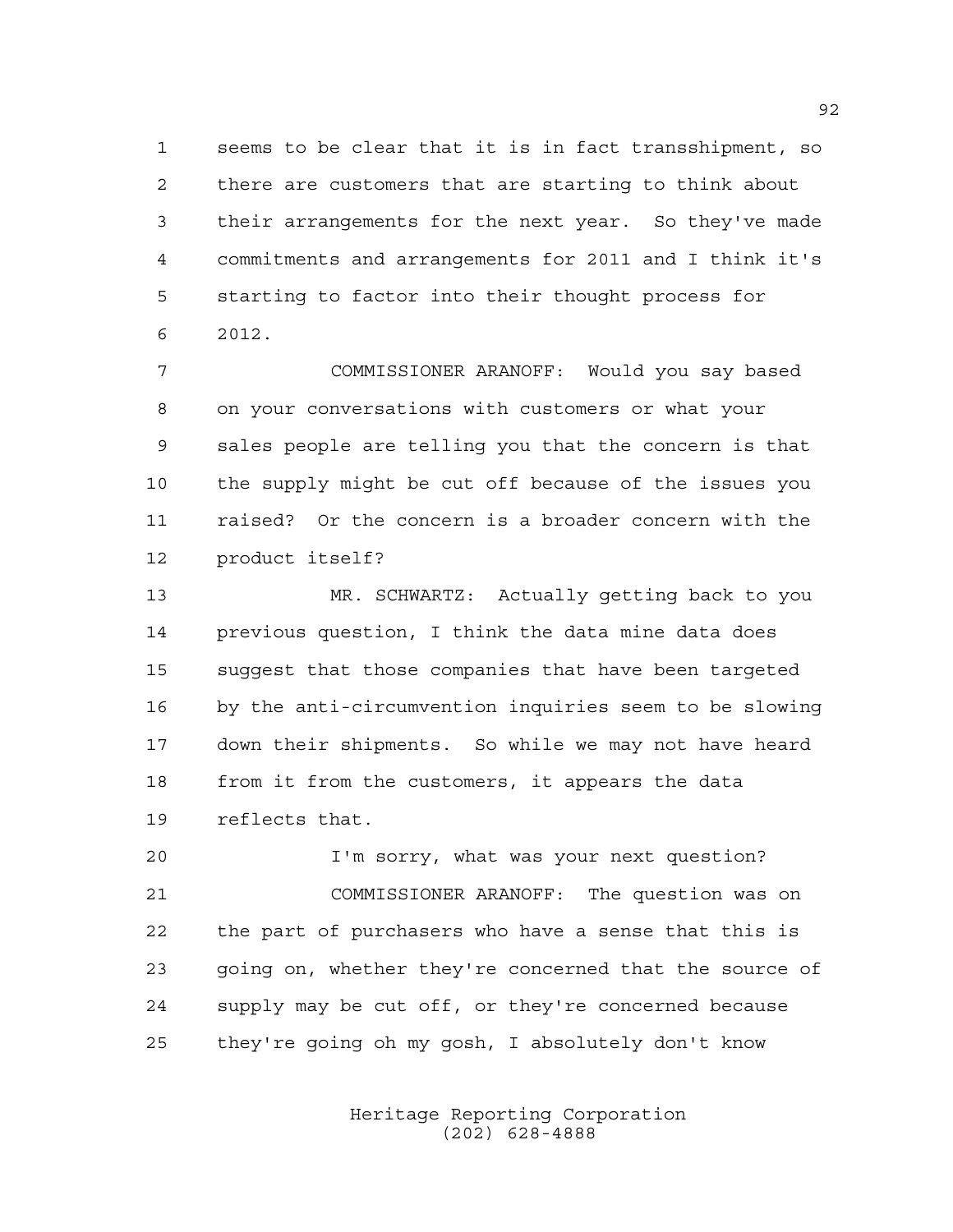seems to be clear that it is in fact transshipment, so there are customers that are starting to think about their arrangements for the next year. So they've made commitments and arrangements for 2011 and I think it's starting to factor into their thought process for 2012.

 COMMISSIONER ARANOFF: Would you say based on your conversations with customers or what your sales people are telling you that the concern is that the supply might be cut off because of the issues you raised? Or the concern is a broader concern with the product itself?

 MR. SCHWARTZ: Actually getting back to you previous question, I think the data mine data does suggest that those companies that have been targeted by the anti-circumvention inquiries seem to be slowing down their shipments. So while we may not have heard from it from the customers, it appears the data reflects that.

 I'm sorry, what was your next question? COMMISSIONER ARANOFF: The question was on the part of purchasers who have a sense that this is going on, whether they're concerned that the source of supply may be cut off, or they're concerned because they're going oh my gosh, I absolutely don't know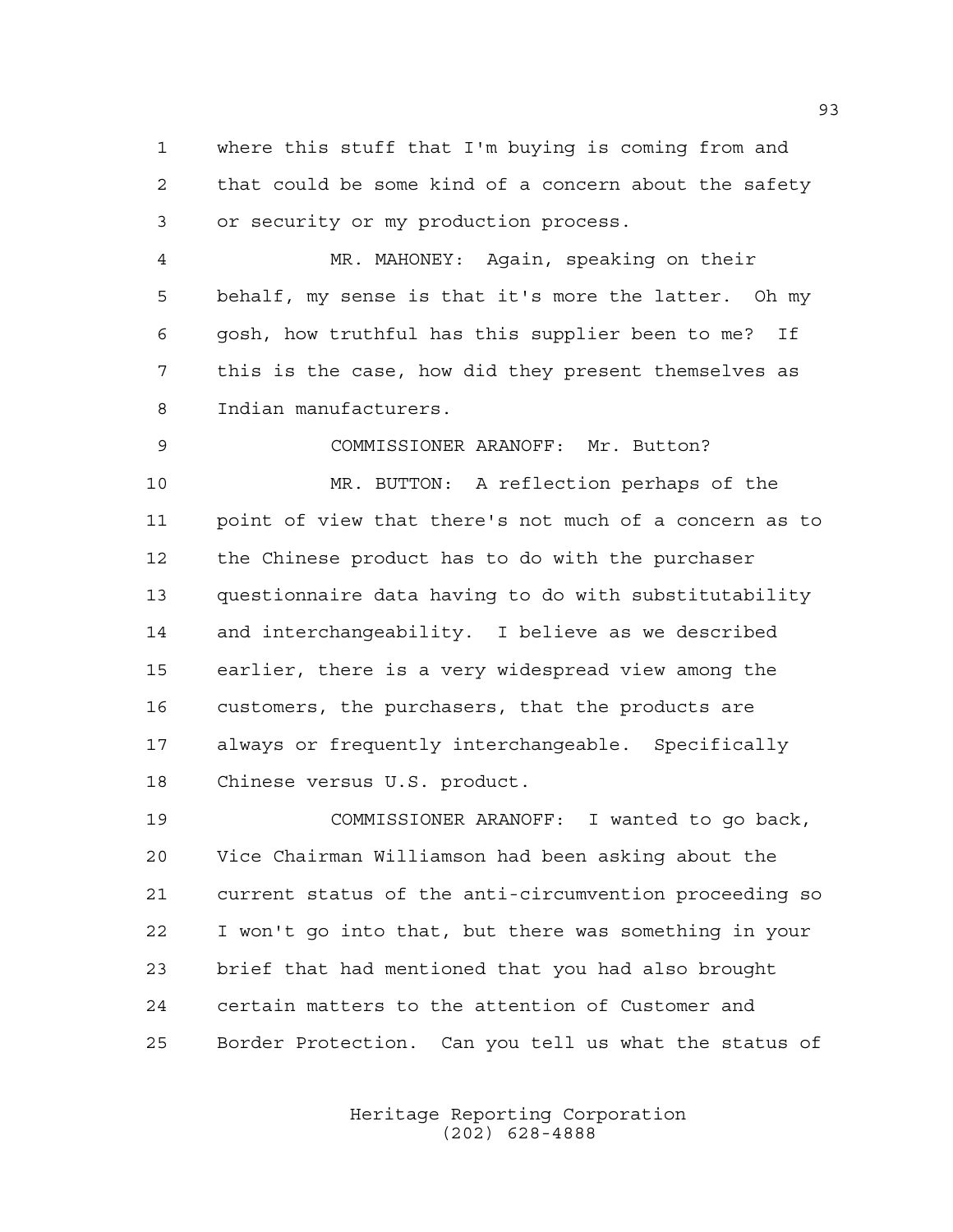where this stuff that I'm buying is coming from and that could be some kind of a concern about the safety or security or my production process.

 MR. MAHONEY: Again, speaking on their behalf, my sense is that it's more the latter. Oh my gosh, how truthful has this supplier been to me? If this is the case, how did they present themselves as Indian manufacturers.

 COMMISSIONER ARANOFF: Mr. Button? MR. BUTTON: A reflection perhaps of the point of view that there's not much of a concern as to the Chinese product has to do with the purchaser questionnaire data having to do with substitutability and interchangeability. I believe as we described earlier, there is a very widespread view among the customers, the purchasers, that the products are always or frequently interchangeable. Specifically Chinese versus U.S. product.

 COMMISSIONER ARANOFF: I wanted to go back, Vice Chairman Williamson had been asking about the current status of the anti-circumvention proceeding so I won't go into that, but there was something in your brief that had mentioned that you had also brought certain matters to the attention of Customer and Border Protection. Can you tell us what the status of

> Heritage Reporting Corporation (202) 628-4888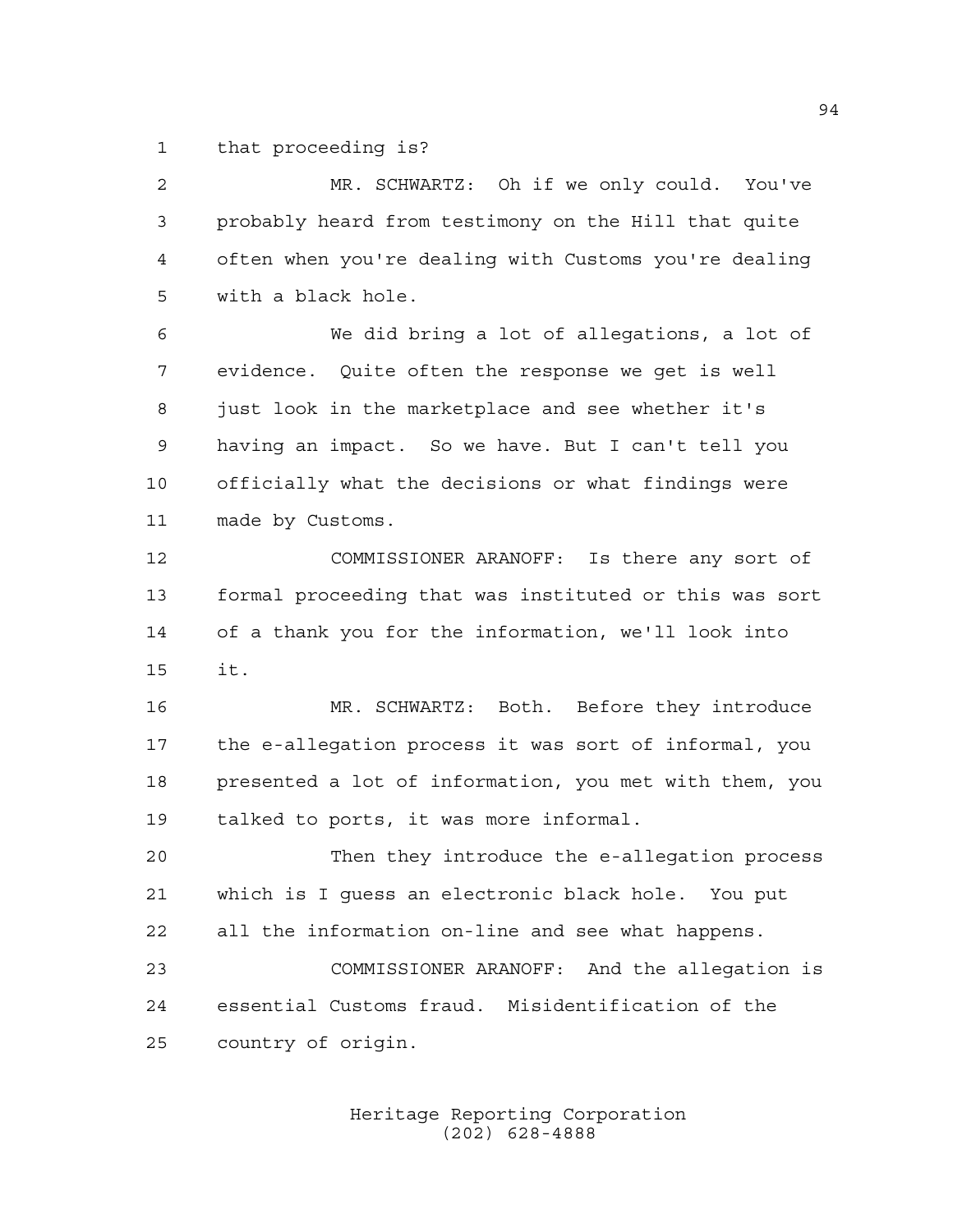that proceeding is?

| $\overline{a}$ | MR. SCHWARTZ: Oh if we only could. You've              |
|----------------|--------------------------------------------------------|
| 3              | probably heard from testimony on the Hill that quite   |
| 4              | often when you're dealing with Customs you're dealing  |
| 5              | with a black hole.                                     |
| 6              | We did bring a lot of allegations, a lot of            |
| 7              | evidence. Quite often the response we get is well      |
| 8              | just look in the marketplace and see whether it's      |
| $\mathsf 9$    | having an impact. So we have. But I can't tell you     |
| 10             | officially what the decisions or what findings were    |
| 11             | made by Customs.                                       |
| 12             | COMMISSIONER ARANOFF: Is there any sort of             |
| 13             | formal proceeding that was instituted or this was sort |
| 14             | of a thank you for the information, we'll look into    |
| 15             | it.                                                    |
| 16             | MR. SCHWARTZ: Both. Before they introduce              |
| 17             | the e-allegation process it was sort of informal, you  |
| 18             | presented a lot of information, you met with them, you |
| 19             | talked to ports, it was more informal.                 |
| 20             | Then they introduce the e-allegation process           |
| 21             | which is I quess an electronic black hole. You put     |
| 22             | all the information on-line and see what happens.      |
| 23             | COMMISSIONER ARANOFF: And the allegation is            |
| 24             | essential Customs fraud. Misidentification of the      |
| 25             | country of origin.                                     |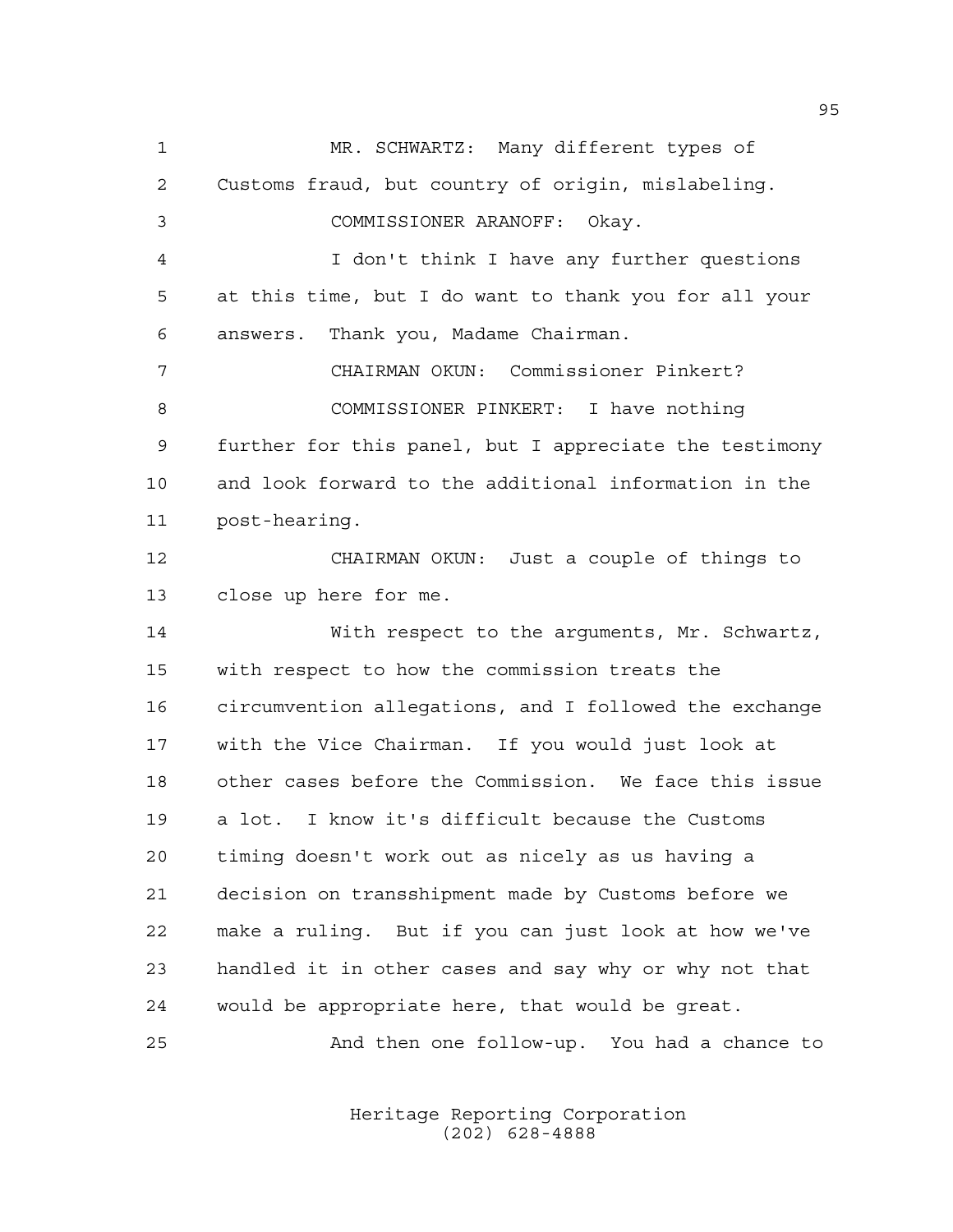MR. SCHWARTZ: Many different types of Customs fraud, but country of origin, mislabeling. COMMISSIONER ARANOFF: Okay. I don't think I have any further questions at this time, but I do want to thank you for all your answers. Thank you, Madame Chairman. CHAIRMAN OKUN: Commissioner Pinkert? COMMISSIONER PINKERT: I have nothing further for this panel, but I appreciate the testimony and look forward to the additional information in the post-hearing. CHAIRMAN OKUN: Just a couple of things to close up here for me. With respect to the arguments, Mr. Schwartz, with respect to how the commission treats the circumvention allegations, and I followed the exchange with the Vice Chairman. If you would just look at other cases before the Commission. We face this issue a lot. I know it's difficult because the Customs timing doesn't work out as nicely as us having a decision on transshipment made by Customs before we make a ruling. But if you can just look at how we've handled it in other cases and say why or why not that would be appropriate here, that would be great. And then one follow-up. You had a chance to

> Heritage Reporting Corporation (202) 628-4888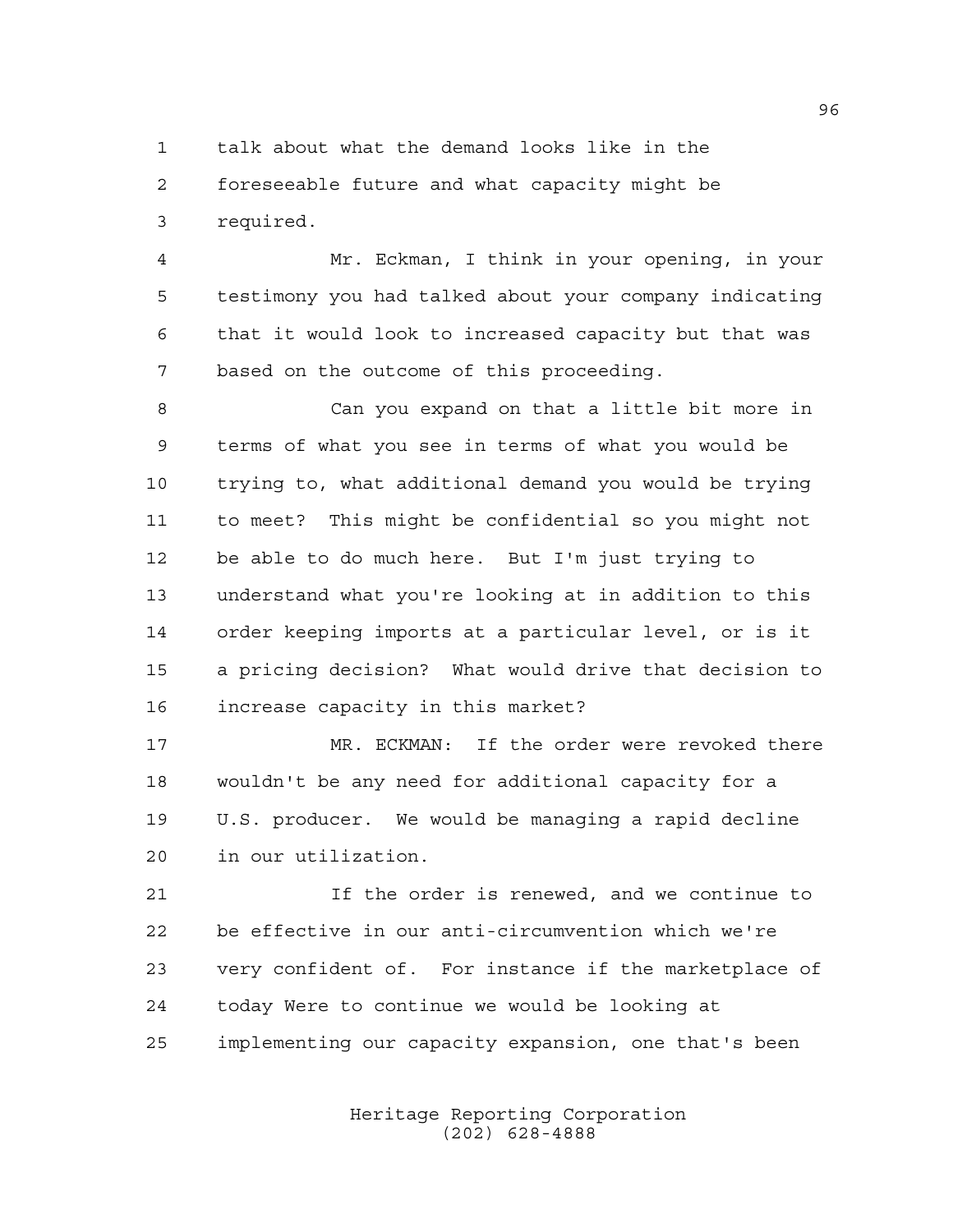talk about what the demand looks like in the

 foreseeable future and what capacity might be required.

 Mr. Eckman, I think in your opening, in your testimony you had talked about your company indicating that it would look to increased capacity but that was based on the outcome of this proceeding.

 Can you expand on that a little bit more in terms of what you see in terms of what you would be trying to, what additional demand you would be trying to meet? This might be confidential so you might not be able to do much here. But I'm just trying to understand what you're looking at in addition to this order keeping imports at a particular level, or is it a pricing decision? What would drive that decision to increase capacity in this market?

 MR. ECKMAN: If the order were revoked there wouldn't be any need for additional capacity for a U.S. producer. We would be managing a rapid decline in our utilization.

 If the order is renewed, and we continue to be effective in our anti-circumvention which we're very confident of. For instance if the marketplace of today Were to continue we would be looking at implementing our capacity expansion, one that's been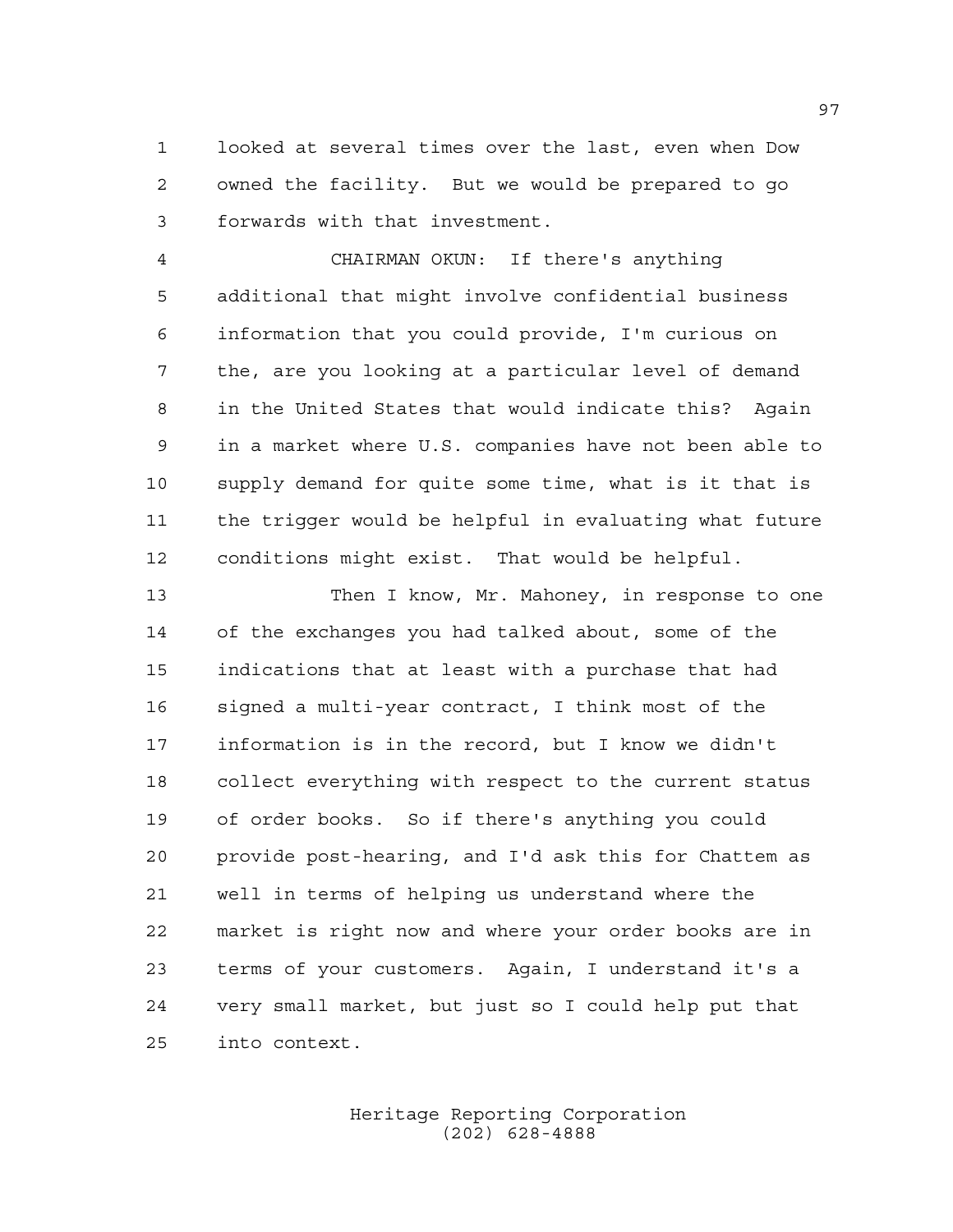looked at several times over the last, even when Dow owned the facility. But we would be prepared to go forwards with that investment.

 CHAIRMAN OKUN: If there's anything additional that might involve confidential business information that you could provide, I'm curious on the, are you looking at a particular level of demand in the United States that would indicate this? Again in a market where U.S. companies have not been able to supply demand for quite some time, what is it that is the trigger would be helpful in evaluating what future conditions might exist. That would be helpful.

 Then I know, Mr. Mahoney, in response to one of the exchanges you had talked about, some of the indications that at least with a purchase that had signed a multi-year contract, I think most of the information is in the record, but I know we didn't collect everything with respect to the current status of order books. So if there's anything you could provide post-hearing, and I'd ask this for Chattem as well in terms of helping us understand where the market is right now and where your order books are in terms of your customers. Again, I understand it's a very small market, but just so I could help put that into context.

> Heritage Reporting Corporation (202) 628-4888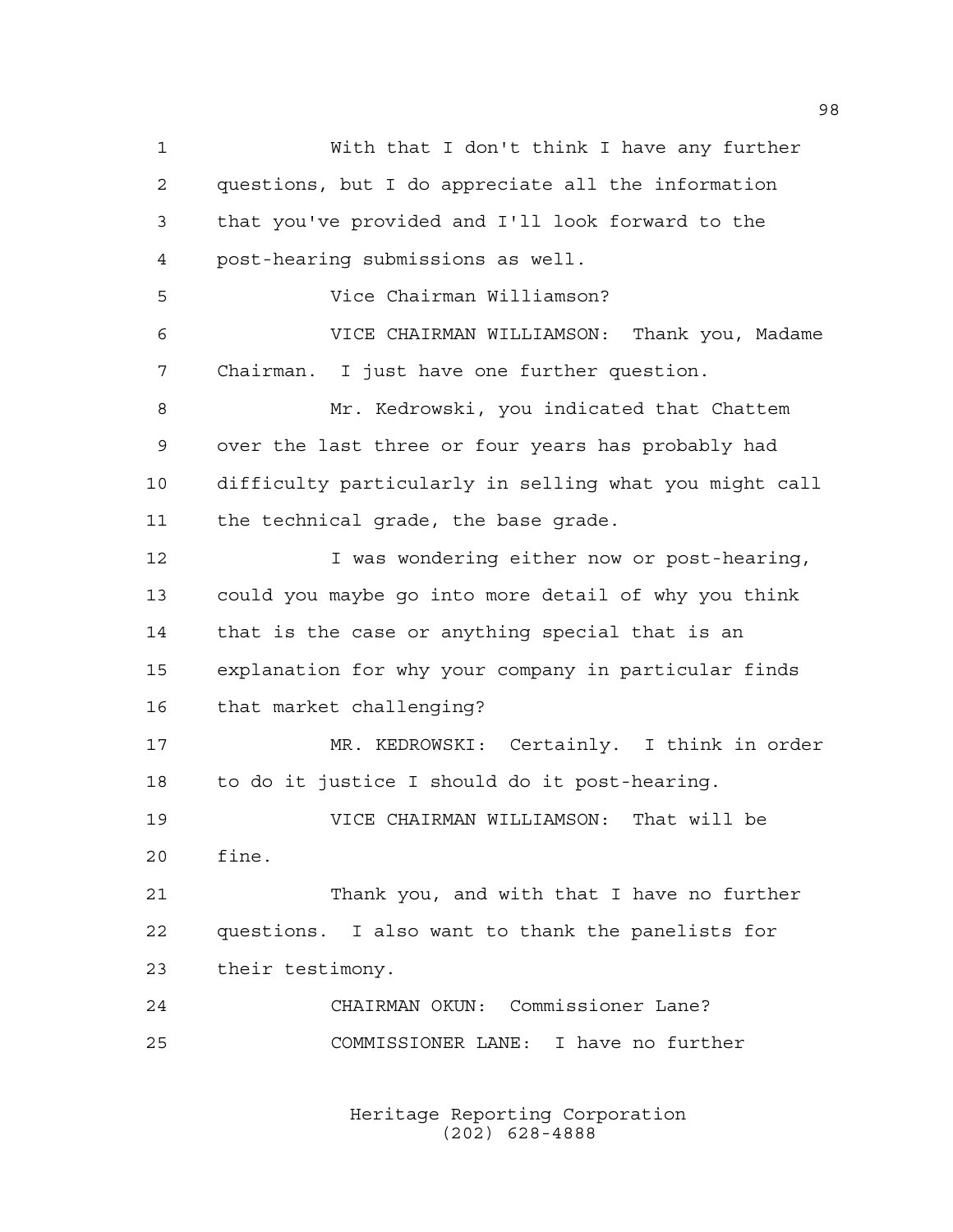With that I don't think I have any further questions, but I do appreciate all the information that you've provided and I'll look forward to the post-hearing submissions as well. Vice Chairman Williamson? VICE CHAIRMAN WILLIAMSON: Thank you, Madame Chairman. I just have one further question. 8 Mr. Kedrowski, you indicated that Chattem over the last three or four years has probably had difficulty particularly in selling what you might call the technical grade, the base grade. 12 I was wondering either now or post-hearing, could you maybe go into more detail of why you think that is the case or anything special that is an explanation for why your company in particular finds that market challenging? MR. KEDROWSKI: Certainly. I think in order to do it justice I should do it post-hearing. VICE CHAIRMAN WILLIAMSON: That will be fine. Thank you, and with that I have no further questions. I also want to thank the panelists for their testimony. CHAIRMAN OKUN: Commissioner Lane? COMMISSIONER LANE: I have no further

> Heritage Reporting Corporation (202) 628-4888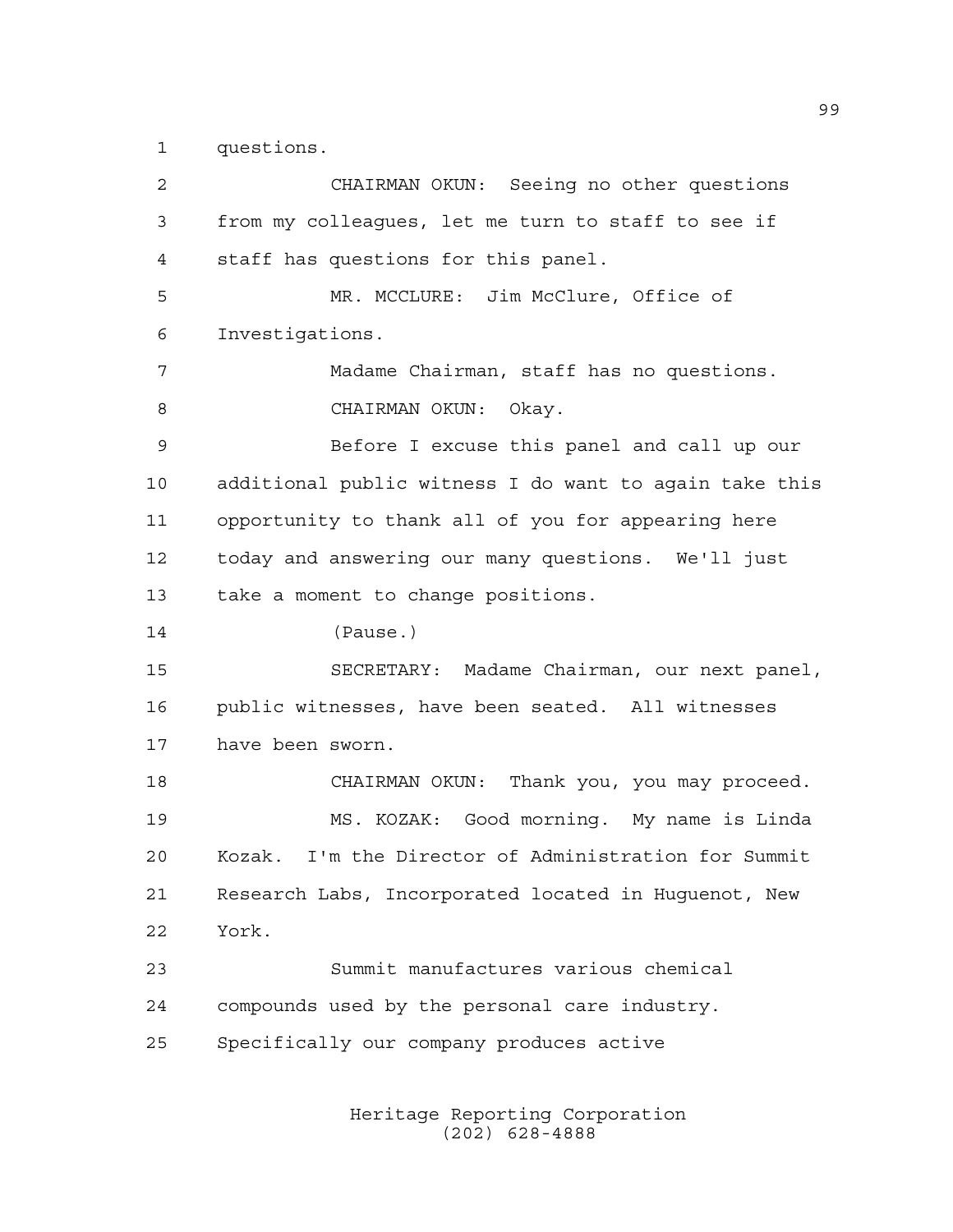questions.

 CHAIRMAN OKUN: Seeing no other questions from my colleagues, let me turn to staff to see if staff has questions for this panel. MR. MCCLURE: Jim McClure, Office of Investigations. Madame Chairman, staff has no questions. 8 CHAIRMAN OKUN: Okay. Before I excuse this panel and call up our additional public witness I do want to again take this opportunity to thank all of you for appearing here today and answering our many questions. We'll just take a moment to change positions. (Pause.) SECRETARY: Madame Chairman, our next panel, public witnesses, have been seated. All witnesses have been sworn. CHAIRMAN OKUN: Thank you, you may proceed. MS. KOZAK: Good morning. My name is Linda Kozak. I'm the Director of Administration for Summit Research Labs, Incorporated located in Huguenot, New York. Summit manufactures various chemical compounds used by the personal care industry. Specifically our company produces active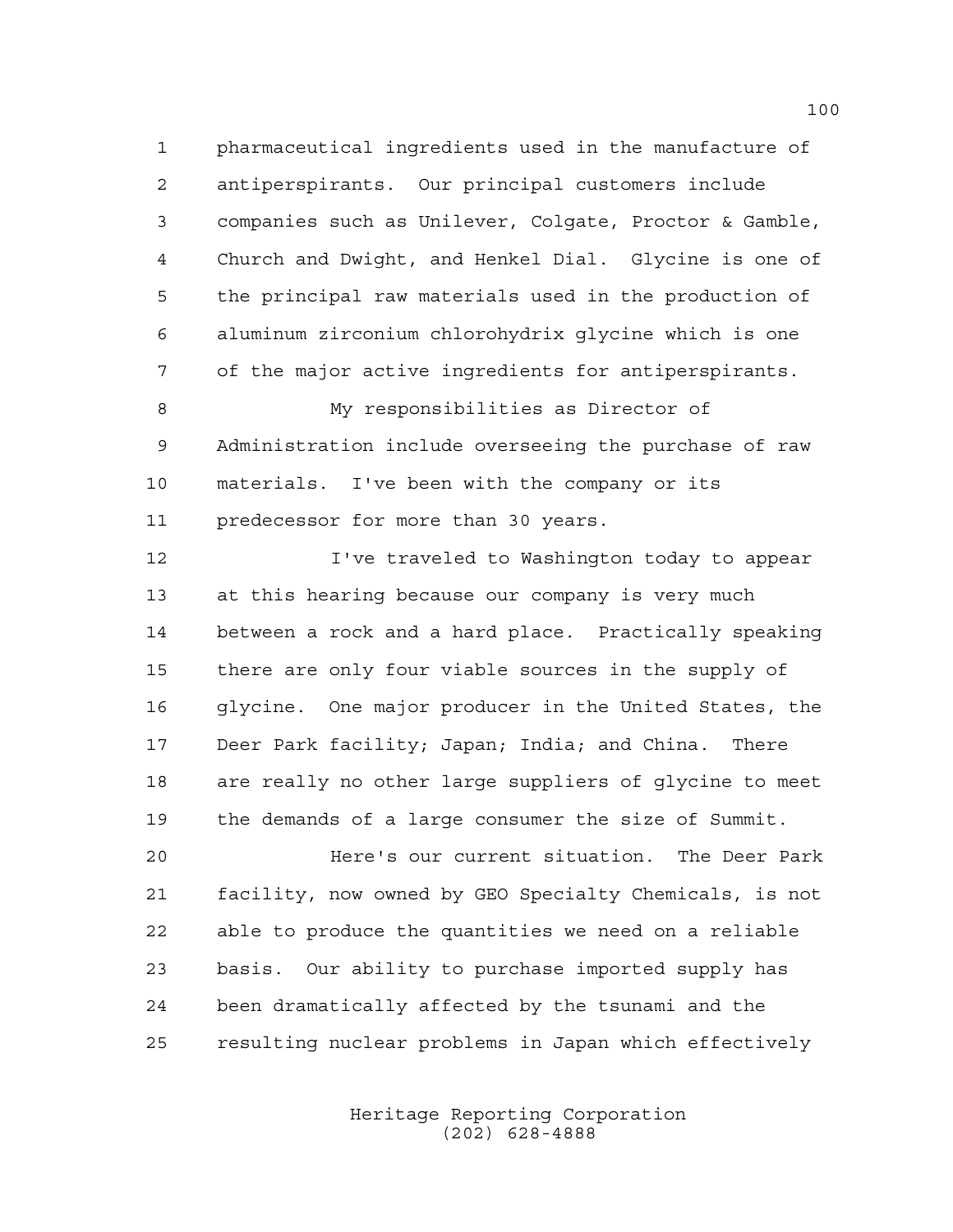pharmaceutical ingredients used in the manufacture of antiperspirants. Our principal customers include companies such as Unilever, Colgate, Proctor & Gamble, Church and Dwight, and Henkel Dial. Glycine is one of the principal raw materials used in the production of aluminum zirconium chlorohydrix glycine which is one of the major active ingredients for antiperspirants.

 My responsibilities as Director of Administration include overseeing the purchase of raw materials. I've been with the company or its predecessor for more than 30 years.

 I've traveled to Washington today to appear at this hearing because our company is very much between a rock and a hard place. Practically speaking there are only four viable sources in the supply of glycine. One major producer in the United States, the Deer Park facility; Japan; India; and China. There are really no other large suppliers of glycine to meet the demands of a large consumer the size of Summit.

 Here's our current situation. The Deer Park facility, now owned by GEO Specialty Chemicals, is not able to produce the quantities we need on a reliable basis. Our ability to purchase imported supply has been dramatically affected by the tsunami and the resulting nuclear problems in Japan which effectively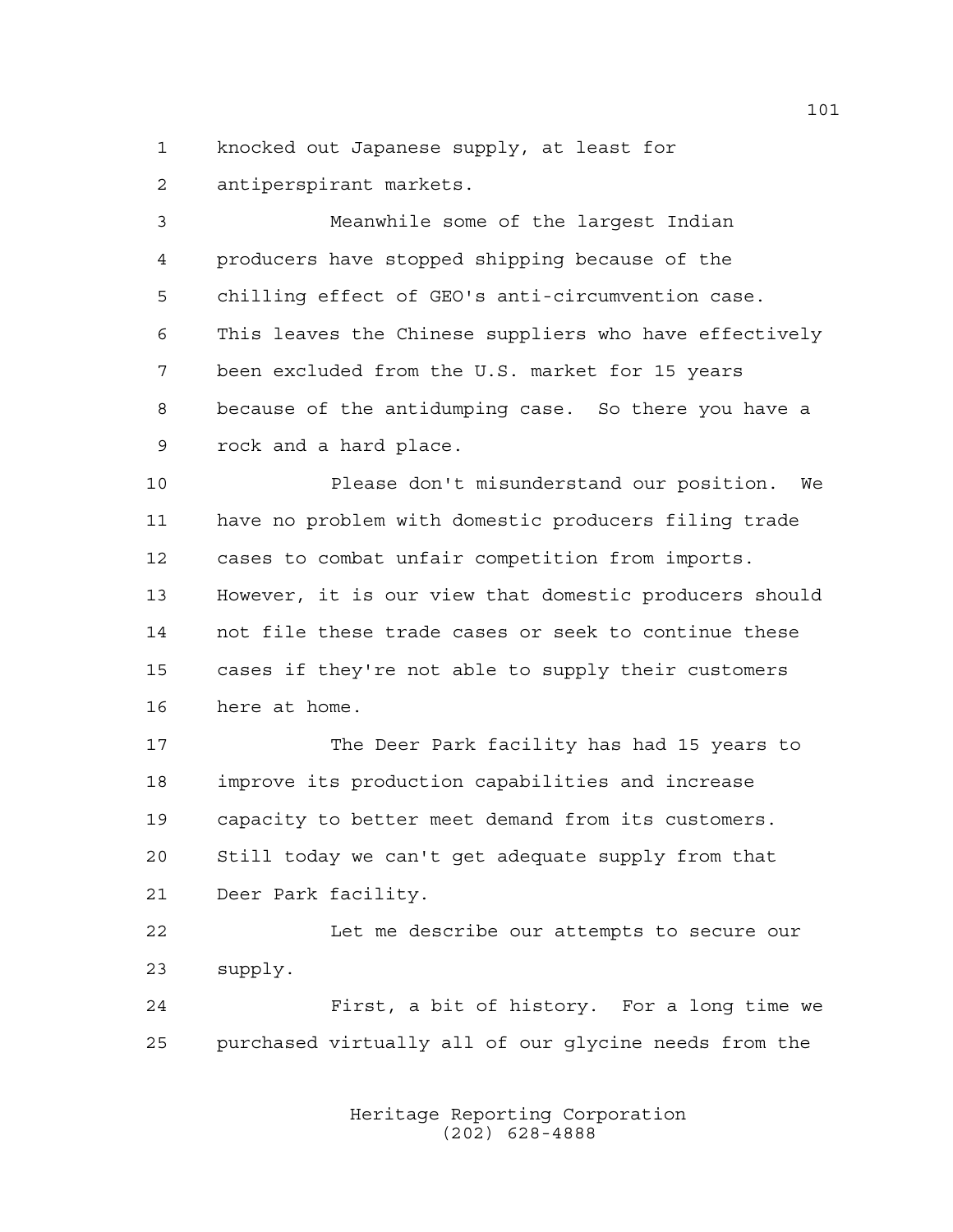knocked out Japanese supply, at least for antiperspirant markets.

 Meanwhile some of the largest Indian producers have stopped shipping because of the chilling effect of GEO's anti-circumvention case. This leaves the Chinese suppliers who have effectively been excluded from the U.S. market for 15 years because of the antidumping case. So there you have a rock and a hard place.

 Please don't misunderstand our position. We have no problem with domestic producers filing trade cases to combat unfair competition from imports. However, it is our view that domestic producers should not file these trade cases or seek to continue these cases if they're not able to supply their customers here at home.

 The Deer Park facility has had 15 years to improve its production capabilities and increase capacity to better meet demand from its customers. Still today we can't get adequate supply from that Deer Park facility.

 Let me describe our attempts to secure our supply.

 First, a bit of history. For a long time we purchased virtually all of our glycine needs from the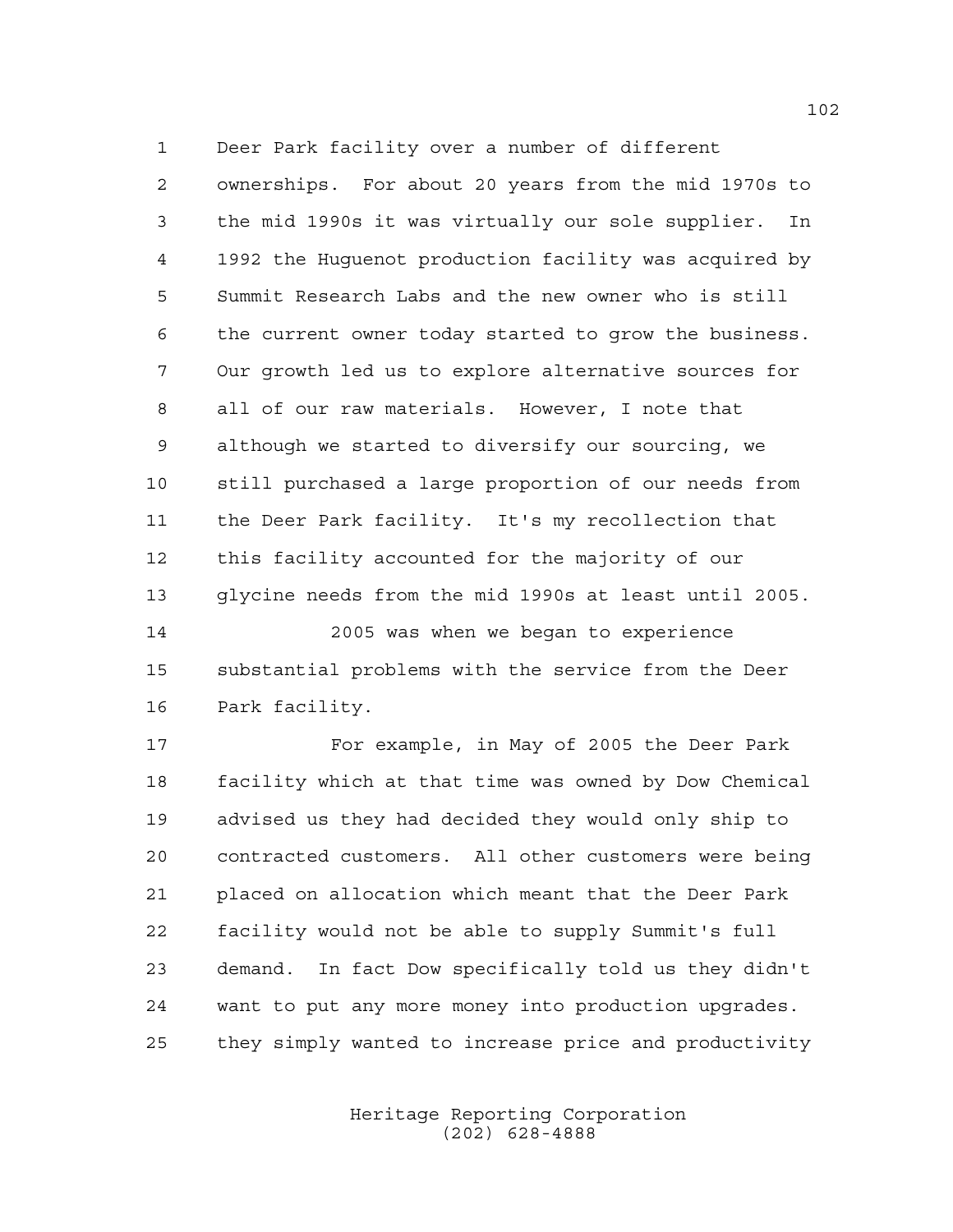Deer Park facility over a number of different

 ownerships. For about 20 years from the mid 1970s to the mid 1990s it was virtually our sole supplier. In 1992 the Huguenot production facility was acquired by Summit Research Labs and the new owner who is still the current owner today started to grow the business. Our growth led us to explore alternative sources for all of our raw materials. However, I note that although we started to diversify our sourcing, we still purchased a large proportion of our needs from the Deer Park facility. It's my recollection that this facility accounted for the majority of our glycine needs from the mid 1990s at least until 2005.

 2005 was when we began to experience substantial problems with the service from the Deer Park facility.

 For example, in May of 2005 the Deer Park facility which at that time was owned by Dow Chemical advised us they had decided they would only ship to contracted customers. All other customers were being placed on allocation which meant that the Deer Park facility would not be able to supply Summit's full demand. In fact Dow specifically told us they didn't want to put any more money into production upgrades. they simply wanted to increase price and productivity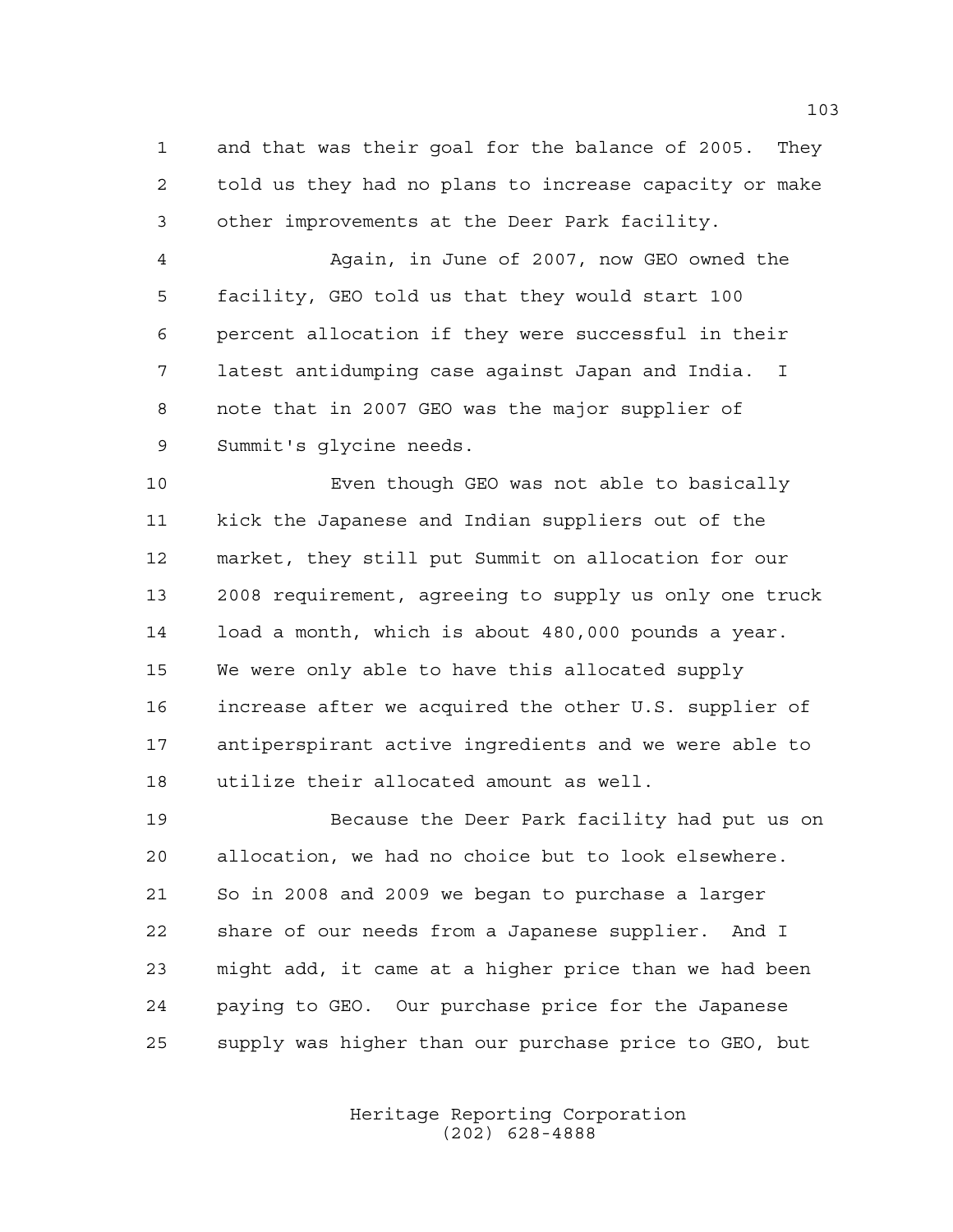and that was their goal for the balance of 2005. They told us they had no plans to increase capacity or make other improvements at the Deer Park facility.

 Again, in June of 2007, now GEO owned the facility, GEO told us that they would start 100 percent allocation if they were successful in their latest antidumping case against Japan and India. I note that in 2007 GEO was the major supplier of Summit's glycine needs.

 Even though GEO was not able to basically kick the Japanese and Indian suppliers out of the market, they still put Summit on allocation for our 2008 requirement, agreeing to supply us only one truck load a month, which is about 480,000 pounds a year. We were only able to have this allocated supply increase after we acquired the other U.S. supplier of antiperspirant active ingredients and we were able to utilize their allocated amount as well.

 Because the Deer Park facility had put us on allocation, we had no choice but to look elsewhere. So in 2008 and 2009 we began to purchase a larger share of our needs from a Japanese supplier. And I might add, it came at a higher price than we had been paying to GEO. Our purchase price for the Japanese supply was higher than our purchase price to GEO, but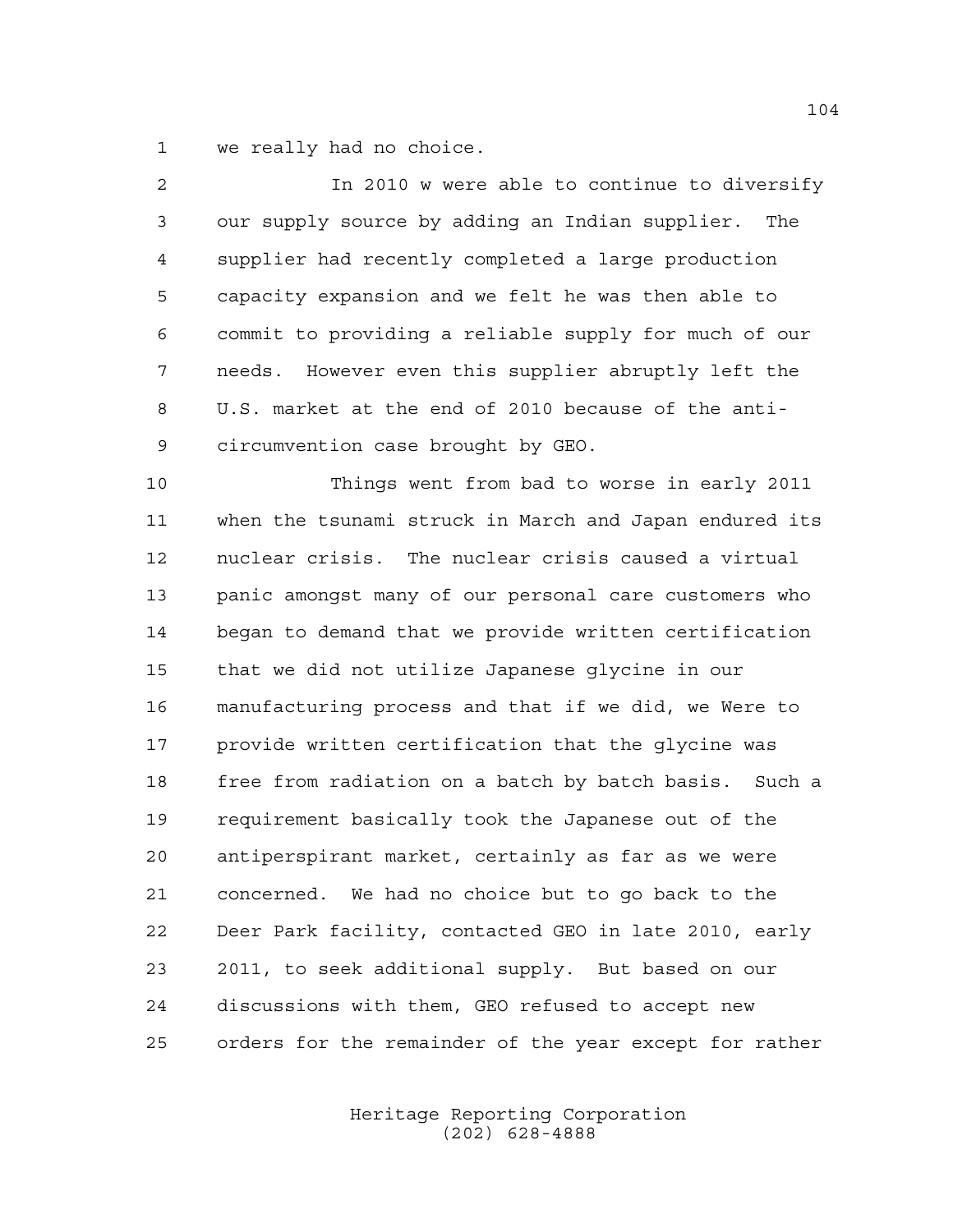we really had no choice.

| 2  | In 2010 w were able to continue to diversify           |
|----|--------------------------------------------------------|
| 3  | our supply source by adding an Indian supplier. The    |
| 4  | supplier had recently completed a large production     |
| 5  | capacity expansion and we felt he was then able to     |
| 6  | commit to providing a reliable supply for much of our  |
| 7  | needs. However even this supplier abruptly left the    |
| 8  | U.S. market at the end of 2010 because of the anti-    |
| 9  | circumvention case brought by GEO.                     |
| 10 | Things went from bad to worse in early 2011            |
| 11 | when the tsunami struck in March and Japan endured its |
| 12 | nuclear crisis. The nuclear crisis caused a virtual    |
| 13 | panic amongst many of our personal care customers who  |
| 14 | began to demand that we provide written certification  |
| 15 | that we did not utilize Japanese glycine in our        |
| 16 | manufacturing process and that if we did, we Were to   |
| 17 | provide written certification that the glycine was     |
| 18 | free from radiation on a batch by batch basis. Such a  |
| 19 | requirement basically took the Japanese out of the     |
| 20 | antiperspirant market, certainly as far as we were     |
| 21 | concerned. We had no choice but to go back to the      |
| 22 | Deer Park facility, contacted GEO in late 2010, early  |
| 23 | 2011, to seek additional supply. But based on our      |
| 24 | discussions with them, GEO refused to accept new       |
| 25 | orders for the remainder of the year except for rather |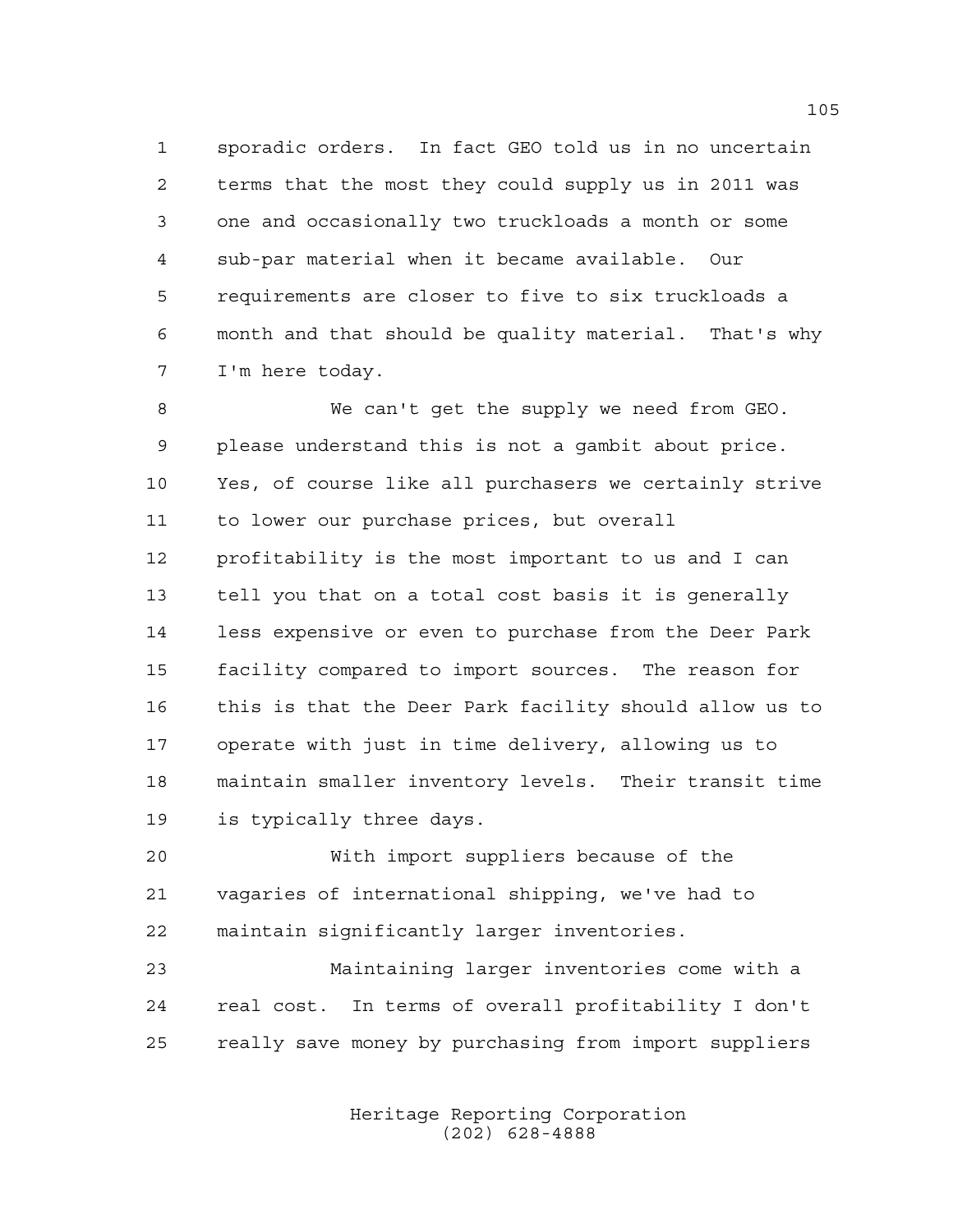sporadic orders. In fact GEO told us in no uncertain terms that the most they could supply us in 2011 was one and occasionally two truckloads a month or some sub-par material when it became available. Our requirements are closer to five to six truckloads a month and that should be quality material. That's why I'm here today.

 We can't get the supply we need from GEO. please understand this is not a gambit about price. Yes, of course like all purchasers we certainly strive to lower our purchase prices, but overall profitability is the most important to us and I can tell you that on a total cost basis it is generally less expensive or even to purchase from the Deer Park facility compared to import sources. The reason for this is that the Deer Park facility should allow us to operate with just in time delivery, allowing us to maintain smaller inventory levels. Their transit time is typically three days.

 With import suppliers because of the vagaries of international shipping, we've had to maintain significantly larger inventories.

 Maintaining larger inventories come with a real cost. In terms of overall profitability I don't really save money by purchasing from import suppliers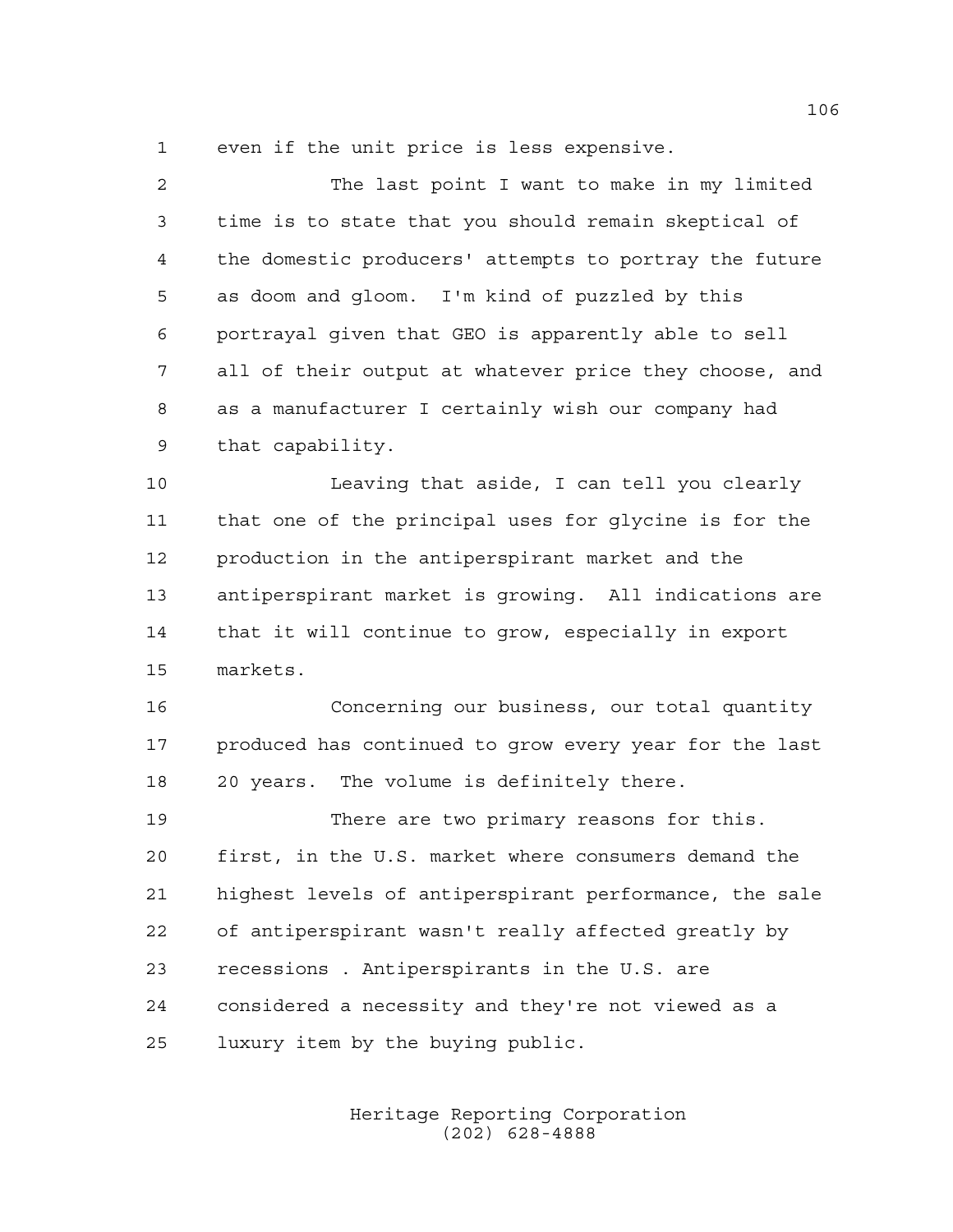even if the unit price is less expensive.

| 2           | The last point I want to make in my limited            |
|-------------|--------------------------------------------------------|
| 3           | time is to state that you should remain skeptical of   |
| 4           | the domestic producers' attempts to portray the future |
| 5           | as doom and gloom. I'm kind of puzzled by this         |
| 6           | portrayal given that GEO is apparently able to sell    |
| 7           | all of their output at whatever price they choose, and |
| 8           | as a manufacturer I certainly wish our company had     |
| $\mathsf 9$ | that capability.                                       |
| 10          | Leaving that aside, I can tell you clearly             |
| 11          | that one of the principal uses for glycine is for the  |
| 12          | production in the antiperspirant market and the        |
| 13          | antiperspirant market is growing. All indications are  |
| 14          | that it will continue to grow, especially in export    |
| 15          | markets.                                               |
| 16          | Concerning our business, our total quantity            |
| 17          | produced has continued to grow every year for the last |
| 18          | 20 years. The volume is definitely there.              |
| 19          | There are two primary reasons for this.                |
| 20          | first, in the U.S. market where consumers demand the   |
| 21          | highest levels of antiperspirant performance, the sale |
|             |                                                        |

of antiperspirant wasn't really affected greatly by

recessions . Antiperspirants in the U.S. are

 considered a necessity and they're not viewed as a luxury item by the buying public.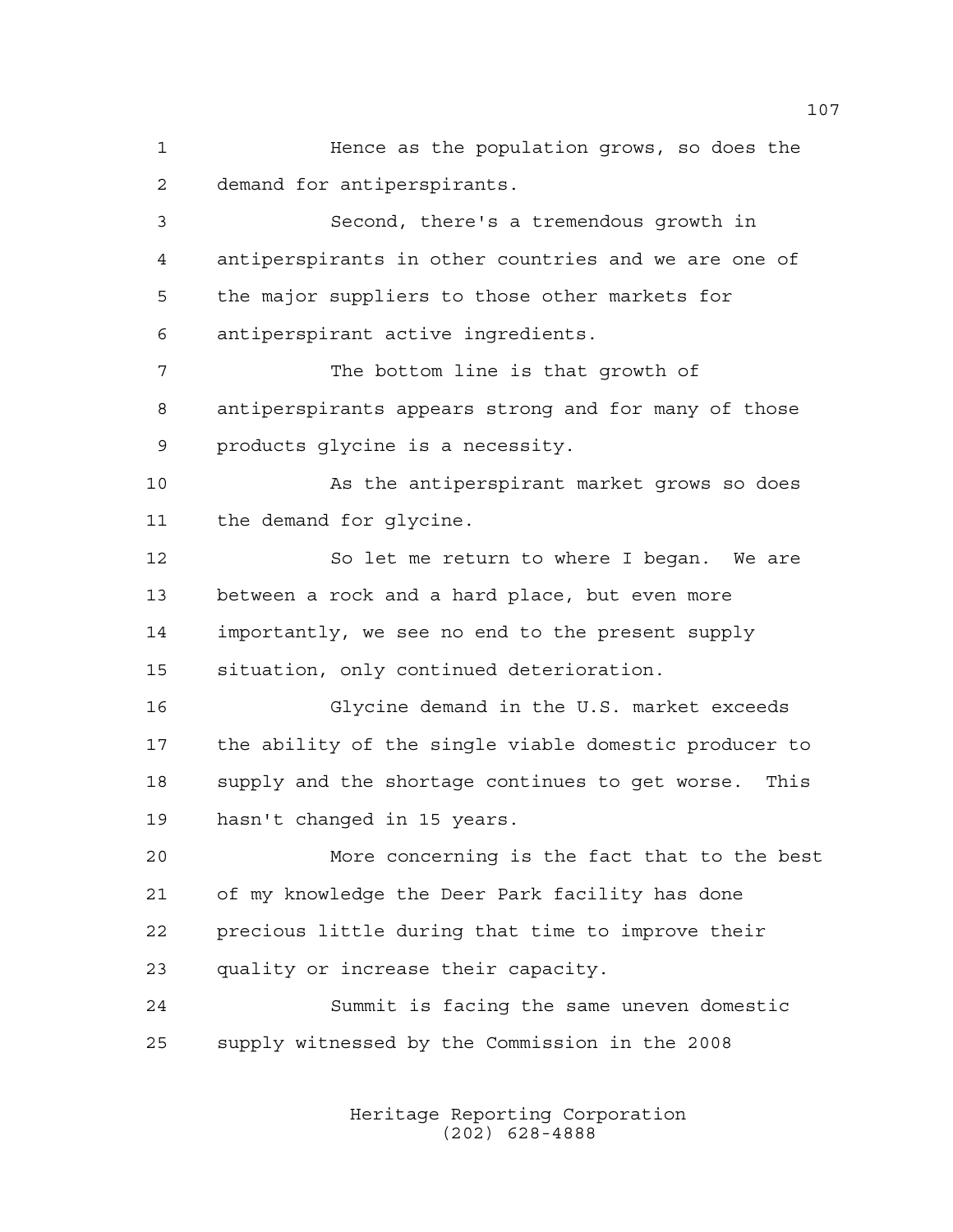Hence as the population grows, so does the demand for antiperspirants. Second, there's a tremendous growth in antiperspirants in other countries and we are one of the major suppliers to those other markets for antiperspirant active ingredients. The bottom line is that growth of antiperspirants appears strong and for many of those products glycine is a necessity. As the antiperspirant market grows so does the demand for glycine. 12 So let me return to where I began. We are between a rock and a hard place, but even more importantly, we see no end to the present supply situation, only continued deterioration. Glycine demand in the U.S. market exceeds the ability of the single viable domestic producer to supply and the shortage continues to get worse. This hasn't changed in 15 years. More concerning is the fact that to the best of my knowledge the Deer Park facility has done precious little during that time to improve their quality or increase their capacity. Summit is facing the same uneven domestic supply witnessed by the Commission in the 2008

> Heritage Reporting Corporation (202) 628-4888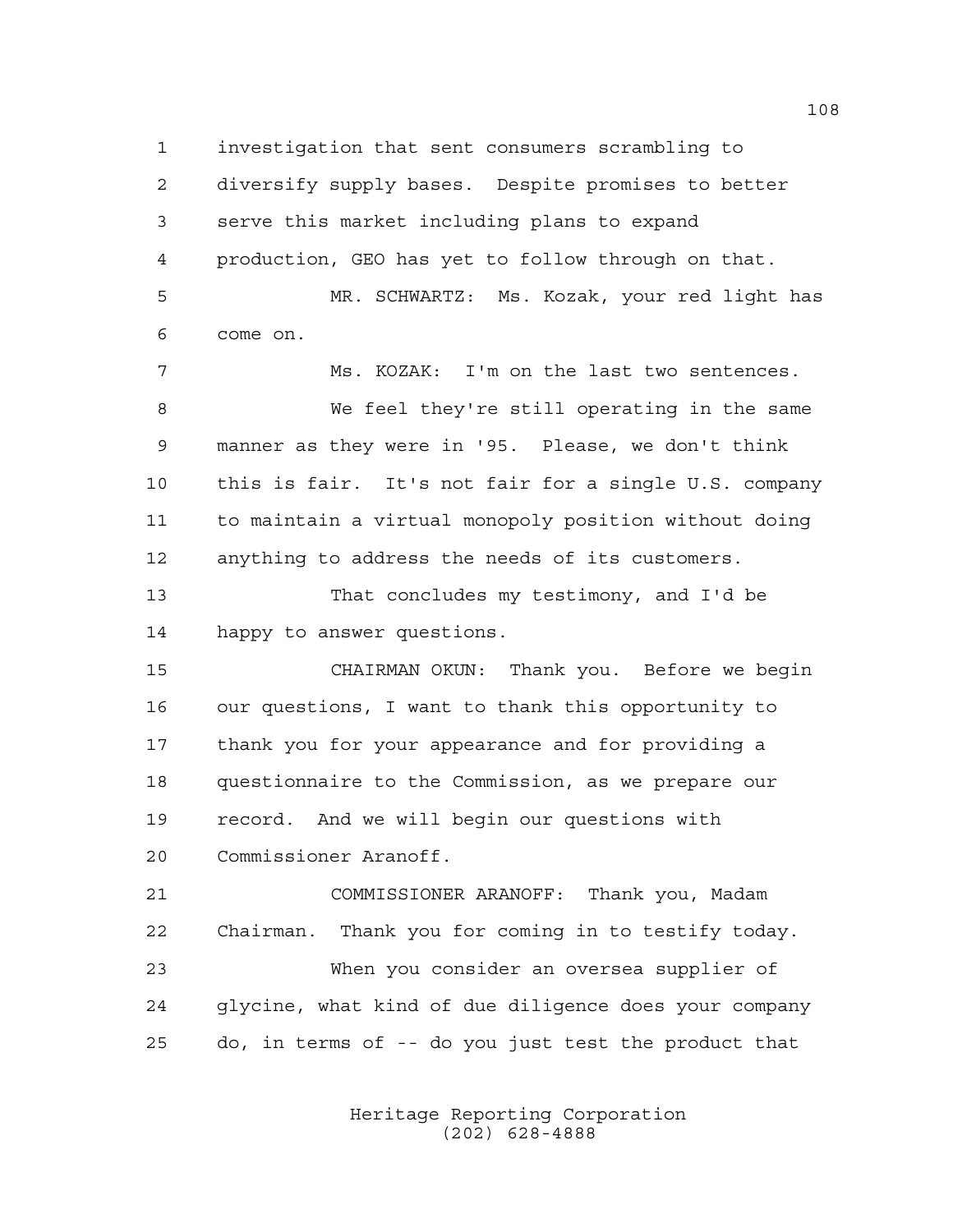investigation that sent consumers scrambling to diversify supply bases. Despite promises to better serve this market including plans to expand production, GEO has yet to follow through on that. MR. SCHWARTZ: Ms. Kozak, your red light has come on. Ms. KOZAK: I'm on the last two sentences. We feel they're still operating in the same manner as they were in '95. Please, we don't think

 this is fair. It's not fair for a single U.S. company to maintain a virtual monopoly position without doing anything to address the needs of its customers.

 That concludes my testimony, and I'd be happy to answer questions.

 CHAIRMAN OKUN: Thank you. Before we begin our questions, I want to thank this opportunity to thank you for your appearance and for providing a questionnaire to the Commission, as we prepare our record. And we will begin our questions with Commissioner Aranoff.

 COMMISSIONER ARANOFF: Thank you, Madam Chairman. Thank you for coming in to testify today. When you consider an oversea supplier of glycine, what kind of due diligence does your company do, in terms of -- do you just test the product that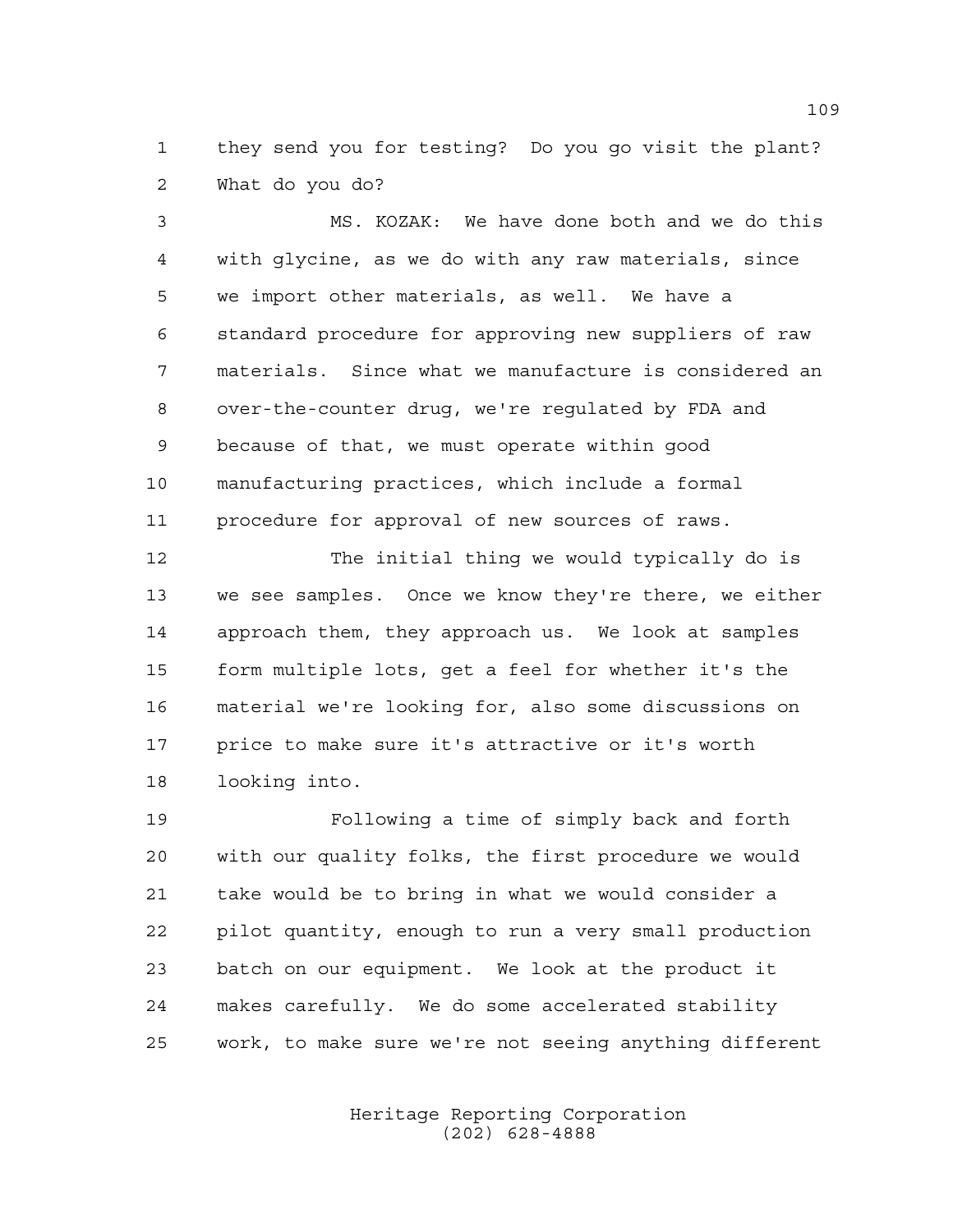they send you for testing? Do you go visit the plant? What do you do?

 MS. KOZAK: We have done both and we do this with glycine, as we do with any raw materials, since we import other materials, as well. We have a standard procedure for approving new suppliers of raw materials. Since what we manufacture is considered an over-the-counter drug, we're regulated by FDA and because of that, we must operate within good manufacturing practices, which include a formal procedure for approval of new sources of raws.

 The initial thing we would typically do is we see samples. Once we know they're there, we either approach them, they approach us. We look at samples form multiple lots, get a feel for whether it's the material we're looking for, also some discussions on price to make sure it's attractive or it's worth looking into.

 Following a time of simply back and forth with our quality folks, the first procedure we would take would be to bring in what we would consider a pilot quantity, enough to run a very small production batch on our equipment. We look at the product it makes carefully. We do some accelerated stability work, to make sure we're not seeing anything different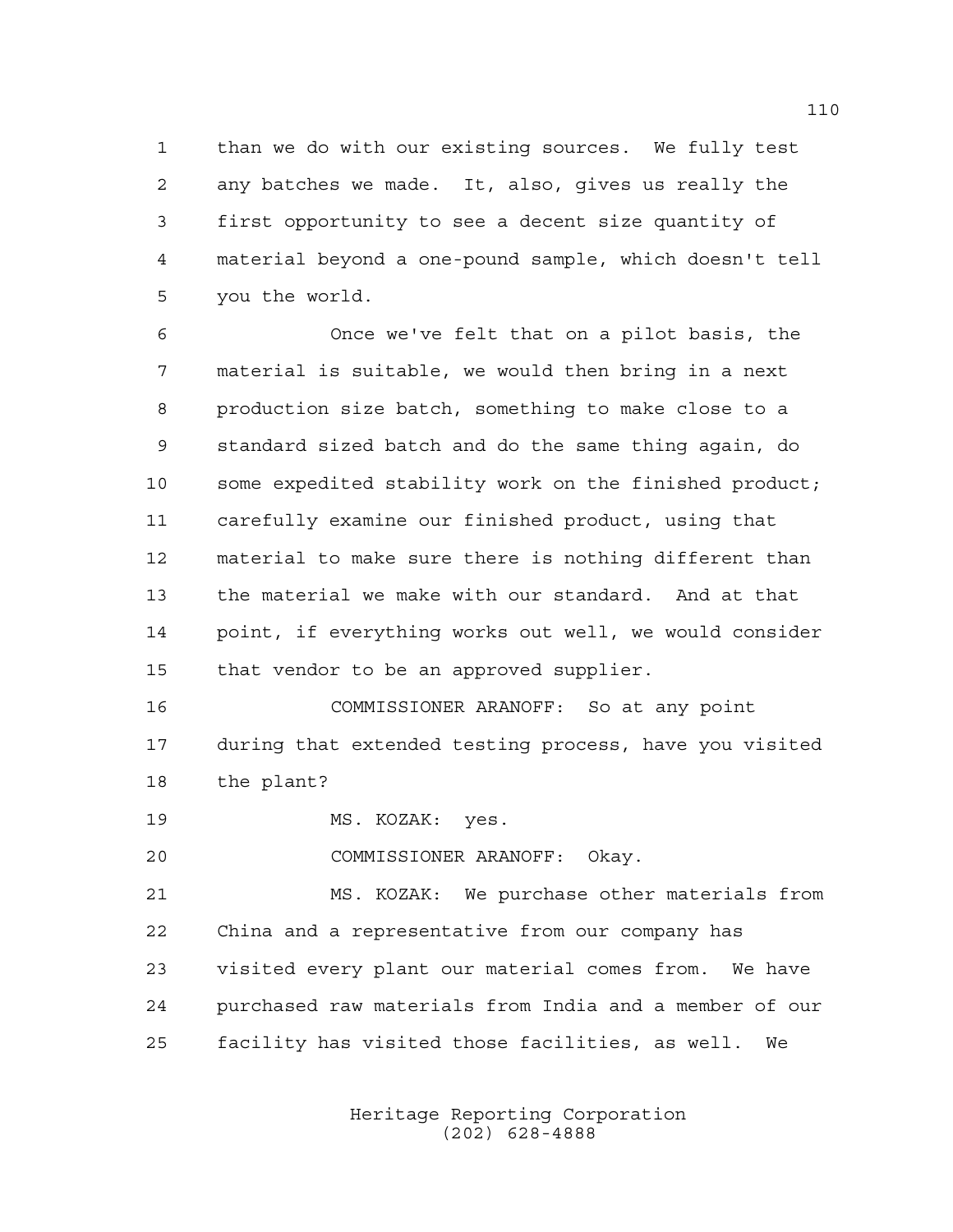than we do with our existing sources. We fully test any batches we made. It, also, gives us really the first opportunity to see a decent size quantity of material beyond a one-pound sample, which doesn't tell you the world.

 Once we've felt that on a pilot basis, the material is suitable, we would then bring in a next production size batch, something to make close to a standard sized batch and do the same thing again, do some expedited stability work on the finished product; carefully examine our finished product, using that material to make sure there is nothing different than the material we make with our standard. And at that point, if everything works out well, we would consider that vendor to be an approved supplier.

 COMMISSIONER ARANOFF: So at any point during that extended testing process, have you visited the plant?

19 MS. KOZAK: yes.

COMMISSIONER ARANOFF: Okay.

 MS. KOZAK: We purchase other materials from China and a representative from our company has visited every plant our material comes from. We have purchased raw materials from India and a member of our facility has visited those facilities, as well. We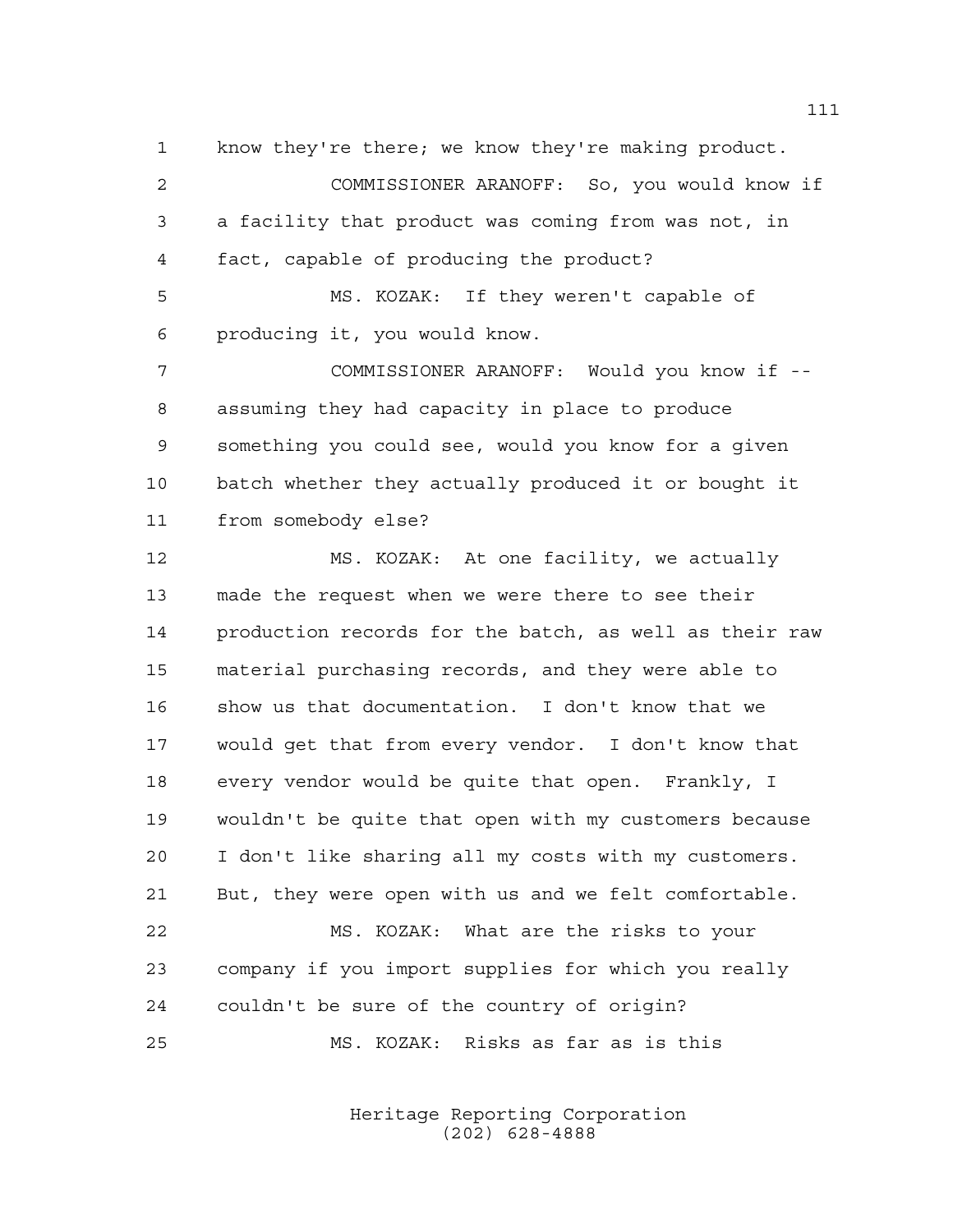know they're there; we know they're making product.

 COMMISSIONER ARANOFF: So, you would know if a facility that product was coming from was not, in fact, capable of producing the product?

 MS. KOZAK: If they weren't capable of producing it, you would know.

 COMMISSIONER ARANOFF: Would you know if -- assuming they had capacity in place to produce something you could see, would you know for a given batch whether they actually produced it or bought it from somebody else?

 MS. KOZAK: At one facility, we actually made the request when we were there to see their production records for the batch, as well as their raw material purchasing records, and they were able to show us that documentation. I don't know that we would get that from every vendor. I don't know that every vendor would be quite that open. Frankly, I wouldn't be quite that open with my customers because I don't like sharing all my costs with my customers. But, they were open with us and we felt comfortable. MS. KOZAK: What are the risks to your company if you import supplies for which you really couldn't be sure of the country of origin?

MS. KOZAK: Risks as far as is this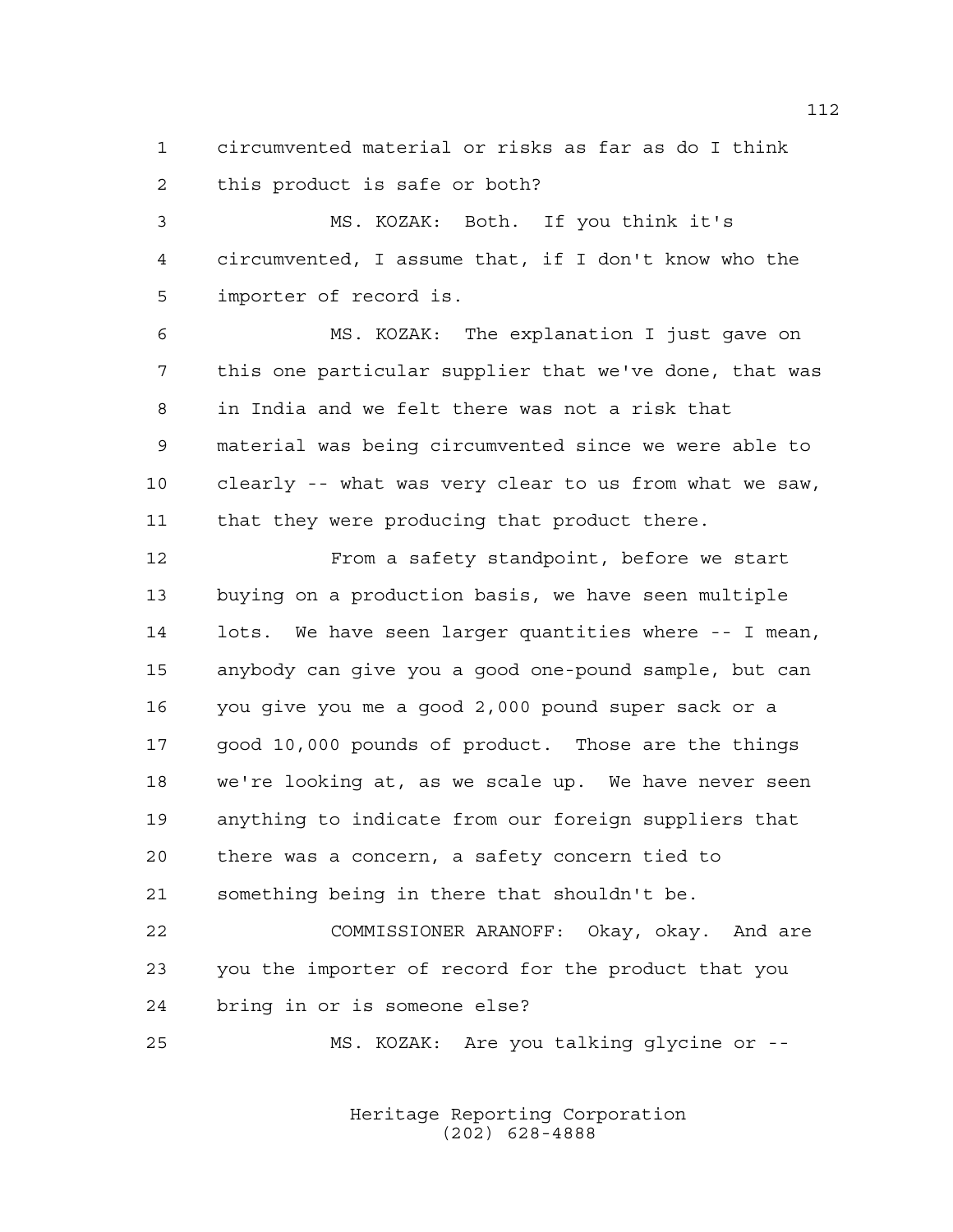circumvented material or risks as far as do I think this product is safe or both?

 MS. KOZAK: Both. If you think it's circumvented, I assume that, if I don't know who the importer of record is.

 MS. KOZAK: The explanation I just gave on this one particular supplier that we've done, that was in India and we felt there was not a risk that material was being circumvented since we were able to clearly -- what was very clear to us from what we saw, that they were producing that product there.

 From a safety standpoint, before we start buying on a production basis, we have seen multiple lots. We have seen larger quantities where -- I mean, anybody can give you a good one-pound sample, but can you give you me a good 2,000 pound super sack or a good 10,000 pounds of product. Those are the things we're looking at, as we scale up. We have never seen anything to indicate from our foreign suppliers that there was a concern, a safety concern tied to something being in there that shouldn't be.

 COMMISSIONER ARANOFF: Okay, okay. And are you the importer of record for the product that you bring in or is someone else?

MS. KOZAK: Are you talking glycine or --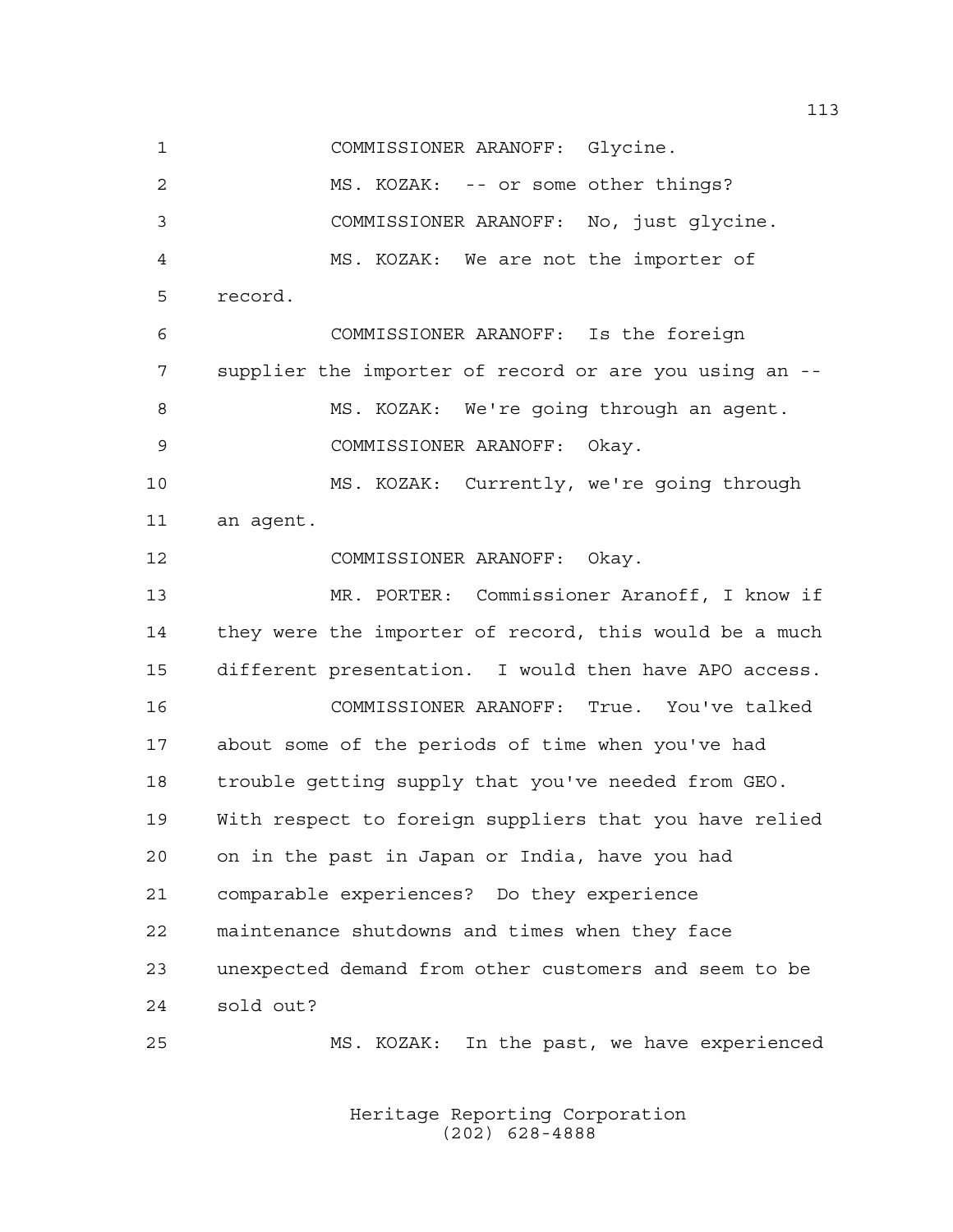COMMISSIONER ARANOFF: Glycine.

 MS. KOZAK: -- or some other things? COMMISSIONER ARANOFF: No, just glycine. MS. KOZAK: We are not the importer of record. COMMISSIONER ARANOFF: Is the foreign supplier the importer of record or are you using an -- MS. KOZAK: We're going through an agent. COMMISSIONER ARANOFF: Okay. MS. KOZAK: Currently, we're going through an agent. COMMISSIONER ARANOFF: Okay. MR. PORTER: Commissioner Aranoff, I know if they were the importer of record, this would be a much different presentation. I would then have APO access. COMMISSIONER ARANOFF: True. You've talked about some of the periods of time when you've had trouble getting supply that you've needed from GEO. With respect to foreign suppliers that you have relied on in the past in Japan or India, have you had comparable experiences? Do they experience maintenance shutdowns and times when they face unexpected demand from other customers and seem to be sold out? MS. KOZAK: In the past, we have experienced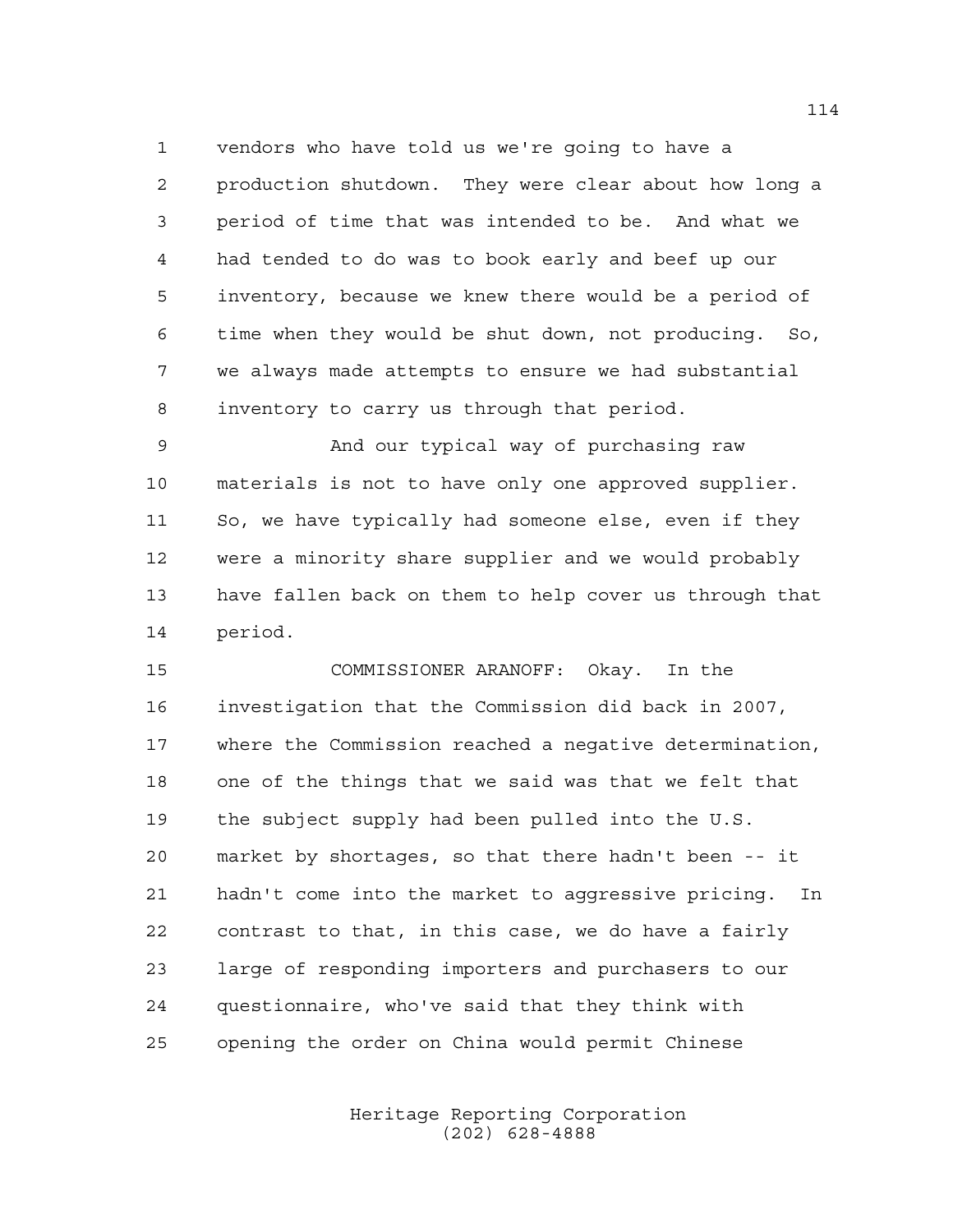vendors who have told us we're going to have a production shutdown. They were clear about how long a period of time that was intended to be. And what we had tended to do was to book early and beef up our inventory, because we knew there would be a period of time when they would be shut down, not producing. So, we always made attempts to ensure we had substantial inventory to carry us through that period.

 And our typical way of purchasing raw materials is not to have only one approved supplier. So, we have typically had someone else, even if they were a minority share supplier and we would probably have fallen back on them to help cover us through that period.

 COMMISSIONER ARANOFF: Okay. In the investigation that the Commission did back in 2007, where the Commission reached a negative determination, one of the things that we said was that we felt that the subject supply had been pulled into the U.S. market by shortages, so that there hadn't been -- it hadn't come into the market to aggressive pricing. In contrast to that, in this case, we do have a fairly large of responding importers and purchasers to our questionnaire, who've said that they think with opening the order on China would permit Chinese

> Heritage Reporting Corporation (202) 628-4888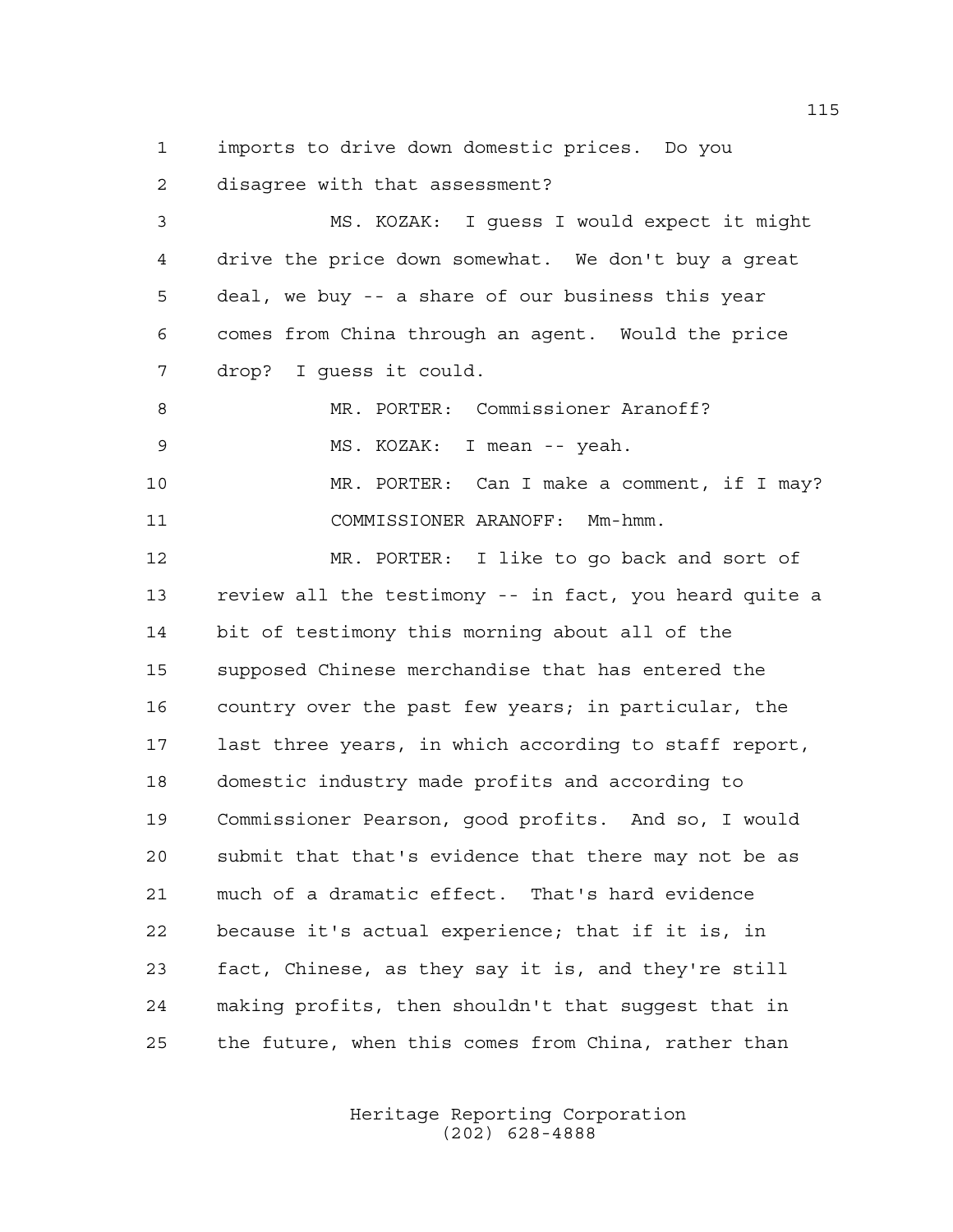imports to drive down domestic prices. Do you disagree with that assessment?

 MS. KOZAK: I guess I would expect it might drive the price down somewhat. We don't buy a great deal, we buy -- a share of our business this year comes from China through an agent. Would the price drop? I guess it could. MR. PORTER: Commissioner Aranoff? MS. KOZAK: I mean -- yeah. MR. PORTER: Can I make a comment, if I may? COMMISSIONER ARANOFF: Mm-hmm. MR. PORTER: I like to go back and sort of review all the testimony -- in fact, you heard quite a bit of testimony this morning about all of the supposed Chinese merchandise that has entered the country over the past few years; in particular, the last three years, in which according to staff report, domestic industry made profits and according to Commissioner Pearson, good profits. And so, I would submit that that's evidence that there may not be as much of a dramatic effect. That's hard evidence because it's actual experience; that if it is, in fact, Chinese, as they say it is, and they're still making profits, then shouldn't that suggest that in the future, when this comes from China, rather than

> Heritage Reporting Corporation (202) 628-4888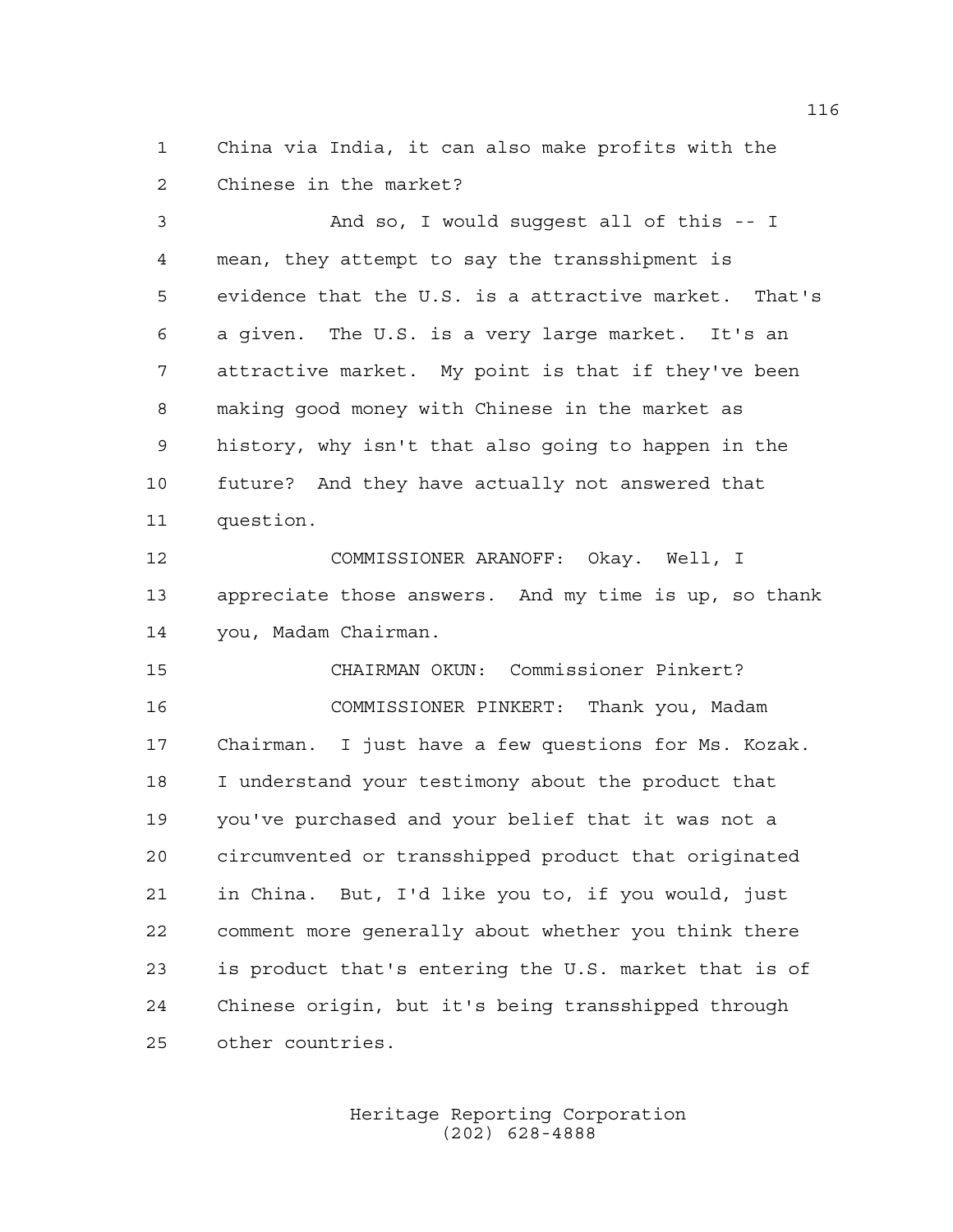China via India, it can also make profits with the Chinese in the market?

 And so, I would suggest all of this -- I mean, they attempt to say the transshipment is evidence that the U.S. is a attractive market. That's a given. The U.S. is a very large market. It's an attractive market. My point is that if they've been making good money with Chinese in the market as history, why isn't that also going to happen in the future? And they have actually not answered that question.

 COMMISSIONER ARANOFF: Okay. Well, I appreciate those answers. And my time is up, so thank you, Madam Chairman.

 CHAIRMAN OKUN: Commissioner Pinkert? COMMISSIONER PINKERT: Thank you, Madam Chairman. I just have a few questions for Ms. Kozak. I understand your testimony about the product that you've purchased and your belief that it was not a circumvented or transshipped product that originated in China. But, I'd like you to, if you would, just comment more generally about whether you think there is product that's entering the U.S. market that is of Chinese origin, but it's being transshipped through other countries.

> Heritage Reporting Corporation (202) 628-4888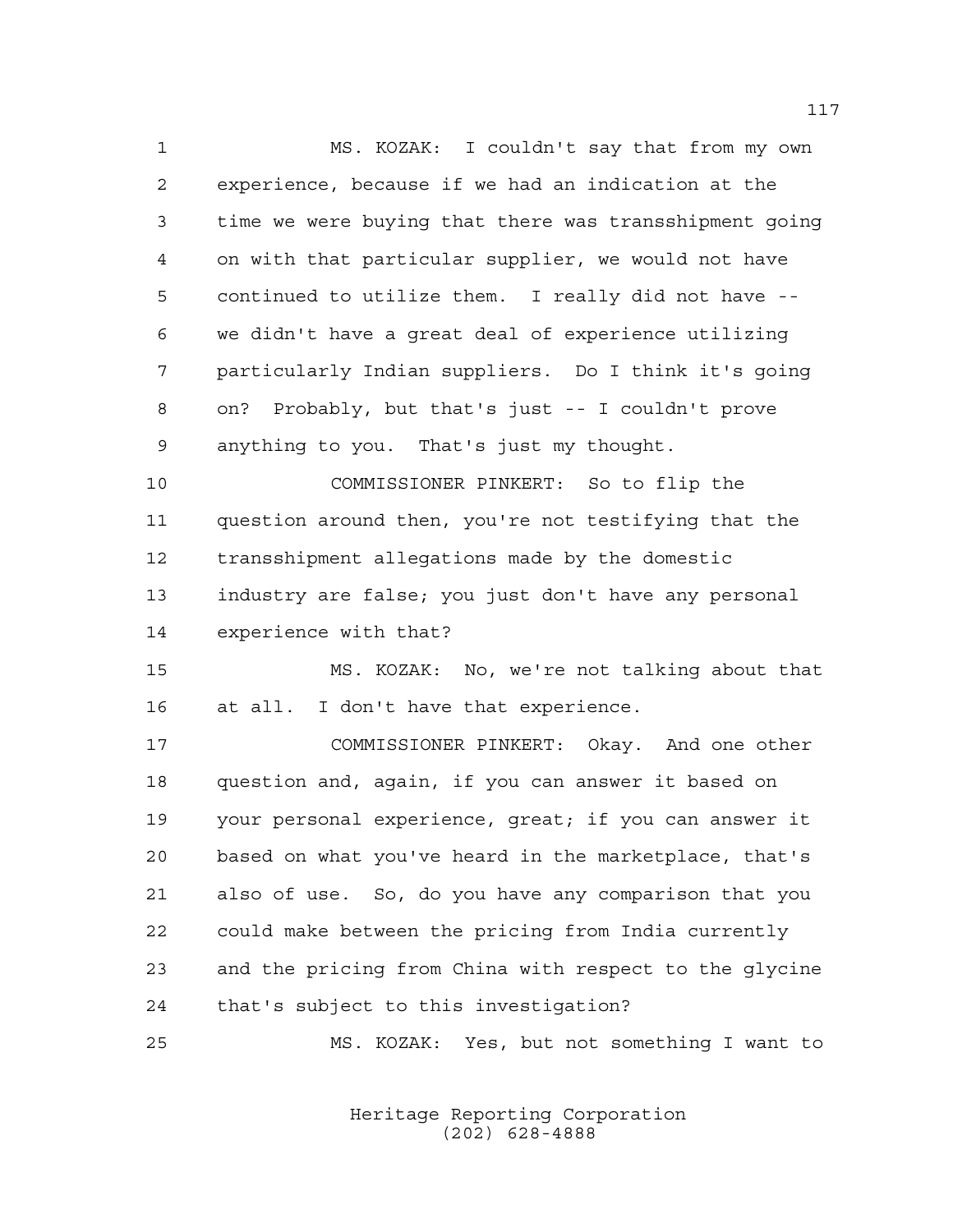MS. KOZAK: I couldn't say that from my own experience, because if we had an indication at the time we were buying that there was transshipment going on with that particular supplier, we would not have continued to utilize them. I really did not have -- we didn't have a great deal of experience utilizing particularly Indian suppliers. Do I think it's going on? Probably, but that's just -- I couldn't prove anything to you. That's just my thought.

 COMMISSIONER PINKERT: So to flip the question around then, you're not testifying that the transshipment allegations made by the domestic industry are false; you just don't have any personal experience with that?

 MS. KOZAK: No, we're not talking about that at all. I don't have that experience.

 COMMISSIONER PINKERT: Okay. And one other question and, again, if you can answer it based on your personal experience, great; if you can answer it based on what you've heard in the marketplace, that's also of use. So, do you have any comparison that you could make between the pricing from India currently and the pricing from China with respect to the glycine that's subject to this investigation?

MS. KOZAK: Yes, but not something I want to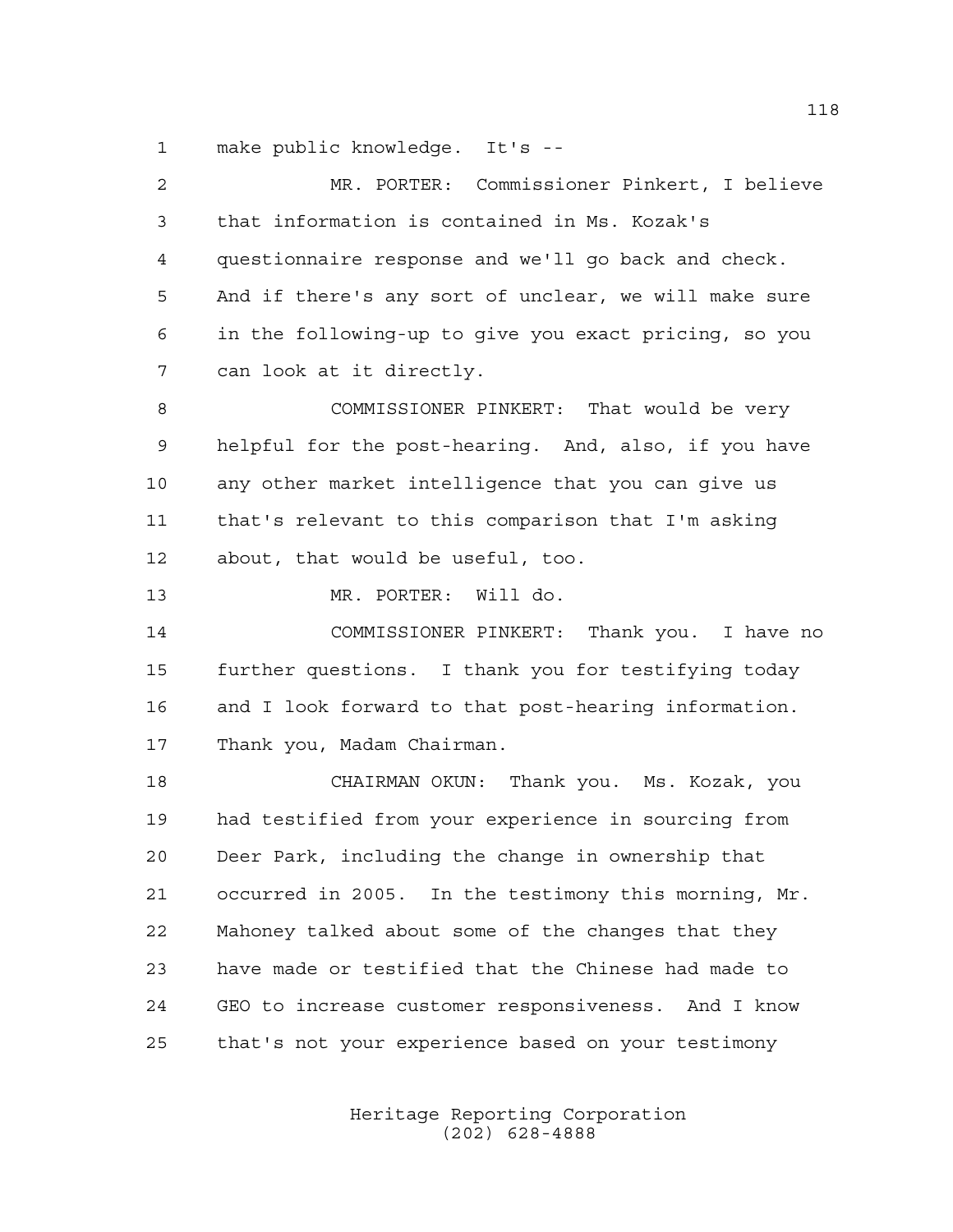make public knowledge. It's --

 MR. PORTER: Commissioner Pinkert, I believe that information is contained in Ms. Kozak's questionnaire response and we'll go back and check. And if there's any sort of unclear, we will make sure in the following-up to give you exact pricing, so you can look at it directly. COMMISSIONER PINKERT: That would be very helpful for the post-hearing. And, also, if you have any other market intelligence that you can give us that's relevant to this comparison that I'm asking about, that would be useful, too. MR. PORTER: Will do. COMMISSIONER PINKERT: Thank you. I have no further questions. I thank you for testifying today and I look forward to that post-hearing information. Thank you, Madam Chairman. CHAIRMAN OKUN: Thank you. Ms. Kozak, you had testified from your experience in sourcing from Deer Park, including the change in ownership that occurred in 2005. In the testimony this morning, Mr. Mahoney talked about some of the changes that they have made or testified that the Chinese had made to GEO to increase customer responsiveness. And I know that's not your experience based on your testimony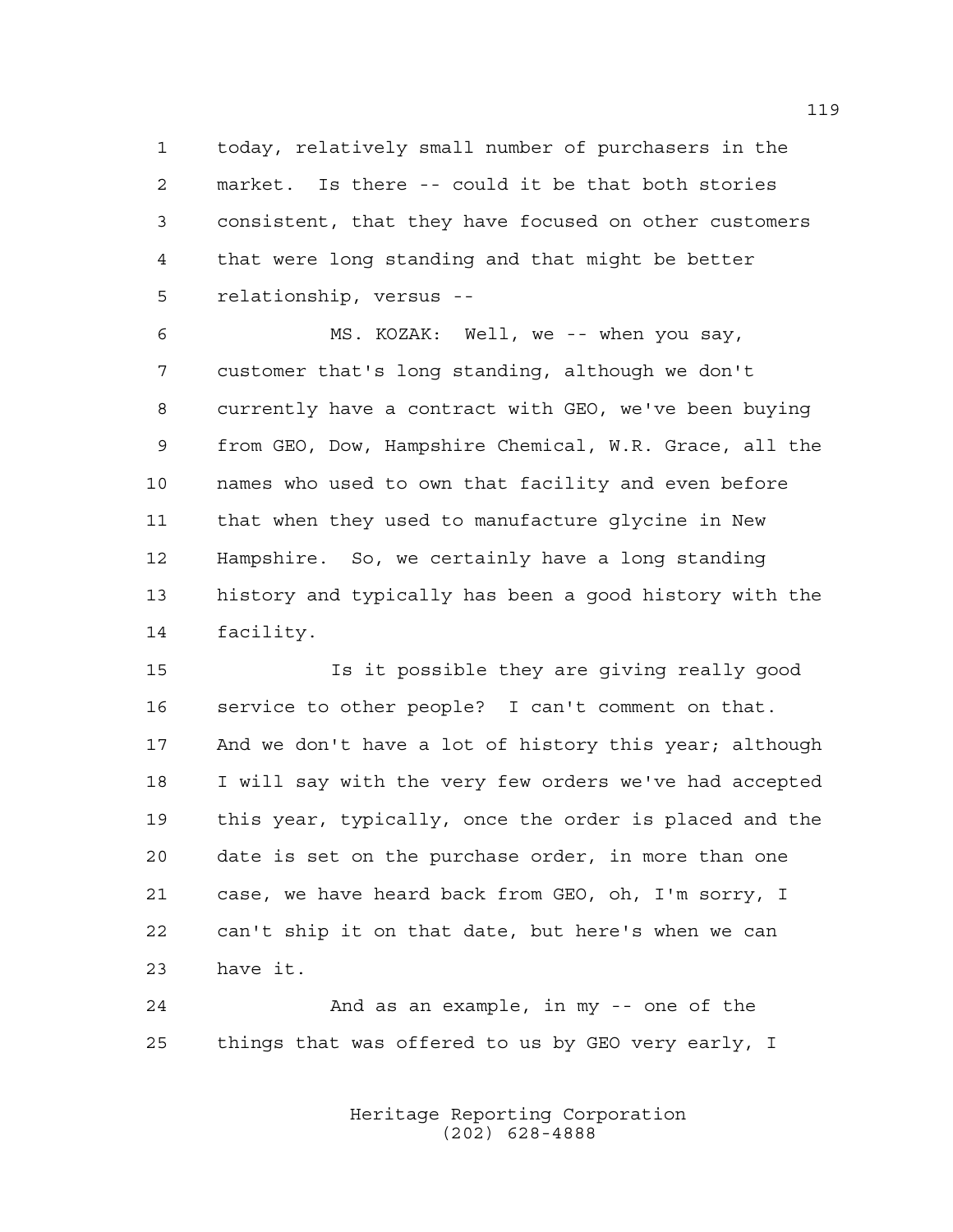today, relatively small number of purchasers in the market. Is there -- could it be that both stories consistent, that they have focused on other customers that were long standing and that might be better relationship, versus --

 MS. KOZAK: Well, we -- when you say, customer that's long standing, although we don't currently have a contract with GEO, we've been buying from GEO, Dow, Hampshire Chemical, W.R. Grace, all the names who used to own that facility and even before that when they used to manufacture glycine in New Hampshire. So, we certainly have a long standing history and typically has been a good history with the facility.

 Is it possible they are giving really good service to other people? I can't comment on that. 17 And we don't have a lot of history this year; although I will say with the very few orders we've had accepted this year, typically, once the order is placed and the date is set on the purchase order, in more than one case, we have heard back from GEO, oh, I'm sorry, I can't ship it on that date, but here's when we can have it.

 And as an example, in my -- one of the things that was offered to us by GEO very early, I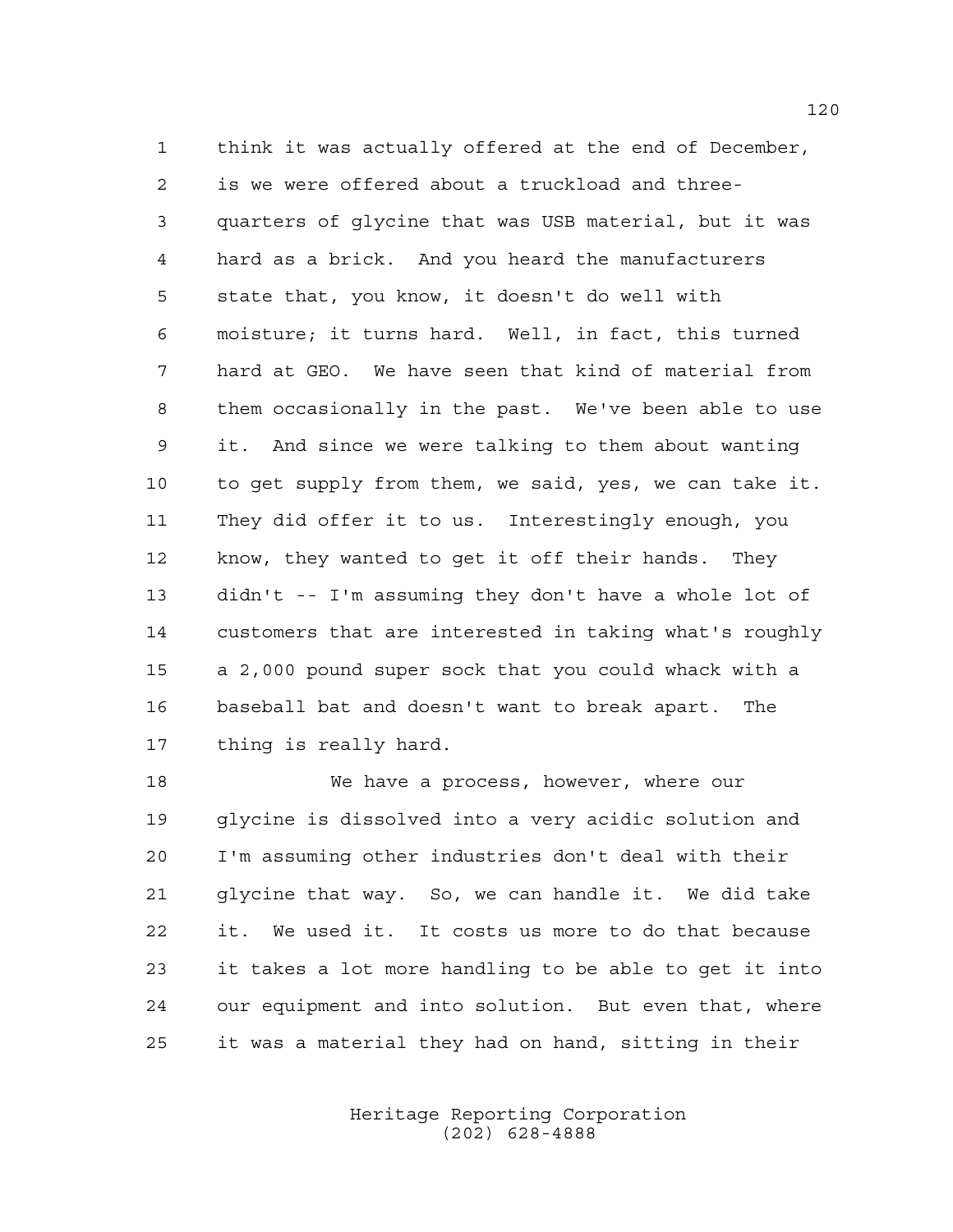think it was actually offered at the end of December, is we were offered about a truckload and three- quarters of glycine that was USB material, but it was hard as a brick. And you heard the manufacturers state that, you know, it doesn't do well with moisture; it turns hard. Well, in fact, this turned hard at GEO. We have seen that kind of material from them occasionally in the past. We've been able to use it. And since we were talking to them about wanting to get supply from them, we said, yes, we can take it. They did offer it to us. Interestingly enough, you know, they wanted to get it off their hands. They didn't -- I'm assuming they don't have a whole lot of customers that are interested in taking what's roughly a 2,000 pound super sock that you could whack with a baseball bat and doesn't want to break apart. The thing is really hard.

 We have a process, however, where our glycine is dissolved into a very acidic solution and I'm assuming other industries don't deal with their glycine that way. So, we can handle it. We did take it. We used it. It costs us more to do that because it takes a lot more handling to be able to get it into our equipment and into solution. But even that, where it was a material they had on hand, sitting in their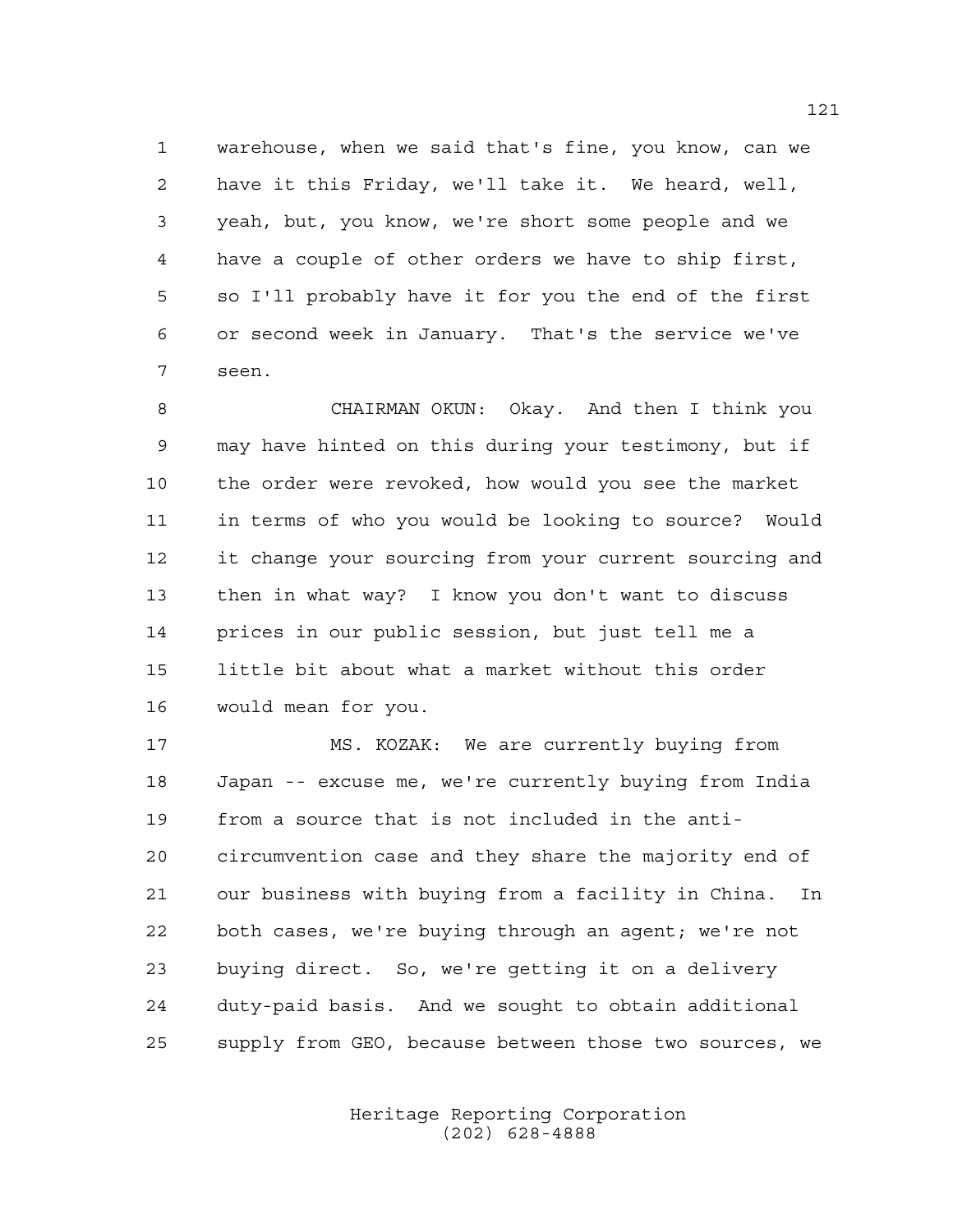warehouse, when we said that's fine, you know, can we have it this Friday, we'll take it. We heard, well, yeah, but, you know, we're short some people and we have a couple of other orders we have to ship first, so I'll probably have it for you the end of the first or second week in January. That's the service we've seen.

 CHAIRMAN OKUN: Okay. And then I think you may have hinted on this during your testimony, but if the order were revoked, how would you see the market in terms of who you would be looking to source? Would it change your sourcing from your current sourcing and then in what way? I know you don't want to discuss prices in our public session, but just tell me a little bit about what a market without this order would mean for you.

 MS. KOZAK: We are currently buying from Japan -- excuse me, we're currently buying from India from a source that is not included in the anti- circumvention case and they share the majority end of our business with buying from a facility in China. In both cases, we're buying through an agent; we're not buying direct. So, we're getting it on a delivery duty-paid basis. And we sought to obtain additional supply from GEO, because between those two sources, we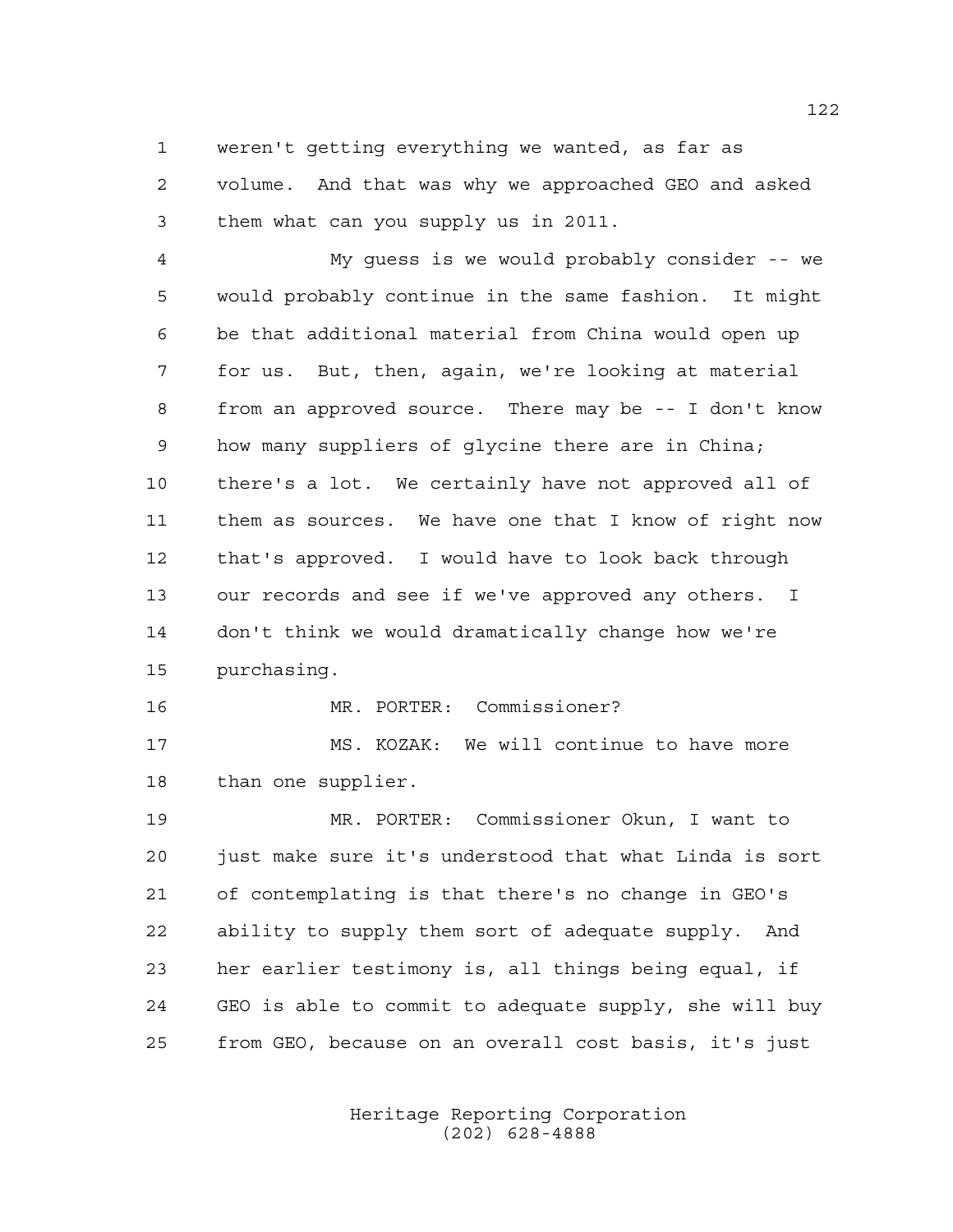weren't getting everything we wanted, as far as volume. And that was why we approached GEO and asked them what can you supply us in 2011.

 My guess is we would probably consider -- we would probably continue in the same fashion. It might be that additional material from China would open up for us. But, then, again, we're looking at material from an approved source. There may be -- I don't know how many suppliers of glycine there are in China; there's a lot. We certainly have not approved all of them as sources. We have one that I know of right now that's approved. I would have to look back through our records and see if we've approved any others. I don't think we would dramatically change how we're purchasing.

MR. PORTER: Commissioner?

 MS. KOZAK: We will continue to have more than one supplier.

 MR. PORTER: Commissioner Okun, I want to just make sure it's understood that what Linda is sort of contemplating is that there's no change in GEO's ability to supply them sort of adequate supply. And her earlier testimony is, all things being equal, if GEO is able to commit to adequate supply, she will buy from GEO, because on an overall cost basis, it's just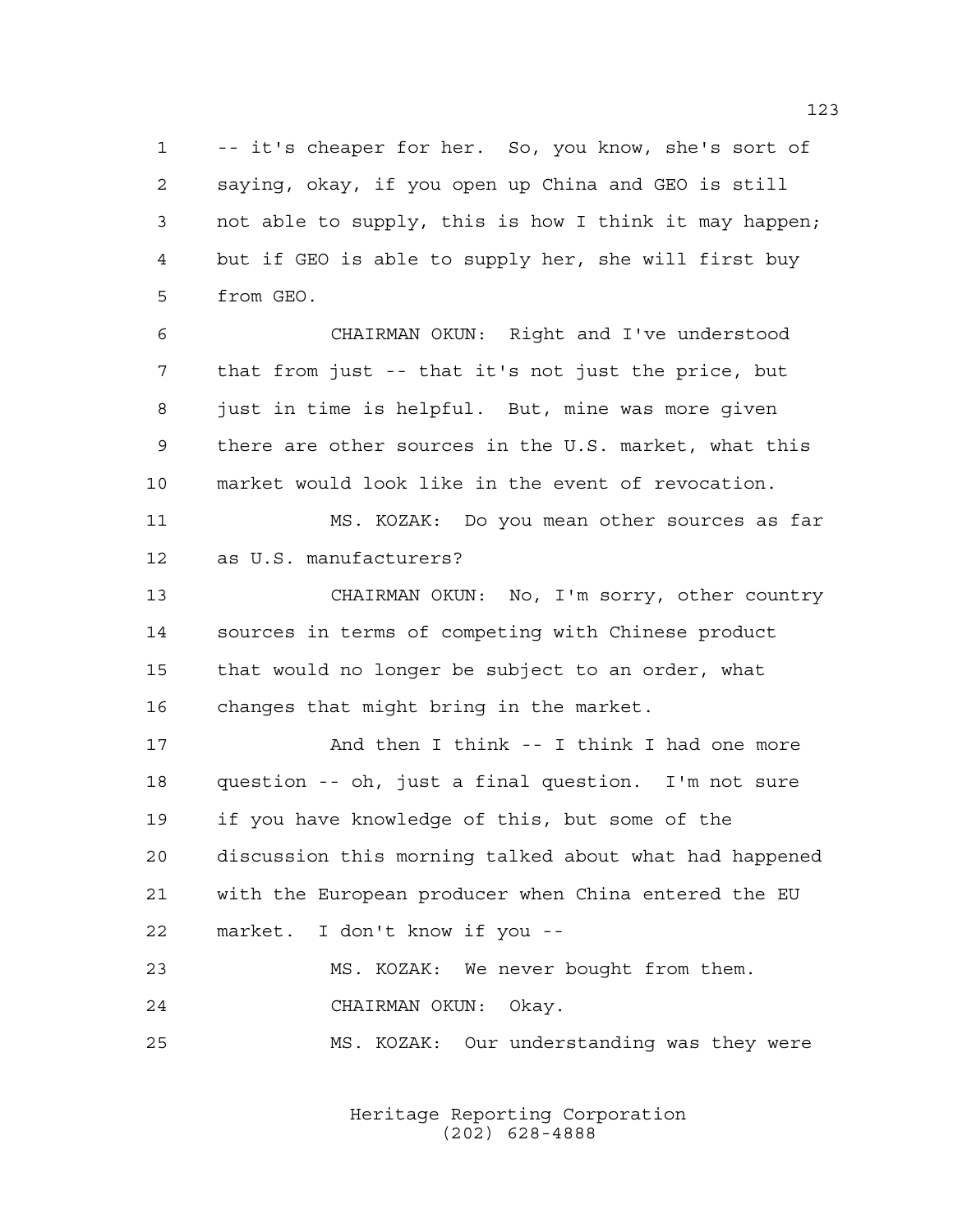-- it's cheaper for her. So, you know, she's sort of saying, okay, if you open up China and GEO is still not able to supply, this is how I think it may happen; but if GEO is able to supply her, she will first buy from GEO.

 CHAIRMAN OKUN: Right and I've understood that from just -- that it's not just the price, but just in time is helpful. But, mine was more given there are other sources in the U.S. market, what this market would look like in the event of revocation.

 MS. KOZAK: Do you mean other sources as far as U.S. manufacturers?

 CHAIRMAN OKUN: No, I'm sorry, other country sources in terms of competing with Chinese product that would no longer be subject to an order, what changes that might bring in the market.

17 And then I think -- I think I had one more question -- oh, just a final question. I'm not sure if you have knowledge of this, but some of the discussion this morning talked about what had happened with the European producer when China entered the EU market. I don't know if you --

```
23 MS. KOZAK: We never bought from them.
24 CHAIRMAN OKUN: Okay.
```
MS. KOZAK: Our understanding was they were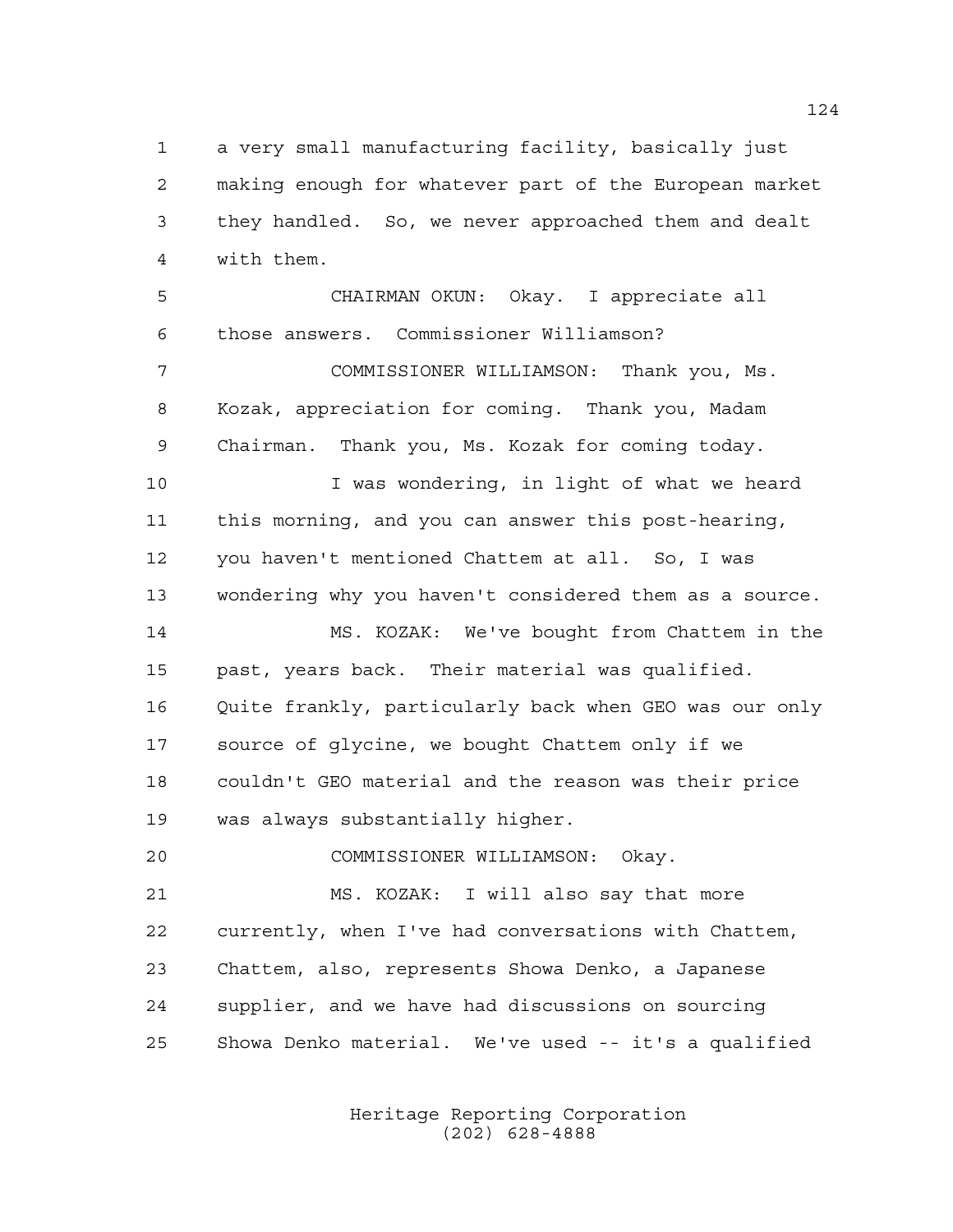a very small manufacturing facility, basically just making enough for whatever part of the European market they handled. So, we never approached them and dealt with them.

 CHAIRMAN OKUN: Okay. I appreciate all those answers. Commissioner Williamson? COMMISSIONER WILLIAMSON: Thank you, Ms. Kozak, appreciation for coming. Thank you, Madam Chairman. Thank you, Ms. Kozak for coming today. I was wondering, in light of what we heard this morning, and you can answer this post-hearing, you haven't mentioned Chattem at all. So, I was wondering why you haven't considered them as a source. MS. KOZAK: We've bought from Chattem in the past, years back. Their material was qualified. Quite frankly, particularly back when GEO was our only source of glycine, we bought Chattem only if we couldn't GEO material and the reason was their price was always substantially higher.

 MS. KOZAK: I will also say that more currently, when I've had conversations with Chattem, Chattem, also, represents Showa Denko, a Japanese supplier, and we have had discussions on sourcing Showa Denko material. We've used -- it's a qualified

COMMISSIONER WILLIAMSON: Okay.

Heritage Reporting Corporation (202) 628-4888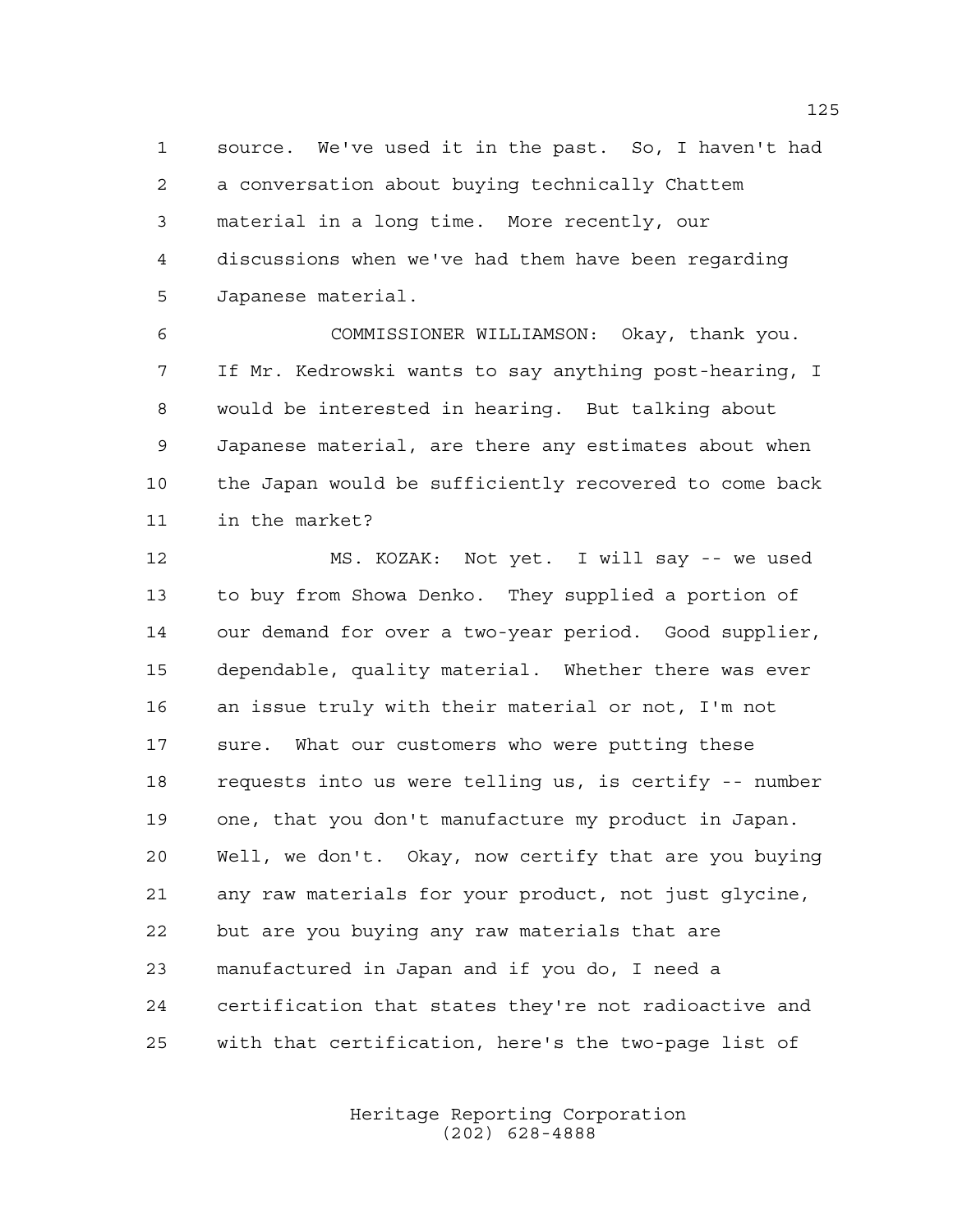source. We've used it in the past. So, I haven't had a conversation about buying technically Chattem material in a long time. More recently, our discussions when we've had them have been regarding Japanese material.

 COMMISSIONER WILLIAMSON: Okay, thank you. If Mr. Kedrowski wants to say anything post-hearing, I would be interested in hearing. But talking about Japanese material, are there any estimates about when the Japan would be sufficiently recovered to come back in the market?

 MS. KOZAK: Not yet. I will say -- we used to buy from Showa Denko. They supplied a portion of our demand for over a two-year period. Good supplier, dependable, quality material. Whether there was ever an issue truly with their material or not, I'm not sure. What our customers who were putting these requests into us were telling us, is certify -- number one, that you don't manufacture my product in Japan. Well, we don't. Okay, now certify that are you buying any raw materials for your product, not just glycine, but are you buying any raw materials that are manufactured in Japan and if you do, I need a certification that states they're not radioactive and with that certification, here's the two-page list of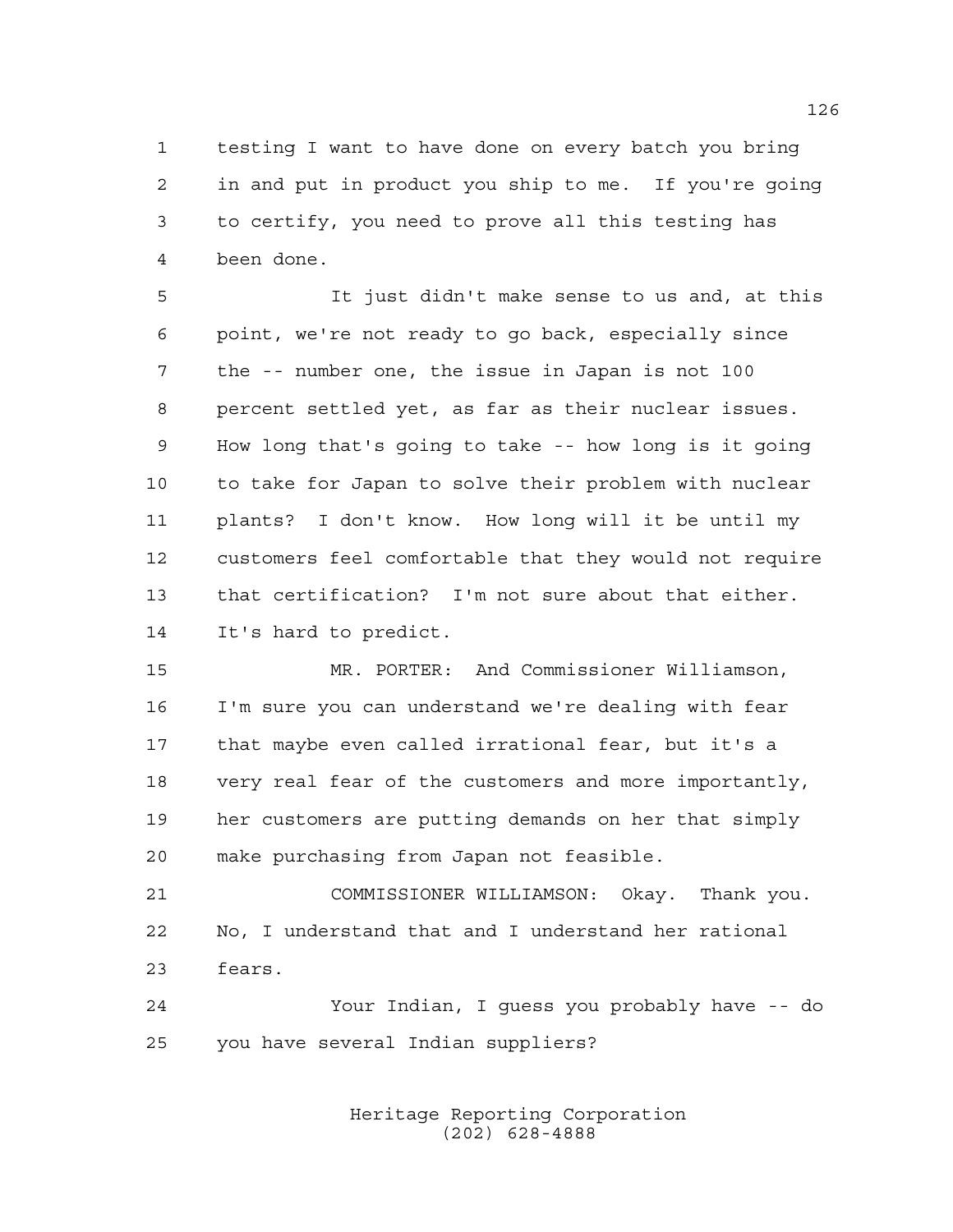testing I want to have done on every batch you bring in and put in product you ship to me. If you're going to certify, you need to prove all this testing has been done.

 It just didn't make sense to us and, at this point, we're not ready to go back, especially since the -- number one, the issue in Japan is not 100 percent settled yet, as far as their nuclear issues. How long that's going to take -- how long is it going to take for Japan to solve their problem with nuclear plants? I don't know. How long will it be until my customers feel comfortable that they would not require that certification? I'm not sure about that either. It's hard to predict.

 MR. PORTER: And Commissioner Williamson, I'm sure you can understand we're dealing with fear that maybe even called irrational fear, but it's a very real fear of the customers and more importantly, her customers are putting demands on her that simply make purchasing from Japan not feasible.

 COMMISSIONER WILLIAMSON: Okay. Thank you. No, I understand that and I understand her rational fears.

 Your Indian, I guess you probably have -- do you have several Indian suppliers?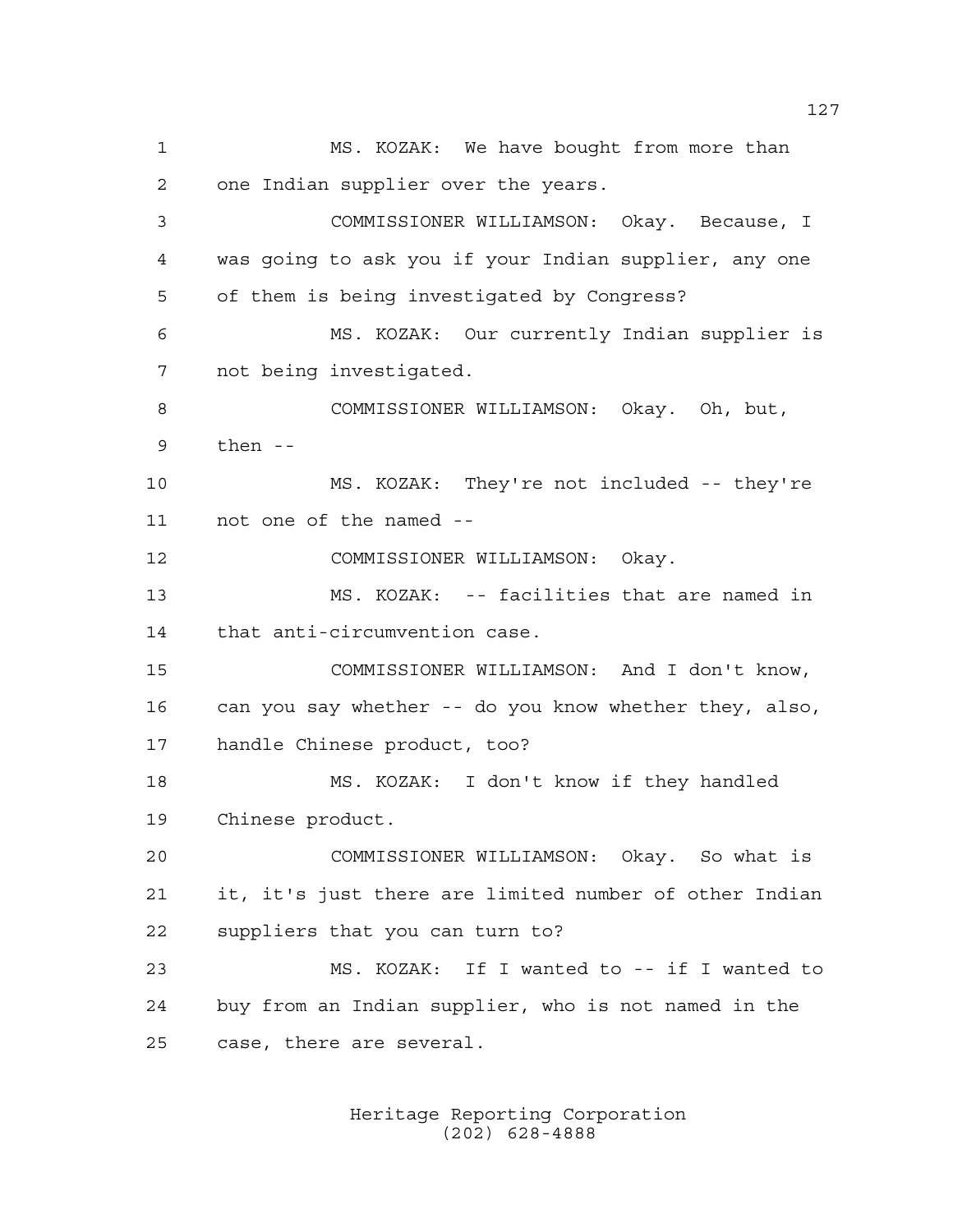MS. KOZAK: We have bought from more than one Indian supplier over the years. COMMISSIONER WILLIAMSON: Okay. Because, I was going to ask you if your Indian supplier, any one of them is being investigated by Congress? MS. KOZAK: Our currently Indian supplier is not being investigated. COMMISSIONER WILLIAMSON: Okay. Oh, but, then -- MS. KOZAK: They're not included -- they're not one of the named -- COMMISSIONER WILLIAMSON: Okay. MS. KOZAK: -- facilities that are named in that anti-circumvention case. COMMISSIONER WILLIAMSON: And I don't know, can you say whether -- do you know whether they, also, handle Chinese product, too? MS. KOZAK: I don't know if they handled Chinese product. COMMISSIONER WILLIAMSON: Okay. So what is it, it's just there are limited number of other Indian suppliers that you can turn to? MS. KOZAK: If I wanted to -- if I wanted to buy from an Indian supplier, who is not named in the case, there are several.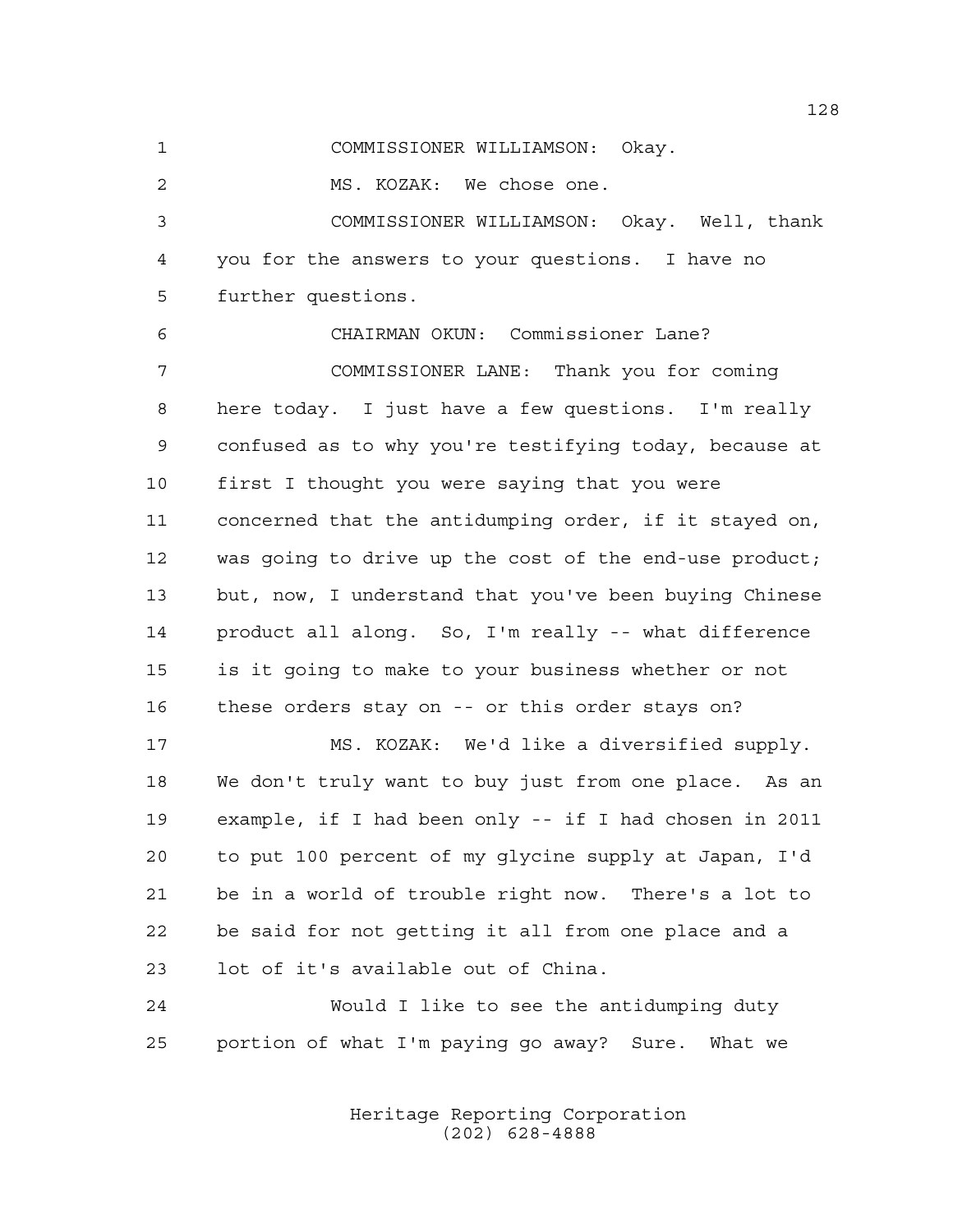COMMISSIONER WILLIAMSON: Okay.

MS. KOZAK: We chose one.

 COMMISSIONER WILLIAMSON: Okay. Well, thank you for the answers to your questions. I have no further questions.

 CHAIRMAN OKUN: Commissioner Lane? COMMISSIONER LANE: Thank you for coming here today. I just have a few questions. I'm really confused as to why you're testifying today, because at first I thought you were saying that you were concerned that the antidumping order, if it stayed on, was going to drive up the cost of the end-use product; but, now, I understand that you've been buying Chinese product all along. So, I'm really -- what difference is it going to make to your business whether or not these orders stay on -- or this order stays on?

 MS. KOZAK: We'd like a diversified supply. We don't truly want to buy just from one place. As an example, if I had been only -- if I had chosen in 2011 to put 100 percent of my glycine supply at Japan, I'd be in a world of trouble right now. There's a lot to be said for not getting it all from one place and a lot of it's available out of China.

 Would I like to see the antidumping duty portion of what I'm paying go away? Sure. What we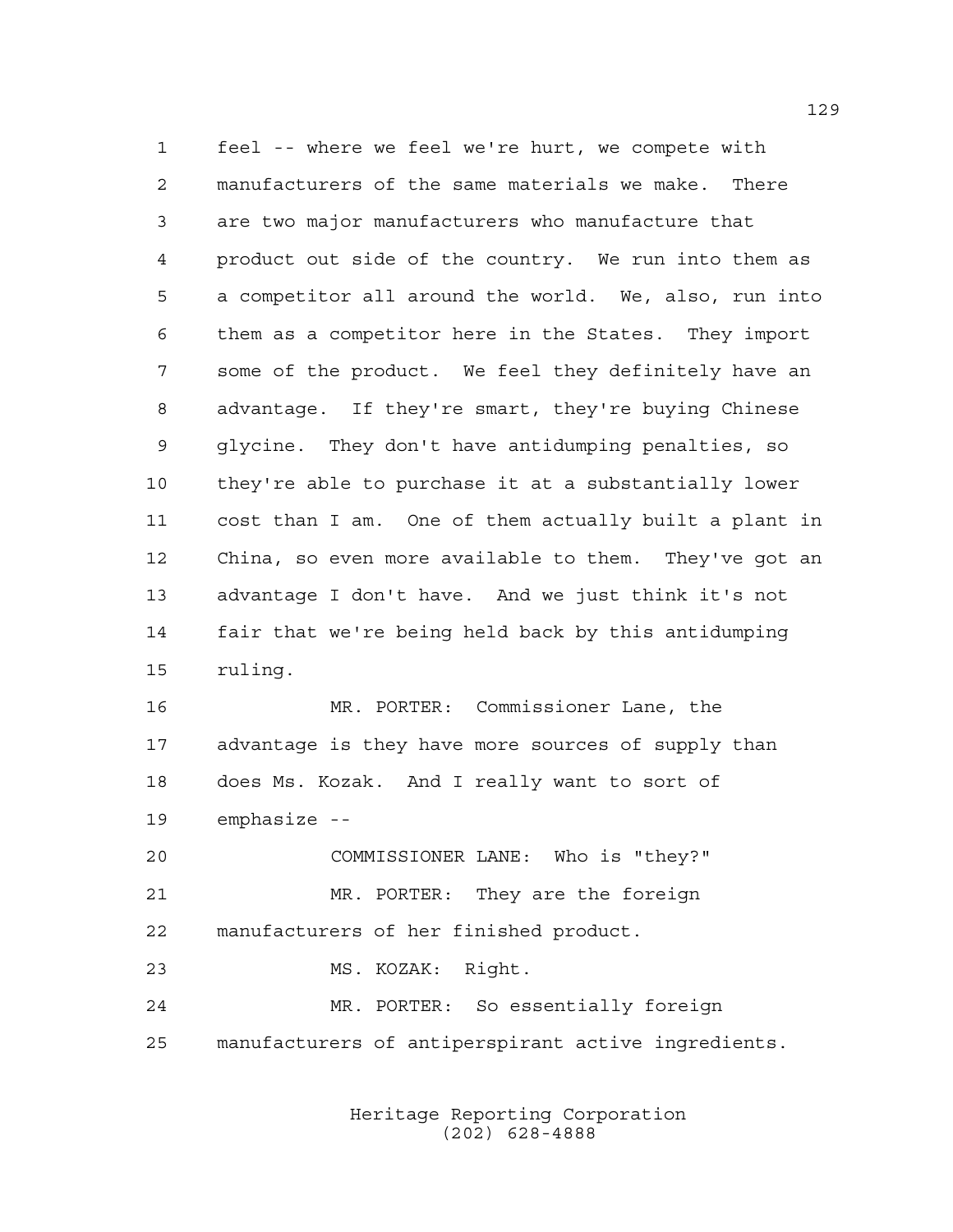feel -- where we feel we're hurt, we compete with manufacturers of the same materials we make. There are two major manufacturers who manufacture that product out side of the country. We run into them as a competitor all around the world. We, also, run into them as a competitor here in the States. They import some of the product. We feel they definitely have an advantage. If they're smart, they're buying Chinese glycine. They don't have antidumping penalties, so they're able to purchase it at a substantially lower cost than I am. One of them actually built a plant in China, so even more available to them. They've got an advantage I don't have. And we just think it's not fair that we're being held back by this antidumping ruling.

 MR. PORTER: Commissioner Lane, the advantage is they have more sources of supply than does Ms. Kozak. And I really want to sort of emphasize --

 COMMISSIONER LANE: Who is "they?" MR. PORTER: They are the foreign manufacturers of her finished product. MS. KOZAK: Right.

 MR. PORTER: So essentially foreign manufacturers of antiperspirant active ingredients.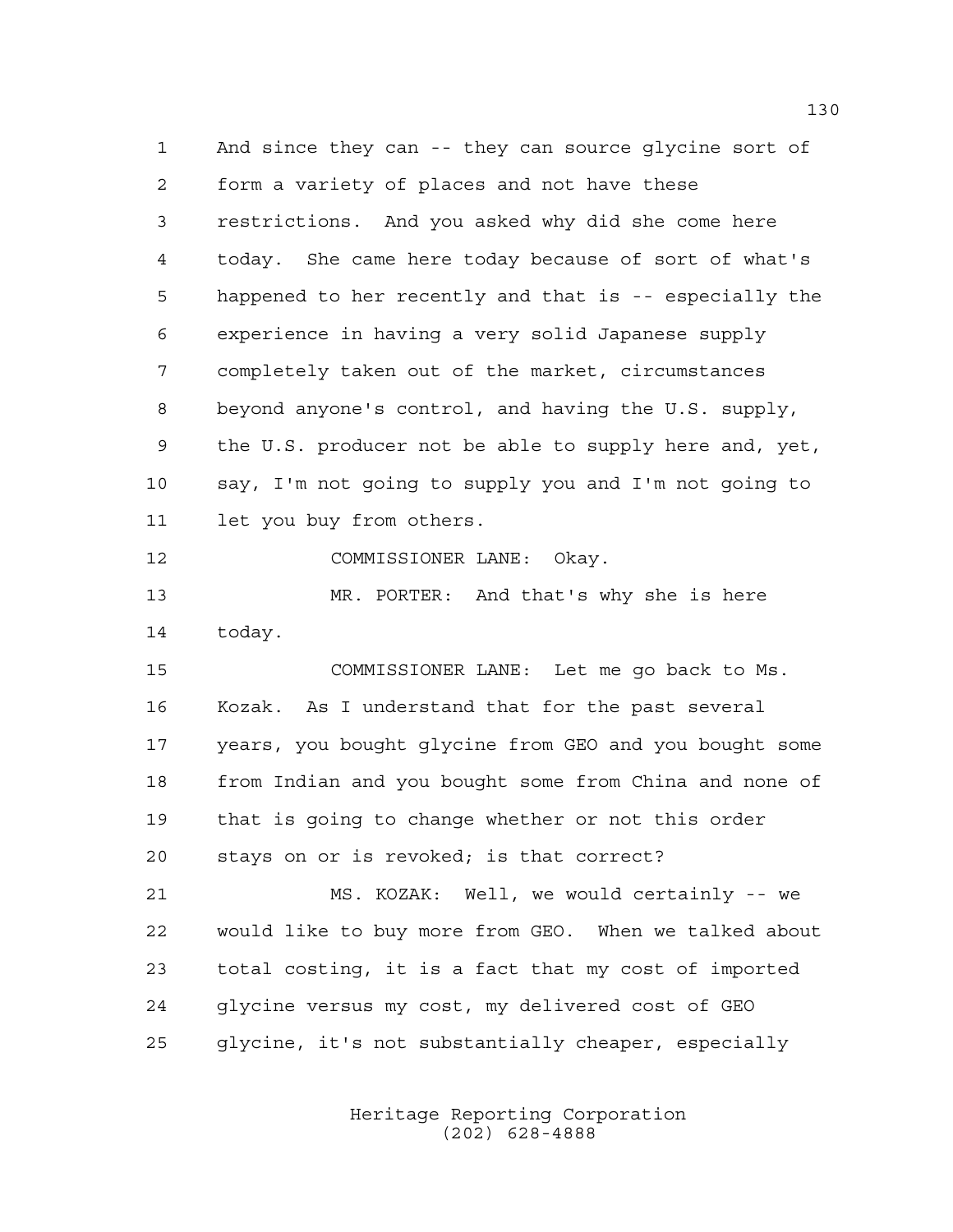And since they can -- they can source glycine sort of form a variety of places and not have these restrictions. And you asked why did she come here today. She came here today because of sort of what's happened to her recently and that is -- especially the experience in having a very solid Japanese supply completely taken out of the market, circumstances beyond anyone's control, and having the U.S. supply, the U.S. producer not be able to supply here and, yet, say, I'm not going to supply you and I'm not going to let you buy from others.

12 COMMISSIONER LANE: Okay.

 MR. PORTER: And that's why she is here today.

 COMMISSIONER LANE: Let me go back to Ms. Kozak. As I understand that for the past several years, you bought glycine from GEO and you bought some from Indian and you bought some from China and none of that is going to change whether or not this order stays on or is revoked; is that correct?

 MS. KOZAK: Well, we would certainly -- we would like to buy more from GEO. When we talked about total costing, it is a fact that my cost of imported glycine versus my cost, my delivered cost of GEO glycine, it's not substantially cheaper, especially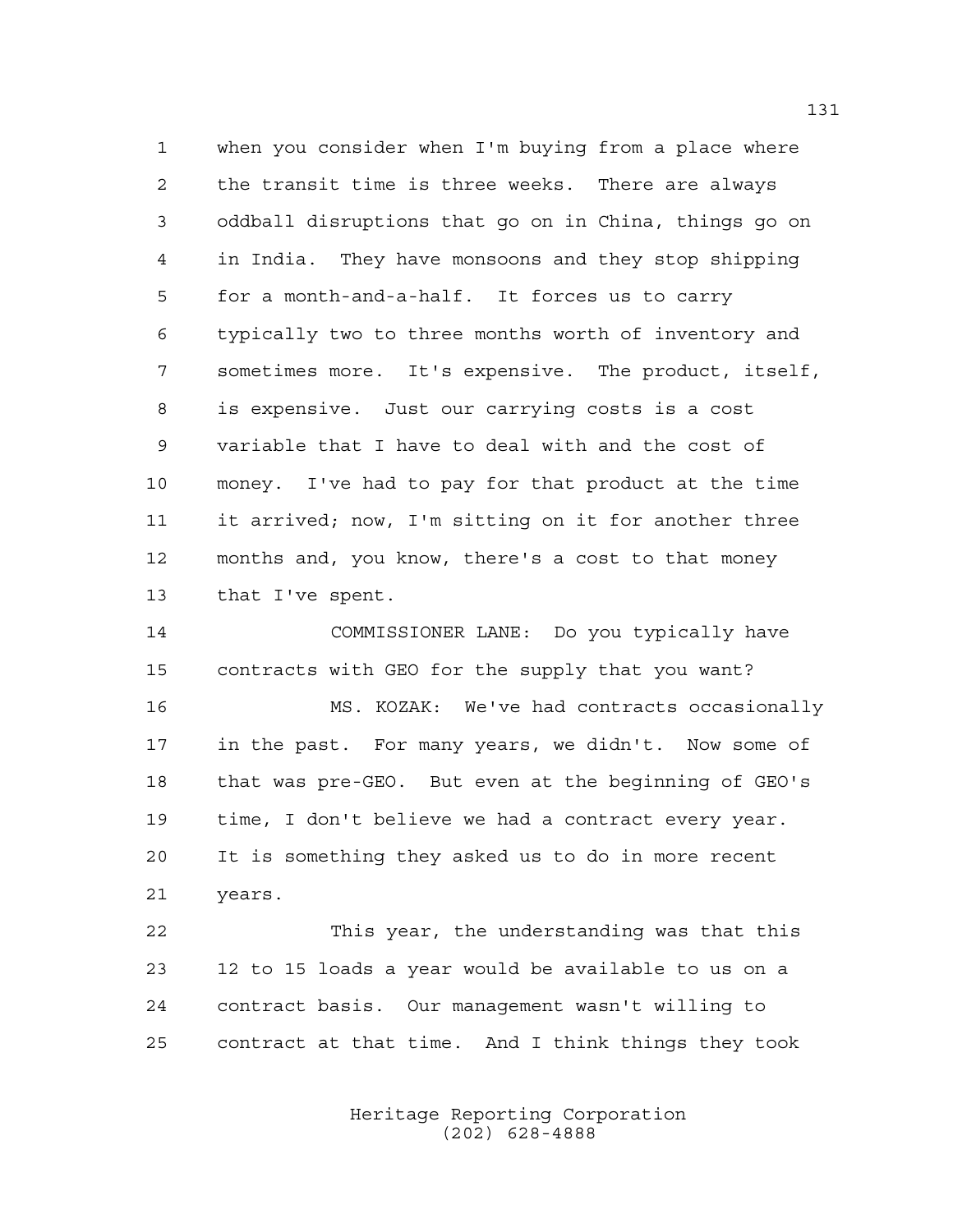when you consider when I'm buying from a place where the transit time is three weeks. There are always oddball disruptions that go on in China, things go on in India. They have monsoons and they stop shipping for a month-and-a-half. It forces us to carry typically two to three months worth of inventory and sometimes more. It's expensive. The product, itself, is expensive. Just our carrying costs is a cost variable that I have to deal with and the cost of money. I've had to pay for that product at the time it arrived; now, I'm sitting on it for another three months and, you know, there's a cost to that money that I've spent.

 COMMISSIONER LANE: Do you typically have contracts with GEO for the supply that you want? MS. KOZAK: We've had contracts occasionally in the past. For many years, we didn't. Now some of that was pre-GEO. But even at the beginning of GEO's time, I don't believe we had a contract every year. It is something they asked us to do in more recent years.

 This year, the understanding was that this 12 to 15 loads a year would be available to us on a contract basis. Our management wasn't willing to contract at that time. And I think things they took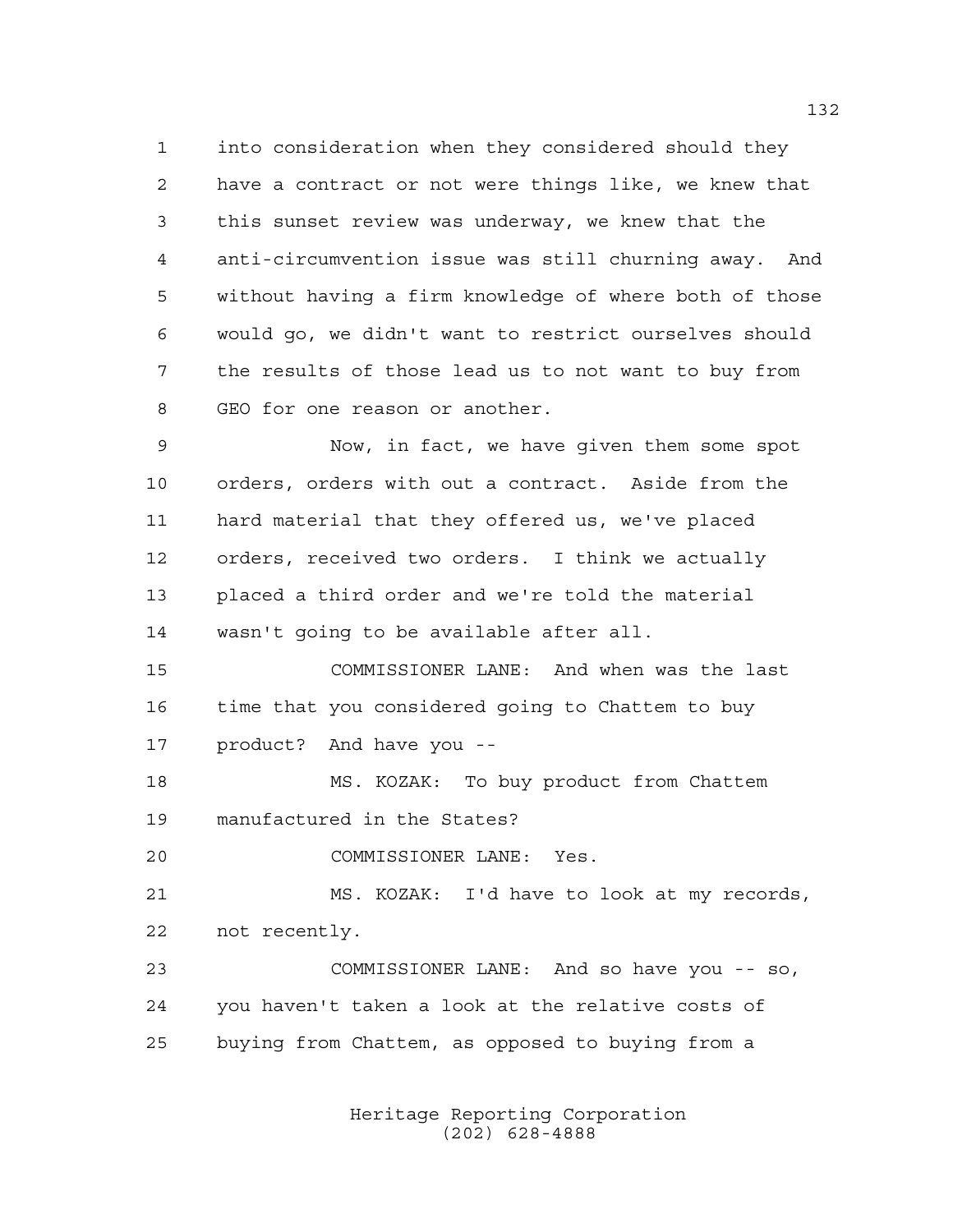into consideration when they considered should they have a contract or not were things like, we knew that this sunset review was underway, we knew that the anti-circumvention issue was still churning away. And without having a firm knowledge of where both of those would go, we didn't want to restrict ourselves should the results of those lead us to not want to buy from GEO for one reason or another.

 Now, in fact, we have given them some spot orders, orders with out a contract. Aside from the hard material that they offered us, we've placed orders, received two orders. I think we actually placed a third order and we're told the material wasn't going to be available after all.

 COMMISSIONER LANE: And when was the last time that you considered going to Chattem to buy product? And have you --

 MS. KOZAK: To buy product from Chattem manufactured in the States?

COMMISSIONER LANE: Yes.

 MS. KOZAK: I'd have to look at my records, not recently.

 COMMISSIONER LANE: And so have you -- so, you haven't taken a look at the relative costs of buying from Chattem, as opposed to buying from a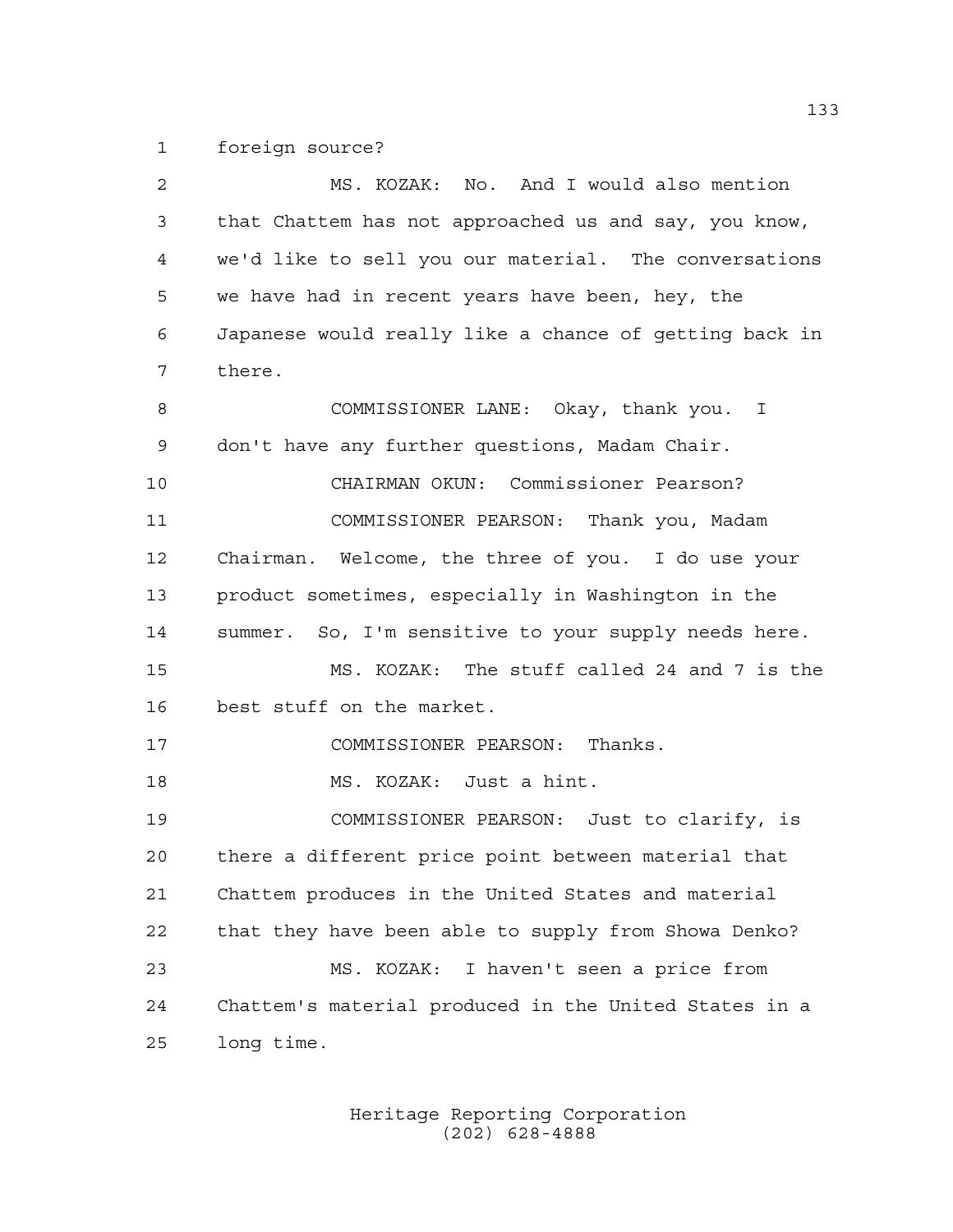foreign source?

| 2  | MS. KOZAK: No. And I would also mention                |
|----|--------------------------------------------------------|
| 3  | that Chattem has not approached us and say, you know,  |
| 4  | we'd like to sell you our material. The conversations  |
| 5  | we have had in recent years have been, hey, the        |
| 6  | Japanese would really like a chance of getting back in |
| 7  | there.                                                 |
| 8  | COMMISSIONER LANE: Okay, thank you. I                  |
| 9  | don't have any further questions, Madam Chair.         |
| 10 | CHAIRMAN OKUN: Commissioner Pearson?                   |
| 11 | COMMISSIONER PEARSON: Thank you, Madam                 |
| 12 | Chairman. Welcome, the three of you. I do use your     |
| 13 | product sometimes, especially in Washington in the     |
| 14 | summer. So, I'm sensitive to your supply needs here.   |
| 15 | MS. KOZAK: The stuff called 24 and 7 is the            |
| 16 | best stuff on the market.                              |
| 17 | COMMISSIONER PEARSON: Thanks.                          |
| 18 | MS. KOZAK: Just a hint.                                |
| 19 | COMMISSIONER PEARSON: Just to clarify, is              |
| 20 | there a different price point between material that    |
| 21 | Chattem produces in the United States and material     |
| 22 | that they have been able to supply from Showa Denko?   |
| 23 | MS. KOZAK: I haven't seen a price from                 |
| 24 | Chattem's material produced in the United States in a  |
| 25 | long time.                                             |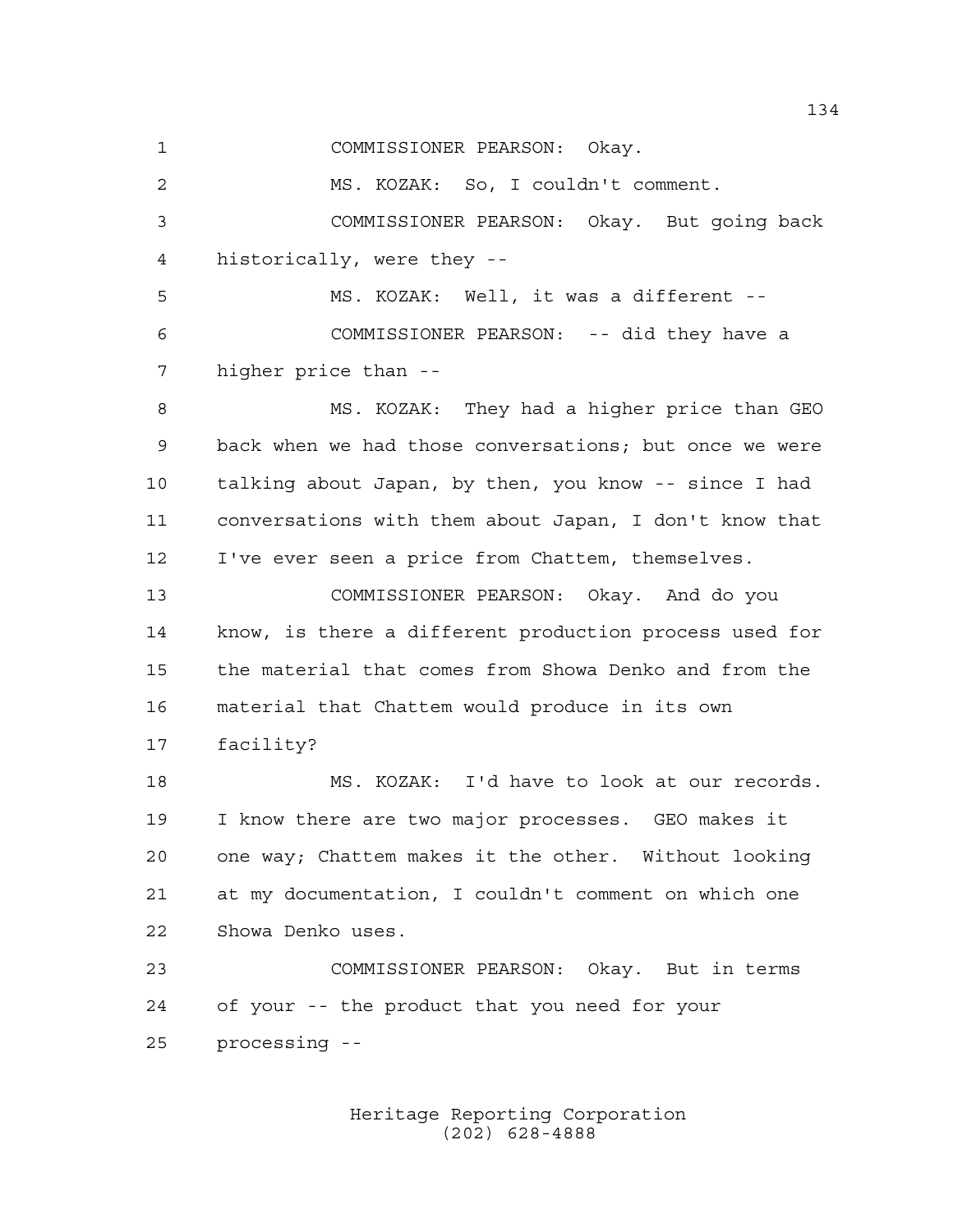COMMISSIONER PEARSON: Okay. MS. KOZAK: So, I couldn't comment. COMMISSIONER PEARSON: Okay. But going back historically, were they -- MS. KOZAK: Well, it was a different -- COMMISSIONER PEARSON: -- did they have a higher price than -- MS. KOZAK: They had a higher price than GEO back when we had those conversations; but once we were talking about Japan, by then, you know -- since I had conversations with them about Japan, I don't know that I've ever seen a price from Chattem, themselves. COMMISSIONER PEARSON: Okay. And do you know, is there a different production process used for the material that comes from Showa Denko and from the material that Chattem would produce in its own facility? MS. KOZAK: I'd have to look at our records. I know there are two major processes. GEO makes it one way; Chattem makes it the other. Without looking at my documentation, I couldn't comment on which one Showa Denko uses. COMMISSIONER PEARSON: Okay. But in terms of your -- the product that you need for your processing --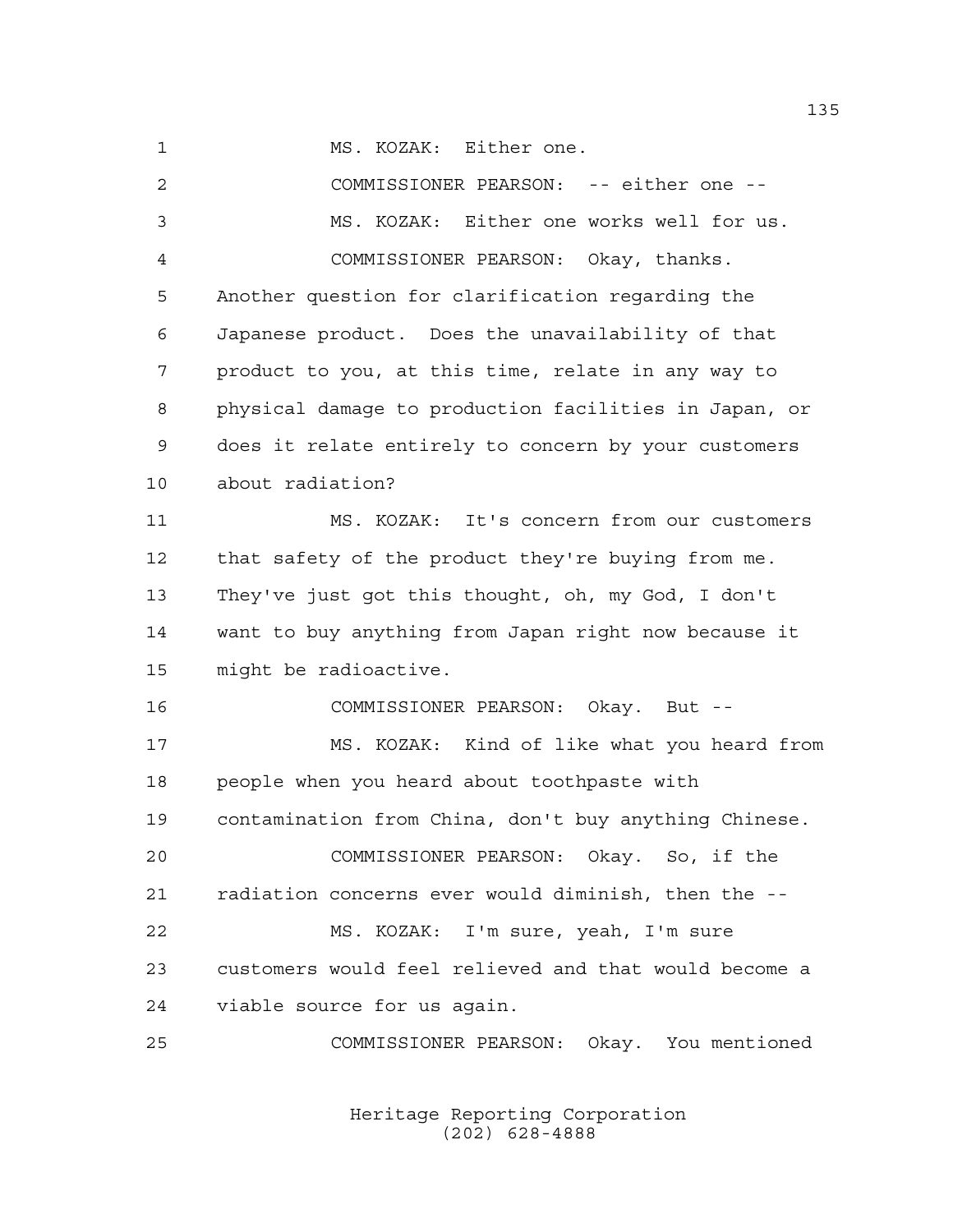MS. KOZAK: Either one.

 COMMISSIONER PEARSON: -- either one -- MS. KOZAK: Either one works well for us. COMMISSIONER PEARSON: Okay, thanks. Another question for clarification regarding the Japanese product. Does the unavailability of that product to you, at this time, relate in any way to physical damage to production facilities in Japan, or does it relate entirely to concern by your customers about radiation? MS. KOZAK: It's concern from our customers that safety of the product they're buying from me. They've just got this thought, oh, my God, I don't want to buy anything from Japan right now because it might be radioactive. COMMISSIONER PEARSON: Okay. But -- MS. KOZAK: Kind of like what you heard from people when you heard about toothpaste with contamination from China, don't buy anything Chinese. COMMISSIONER PEARSON: Okay. So, if the radiation concerns ever would diminish, then the -- MS. KOZAK: I'm sure, yeah, I'm sure customers would feel relieved and that would become a viable source for us again. COMMISSIONER PEARSON: Okay. You mentioned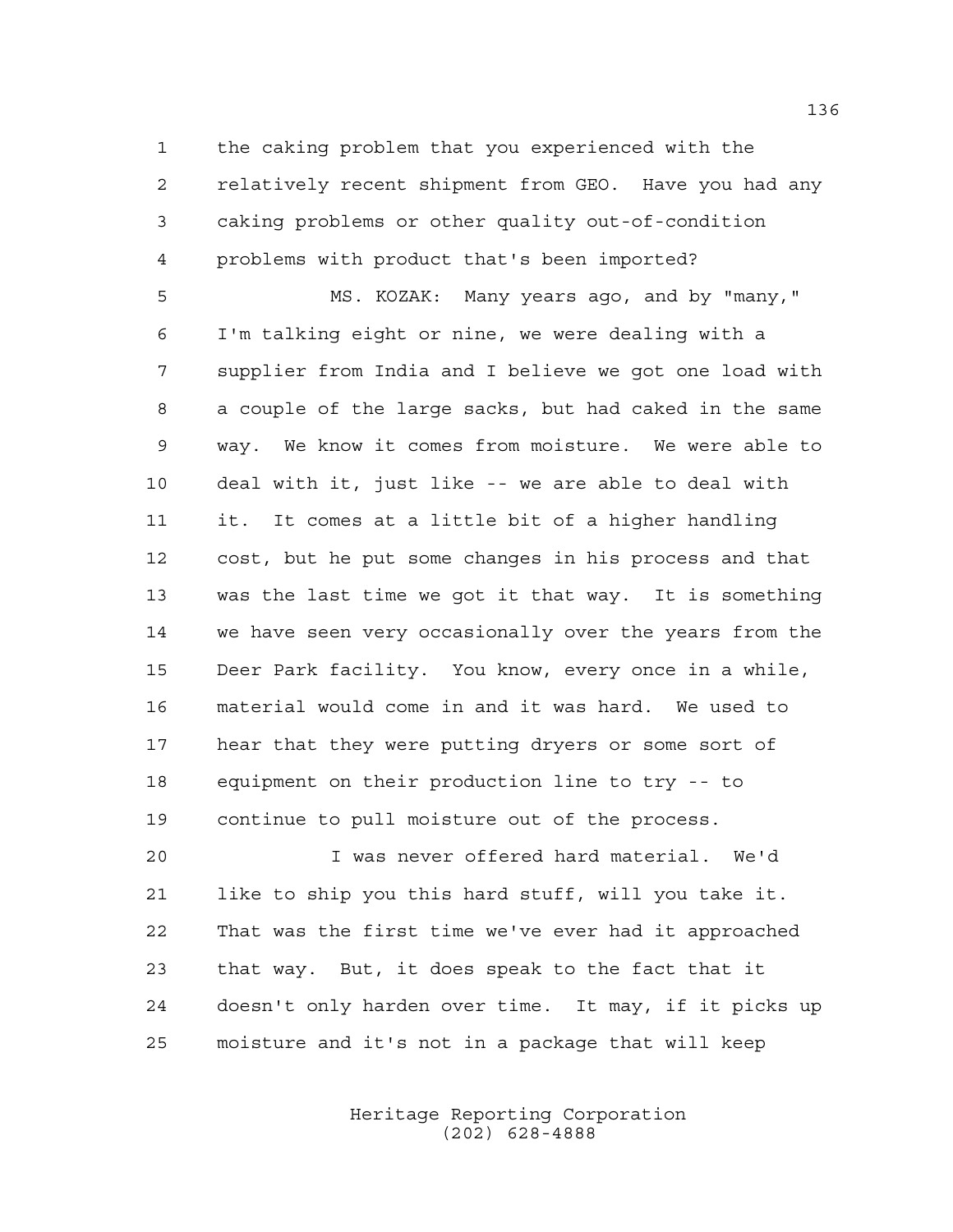the caking problem that you experienced with the relatively recent shipment from GEO. Have you had any caking problems or other quality out-of-condition problems with product that's been imported?

 MS. KOZAK: Many years ago, and by "many," I'm talking eight or nine, we were dealing with a supplier from India and I believe we got one load with a couple of the large sacks, but had caked in the same way. We know it comes from moisture. We were able to deal with it, just like -- we are able to deal with it. It comes at a little bit of a higher handling cost, but he put some changes in his process and that was the last time we got it that way. It is something we have seen very occasionally over the years from the Deer Park facility. You know, every once in a while, material would come in and it was hard. We used to hear that they were putting dryers or some sort of equipment on their production line to try -- to continue to pull moisture out of the process.

 I was never offered hard material. We'd like to ship you this hard stuff, will you take it. That was the first time we've ever had it approached that way. But, it does speak to the fact that it doesn't only harden over time. It may, if it picks up moisture and it's not in a package that will keep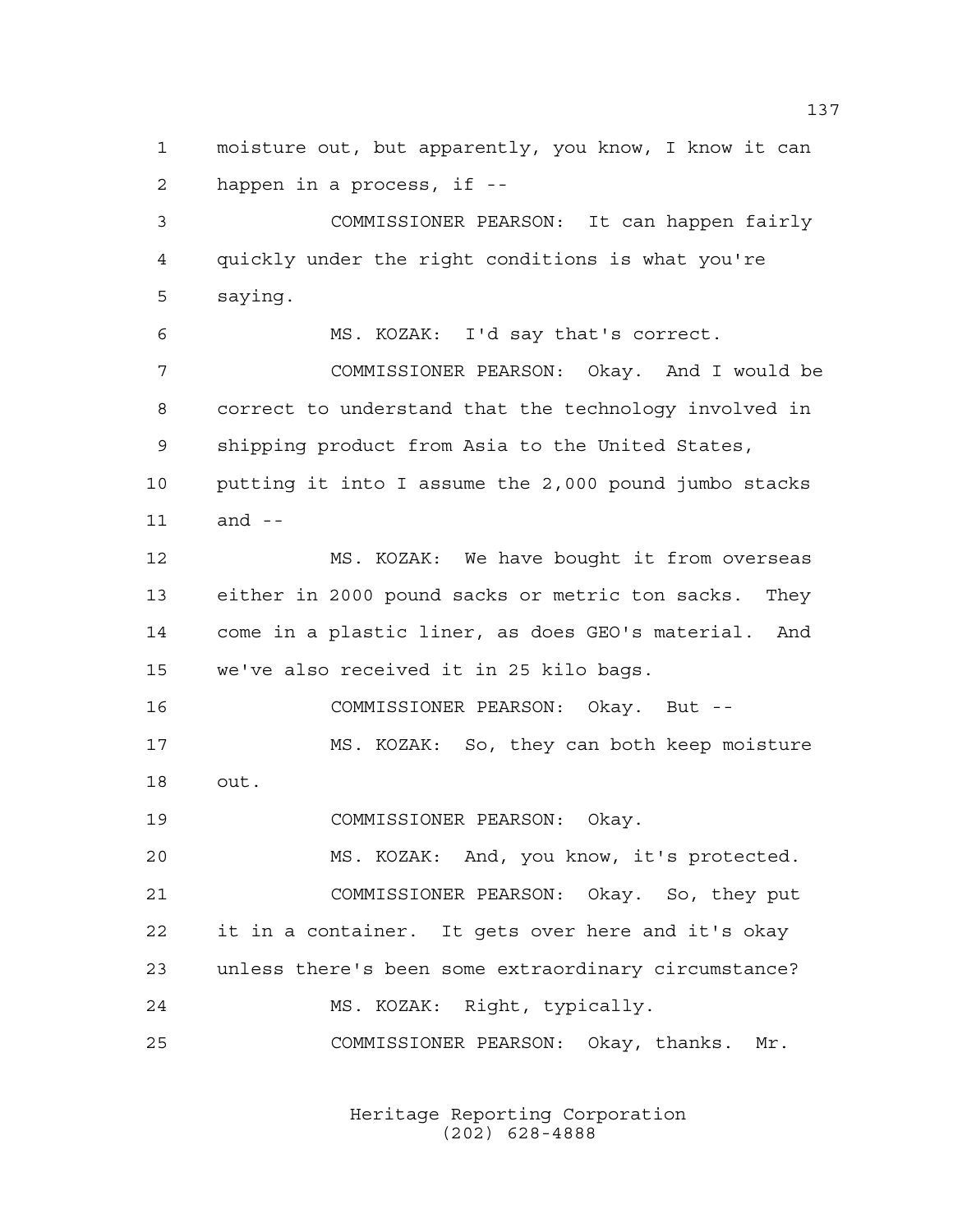moisture out, but apparently, you know, I know it can happen in a process, if --

 COMMISSIONER PEARSON: It can happen fairly quickly under the right conditions is what you're saying.

MS. KOZAK: I'd say that's correct.

 COMMISSIONER PEARSON: Okay. And I would be correct to understand that the technology involved in shipping product from Asia to the United States, putting it into I assume the 2,000 pound jumbo stacks and --

 MS. KOZAK: We have bought it from overseas either in 2000 pound sacks or metric ton sacks. They come in a plastic liner, as does GEO's material. And we've also received it in 25 kilo bags.

 COMMISSIONER PEARSON: Okay. But -- MS. KOZAK: So, they can both keep moisture out.

COMMISSIONER PEARSON: Okay.

 MS. KOZAK: And, you know, it's protected. COMMISSIONER PEARSON: Okay. So, they put it in a container. It gets over here and it's okay unless there's been some extraordinary circumstance? MS. KOZAK: Right, typically.

COMMISSIONER PEARSON: Okay, thanks. Mr.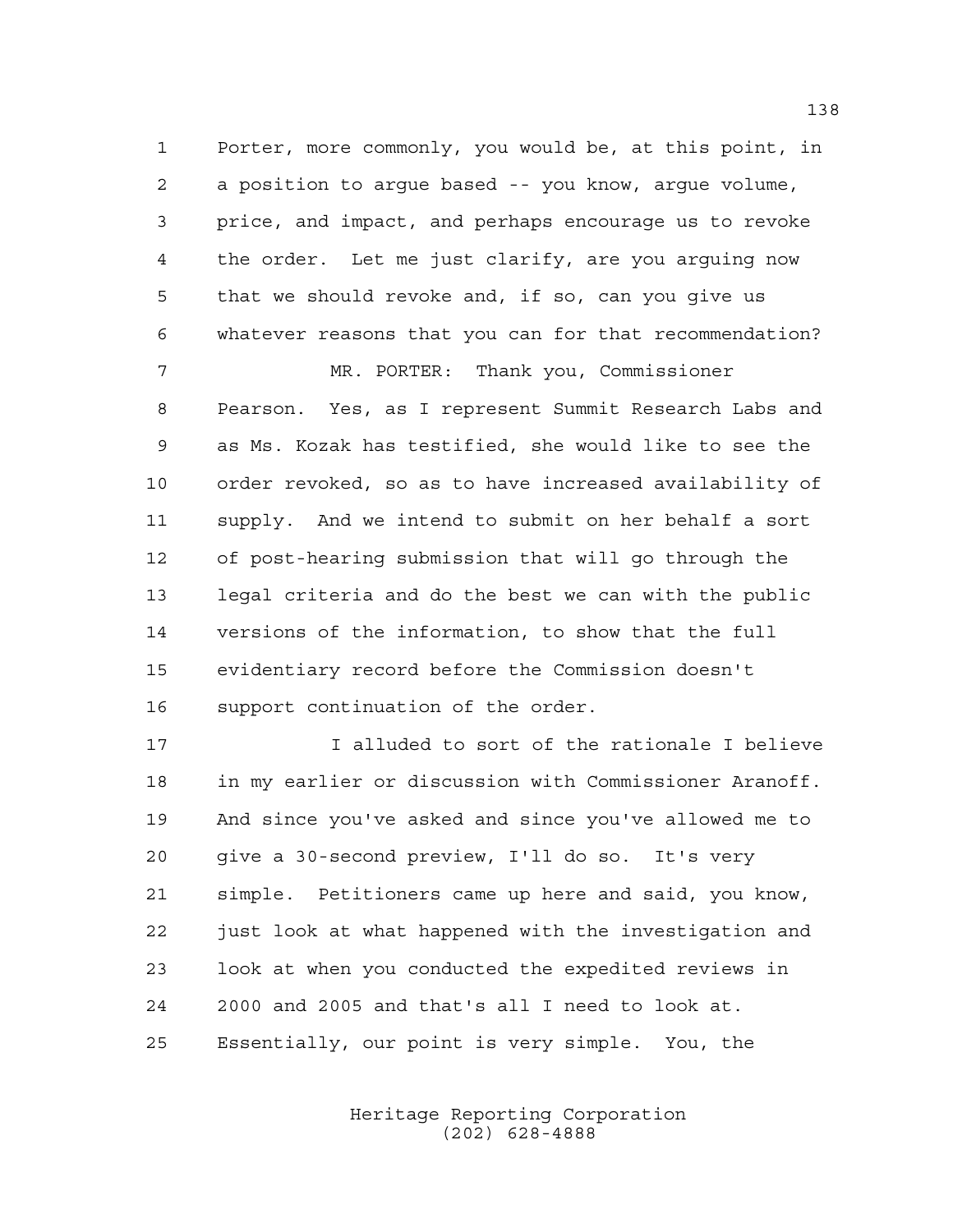Porter, more commonly, you would be, at this point, in a position to argue based -- you know, argue volume, price, and impact, and perhaps encourage us to revoke the order. Let me just clarify, are you arguing now that we should revoke and, if so, can you give us whatever reasons that you can for that recommendation?

MR. PORTER: Thank you, Commissioner

 Pearson. Yes, as I represent Summit Research Labs and as Ms. Kozak has testified, she would like to see the order revoked, so as to have increased availability of supply. And we intend to submit on her behalf a sort of post-hearing submission that will go through the legal criteria and do the best we can with the public versions of the information, to show that the full evidentiary record before the Commission doesn't support continuation of the order.

 I alluded to sort of the rationale I believe in my earlier or discussion with Commissioner Aranoff. And since you've asked and since you've allowed me to give a 30-second preview, I'll do so. It's very simple. Petitioners came up here and said, you know, just look at what happened with the investigation and look at when you conducted the expedited reviews in 2000 and 2005 and that's all I need to look at. Essentially, our point is very simple. You, the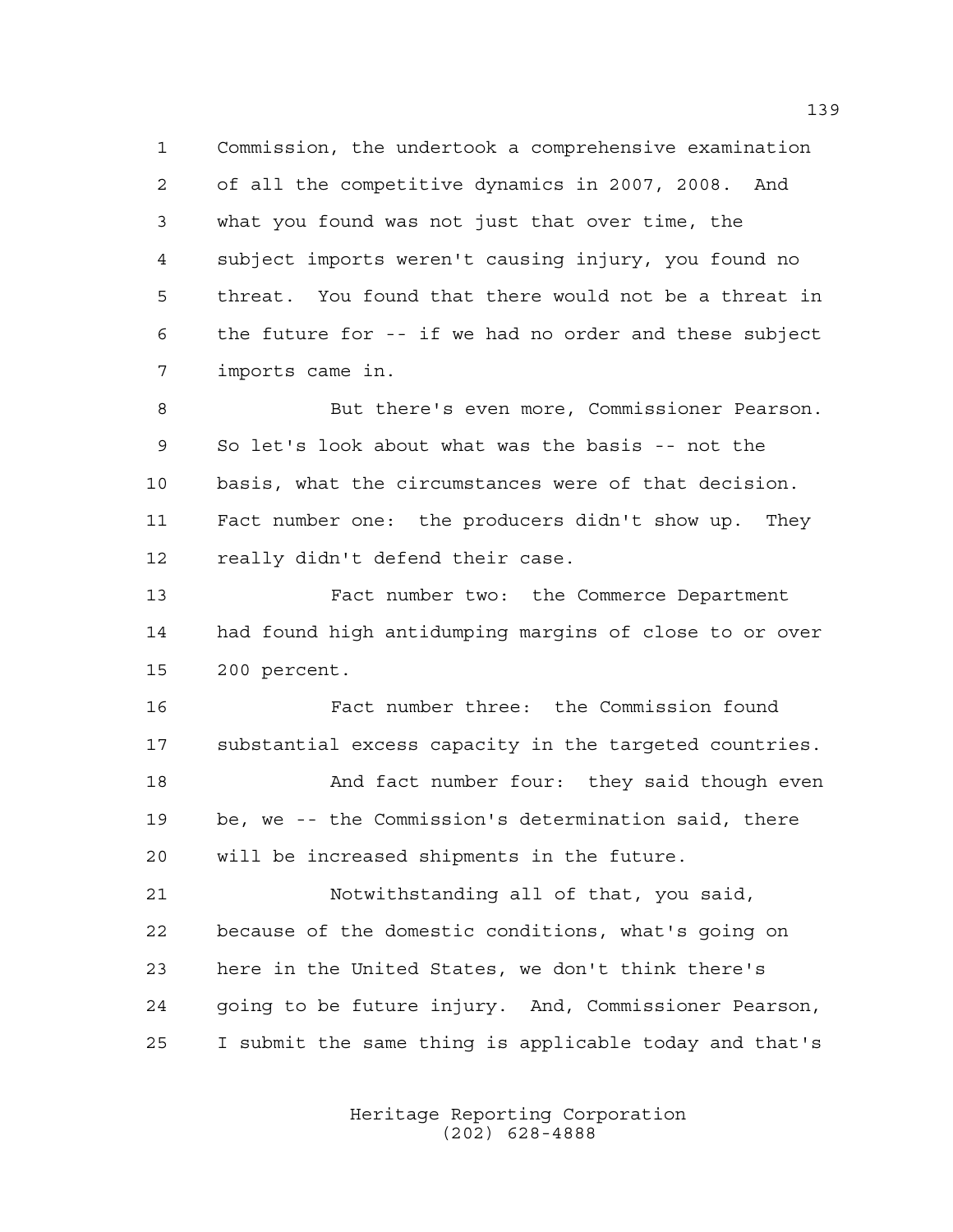Commission, the undertook a comprehensive examination of all the competitive dynamics in 2007, 2008. And what you found was not just that over time, the subject imports weren't causing injury, you found no threat. You found that there would not be a threat in the future for -- if we had no order and these subject imports came in.

 But there's even more, Commissioner Pearson. So let's look about what was the basis -- not the basis, what the circumstances were of that decision. Fact number one: the producers didn't show up. They really didn't defend their case.

 Fact number two: the Commerce Department had found high antidumping margins of close to or over 200 percent.

 Fact number three: the Commission found substantial excess capacity in the targeted countries. And fact number four: they said though even

 be, we -- the Commission's determination said, there will be increased shipments in the future.

 Notwithstanding all of that, you said, because of the domestic conditions, what's going on here in the United States, we don't think there's going to be future injury. And, Commissioner Pearson, I submit the same thing is applicable today and that's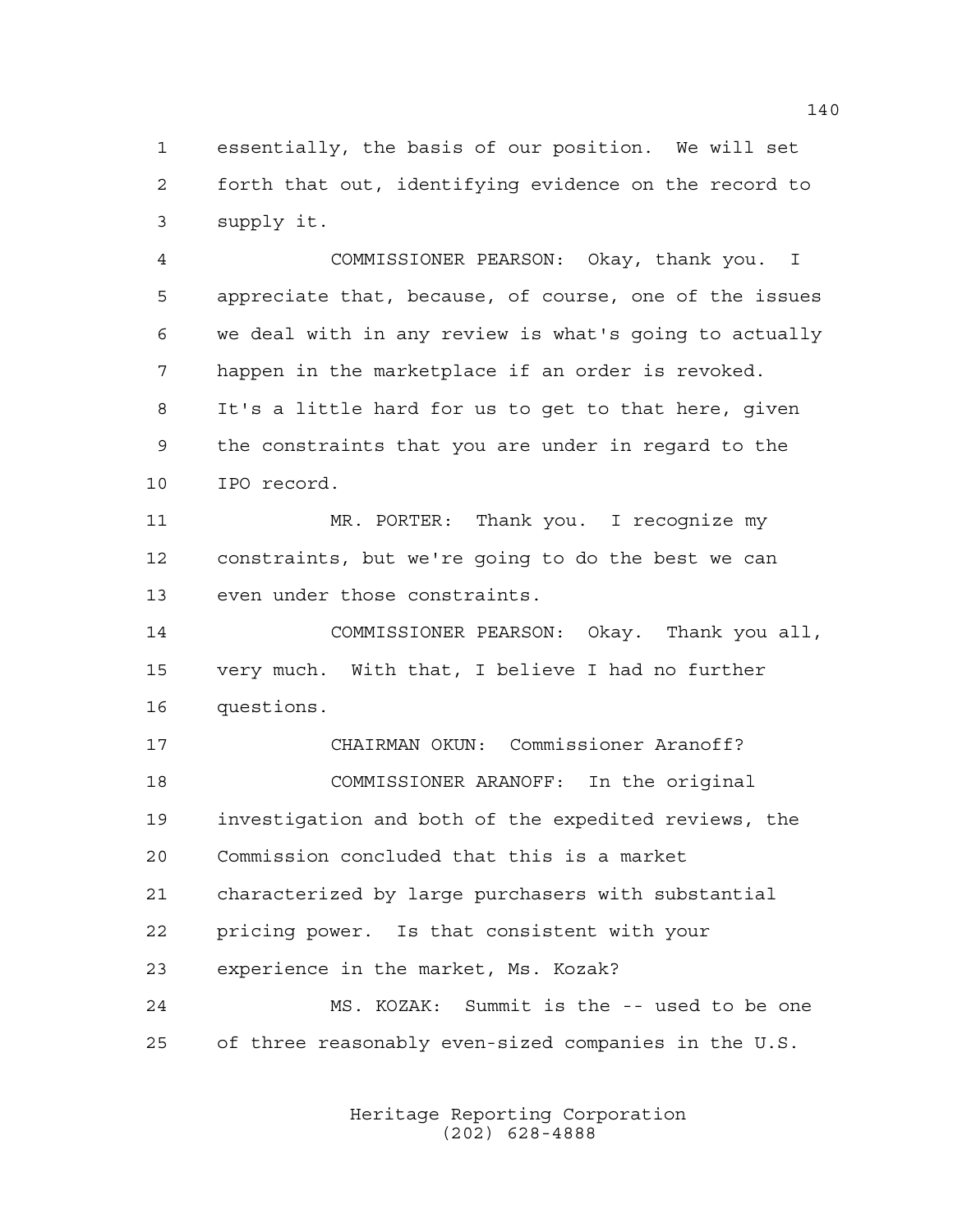essentially, the basis of our position. We will set forth that out, identifying evidence on the record to supply it.

 COMMISSIONER PEARSON: Okay, thank you. I appreciate that, because, of course, one of the issues we deal with in any review is what's going to actually happen in the marketplace if an order is revoked. It's a little hard for us to get to that here, given the constraints that you are under in regard to the IPO record.

 MR. PORTER: Thank you. I recognize my constraints, but we're going to do the best we can even under those constraints.

 COMMISSIONER PEARSON: Okay. Thank you all, very much. With that, I believe I had no further questions.

 CHAIRMAN OKUN: Commissioner Aranoff? COMMISSIONER ARANOFF: In the original investigation and both of the expedited reviews, the Commission concluded that this is a market characterized by large purchasers with substantial pricing power. Is that consistent with your experience in the market, Ms. Kozak? MS. KOZAK: Summit is the -- used to be one of three reasonably even-sized companies in the U.S.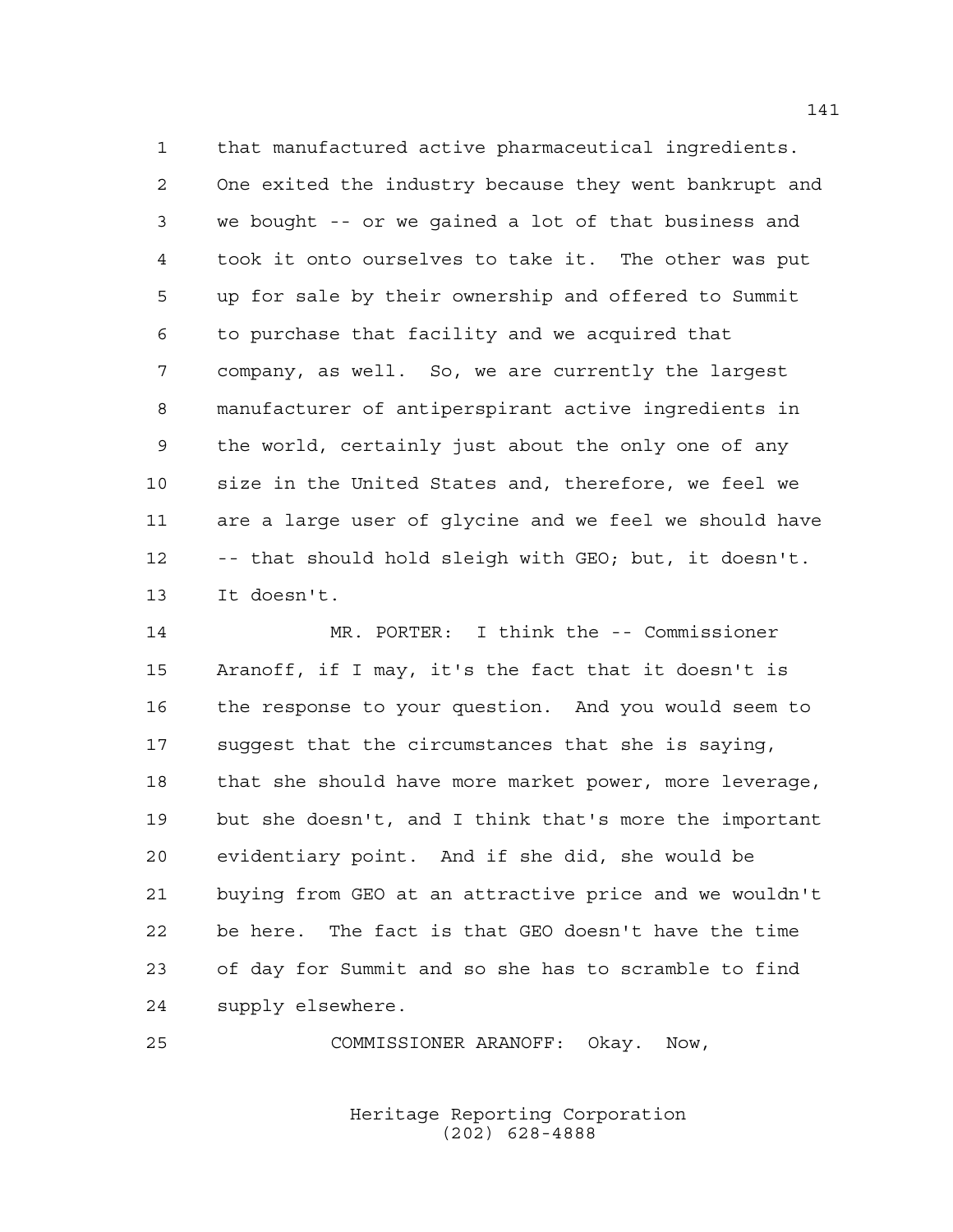that manufactured active pharmaceutical ingredients. One exited the industry because they went bankrupt and we bought -- or we gained a lot of that business and took it onto ourselves to take it. The other was put up for sale by their ownership and offered to Summit to purchase that facility and we acquired that company, as well. So, we are currently the largest manufacturer of antiperspirant active ingredients in the world, certainly just about the only one of any size in the United States and, therefore, we feel we are a large user of glycine and we feel we should have -- that should hold sleigh with GEO; but, it doesn't. It doesn't.

 MR. PORTER: I think the -- Commissioner Aranoff, if I may, it's the fact that it doesn't is the response to your question. And you would seem to suggest that the circumstances that she is saying, that she should have more market power, more leverage, but she doesn't, and I think that's more the important evidentiary point. And if she did, she would be buying from GEO at an attractive price and we wouldn't be here. The fact is that GEO doesn't have the time of day for Summit and so she has to scramble to find supply elsewhere.

COMMISSIONER ARANOFF: Okay. Now,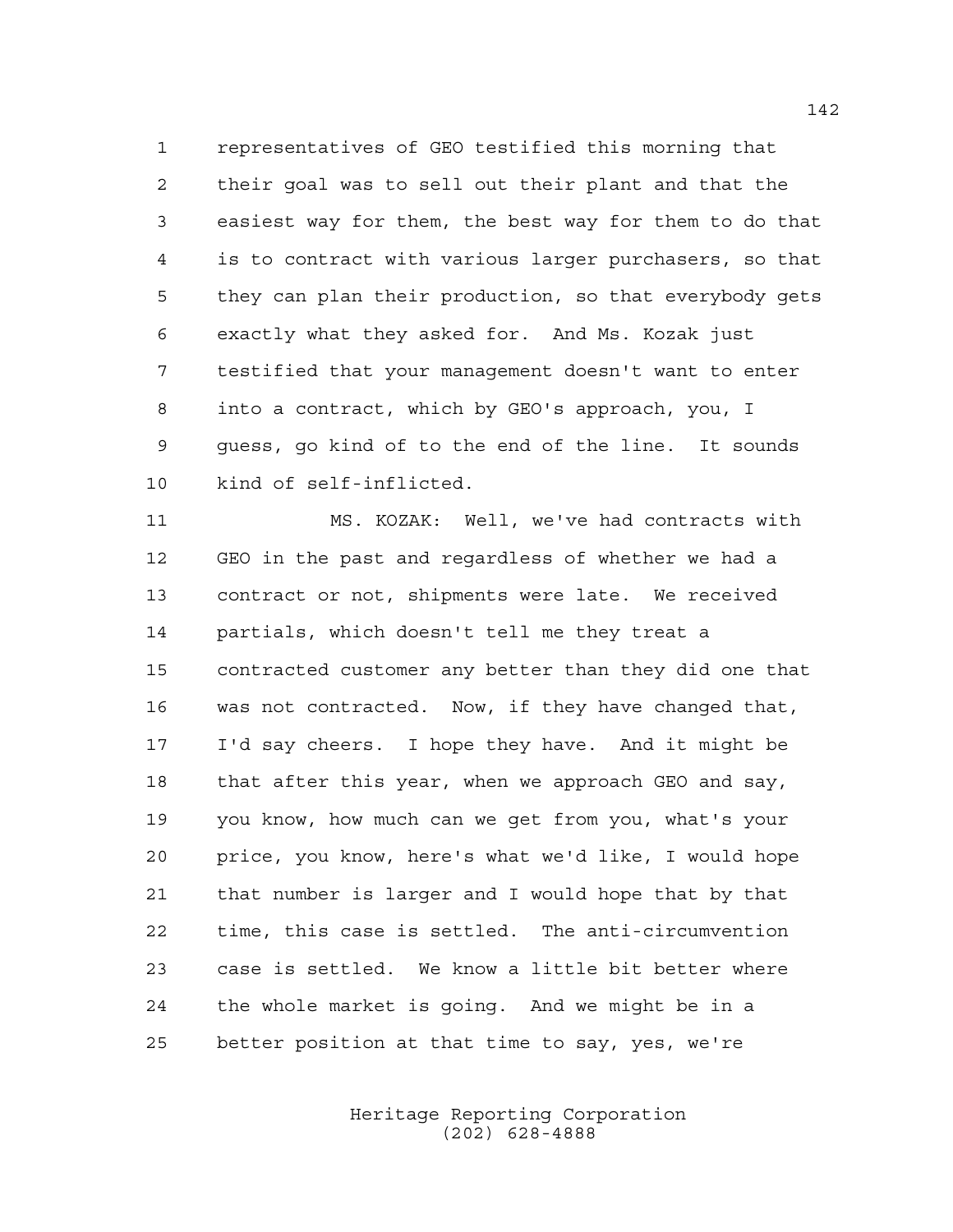representatives of GEO testified this morning that their goal was to sell out their plant and that the easiest way for them, the best way for them to do that is to contract with various larger purchasers, so that they can plan their production, so that everybody gets exactly what they asked for. And Ms. Kozak just testified that your management doesn't want to enter into a contract, which by GEO's approach, you, I guess, go kind of to the end of the line. It sounds kind of self-inflicted.

 MS. KOZAK: Well, we've had contracts with GEO in the past and regardless of whether we had a contract or not, shipments were late. We received partials, which doesn't tell me they treat a contracted customer any better than they did one that was not contracted. Now, if they have changed that, I'd say cheers. I hope they have. And it might be that after this year, when we approach GEO and say, you know, how much can we get from you, what's your price, you know, here's what we'd like, I would hope that number is larger and I would hope that by that time, this case is settled. The anti-circumvention case is settled. We know a little bit better where the whole market is going. And we might be in a better position at that time to say, yes, we're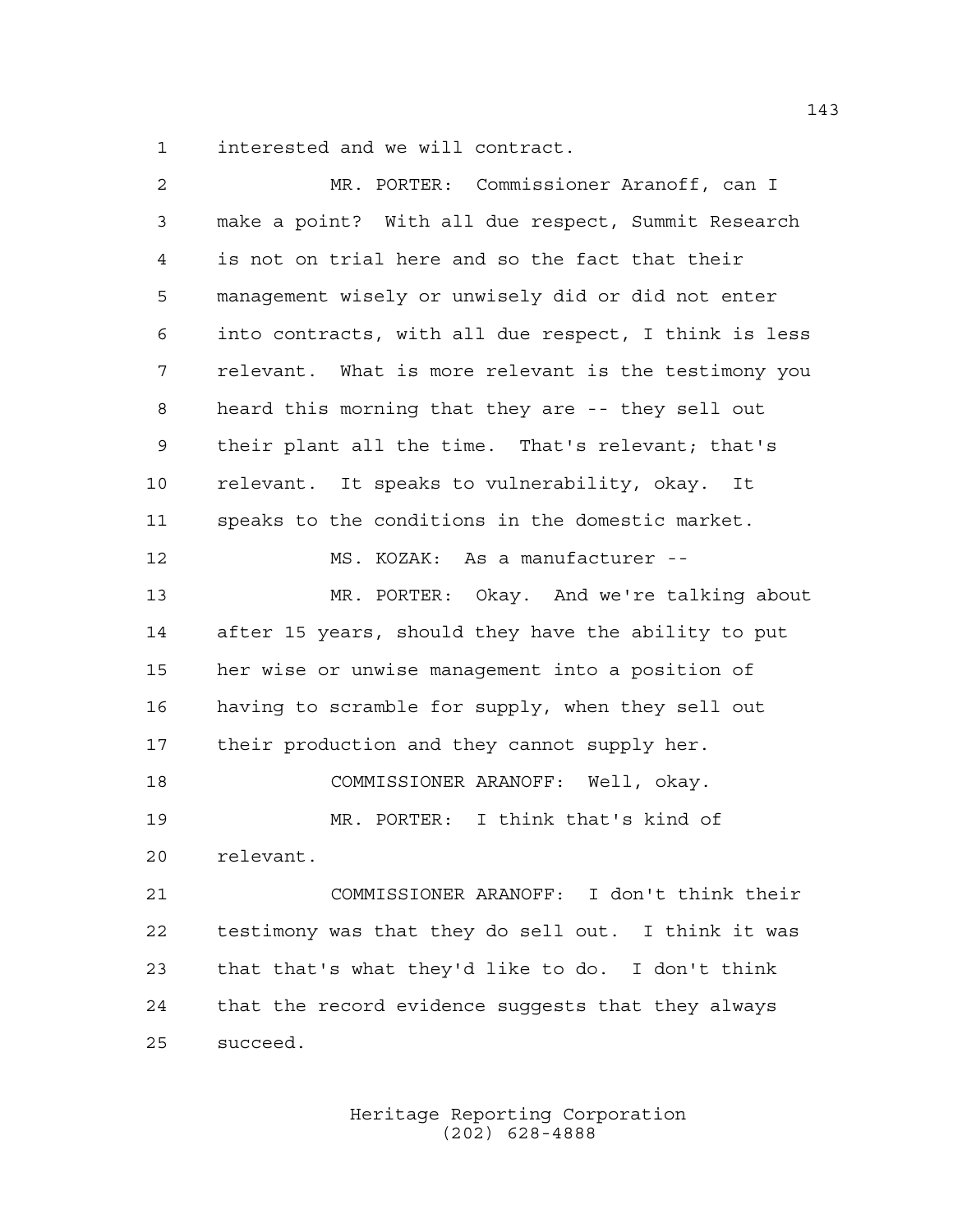interested and we will contract.

| 2  | MR. PORTER: Commissioner Aranoff, can I               |
|----|-------------------------------------------------------|
| 3  | make a point? With all due respect, Summit Research   |
| 4  | is not on trial here and so the fact that their       |
| 5  | management wisely or unwisely did or did not enter    |
| 6  | into contracts, with all due respect, I think is less |
| 7  | relevant. What is more relevant is the testimony you  |
| 8  | heard this morning that they are -- they sell out     |
| 9  | their plant all the time. That's relevant; that's     |
| 10 | relevant. It speaks to vulnerability, okay. It        |
| 11 | speaks to the conditions in the domestic market.      |
| 12 | MS. KOZAK: As a manufacturer --                       |
| 13 | MR. PORTER: Okay. And we're talking about             |
| 14 | after 15 years, should they have the ability to put   |
| 15 | her wise or unwise management into a position of      |
| 16 | having to scramble for supply, when they sell out     |
| 17 | their production and they cannot supply her.          |
| 18 | COMMISSIONER ARANOFF: Well, okay.                     |
| 19 | MR. PORTER: I think that's kind of                    |
| 20 | relevant.                                             |
| 21 | COMMISSIONER ARANOFF: I don't think their             |
| 22 | testimony was that they do sell out. I think it was   |
| 23 | that that's what they'd like to do. I don't think     |
| 24 | that the record evidence suggests that they always    |
| 25 | succeed.                                              |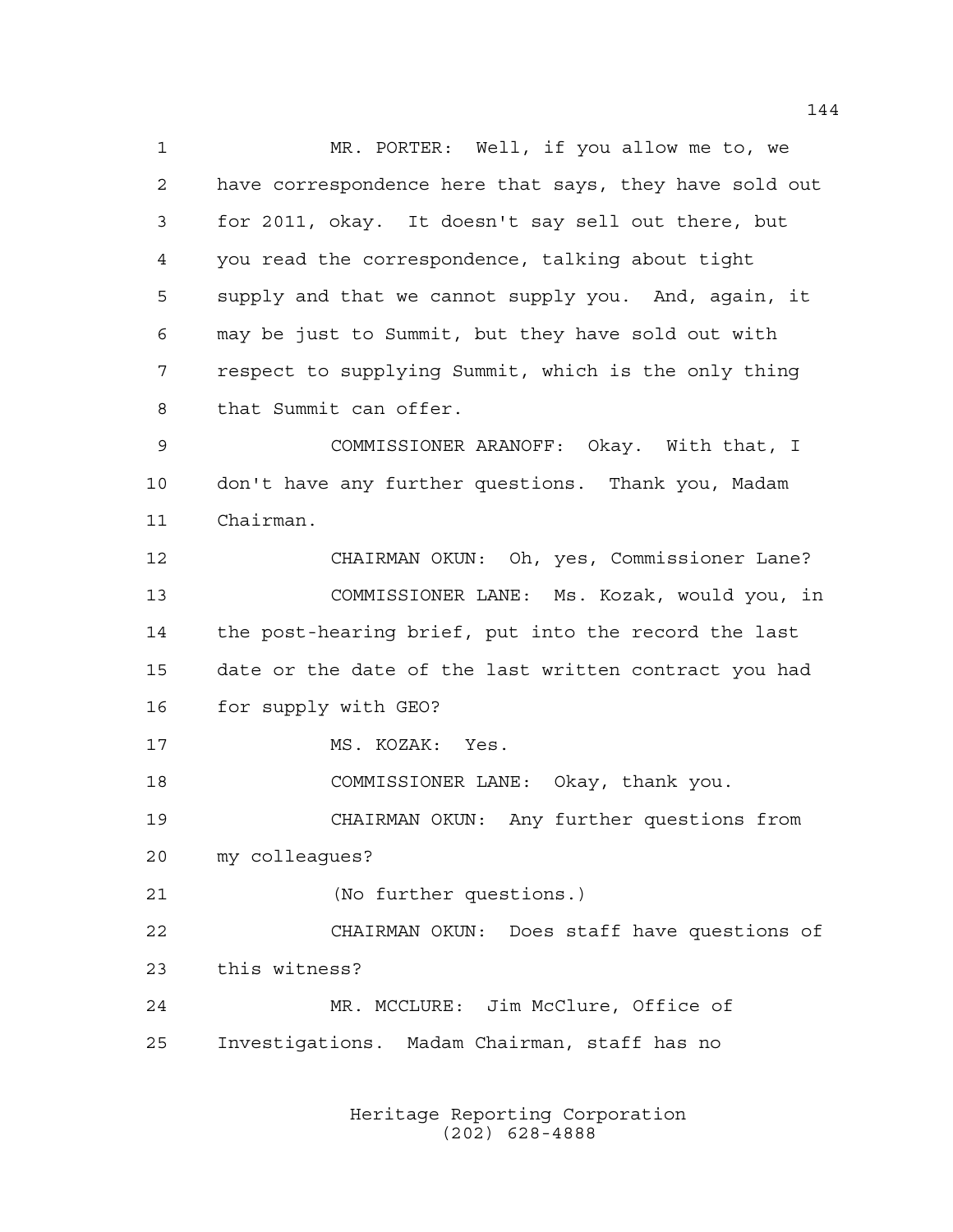MR. PORTER: Well, if you allow me to, we have correspondence here that says, they have sold out for 2011, okay. It doesn't say sell out there, but you read the correspondence, talking about tight supply and that we cannot supply you. And, again, it may be just to Summit, but they have sold out with respect to supplying Summit, which is the only thing that Summit can offer. COMMISSIONER ARANOFF: Okay. With that, I don't have any further questions. Thank you, Madam Chairman. CHAIRMAN OKUN: Oh, yes, Commissioner Lane? COMMISSIONER LANE: Ms. Kozak, would you, in the post-hearing brief, put into the record the last date or the date of the last written contract you had for supply with GEO? 17 MS. KOZAK: Yes. COMMISSIONER LANE: Okay, thank you. CHAIRMAN OKUN: Any further questions from my colleagues? (No further questions.) CHAIRMAN OKUN: Does staff have questions of this witness? MR. MCCLURE: Jim McClure, Office of Investigations. Madam Chairman, staff has no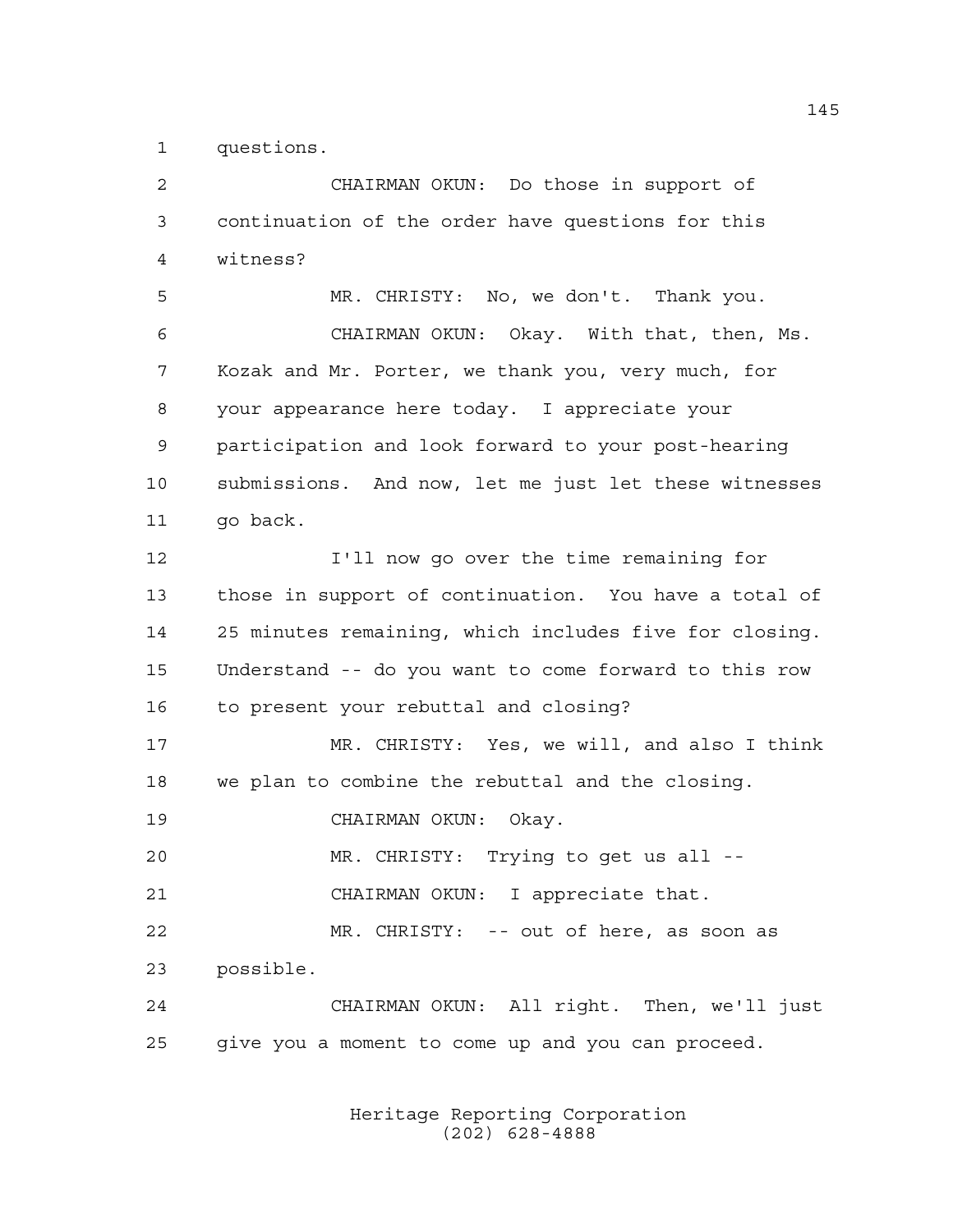questions.

 CHAIRMAN OKUN: Do those in support of continuation of the order have questions for this witness? MR. CHRISTY: No, we don't. Thank you. CHAIRMAN OKUN: Okay. With that, then, Ms. Kozak and Mr. Porter, we thank you, very much, for your appearance here today. I appreciate your participation and look forward to your post-hearing submissions. And now, let me just let these witnesses 11 qo back. I'll now go over the time remaining for those in support of continuation. You have a total of 25 minutes remaining, which includes five for closing. Understand -- do you want to come forward to this row to present your rebuttal and closing? MR. CHRISTY: Yes, we will, and also I think we plan to combine the rebuttal and the closing. CHAIRMAN OKUN: Okay. MR. CHRISTY: Trying to get us all -- CHAIRMAN OKUN: I appreciate that. MR. CHRISTY: -- out of here, as soon as possible. CHAIRMAN OKUN: All right. Then, we'll just give you a moment to come up and you can proceed.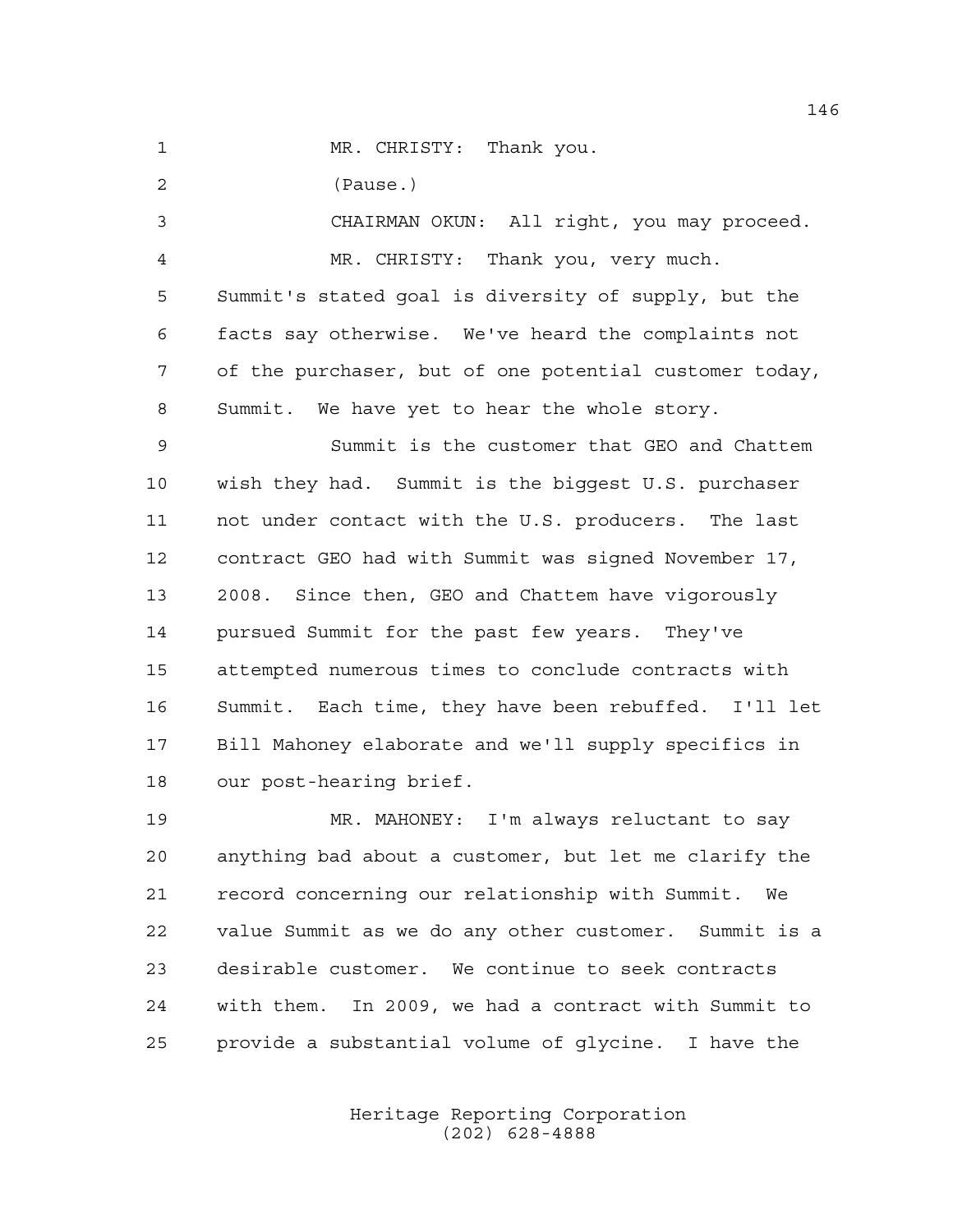(Pause.)

 CHAIRMAN OKUN: All right, you may proceed. MR. CHRISTY: Thank you, very much. Summit's stated goal is diversity of supply, but the

 facts say otherwise. We've heard the complaints not of the purchaser, but of one potential customer today, Summit. We have yet to hear the whole story.

 Summit is the customer that GEO and Chattem wish they had. Summit is the biggest U.S. purchaser not under contact with the U.S. producers. The last contract GEO had with Summit was signed November 17, 2008. Since then, GEO and Chattem have vigorously pursued Summit for the past few years. They've attempted numerous times to conclude contracts with Summit. Each time, they have been rebuffed. I'll let Bill Mahoney elaborate and we'll supply specifics in our post-hearing brief.

 MR. MAHONEY: I'm always reluctant to say anything bad about a customer, but let me clarify the record concerning our relationship with Summit. We value Summit as we do any other customer. Summit is a desirable customer. We continue to seek contracts with them. In 2009, we had a contract with Summit to provide a substantial volume of glycine. I have the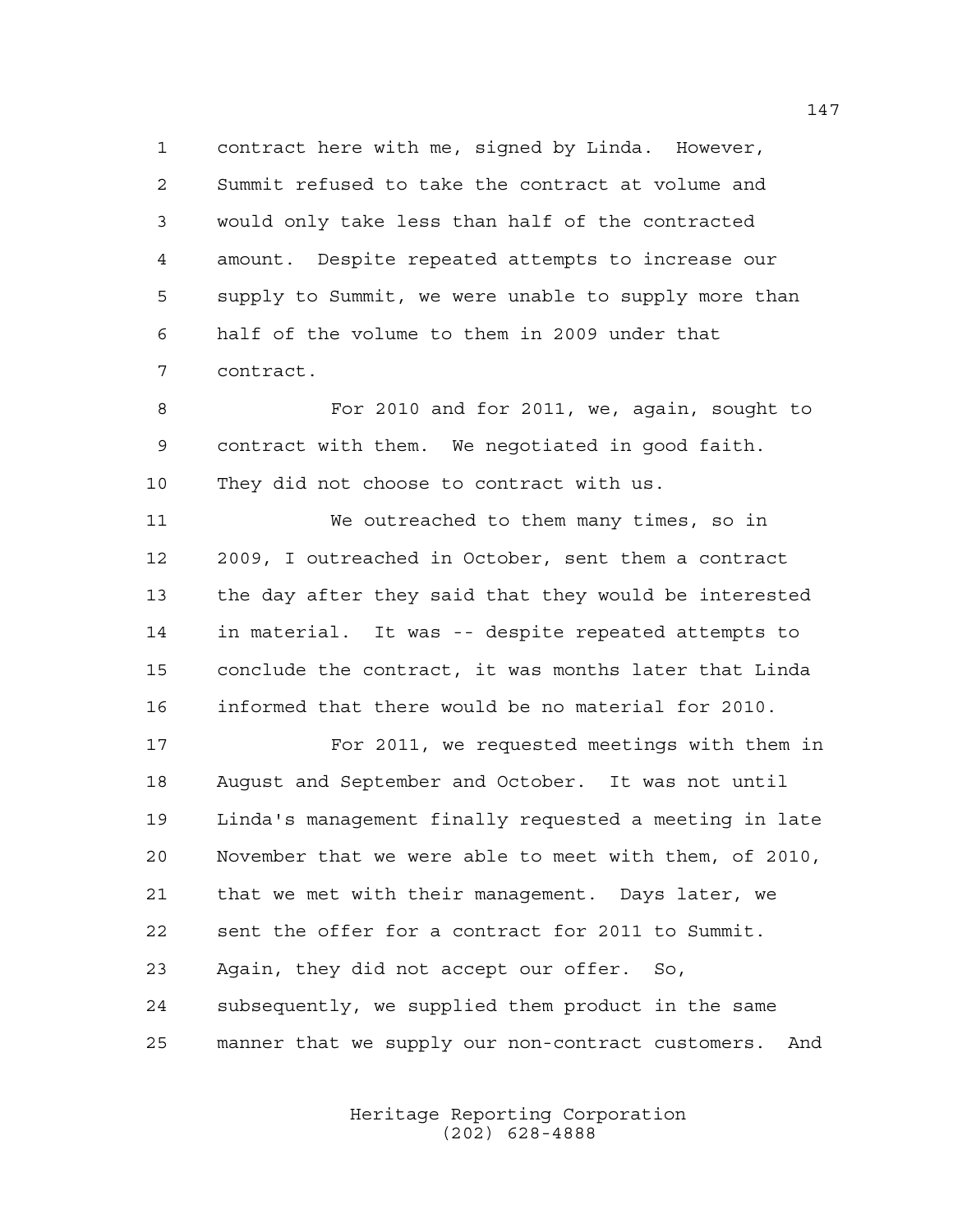contract here with me, signed by Linda. However, Summit refused to take the contract at volume and would only take less than half of the contracted amount. Despite repeated attempts to increase our supply to Summit, we were unable to supply more than half of the volume to them in 2009 under that contract.

 For 2010 and for 2011, we, again, sought to contract with them. We negotiated in good faith. They did not choose to contract with us.

 We outreached to them many times, so in 2009, I outreached in October, sent them a contract the day after they said that they would be interested in material. It was -- despite repeated attempts to conclude the contract, it was months later that Linda informed that there would be no material for 2010.

 For 2011, we requested meetings with them in August and September and October. It was not until Linda's management finally requested a meeting in late November that we were able to meet with them, of 2010, that we met with their management. Days later, we sent the offer for a contract for 2011 to Summit. Again, they did not accept our offer. So, subsequently, we supplied them product in the same manner that we supply our non-contract customers. And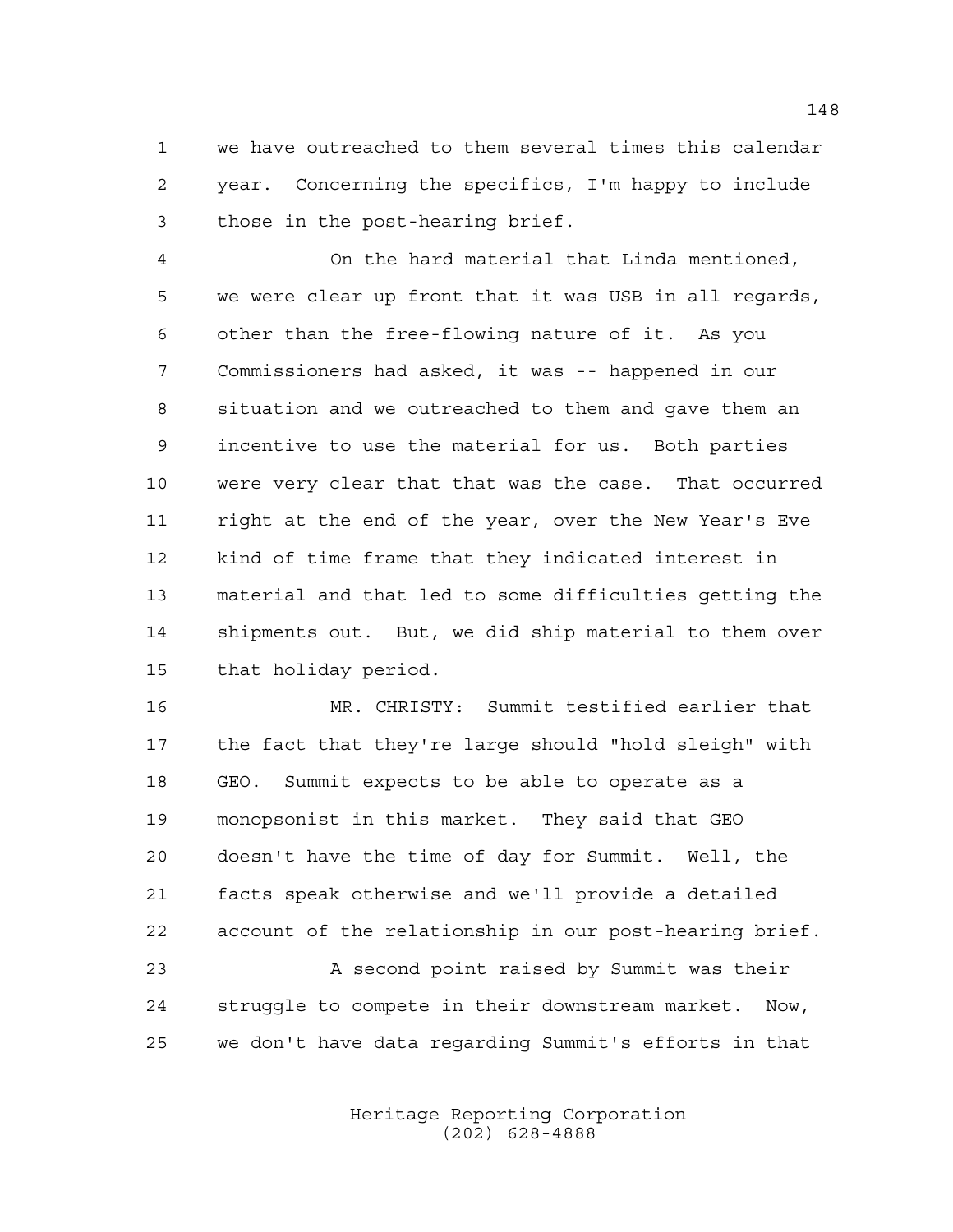we have outreached to them several times this calendar year. Concerning the specifics, I'm happy to include those in the post-hearing brief.

 On the hard material that Linda mentioned, we were clear up front that it was USB in all regards, other than the free-flowing nature of it. As you Commissioners had asked, it was -- happened in our situation and we outreached to them and gave them an incentive to use the material for us. Both parties were very clear that that was the case. That occurred right at the end of the year, over the New Year's Eve kind of time frame that they indicated interest in material and that led to some difficulties getting the shipments out. But, we did ship material to them over that holiday period.

 MR. CHRISTY: Summit testified earlier that the fact that they're large should "hold sleigh" with GEO. Summit expects to be able to operate as a monopsonist in this market. They said that GEO doesn't have the time of day for Summit. Well, the facts speak otherwise and we'll provide a detailed account of the relationship in our post-hearing brief.

 A second point raised by Summit was their struggle to compete in their downstream market. Now, we don't have data regarding Summit's efforts in that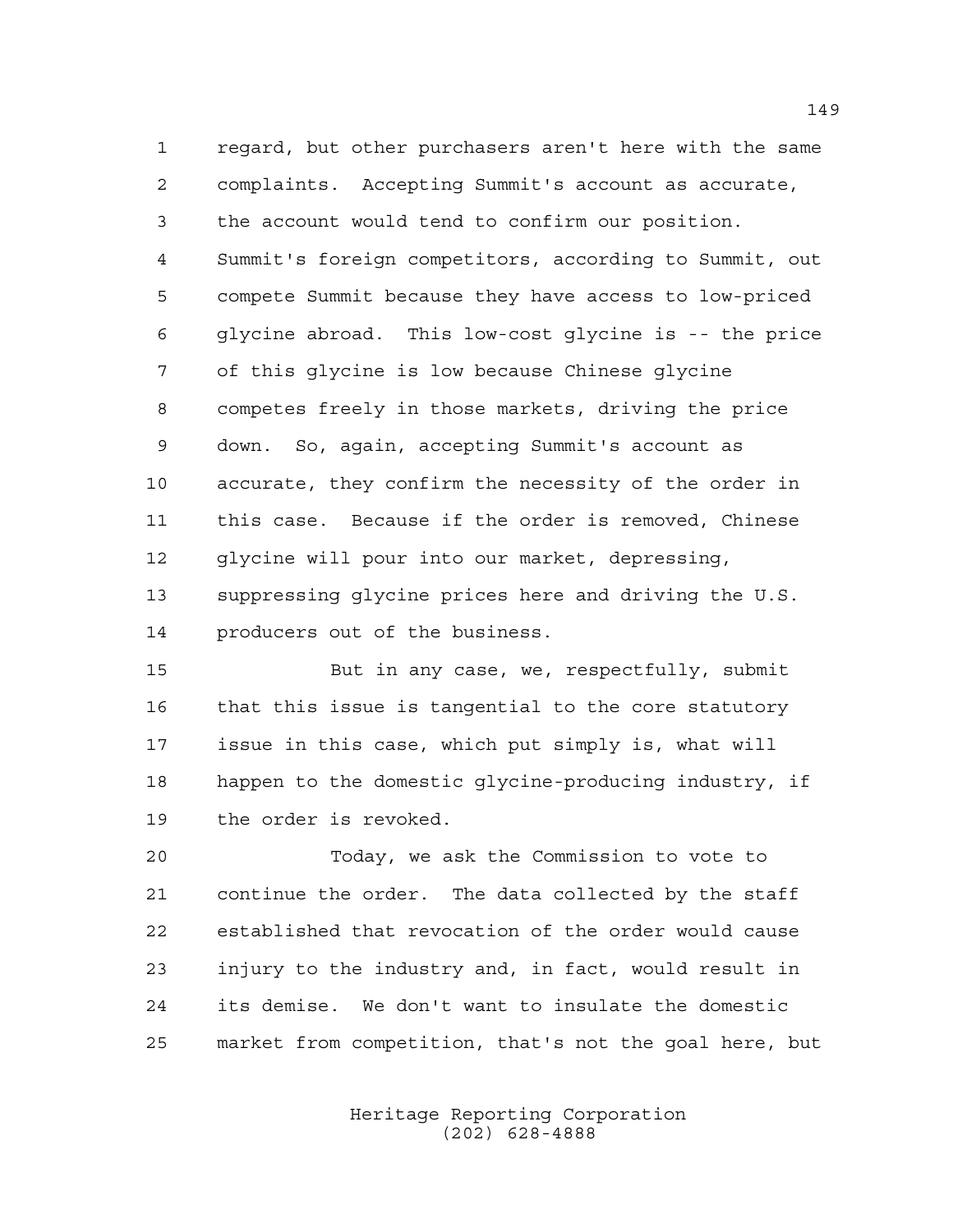regard, but other purchasers aren't here with the same complaints. Accepting Summit's account as accurate, the account would tend to confirm our position. Summit's foreign competitors, according to Summit, out compete Summit because they have access to low-priced glycine abroad. This low-cost glycine is -- the price of this glycine is low because Chinese glycine competes freely in those markets, driving the price down. So, again, accepting Summit's account as accurate, they confirm the necessity of the order in this case. Because if the order is removed, Chinese glycine will pour into our market, depressing, suppressing glycine prices here and driving the U.S. producers out of the business.

 But in any case, we, respectfully, submit that this issue is tangential to the core statutory issue in this case, which put simply is, what will happen to the domestic glycine-producing industry, if the order is revoked.

 Today, we ask the Commission to vote to continue the order. The data collected by the staff established that revocation of the order would cause injury to the industry and, in fact, would result in its demise. We don't want to insulate the domestic market from competition, that's not the goal here, but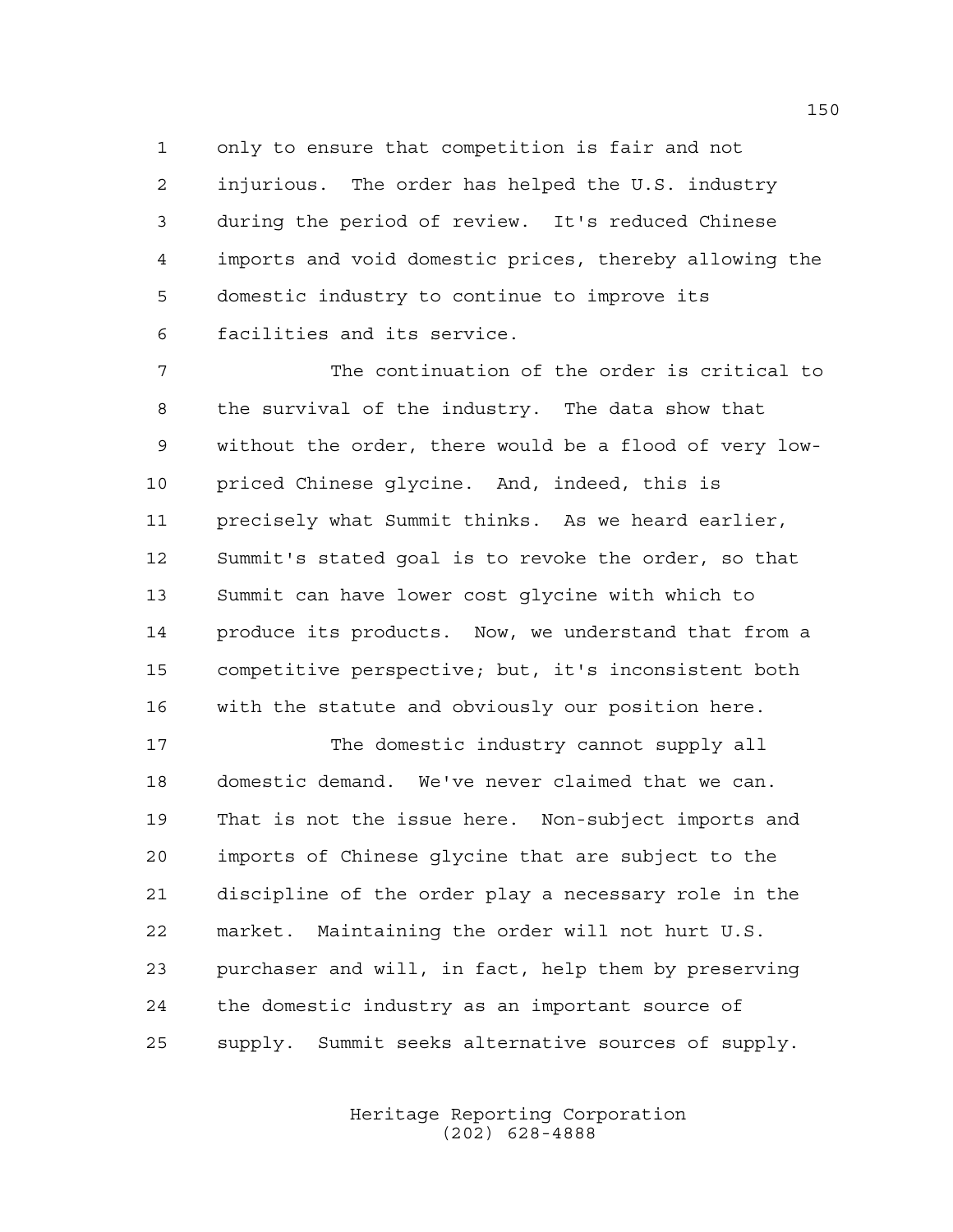only to ensure that competition is fair and not injurious. The order has helped the U.S. industry during the period of review. It's reduced Chinese imports and void domestic prices, thereby allowing the domestic industry to continue to improve its facilities and its service.

 The continuation of the order is critical to the survival of the industry. The data show that without the order, there would be a flood of very low- priced Chinese glycine. And, indeed, this is precisely what Summit thinks. As we heard earlier, Summit's stated goal is to revoke the order, so that Summit can have lower cost glycine with which to produce its products. Now, we understand that from a competitive perspective; but, it's inconsistent both with the statute and obviously our position here.

17 The domestic industry cannot supply all domestic demand. We've never claimed that we can. That is not the issue here. Non-subject imports and imports of Chinese glycine that are subject to the discipline of the order play a necessary role in the market. Maintaining the order will not hurt U.S. purchaser and will, in fact, help them by preserving the domestic industry as an important source of supply. Summit seeks alternative sources of supply.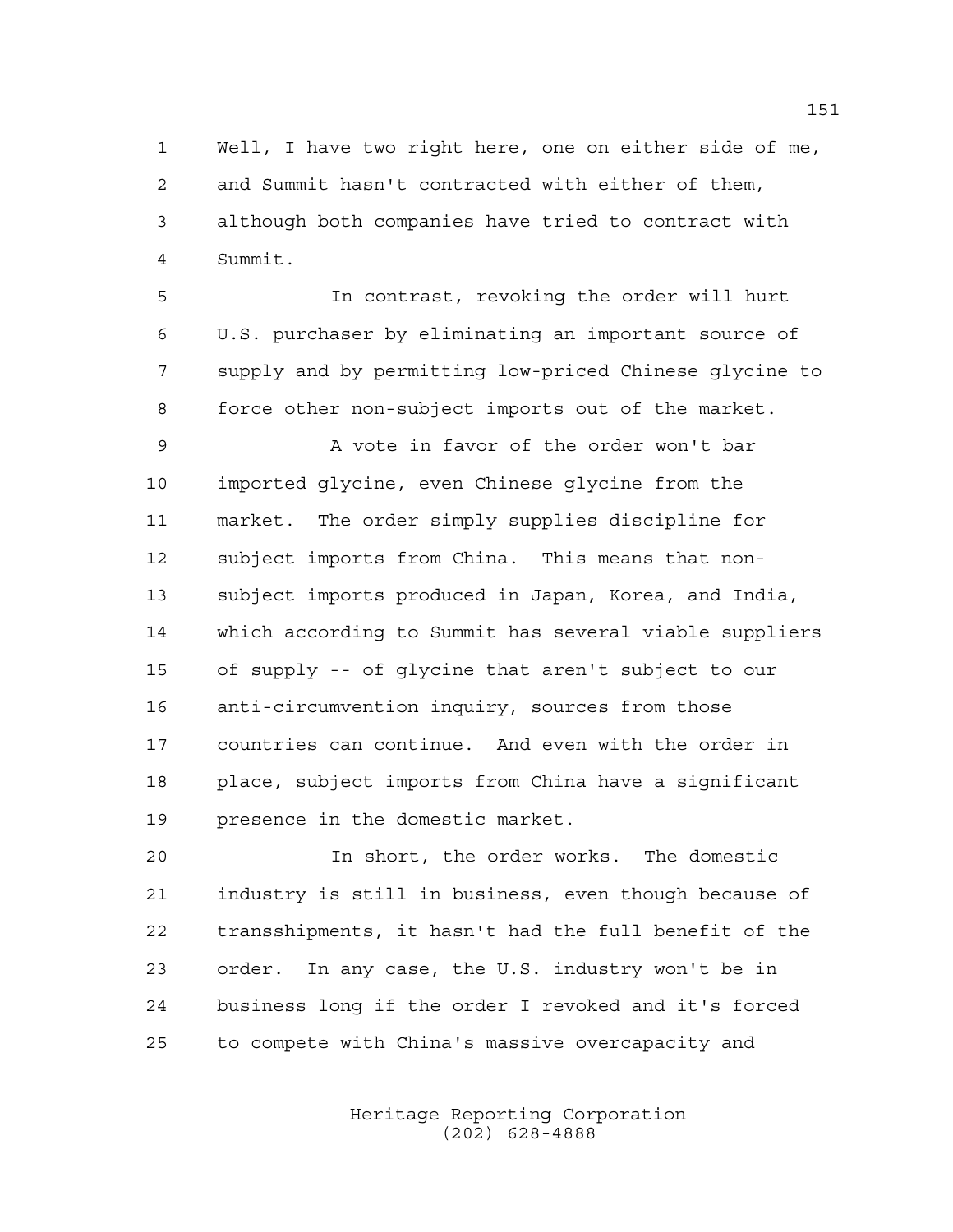Well, I have two right here, one on either side of me, and Summit hasn't contracted with either of them, although both companies have tried to contract with Summit.

 In contrast, revoking the order will hurt U.S. purchaser by eliminating an important source of supply and by permitting low-priced Chinese glycine to force other non-subject imports out of the market.

 A vote in favor of the order won't bar imported glycine, even Chinese glycine from the market. The order simply supplies discipline for subject imports from China. This means that non- subject imports produced in Japan, Korea, and India, which according to Summit has several viable suppliers of supply -- of glycine that aren't subject to our anti-circumvention inquiry, sources from those countries can continue. And even with the order in place, subject imports from China have a significant presence in the domestic market.

 In short, the order works. The domestic industry is still in business, even though because of transshipments, it hasn't had the full benefit of the order. In any case, the U.S. industry won't be in business long if the order I revoked and it's forced to compete with China's massive overcapacity and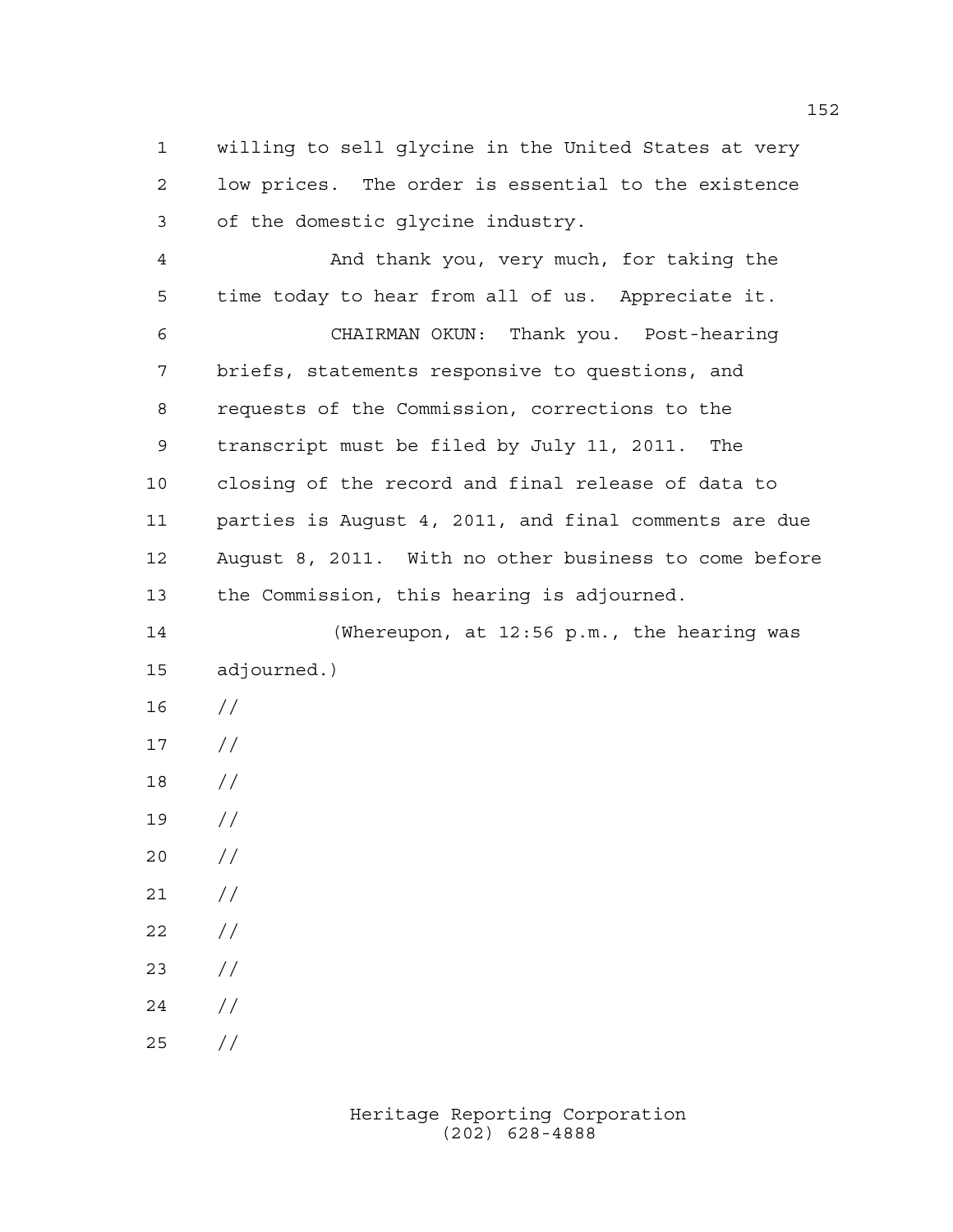willing to sell glycine in the United States at very low prices. The order is essential to the existence of the domestic glycine industry.

 And thank you, very much, for taking the time today to hear from all of us. Appreciate it. CHAIRMAN OKUN: Thank you. Post-hearing briefs, statements responsive to questions, and requests of the Commission, corrections to the transcript must be filed by July 11, 2011. The closing of the record and final release of data to parties is August 4, 2011, and final comments are due August 8, 2011. With no other business to come before the Commission, this hearing is adjourned.

 (Whereupon, at 12:56 p.m., the hearing was adjourned.)

- //
- $17 /$
- //
- //
- $20 /$
- $21 /$
- $22 / /$
- //
- //
- //